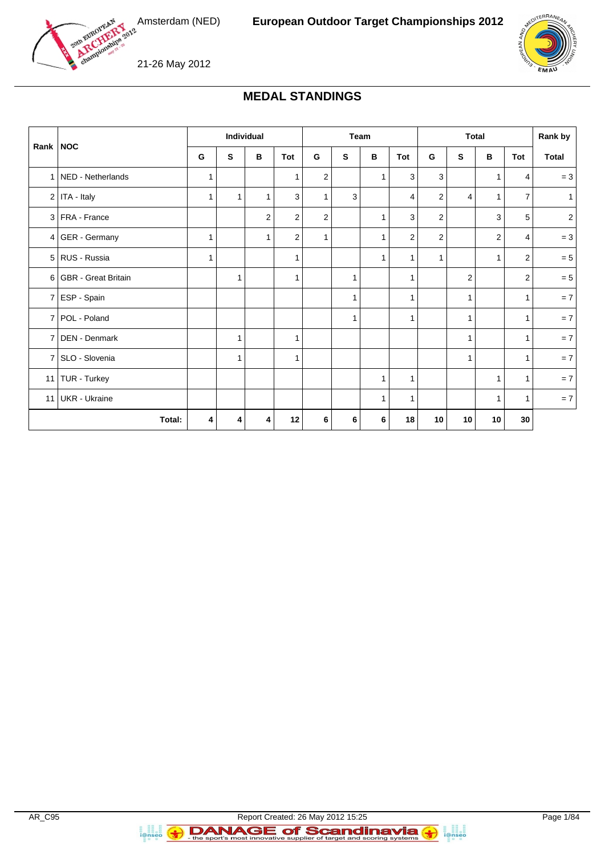



# **MEDAL STANDINGS**

| Rank   NOC |                       | Individual |              | Team         |                |              | <b>Total</b> |              |                         | Rank by                 |                |                |                |              |
|------------|-----------------------|------------|--------------|--------------|----------------|--------------|--------------|--------------|-------------------------|-------------------------|----------------|----------------|----------------|--------------|
|            |                       | G          | S            | в            | Tot            | G            | s            | в            | Tot                     | G                       | S              | В              | Tot            | <b>Total</b> |
|            | 1 NED - Netherlands   | 1          |              |              | 1              | 2            |              | 1            | 3                       | 3                       |                | 1              | 4              | $= 3$        |
|            | $2$ ITA - Italy       | 1          | $\mathbf{1}$ | $\mathbf{1}$ | 3              | 1            | 3            |              | 4                       | $\overline{\mathbf{c}}$ | 4              | $\mathbf{1}$   | 7              | $\mathbf{1}$ |
|            | 3 FRA - France        |            |              | 2            | $\overline{2}$ | 2            |              | $\mathbf{1}$ | 3                       | 2                       |                | 3              | 5              | $\sqrt{2}$   |
|            | $4   GER - Germany$   | 1          |              | 1            | $\overline{c}$ | $\mathbf{1}$ |              | $\mathbf{1}$ | $\overline{\mathbf{c}}$ | $\overline{\mathbf{c}}$ |                | $\overline{c}$ | 4              | $= 3$        |
|            | 5 RUS - Russia        | 1          |              |              | 1              |              |              | $\mathbf{1}$ | $\mathbf{1}$            | $\mathbf{1}$            |                | $\mathbf{1}$   | $\overline{2}$ | $= 5$        |
|            | 6 GBR - Great Britain |            | $\mathbf{1}$ |              | $\mathbf{1}$   |              | 1            |              | $\mathbf{1}$            |                         | $\overline{c}$ |                | 2              | $= 5$        |
|            | 7 ESP - Spain         |            |              |              |                |              | 1            |              | $\mathbf{1}$            |                         | $\mathbf{1}$   |                | $\mathbf{1}$   | $= 7$        |
|            | 7 POL - Poland        |            |              |              |                |              | 1            |              | $\mathbf{1}$            |                         | $\mathbf{1}$   |                | $\mathbf{1}$   | $= 7$        |
|            | 7   DEN - Denmark     |            | 1            |              | 1              |              |              |              |                         |                         | 1              |                | $\mathbf{1}$   | $= 7$        |
|            | 7 SLO - Slovenia      |            | $\mathbf{1}$ |              | $\mathbf{1}$   |              |              |              |                         |                         | $\mathbf{1}$   |                | $\mathbf{1}$   | $= 7$        |
|            | 11   TUR - Turkey     |            |              |              |                |              |              | 1            | 1                       |                         |                | 1              | $\mathbf{1}$   | $= 7$        |
|            | 11 UKR - Ukraine      |            |              |              |                |              |              | 1            | 1                       |                         |                | 1              | 1              | $= 7$        |
|            | Total:                | 4          | 4            | 4            | 12             | 6            | 6            | 6            | 18                      | 10                      | 10             | 10             | 30             |              |

**B**<br>**i**@nseo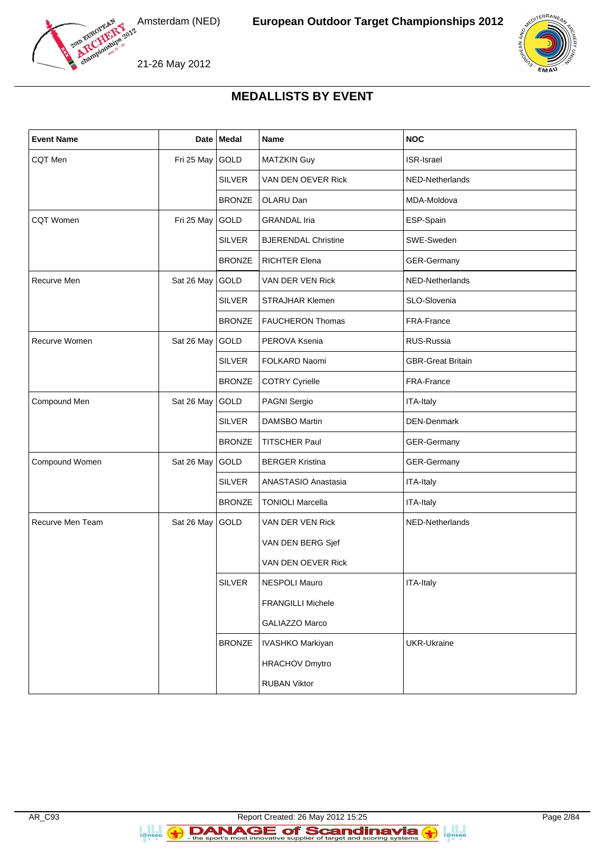



# **MEDALLISTS BY EVENT**

| <b>Event Name</b>                                  |            | Date   Medal  | Name                       | <b>NOC</b>               |
|----------------------------------------------------|------------|---------------|----------------------------|--------------------------|
| <b>CQT</b> Men                                     | Fri 25 May | GOLD          | <b>MATZKIN Guy</b>         | <b>ISR-Israel</b>        |
|                                                    |            | <b>SILVER</b> | VAN DEN OEVER Rick         | NED-Netherlands          |
|                                                    |            | <b>BRONZE</b> | OLARU Dan                  | MDA-Moldova              |
| <b>CQT Women</b>                                   | Fri 25 May | GOLD          | <b>GRANDAL Iria</b>        | ESP-Spain                |
|                                                    |            | <b>SILVER</b> | <b>BJERENDAL Christine</b> | SWE-Sweden               |
|                                                    |            | <b>BRONZE</b> | <b>RICHTER Elena</b>       | GER-Germany              |
| Recurve Men                                        | Sat 26 May | GOLD          | VAN DER VEN Rick           | NED-Netherlands          |
|                                                    |            | <b>SILVER</b> | <b>STRAJHAR Klemen</b>     | SLO-Slovenia             |
|                                                    |            | <b>BRONZE</b> | <b>FAUCHERON Thomas</b>    | FRA-France               |
| Recurve Women                                      | Sat 26 May | GOLD          | PEROVA Ksenia              | RUS-Russia               |
|                                                    |            | <b>SILVER</b> | FOLKARD Naomi              | <b>GBR-Great Britain</b> |
|                                                    |            | <b>BRONZE</b> | <b>COTRY Cyrielle</b>      | FRA-France               |
| GOLD<br>Compound Men<br>Sat 26 May<br>PAGNI Sergio |            | ITA-Italy     |                            |                          |
|                                                    |            | <b>SILVER</b> | <b>DAMSBO Martin</b>       | <b>DEN-Denmark</b>       |
|                                                    |            | <b>BRONZE</b> | <b>TITSCHER Paul</b>       | GER-Germany              |
| Compound Women                                     | Sat 26 May | GOLD          | <b>BERGER Kristina</b>     | <b>GER-Germany</b>       |
|                                                    |            | <b>SILVER</b> | ANASTASIO Anastasia        | ITA-Italy                |
|                                                    |            | <b>BRONZE</b> | <b>TONIOLI Marcella</b>    | ITA-Italy                |
| Recurve Men Team                                   | Sat 26 May | GOLD          | VAN DER VEN Rick           | NED-Netherlands          |
|                                                    |            |               | VAN DEN BERG Sjef          |                          |
|                                                    |            |               | VAN DEN OEVER Rick         |                          |
|                                                    |            | <b>SILVER</b> | NESPOLI Mauro              | ITA-Italy                |
|                                                    |            |               | <b>FRANGILLI Michele</b>   |                          |
|                                                    |            |               | GALIAZZO Marco             |                          |
|                                                    |            | <b>BRONZE</b> | IVASHKO Markiyan           | <b>UKR-Ukraine</b>       |
|                                                    |            |               | <b>HRACHOV Dmytro</b>      |                          |
|                                                    |            |               | <b>RUBAN Viktor</b>        |                          |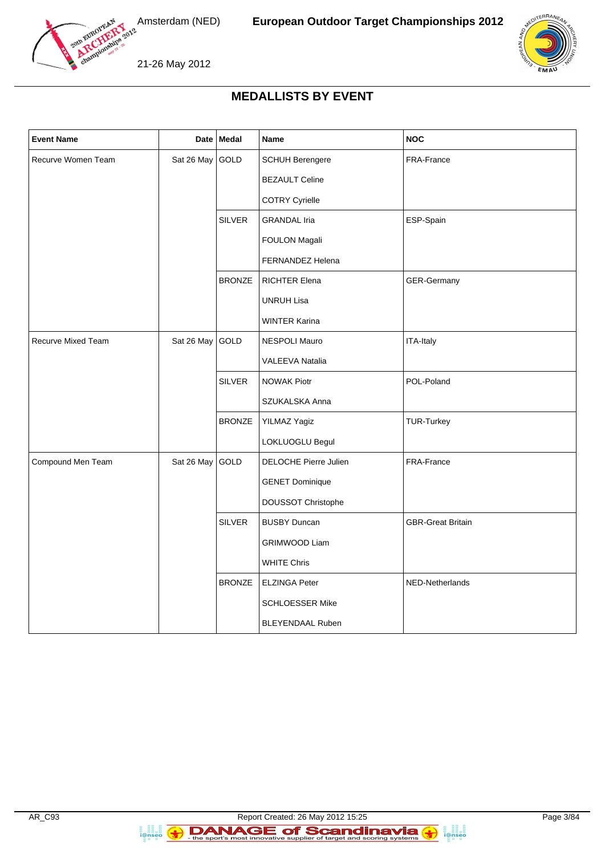



# **MEDALLISTS BY EVENT**

| <b>Event Name</b>         |            | Date Medal    | Name                         | <b>NOC</b>               |
|---------------------------|------------|---------------|------------------------------|--------------------------|
| Recurve Women Team        | Sat 26 May | GOLD          | <b>SCHUH Berengere</b>       | FRA-France               |
|                           |            |               | <b>BEZAULT Celine</b>        |                          |
|                           |            |               | <b>COTRY Cyrielle</b>        |                          |
|                           |            | <b>SILVER</b> | <b>GRANDAL Iria</b>          | ESP-Spain                |
|                           |            |               | FOULON Magali                |                          |
|                           |            |               | FERNANDEZ Helena             |                          |
|                           |            | <b>BRONZE</b> | <b>RICHTER Elena</b>         | GER-Germany              |
|                           |            |               | <b>UNRUH Lisa</b>            |                          |
|                           |            |               | WINTER Karina                |                          |
| <b>Recurve Mixed Team</b> | Sat 26 May | GOLD          | <b>NESPOLI Mauro</b>         | ITA-Italy                |
|                           |            |               | <b>VALEEVA Natalia</b>       |                          |
|                           |            | <b>SILVER</b> | <b>NOWAK Piotr</b>           | POL-Poland               |
|                           |            |               | SZUKALSKA Anna               |                          |
|                           |            | <b>BRONZE</b> | YILMAZ Yagiz                 | <b>TUR-Turkey</b>        |
|                           |            |               | LOKLUOGLU Begul              |                          |
| Compound Men Team         | Sat 26 May | GOLD          | <b>DELOCHE Pierre Julien</b> | FRA-France               |
|                           |            |               | <b>GENET Dominique</b>       |                          |
|                           |            |               | DOUSSOT Christophe           |                          |
|                           |            | <b>SILVER</b> | <b>BUSBY Duncan</b>          | <b>GBR-Great Britain</b> |
|                           |            |               | <b>GRIMWOOD Liam</b>         |                          |
|                           |            |               | <b>WHITE Chris</b>           |                          |
|                           |            | <b>BRONZE</b> | <b>ELZINGA Peter</b>         | NED-Netherlands          |
|                           |            |               | SCHLOESSER Mike              |                          |
|                           |            |               | <b>BLEYENDAAL Ruben</b>      |                          |

**B**<br>**i**@nseo

a anglica<br>i@nseo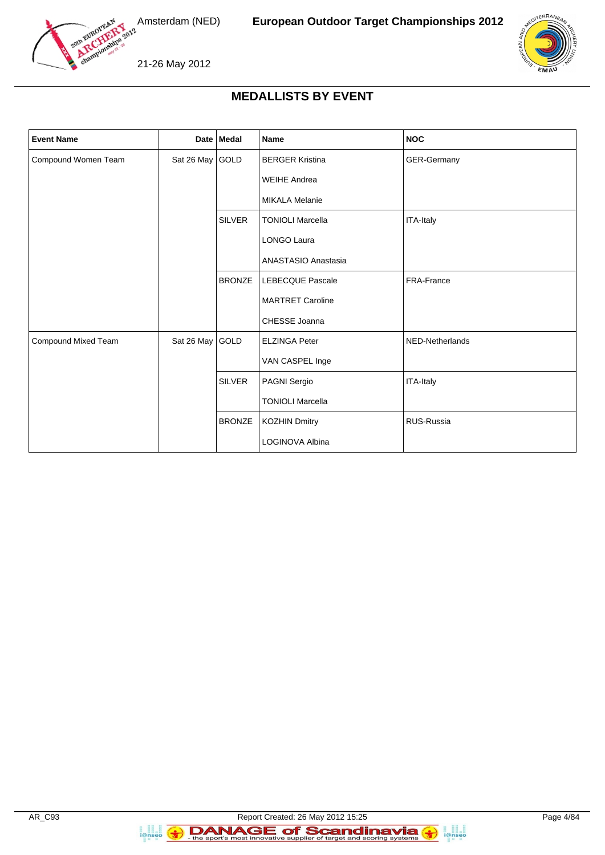



# **MEDALLISTS BY EVENT**

| <b>Event Name</b>   |                 | Date   Medal  | Name                    | <b>NOC</b>        |
|---------------------|-----------------|---------------|-------------------------|-------------------|
| Compound Women Team | Sat 26 May GOLD |               | <b>BERGER Kristina</b>  | GER-Germany       |
|                     |                 |               | <b>WEIHE Andrea</b>     |                   |
|                     |                 |               | <b>MIKALA Melanie</b>   |                   |
|                     |                 | <b>SILVER</b> | <b>TONIOLI Marcella</b> | ITA-Italy         |
|                     |                 |               | LONGO Laura             |                   |
|                     |                 |               | ANASTASIO Anastasia     |                   |
|                     |                 | <b>BRONZE</b> | <b>LEBECQUE Pascale</b> | FRA-France        |
|                     |                 |               | <b>MARTRET Caroline</b> |                   |
|                     |                 |               | CHESSE Joanna           |                   |
| Compound Mixed Team | Sat 26 May GOLD |               | <b>ELZINGA Peter</b>    | NED-Netherlands   |
|                     |                 |               | VAN CASPEL Inge         |                   |
|                     |                 | SILVER        | PAGNI Sergio            | ITA-Italy         |
|                     |                 |               | <b>TONIOLI Marcella</b> |                   |
|                     |                 | <b>BRONZE</b> | <b>KOZHIN Dmitry</b>    | <b>RUS-Russia</b> |
|                     |                 |               | LOGINOVA Albina         |                   |

**B**<br>**i**@nseo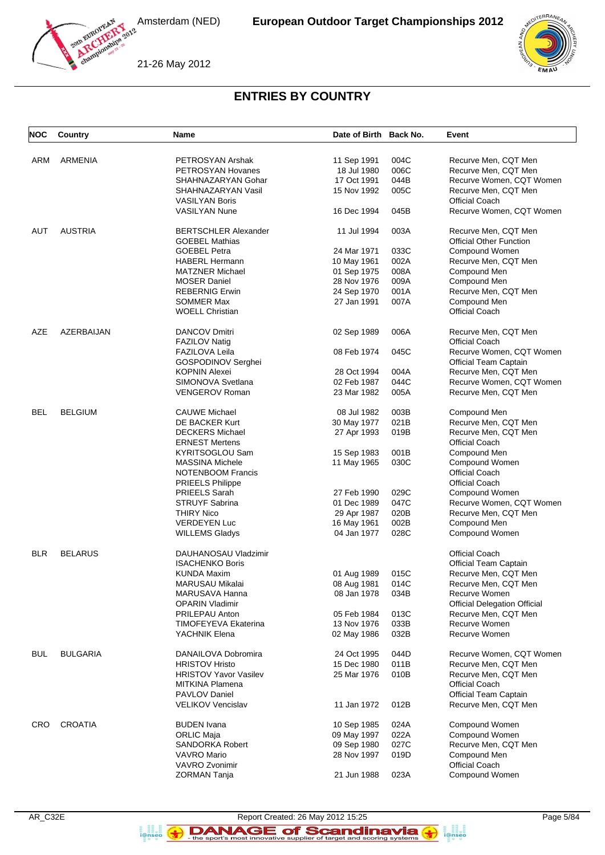



21-26 May 2012

# **ENTRIES BY COUNTRY**

| <b>NOC</b> | Country         | Name                                 | Date of Birth Back No. |      | Event                                 |
|------------|-----------------|--------------------------------------|------------------------|------|---------------------------------------|
| ARM        | <b>ARMENIA</b>  | PETROSYAN Arshak                     | 11 Sep 1991            | 004C | Recurve Men, CQT Men                  |
|            |                 | PETROSYAN Hovanes                    | 18 Jul 1980            | 006C | Recurve Men, CQT Men                  |
|            |                 |                                      | 17 Oct 1991            | 044B |                                       |
|            |                 | SHAHNAZARYAN Gohar                   |                        |      | Recurve Women, CQT Women              |
|            |                 | SHAHNAZARYAN Vasil                   | 15 Nov 1992            | 005C | Recurve Men, CQT Men                  |
|            |                 | <b>VASILYAN Boris</b>                |                        |      | <b>Official Coach</b>                 |
|            |                 | <b>VASILYAN Nune</b>                 | 16 Dec 1994            | 045B | Recurve Women, CQT Women              |
| AUT        | <b>AUSTRIA</b>  | <b>BERTSCHLER Alexander</b>          | 11 Jul 1994            | 003A | Recurve Men, CQT Men                  |
|            |                 | <b>GOEBEL Mathias</b>                |                        |      | <b>Official Other Function</b>        |
|            |                 | <b>GOEBEL Petra</b>                  | 24 Mar 1971            | 033C | Compound Women                        |
|            |                 | <b>HABERL Hermann</b>                | 10 May 1961            | 002A | Recurve Men, CQT Men                  |
|            |                 | <b>MATZNER Michael</b>               | 01 Sep 1975            | 008A | Compound Men                          |
|            |                 | <b>MOSER Daniel</b>                  | 28 Nov 1976            | 009A | Compound Men                          |
|            |                 | <b>REBERNIG Erwin</b>                | 24 Sep 1970            | 001A | Recurve Men, CQT Men                  |
|            |                 | <b>SOMMER Max</b>                    | 27 Jan 1991            | 007A | Compound Men                          |
|            |                 | <b>WOELL Christian</b>               |                        |      | <b>Official Coach</b>                 |
| AZE        | AZERBAIJAN      | <b>DANCOV Dmitri</b>                 | 02 Sep 1989            | 006A | Recurve Men, CQT Men                  |
|            |                 | <b>FAZILOV Natig</b>                 |                        |      | <b>Official Coach</b>                 |
|            |                 | FAZILOVA Leila                       | 08 Feb 1974            | 045C | Recurve Women, CQT Women              |
|            |                 | GOSPODINOV Serghei                   |                        |      | <b>Official Team Captain</b>          |
|            |                 |                                      |                        |      |                                       |
|            |                 | <b>KOPNIN Alexei</b>                 | 28 Oct 1994            | 004A | Recurve Men, CQT Men                  |
|            |                 | SIMONOVA Svetlana                    | 02 Feb 1987            | 044C | Recurve Women, CQT Women              |
|            |                 | <b>VENGEROV Roman</b>                | 23 Mar 1982            | 005A | Recurve Men, CQT Men                  |
| <b>BEL</b> | <b>BELGIUM</b>  | <b>CAUWE Michael</b>                 | 08 Jul 1982            | 003B | Compound Men                          |
|            |                 | DE BACKER Kurt                       | 30 May 1977            | 021B | Recurve Men, CQT Men                  |
|            |                 | <b>DECKERS Michael</b>               | 27 Apr 1993            | 019B | Recurve Men, CQT Men                  |
|            |                 | <b>ERNEST Mertens</b>                |                        |      | <b>Official Coach</b>                 |
|            |                 |                                      |                        |      |                                       |
|            |                 | KYRITSOGLOU Sam                      | 15 Sep 1983            | 001B | Compound Men                          |
|            |                 | <b>MASSINA Michele</b>               | 11 May 1965            | 030C | Compound Women                        |
|            |                 | <b>NOTENBOOM Francis</b>             |                        |      | <b>Official Coach</b>                 |
|            |                 | <b>PRIEELS Philippe</b>              |                        |      | <b>Official Coach</b>                 |
|            |                 | <b>PRIEELS Sarah</b>                 | 27 Feb 1990            | 029C | Compound Women                        |
|            |                 | <b>STRUYF Sabrina</b>                | 01 Dec 1989            | 047C | Recurve Women, CQT Women              |
|            |                 | <b>THIRY Nico</b>                    | 29 Apr 1987            | 020B | Recurve Men, CQT Men                  |
|            |                 | <b>VERDEYEN Luc</b>                  | 16 May 1961            | 002B | Compound Men                          |
|            |                 | <b>WILLEMS Gladys</b>                | 04 Jan 1977            | 028C | Compound Women                        |
| <b>BLR</b> | <b>BELARUS</b>  | DAUHANOSAU Vladzimir                 |                        |      | <b>Official Coach</b>                 |
|            |                 | <b>ISACHENKO Boris</b>               |                        |      | <b>Official Team Captain</b>          |
|            |                 | <b>KUNDA Maxim</b>                   | 01 Aug 1989            | 015C | Recurve Men, CQT Men                  |
|            |                 | MARUSAU Mikalai                      | 08 Aug 1981            | 014C | Recurve Men, CQ1 Men                  |
|            |                 | MARUSAVA Hanna                       | 08 Jan 1978            | 034B | Recurve Women                         |
|            |                 | <b>OPARIN Vladimir</b>               |                        |      | <b>Official Delegation Official</b>   |
|            |                 | PRILEPAU Anton                       | 05 Feb 1984            | 013C | Recurve Men, CQT Men                  |
|            |                 | <b>TIMOFEYEVA Ekaterina</b>          |                        |      | Recurve Women                         |
|            |                 |                                      | 13 Nov 1976            | 033B |                                       |
|            |                 | YACHNIK Elena                        | 02 May 1986            | 032B | Recurve Women                         |
| <b>BUL</b> | <b>BULGARIA</b> | DANAILOVA Dobromira                  | 24 Oct 1995            | 044D | Recurve Women, CQT Women              |
|            |                 | <b>HRISTOV Hristo</b>                | 15 Dec 1980            | 011B | Recurve Men, CQT Men                  |
|            |                 | <b>HRISTOV Yavor Vasilev</b>         | 25 Mar 1976            | 010B | Recurve Men, CQT Men                  |
|            |                 | MITKINA Plamena                      |                        |      | <b>Official Coach</b>                 |
|            |                 | PAVLOV Daniel                        |                        |      | <b>Official Team Captain</b>          |
|            |                 | <b>VELIKOV Vencislav</b>             | 11 Jan 1972            | 012B | Recurve Men, CQT Men                  |
| CRO        | <b>CROATIA</b>  | <b>BUDEN</b> Ivana                   | 10 Sep 1985            | 024A | Compound Women                        |
|            |                 |                                      |                        |      |                                       |
|            |                 | <b>ORLIC Maja</b>                    | 09 May 1997            | 022A | Compound Women                        |
|            |                 | <b>SANDORKA Robert</b>               | 09 Sep 1980            | 027C | Recurve Men, CQT Men                  |
|            |                 | <b>VAVRO Mario</b><br>VAVRO Zvonimir | 28 Nov 1997            | 019D | Compound Men<br><b>Official Coach</b> |
|            |                 | ZORMAN Tanja                         | 21 Jun 1988            | 023A | Compound Women                        |
|            |                 |                                      |                        |      |                                       |

**B**<br>**i**@nseo

Report Created: 26 May 2012 15:25 Page 5/84 DANAGE of Scandinavia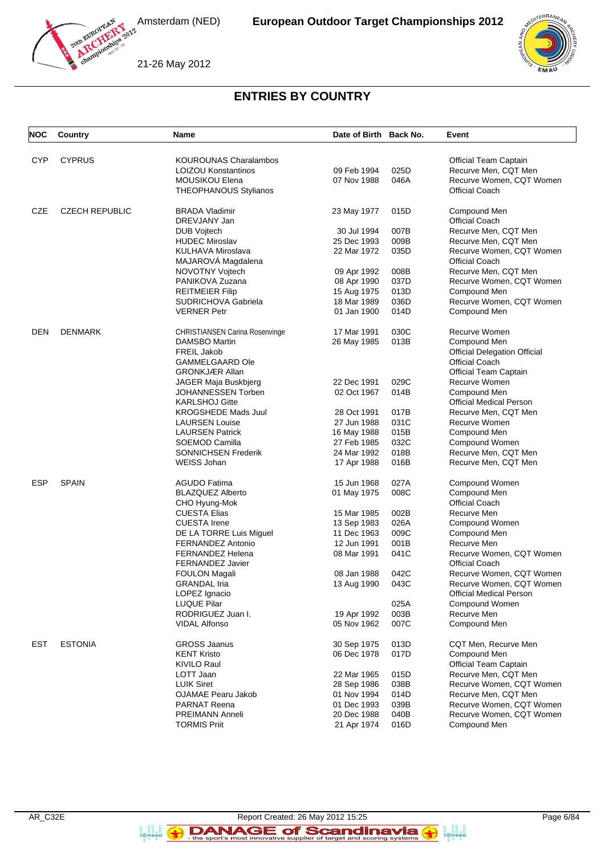



# 21-26 May 2012

# **ENTRIES BY COUNTRY**

| <b>NOC</b> | Country               | <b>Name</b>                                    | Date of Birth Back No.     |              | Event                                         |
|------------|-----------------------|------------------------------------------------|----------------------------|--------------|-----------------------------------------------|
| <b>CYP</b> | <b>CYPRUS</b>         | <b>KOUROUNAS Charalambos</b>                   |                            |              | Official Team Captain                         |
|            |                       | <b>LOIZOU Konstantinos</b>                     | 09 Feb 1994                | 025D         | Recurve Men, CQT Men                          |
|            |                       | <b>MOUSIKOU Elena</b>                          | 07 Nov 1988                | 046A         | Recurve Women, CQT Women                      |
|            |                       | <b>THEOPHANOUS Stylianos</b>                   |                            |              | <b>Official Coach</b>                         |
| CZE        | <b>CZECH REPUBLIC</b> | <b>BRADA Vladimir</b>                          | 23 May 1977                | 015D         | Compound Men                                  |
|            |                       | DREVJANY Jan                                   |                            |              | <b>Official Coach</b>                         |
|            |                       | <b>DUB Vojtech</b>                             | 30 Jul 1994                | 007B         | Recurve Men, CQT Men                          |
|            |                       | <b>HUDEC Miroslav</b>                          | 25 Dec 1993                | 009B         | Recurve Men, CQT Men                          |
|            |                       | KULHAVA Miroslava                              | 22 Mar 1972                | 035D         | Recurve Women, CQT Women                      |
|            |                       | MAJAROVÁ Magdalena<br>NOVOTNY Vojtech          | 09 Apr 1992                | 008B         | <b>Official Coach</b><br>Recurve Men, CQT Men |
|            |                       | PANIKOVA Zuzana                                |                            | 037D         | Recurve Women, CQT Women                      |
|            |                       | <b>REITMEIER Filip</b>                         | 08 Apr 1990<br>15 Aug 1975 | 013D         | Compound Men                                  |
|            |                       | SUDRICHOVA Gabriela                            | 18 Mar 1989                | 036D         | Recurve Women, CQT Women                      |
|            |                       | <b>VERNER Petr</b>                             | 01 Jan 1900                | 014D         | Compound Men                                  |
| DEN        | <b>DENMARK</b>        | <b>CHRISTIANSEN Carina Rosenvinge</b>          | 17 Mar 1991                | 030C         | Recurve Women                                 |
|            |                       | DAMSBO Martin                                  | 26 May 1985                | 013B         | Compound Men                                  |
|            |                       | <b>FREIL Jakob</b>                             |                            |              | <b>Official Delegation Official</b>           |
|            |                       | <b>GAMMELGAARD Ole</b>                         |                            |              | <b>Official Coach</b>                         |
|            |                       | <b>GRONKJÆR Allan</b>                          |                            |              | <b>Official Team Captain</b>                  |
|            |                       | JAGER Maja Buskbjerg                           | 22 Dec 1991                | 029C         | Recurve Women                                 |
|            |                       | JOHANNESSEN Torben                             | 02 Oct 1967                | 014B         | Compound Men                                  |
|            |                       | <b>KARLSHOJ Gitte</b>                          |                            |              | <b>Official Medical Person</b>                |
|            |                       | <b>KROGSHEDE Mads Juul</b>                     | 28 Oct 1991                | 017B         | Recurve Men, CQT Men                          |
|            |                       | <b>LAURSEN Louise</b>                          | 27 Jun 1988                | 031C         | Recurve Women                                 |
|            |                       | <b>LAURSEN Patrick</b>                         | 16 May 1988                | 015B         | Compound Men                                  |
|            |                       | SOEMOD Camilla                                 | 27 Feb 1985                | 032C         | Compound Women                                |
|            |                       | <b>SONNICHSEN Frederik</b>                     | 24 Mar 1992                | 018B         | Recurve Men, CQT Men                          |
|            |                       | WEISS Johan                                    | 17 Apr 1988                | 016B         | Recurve Men, CQT Men                          |
| ESP        | <b>SPAIN</b>          | AGUDO Fatima                                   | 15 Jun 1968                | 027A         | Compound Women                                |
|            |                       | <b>BLAZQUEZ Alberto</b>                        | 01 May 1975                | 008C         | Compound Men                                  |
|            |                       | CHO Hyung-Mok                                  |                            |              | <b>Official Coach</b>                         |
|            |                       | <b>CUESTA Elias</b>                            | 15 Mar 1985                | 002B         | Recurve Men                                   |
|            |                       | <b>CUESTA Irene</b><br>DE LA TORRE Luis Miguel | 13 Sep 1983                | 026A<br>009C | Compound Women<br>Compound Men                |
|            |                       | FERNANDEZ Antonio                              | 11 Dec 1963<br>12 Jun 1991 | 001B         | Recurve Men                                   |
|            |                       | <b>FERNANDEZ Helena</b>                        | 08 Mar 1991                | 041C         | Recurve Women, CQT Women                      |
|            |                       | <b>FERNANDEZ Javier</b>                        |                            |              | Official Coach                                |
|            |                       | <b>FOULON Magali</b>                           | 08 Jan 1988                | 042C         | Recurve Women, CQT Women                      |
|            |                       | <b>GRANDAL</b> Iria                            | 13 Aug 1990                | 043C         | Recurve Women, CQT Women                      |
|            |                       | LOPEZ Ignacio                                  |                            |              | <b>Official Medical Person</b>                |
|            |                       | <b>LUQUE Pilar</b>                             |                            | 025A         | Compound Women                                |
|            |                       | RODRIGUEZ Juan I.                              | 19 Apr 1992                | 003B         | Recurve Men                                   |
|            |                       | <b>VIDAL Alfonso</b>                           | 05 Nov 1962                | 007C         | Compound Men                                  |
| <b>EST</b> | <b>ESTONIA</b>        | <b>GROSS Jaanus</b>                            | 30 Sep 1975                | 013D         | CQT Men, Recurve Men                          |
|            |                       | <b>KENT Kristo</b>                             | 06 Dec 1978                | 017D         | Compound Men                                  |
|            |                       | <b>KIVILO Raul</b>                             |                            |              | <b>Official Team Captain</b>                  |
|            |                       | LOTT Jaan                                      | 22 Mar 1965                | 015D         | Recurve Men, CQT Men                          |
|            |                       | <b>LUIK Siret</b>                              | 28 Sep 1986                | 038B         | Recurve Women, CQT Women                      |
|            |                       | OJAMAE Pearu Jakob                             | 01 Nov 1994                | 014D         | Recurve Men, CQT Men                          |
|            |                       | <b>PARNAT Reena</b>                            | 01 Dec 1993                | 039B         | Recurve Women, CQT Women                      |
|            |                       | <b>PREIMANN Anneli</b>                         | 20 Dec 1988                | 040B         | Recurve Women, CQT Women                      |
|            |                       | <b>TORMIS Priit</b>                            | 21 Apr 1974                | 016D         | Compound Men                                  |

**B**<br>**i**@nseo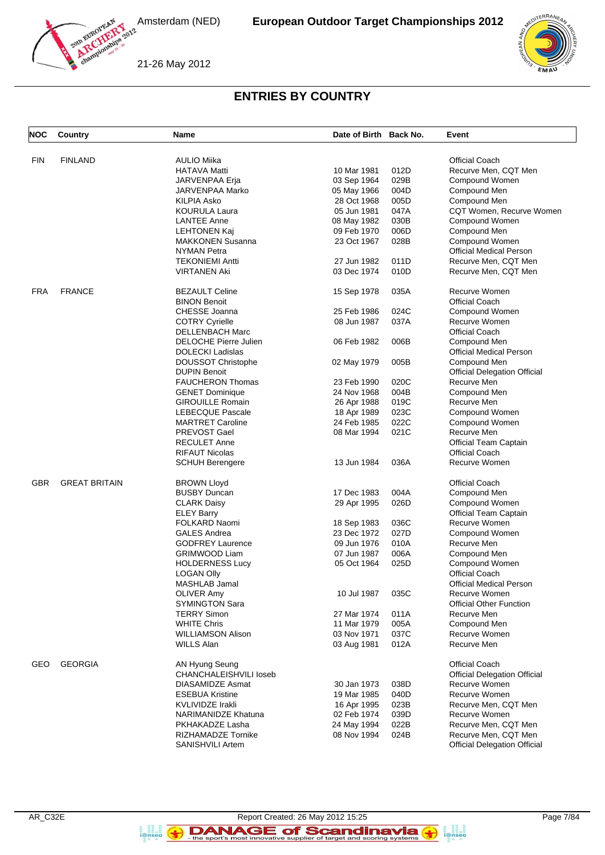



21-26 May 2012

# **ENTRIES BY COUNTRY**

| <b>NOC</b> | Country              | <b>Name</b>               | Date of Birth Back No. |      | Event                               |
|------------|----------------------|---------------------------|------------------------|------|-------------------------------------|
| <b>FIN</b> | <b>FINLAND</b>       | <b>AULIO Miika</b>        |                        |      | <b>Official Coach</b>               |
|            |                      | <b>HATAVA Matti</b>       |                        | 012D | Recurve Men, CQT Men                |
|            |                      |                           | 10 Mar 1981            |      |                                     |
|            |                      | JARVENPAA Erja            | 03 Sep 1964            | 029B | Compound Women                      |
|            |                      | JARVENPAA Marko           | 05 May 1966            | 004D | Compound Men                        |
|            |                      | KILPIA Asko               | 28 Oct 1968            | 005D | Compound Men                        |
|            |                      | <b>KOURULA Laura</b>      | 05 Jun 1981            | 047A | CQT Women, Recurve Women            |
|            |                      | <b>LANTEE Anne</b>        | 08 May 1982            | 030B | Compound Women                      |
|            |                      | <b>LEHTONEN Kaj</b>       | 09 Feb 1970            | 006D | Compound Men                        |
|            |                      | <b>MAKKONEN Susanna</b>   | 23 Oct 1967            | 028B | Compound Women                      |
|            |                      | NYMAN Petra               |                        |      | <b>Official Medical Person</b>      |
|            |                      | <b>TEKONIEMI Antti</b>    | 27 Jun 1982            | 011D | Recurve Men, CQT Men                |
|            |                      | <b>VIRTANEN Aki</b>       | 03 Dec 1974            | 010D | Recurve Men, CQT Men                |
| <b>FRA</b> | <b>FRANCE</b>        | <b>BEZAULT Celine</b>     | 15 Sep 1978            | 035A | Recurve Women                       |
|            |                      | <b>BINON Benoit</b>       |                        |      | <b>Official Coach</b>               |
|            |                      | CHESSE Joanna             | 25 Feb 1986            | 024C | Compound Women                      |
|            |                      | <b>COTRY Cyrielle</b>     | 08 Jun 1987            | 037A | Recurve Women                       |
|            |                      | <b>DELLENBACH Marc</b>    |                        |      | <b>Official Coach</b>               |
|            |                      | DELOCHE Pierre Julien     | 06 Feb 1982            | 006B | Compound Men                        |
|            |                      | <b>DOLECKI Ladislas</b>   |                        |      | <b>Official Medical Person</b>      |
|            |                      | <b>DOUSSOT Christophe</b> | 02 May 1979            | 005B | Compound Men                        |
|            |                      | <b>DUPIN Benoit</b>       |                        |      | <b>Official Delegation Official</b> |
|            |                      | <b>FAUCHERON Thomas</b>   | 23 Feb 1990            | 020C | Recurve Men                         |
|            |                      | <b>GENET Dominique</b>    | 24 Nov 1968            | 004B | Compound Men                        |
|            |                      | <b>GIROUILLE Romain</b>   | 26 Apr 1988            | 019C | Recurve Men                         |
|            |                      | <b>LEBECQUE Pascale</b>   | 18 Apr 1989            | 023C | Compound Women                      |
|            |                      | <b>MARTRET Caroline</b>   | 24 Feb 1985            | 022C | Compound Women                      |
|            |                      | PREVOST Gael              |                        | 021C | Recurve Men                         |
|            |                      |                           | 08 Mar 1994            |      |                                     |
|            |                      | <b>RECULET Anne</b>       |                        |      | Official Team Captain               |
|            |                      | <b>RIFAUT Nicolas</b>     |                        |      | Official Coach                      |
|            |                      | <b>SCHUH Berengere</b>    | 13 Jun 1984            | 036A | Recurve Women                       |
| GBR        | <b>GREAT BRITAIN</b> | <b>BROWN Lloyd</b>        |                        |      | <b>Official Coach</b>               |
|            |                      | <b>BUSBY Duncan</b>       | 17 Dec 1983            | 004A | Compound Men                        |
|            |                      | <b>CLARK Daisy</b>        | 29 Apr 1995            | 026D | Compound Women                      |
|            |                      | <b>ELEY Barry</b>         |                        |      | <b>Official Team Captain</b>        |
|            |                      | FOLKARD Naomi             | 18 Sep 1983            | 036C | Recurve Women                       |
|            |                      | <b>GALES Andrea</b>       | 23 Dec 1972            | 027D | Compound Women                      |
|            |                      | <b>GODFREY Laurence</b>   | 09 Jun 1976            | 010A | Recurve Men                         |
|            |                      | <b>GRIMWOOD Liam</b>      | 07 Jun 1987            | 006A | Compound Men                        |
|            |                      | <b>HOLDERNESS Lucy</b>    | 05 Oct 1964            | 025D | Compound Women                      |
|            |                      | <b>LOGAN Olly</b>         |                        |      | Official Coach                      |
|            |                      | MASHLAB Jamal             |                        |      | <b>Official Medical Person</b>      |
|            |                      | <b>OLIVER Amy</b>         | 10 Jul 1987            | 035C | Recurve Women                       |
|            |                      | <b>SYMINGTON Sara</b>     |                        |      | <b>Official Other Function</b>      |
|            |                      | <b>TERRY Simon</b>        | 27 Mar 1974            | 011A | Recurve Men                         |
|            |                      | <b>WHITE Chris</b>        | 11 Mar 1979            | 005A | Compound Men                        |
|            |                      | <b>WILLIAMSON Alison</b>  | 03 Nov 1971            | 037C | Recurve Women                       |
|            |                      | <b>WILLS Alan</b>         | 03 Aug 1981            | 012A | Recurve Men                         |
|            |                      |                           |                        |      |                                     |
| GEO        | <b>GEORGIA</b>       | AN Hyung Seung            |                        |      | <b>Official Coach</b>               |
|            |                      | CHANCHALEISHVILI loseb    |                        |      | <b>Official Delegation Official</b> |
|            |                      | DIASAMIDZE Asmat          | 30 Jan 1973            | 038D | Recurve Women                       |
|            |                      | <b>ESEBUA Kristine</b>    | 19 Mar 1985            | 040D | Recurve Women                       |
|            |                      | <b>KVLIVIDZE Irakli</b>   | 16 Apr 1995            | 023B | Recurve Men, CQT Men                |
|            |                      | NARIMANIDZE Khatuna       | 02 Feb 1974            | 039D | Recurve Women                       |
|            |                      | PKHAKADZE Lasha           | 24 May 1994            | 022B | Recurve Men, CQT Men                |
|            |                      | RIZHAMADZE Tornike        | 08 Nov 1994            | 024B | Recurve Men, CQT Men                |
|            |                      | <b>SANISHVILI Artem</b>   |                        |      | <b>Official Delegation Official</b> |

**B**<br>**i**@nseo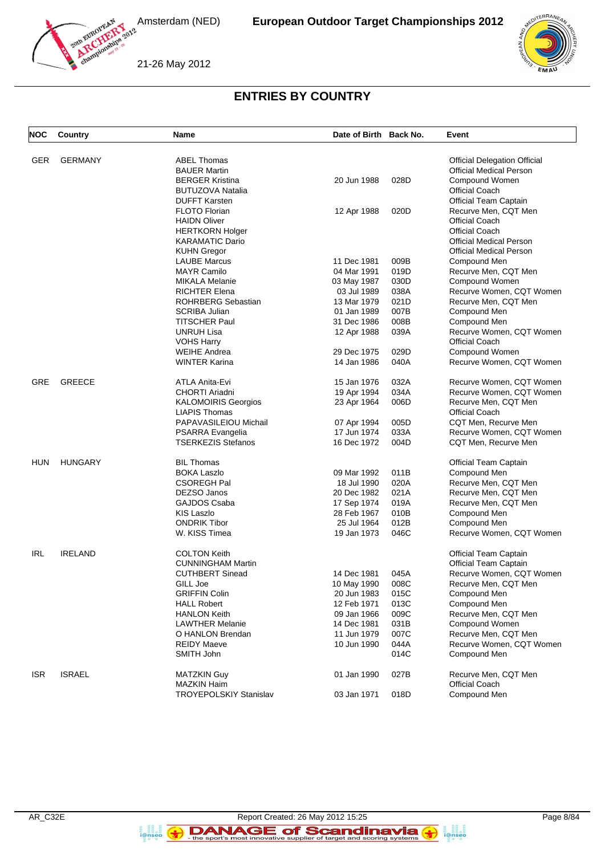21-26 May 2012





# **ENTRIES BY COUNTRY**

| <b>NOC</b> | Country        | <b>Name</b>                   | Date of Birth Back No. |      | Event                               |
|------------|----------------|-------------------------------|------------------------|------|-------------------------------------|
| <b>GER</b> | <b>GERMANY</b> | <b>ABEL Thomas</b>            |                        |      | <b>Official Delegation Official</b> |
|            |                | <b>BAUER Martin</b>           |                        |      | <b>Official Medical Person</b>      |
|            |                | <b>BERGER Kristina</b>        | 20 Jun 1988            | 028D | Compound Women                      |
|            |                | <b>BUTUZOVA Natalia</b>       |                        |      | <b>Official Coach</b>               |
|            |                | <b>DUFFT Karsten</b>          |                        |      | Official Team Captain               |
|            |                | <b>FLOTO Florian</b>          | 12 Apr 1988            | 020D | Recurve Men, CQT Men                |
|            |                | <b>HAIDN Oliver</b>           |                        |      | Official Coach                      |
|            |                | <b>HERTKORN Holger</b>        |                        |      | <b>Official Coach</b>               |
|            |                | <b>KARAMATIC Dario</b>        |                        |      | <b>Official Medical Person</b>      |
|            |                | <b>KUHN Gregor</b>            |                        |      | <b>Official Medical Person</b>      |
|            |                | <b>LAUBE Marcus</b>           | 11 Dec 1981            | 009B | Compound Men                        |
|            |                | <b>MAYR Camilo</b>            | 04 Mar 1991            | 019D | Recurve Men, CQT Men                |
|            |                | <b>MIKALA Melanie</b>         | 03 May 1987            | 030D | Compound Women                      |
|            |                | <b>RICHTER Elena</b>          | 03 Jul 1989            | 038A | Recurve Women, CQT Women            |
|            |                | <b>ROHRBERG Sebastian</b>     | 13 Mar 1979            | 021D | Recurve Men, CQT Men                |
|            |                | SCRIBA Julian                 | 01 Jan 1989            | 007B | Compound Men                        |
|            |                | <b>TITSCHER Paul</b>          | 31 Dec 1986            | 008B | Compound Men                        |
|            |                | <b>UNRUH Lisa</b>             | 12 Apr 1988            | 039A | Recurve Women, CQT Women            |
|            |                | <b>VOHS Harry</b>             |                        |      | <b>Official Coach</b>               |
|            |                | <b>WEIHE Andrea</b>           | 29 Dec 1975            | 029D | Compound Women                      |
|            |                | <b>WINTER Karina</b>          | 14 Jan 1986            | 040A | Recurve Women, CQT Women            |
|            |                |                               |                        |      |                                     |
| <b>GRE</b> | <b>GREECE</b>  | ATLA Anita-Evi                | 15 Jan 1976            | 032A | Recurve Women, CQT Women            |
|            |                | CHORTI Ariadni                | 19 Apr 1994            | 034A | Recurve Women, CQT Women            |
|            |                | <b>KALOMOIRIS Georgios</b>    | 23 Apr 1964            | 006D | Recurve Men, CQT Men                |
|            |                | <b>LIAPIS Thomas</b>          |                        |      | <b>Official Coach</b>               |
|            |                | PAPAVASILEIOU Michail         | 07 Apr 1994            | 005D | CQT Men, Recurve Men                |
|            |                | PSARRA Evangelia              | 17 Jun 1974            | 033A | Recurve Women, CQT Women            |
|            |                | <b>TSERKEZIS Stefanos</b>     | 16 Dec 1972            | 004D | CQT Men, Recurve Men                |
| HUN        | <b>HUNGARY</b> | <b>BIL Thomas</b>             |                        |      | Official Team Captain               |
|            |                | <b>BOKA Laszlo</b>            | 09 Mar 1992            | 011B | Compound Men                        |
|            |                | <b>CSOREGH Pal</b>            | 18 Jul 1990            | 020A | Recurve Men, CQT Men                |
|            |                | DEZSO Janos                   | 20 Dec 1982            | 021A | Recurve Men, CQT Men                |
|            |                | GAJDOS Csaba                  | 17 Sep 1974            | 019A | Recurve Men, CQT Men                |
|            |                | KIS Laszlo                    | 28 Feb 1967            | 010B | Compound Men                        |
|            |                | <b>ONDRIK Tibor</b>           | 25 Jul 1964            | 012B | Compound Men                        |
|            |                | W. KISS Timea                 | 19 Jan 1973            | 046C | Recurve Women, CQT Women            |
| IRL        | <b>IRELAND</b> | <b>COLTON Keith</b>           |                        |      | Official Team Captain               |
|            |                | <b>CUNNINGHAM Martin</b>      |                        |      | <b>Official Team Captain</b>        |
|            |                | <b>CUTHBERT Sinead</b>        | 14 Dec 1981            | 045A | Recurve Women, CQT Women            |
|            |                | GILL Joe                      | 10 May 1990            | 008C | Recurve Men, CQT Men                |
|            |                | <b>GRIFFIN Colin</b>          | 20 Jun 1983            | 015C | Compound Men                        |
|            |                | <b>HALL Robert</b>            | 12 Feb 1971            | 013C | Compound Men                        |
|            |                | <b>HANLON Keith</b>           | 09 Jan 1966            | 009C | Recurve Men, CQT Men                |
|            |                | <b>LAWTHER Melanie</b>        | 14 Dec 1981            | 031B | Compound Women                      |
|            |                | O HANLON Brendan              | 11 Jun 1979            | 007C | Recurve Men, CQT Men                |
|            |                | <b>REIDY Maeve</b>            | 10 Jun 1990            | 044A | Recurve Women, CQT Women            |
|            |                | SMITH John                    |                        | 014C | Compound Men                        |
| <b>ISR</b> | <b>ISRAEL</b>  | <b>MATZKIN Guy</b>            | 01 Jan 1990            | 027B | Recurve Men, CQT Men                |
|            |                | <b>MAZKIN Haim</b>            |                        |      | <b>Official Coach</b>               |
|            |                | <b>TROYEPOLSKIY Stanislav</b> | 03 Jan 1971            | 018D | Compound Men                        |
|            |                |                               |                        |      |                                     |

**B**<br>**i**@nseo

 $\left( \rightarrow \right)$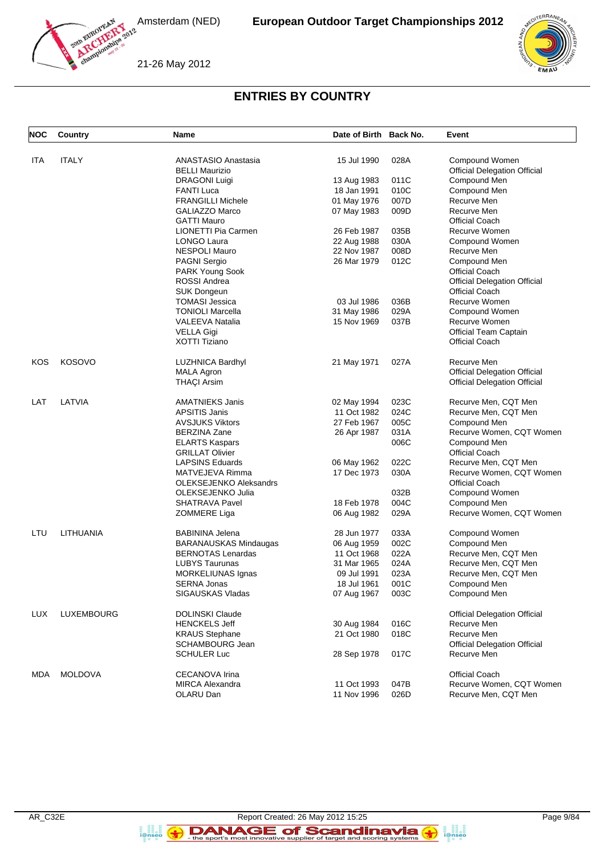

21-26 May 2012



# **ENTRIES BY COUNTRY**

| <b>NOC</b> | Country        | Name                                             | Date of Birth Back No. |      | Event                                             |
|------------|----------------|--------------------------------------------------|------------------------|------|---------------------------------------------------|
| ITA        | <b>ITALY</b>   | ANASTASIO Anastasia                              | 15 Jul 1990            | 028A | Compound Women                                    |
|            |                | <b>BELLI Maurizio</b>                            |                        |      | <b>Official Delegation Official</b>               |
|            |                | <b>DRAGONI Luigi</b>                             | 13 Aug 1983            | 011C | Compound Men                                      |
|            |                | <b>FANTI Luca</b>                                | 18 Jan 1991            | 010C | Compound Men                                      |
|            |                | <b>FRANGILLI Michele</b>                         | 01 May 1976            | 007D | Recurve Men                                       |
|            |                | <b>GALIAZZO Marco</b>                            | 07 May 1983            | 009D | Recurve Men                                       |
|            |                | <b>GATTI Mauro</b>                               |                        |      | <b>Official Coach</b>                             |
|            |                | LIONETTI Pia Carmen                              | 26 Feb 1987            | 035B | Recurve Women                                     |
|            |                | <b>LONGO Laura</b>                               | 22 Aug 1988            | 030A | Compound Women                                    |
|            |                | <b>NESPOLI Mauro</b>                             | 22 Nov 1987            | 008D | Recurve Men                                       |
|            |                | <b>PAGNI Sergio</b>                              | 26 Mar 1979            | 012C | Compound Men                                      |
|            |                | PARK Young Sook                                  |                        |      | <b>Official Coach</b>                             |
|            |                | ROSSI Andrea                                     |                        |      | <b>Official Delegation Official</b>               |
|            |                | SUK Dongeun                                      |                        |      | <b>Official Coach</b>                             |
|            |                | <b>TOMASI Jessica</b>                            | 03 Jul 1986            | 036B | Recurve Women                                     |
|            |                | <b>TONIOLI Marcella</b>                          | 31 May 1986            | 029A | Compound Women                                    |
|            |                | <b>VALEEVA Natalia</b>                           | 15 Nov 1969            | 037B | Recurve Women                                     |
|            |                | <b>VELLA Gigi</b>                                |                        |      | <b>Official Team Captain</b>                      |
|            |                | XOTTI Tiziano                                    |                        |      | <b>Official Coach</b>                             |
| KOS        | KOSOVO         | <b>LUZHNICA Bardhyl</b>                          | 21 May 1971            | 027A | Recurve Men                                       |
|            |                | <b>MALA Agron</b>                                |                        |      | <b>Official Delegation Official</b>               |
|            |                | <b>THAÇI Arsim</b>                               |                        |      | <b>Official Delegation Official</b>               |
| LAT        | LATVIA         | <b>AMATNIEKS Janis</b>                           | 02 May 1994            | 023C | Recurve Men, CQT Men                              |
|            |                | <b>APSITIS Janis</b>                             | 11 Oct 1982            | 024C | Recurve Men, CQT Men                              |
|            |                | <b>AVSJUKS Viktors</b>                           | 27 Feb 1967            | 005C | Compound Men                                      |
|            |                | <b>BERZINA Zane</b>                              | 26 Apr 1987            | 031A | Recurve Women, CQT Women                          |
|            |                | <b>ELARTS Kaspars</b>                            |                        | 006C | Compound Men                                      |
|            |                | <b>GRILLAT Olivier</b>                           |                        |      | <b>Official Coach</b>                             |
|            |                | <b>LAPSINS Eduards</b>                           | 06 May 1962            | 022C | Recurve Men, CQT Men                              |
|            |                | MATVEJEVA Rimma<br><b>OLEKSEJENKO Aleksandrs</b> | 17 Dec 1973            | 030A | Recurve Women, CQT Women<br><b>Official Coach</b> |
|            |                | OLEKSEJENKO Julia                                |                        | 032B | Compound Women                                    |
|            |                | <b>SHATRAVA Pavel</b>                            | 18 Feb 1978            | 004C | Compound Men                                      |
|            |                | ZOMMERE Liga                                     | 06 Aug 1982            | 029A | Recurve Women, CQT Women                          |
| LTU        | LITHUANIA      | <b>BABININA Jelena</b>                           | 28 Jun 1977            | 033A | Compound Women                                    |
|            |                | BARANAUSKAS Mindaugas                            | 06 Aug 1959            | 002C | Compound Men                                      |
|            |                | <b>BERNOTAS Lenardas</b>                         | 11 Oct 1968            | 022A | Recurve Men, CQT Men                              |
|            |                | <b>LUBYS Taurunas</b>                            | 31 Mar 1965            | 024A | Recurve Men, CQT Men                              |
|            |                | MORKELIUNAS Ignas                                | 09 Jul 1991            | 023A | Recurve Men, CQT Men                              |
|            |                | SERNA Jonas                                      | 18 Jul 1961            | 001C | Compound Men                                      |
|            |                | SIGAUSKAS Vladas                                 | 07 Aug 1967            | 003C | Compound Men                                      |
| <b>LUX</b> | LUXEMBOURG     | <b>DOLINSKI Claude</b>                           |                        |      | <b>Official Delegation Official</b>               |
|            |                | <b>HENCKELS Jeff</b>                             | 30 Aug 1984            | 016C | Recurve Men                                       |
|            |                | <b>KRAUS Stephane</b>                            | 21 Oct 1980            | 018C | Recurve Men                                       |
|            |                | <b>SCHAMBOURG Jean</b>                           |                        |      | <b>Official Delegation Official</b>               |
|            |                | <b>SCHULER Luc</b>                               | 28 Sep 1978            | 017C | Recurve Men                                       |
| MDA        | <b>MOLDOVA</b> | <b>CECANOVA Irina</b>                            |                        |      | <b>Official Coach</b>                             |
|            |                | <b>MIRCA Alexandra</b>                           | 11 Oct 1993            | 047B | Recurve Women, CQT Women                          |
|            |                | OLARU Dan                                        | 11 Nov 1996            | 026D | Recurve Men, CQT Men                              |

**B**<br>**i**@nseo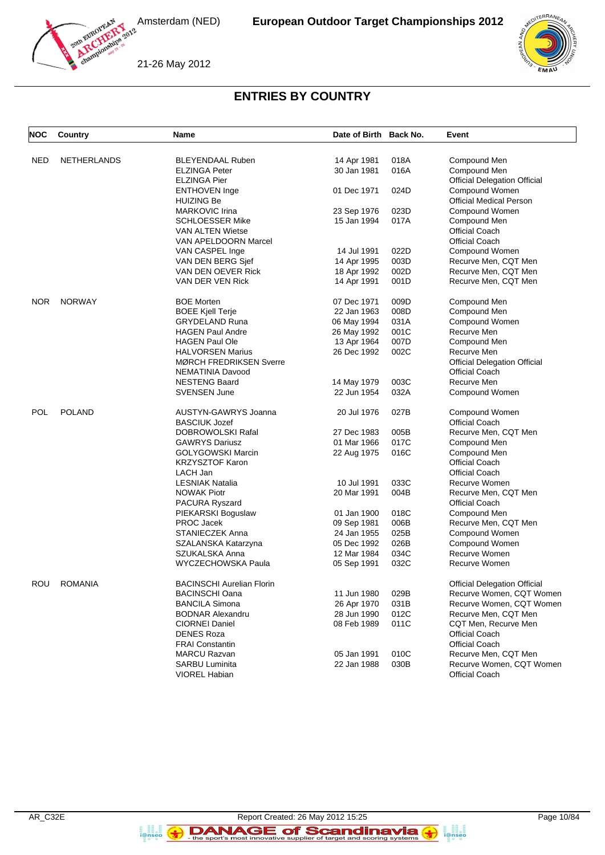



21-26 May 2012

# **ENTRIES BY COUNTRY**

| <b>NOC</b> | Country            | Name                                              | Date of Birth Back No.     |              | Event                                   |
|------------|--------------------|---------------------------------------------------|----------------------------|--------------|-----------------------------------------|
|            |                    |                                                   |                            |              |                                         |
| <b>NED</b> | <b>NETHERLANDS</b> | <b>BLEYENDAAL Ruben</b>                           | 14 Apr 1981                | 018A         | Compound Men                            |
|            |                    | <b>ELZINGA Peter</b>                              | 30 Jan 1981                | 016A         | Compound Men                            |
|            |                    | ELZINGA Pier                                      |                            |              | <b>Official Delegation Official</b>     |
|            |                    | <b>ENTHOVEN Inge</b>                              | 01 Dec 1971                | 024D         | Compound Women                          |
|            |                    | HUIZING Be                                        |                            |              | <b>Official Medical Person</b>          |
|            |                    | MARKOVIC Irina                                    | 23 Sep 1976                | 023D<br>017A | Compound Women                          |
|            |                    | <b>SCHLOESSER Mike</b><br><b>VAN ALTEN Wietse</b> | 15 Jan 1994                |              | Compound Men                            |
|            |                    | <b>VAN APELDOORN Marcel</b>                       |                            |              | <b>Official Coach</b>                   |
|            |                    |                                                   | 14 Jul 1991                | 022D         | <b>Official Coach</b><br>Compound Women |
|            |                    | VAN CASPEL Inge<br>VAN DEN BERG Sief              |                            | 003D         | Recurve Men, CQT Men                    |
|            |                    | VAN DEN OEVER Rick                                | 14 Apr 1995<br>18 Apr 1992 | 002D         | Recurve Men, CQT Men                    |
|            |                    |                                                   |                            |              |                                         |
|            |                    | VAN DER VEN Rick                                  | 14 Apr 1991                | 001D         | Recurve Men, CQT Men                    |
| <b>NOR</b> | <b>NORWAY</b>      | <b>BOE Morten</b>                                 | 07 Dec 1971                | 009D         | Compound Men                            |
|            |                    | <b>BOEE Kjell Terje</b>                           | 22 Jan 1963                | 008D         | Compound Men                            |
|            |                    | <b>GRYDELAND Runa</b>                             | 06 May 1994                | 031A         | Compound Women                          |
|            |                    | <b>HAGEN Paul Andre</b>                           | 26 May 1992                | 001C         | Recurve Men                             |
|            |                    | <b>HAGEN Paul Ole</b>                             | 13 Apr 1964                | 007D         | Compound Men                            |
|            |                    | <b>HALVORSEN Marius</b>                           | 26 Dec 1992                | 002C         | Recurve Men                             |
|            |                    | <b>MØRCH FREDRIKSEN Sverre</b>                    |                            |              | <b>Official Delegation Official</b>     |
|            |                    | NEMATINIA Davood                                  |                            |              | <b>Official Coach</b>                   |
|            |                    | <b>NESTENG Baard</b>                              | 14 May 1979                | 003C         | Recurve Men                             |
|            |                    | <b>SVENSEN June</b>                               | 22 Jun 1954                | 032A         | Compound Women                          |
| POL        | <b>POLAND</b>      | AUSTYN-GAWRYS Joanna                              | 20 Jul 1976                | 027B         | Compound Women                          |
|            |                    | <b>BASCIUK Jozef</b>                              |                            |              | <b>Official Coach</b>                   |
|            |                    | DOBROWOLSKI Rafal                                 | 27 Dec 1983                | 005B         | Recurve Men, CQT Men                    |
|            |                    | <b>GAWRYS Dariusz</b>                             | 01 Mar 1966                | 017C         | Compound Men                            |
|            |                    | GOLYGOWSKI Marcin                                 | 22 Aug 1975                | 016C         | Compound Men                            |
|            |                    | <b>KRZYSZTOF Karon</b>                            |                            |              | <b>Official Coach</b>                   |
|            |                    | LACH Jan                                          |                            |              | <b>Official Coach</b>                   |
|            |                    | <b>LESNIAK Natalia</b>                            | 10 Jul 1991                | 033C         | Recurve Women                           |
|            |                    | <b>NOWAK Piotr</b>                                | 20 Mar 1991                | 004B         | Recurve Men, CQT Men                    |
|            |                    | PACURA Ryszard                                    |                            |              | <b>Official Coach</b>                   |
|            |                    | PIEKARSKI Boguslaw                                | 01 Jan 1900                | 018C         | Compound Men                            |
|            |                    | <b>PROC Jacek</b>                                 | 09 Sep 1981                | 006B         | Recurve Men, CQT Men                    |
|            |                    | STANIECZEK Anna                                   | 24 Jan 1955                | 025B         | Compound Women                          |
|            |                    | SZALANSKA Katarzyna                               | 05 Dec 1992                | 026B         | Compound Women                          |
|            |                    | SZUKALSKA Anna                                    | 12 Mar 1984                | 034C         | Recurve Women                           |
|            |                    | WYCZECHOWSKA Paula                                | 05 Sep 1991                | 032C         | Recurve Women                           |
| ROU        | <b>ROMANIA</b>     | <b>BACINSCHI Aurelian Florin</b>                  |                            |              | <b>Official Delegation Official</b>     |
|            |                    | <b>BACINSCHI Oana</b>                             | 11 Jun 1980                | 029B         | Recurve Women, CQT Women                |
|            |                    | <b>BANCILA Simona</b>                             | 26 Apr 1970                | 031B         | Recurve Women, CQT Women                |
|            |                    | <b>BODNAR Alexandru</b>                           | 28 Jun 1990                | 012C         | Recurve Men, CQT Men                    |
|            |                    | CIORNEI Daniel                                    | 08 Feb 1989                | 011C         | CQT Men, Recurve Men                    |
|            |                    | <b>DENES Roza</b>                                 |                            |              | <b>Official Coach</b>                   |
|            |                    | <b>FRAI Constantin</b>                            |                            |              | <b>Official Coach</b>                   |
|            |                    | <b>MARCU Razvan</b>                               | 05 Jan 1991                | 010C         | Recurve Men, CQT Men                    |
|            |                    | <b>SARBU Luminita</b>                             | 22 Jan 1988                | 030B         | Recurve Women, CQT Women                |
|            |                    | VIOREL Habian                                     |                            |              | <b>Official Coach</b>                   |

**E**<br>i@nseo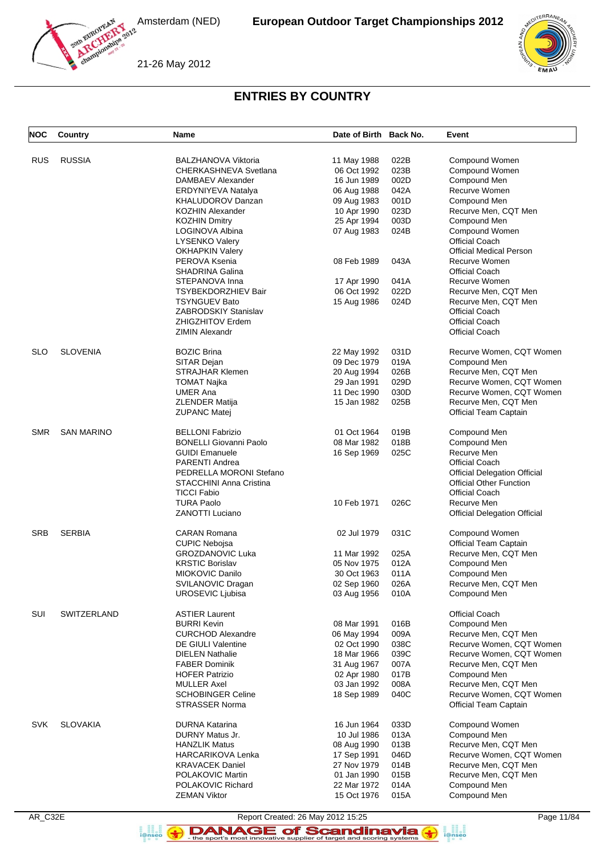21-26 May 2012



#### **ENTRIES BY COUNTRY**

| <b>NOC</b> | Country           | Name                          | Date of Birth Back No. |      | Event                               |
|------------|-------------------|-------------------------------|------------------------|------|-------------------------------------|
| <b>RUS</b> | <b>RUSSIA</b>     | <b>BALZHANOVA Viktoria</b>    | 11 May 1988            | 022B | Compound Women                      |
|            |                   |                               |                        |      |                                     |
|            |                   | CHERKASHNEVA Svetlana         | 06 Oct 1992            | 023B | Compound Women                      |
|            |                   | DAMBAEV Alexander             | 16 Jun 1989            | 002D | Compound Men                        |
|            |                   | ERDYNIYEVA Natalya            | 06 Aug 1988            | 042A | Recurve Women                       |
|            |                   | KHALUDOROV Danzan             | 09 Aug 1983            | 001D | Compound Men                        |
|            |                   | <b>KOZHIN Alexander</b>       | 10 Apr 1990            | 023D | Recurve Men, CQT Men                |
|            |                   | <b>KOZHIN Dmitry</b>          | 25 Apr 1994            | 003D | Compound Men                        |
|            |                   | LOGINOVA Albina               | 07 Aug 1983            | 024B | Compound Women                      |
|            |                   | <b>LYSENKO Valery</b>         |                        |      | <b>Official Coach</b>               |
|            |                   | <b>OKHAPKIN Valery</b>        |                        |      | <b>Official Medical Person</b>      |
|            |                   | PEROVA Ksenia                 | 08 Feb 1989            | 043A | Recurve Women                       |
|            |                   | <b>SHADRINA Galina</b>        |                        |      | <b>Official Coach</b>               |
|            |                   | STEPANOVA Inna                | 17 Apr 1990            | 041A | Recurve Women                       |
|            |                   | TSYBEKDORZHIEV Bair           | 06 Oct 1992            | 022D | Recurve Men, CQT Men                |
|            |                   | <b>TSYNGUEV Bato</b>          | 15 Aug 1986            | 024D | Recurve Men, CQT Men                |
|            |                   | <b>ZABRODSKIY Stanislav</b>   |                        |      | <b>Official Coach</b>               |
|            |                   |                               |                        |      |                                     |
|            |                   | <b>ZHIGZHITOV Erdem</b>       |                        |      | <b>Official Coach</b>               |
|            |                   | <b>ZIMIN Alexandr</b>         |                        |      | <b>Official Coach</b>               |
| <b>SLO</b> | <b>SLOVENIA</b>   | <b>BOZIC Brina</b>            | 22 May 1992            | 031D | Recurve Women, CQT Women            |
|            |                   | SITAR Dejan                   | 09 Dec 1979            | 019A | Compound Men                        |
|            |                   | <b>STRAJHAR Klemen</b>        | 20 Aug 1994            | 026B | Recurve Men, CQT Men                |
|            |                   | <b>TOMAT Najka</b>            | 29 Jan 1991            | 029D | Recurve Women, CQT Women            |
|            |                   | <b>UMER Ana</b>               | 11 Dec 1990            | 030D | Recurve Women, CQT Women            |
|            |                   | <b>ZLENDER Matija</b>         | 15 Jan 1982            | 025B | Recurve Men, CQT Men                |
|            |                   | <b>ZUPANC Matej</b>           |                        |      | <b>Official Team Captain</b>        |
| <b>SMR</b> | <b>SAN MARINO</b> | <b>BELLONI Fabrizio</b>       | 01 Oct 1964            | 019B | Compound Men                        |
|            |                   | <b>BONELLI Giovanni Paolo</b> | 08 Mar 1982            | 018B | Compound Men                        |
|            |                   | <b>GUIDI Emanuele</b>         |                        | 025C | Recurve Men                         |
|            |                   | <b>PARENTI Andrea</b>         | 16 Sep 1969            |      | <b>Official Coach</b>               |
|            |                   |                               |                        |      |                                     |
|            |                   | PEDRELLA MORONI Stefano       |                        |      | <b>Official Delegation Official</b> |
|            |                   | STACCHINI Anna Cristina       |                        |      | <b>Official Other Function</b>      |
|            |                   | <b>TICCI Fabio</b>            |                        |      | <b>Official Coach</b>               |
|            |                   | <b>TURA Paolo</b>             | 10 Feb 1971            | 026C | Recurve Men                         |
|            |                   | <b>ZANOTTI Luciano</b>        |                        |      | <b>Official Delegation Official</b> |
| <b>SRB</b> | <b>SERBIA</b>     | <b>CARAN Romana</b>           | 02 Jul 1979            | 031C | Compound Women                      |
|            |                   | <b>CUPIC Nebojsa</b>          |                        |      | Official Team Captain               |
|            |                   | <b>GROZDANOVIC Luka</b>       | 11 Mar 1992            | 025A | Recurve Men, CQT Men                |
|            |                   | <b>KRSTIC Borislav</b>        | 05 Nov 1975            | 012A | Compound Men                        |
|            |                   | MIOKOVIC Danilo               | 30 Oct 1963            | 011A | Compound Men                        |
|            |                   | SVILANOVIC Dragan             | 02 Sep 1960            | 026A | Recurve Men, CQT Men                |
|            |                   | <b>UROSEVIC Ljubisa</b>       | 03 Aug 1956            | 010A | Compound Men                        |
|            |                   |                               |                        |      |                                     |
| SUI        | SWITZERLAND       | <b>ASTIER Laurent</b>         |                        |      | <b>Official Coach</b>               |
|            |                   | <b>BURRI Kevin</b>            | 08 Mar 1991            | 016B | Compound Men                        |
|            |                   | <b>CURCHOD Alexandre</b>      | 06 May 1994            | 009A | Recurve Men, CQT Men                |
|            |                   | <b>DE GIULI Valentine</b>     | 02 Oct 1990            | 038C | Recurve Women, CQT Women            |
|            |                   | <b>DIELEN Nathalie</b>        | 18 Mar 1966            | 039C | Recurve Women, CQT Women            |
|            |                   | <b>FABER Dominik</b>          | 31 Aug 1967            | 007A | Recurve Men, CQT Men                |
|            |                   | <b>HOFER Patrizio</b>         | 02 Apr 1980            | 017B | Compound Men                        |
|            |                   | <b>MULLER Axel</b>            | 03 Jan 1992            | 008A | Recurve Men, CQT Men                |
|            |                   | <b>SCHOBINGER Celine</b>      | 18 Sep 1989            | 040C | Recurve Women, CQT Women            |
|            |                   | STRASSER Norma                |                        |      | Official Team Captain               |
| <b>SVK</b> | <b>SLOVAKIA</b>   | <b>DURNA Katarina</b>         | 16 Jun 1964            | 033D | Compound Women                      |
|            |                   | DURNY Matus Jr.               | 10 Jul 1986            | 013A | Compound Men                        |
|            |                   | <b>HANZLIK Matus</b>          | 08 Aug 1990            | 013B | Recurve Men, CQT Men                |
|            |                   | <b>HARCARIKOVA Lenka</b>      | 17 Sep 1991            | 046D | Recurve Women, CQT Women            |
|            |                   | <b>KRAVACEK Daniel</b>        | 27 Nov 1979            | 014B | Recurve Men, CQT Men                |
|            |                   | POLAKOVIC Martin              | 01 Jan 1990            | 015B | Recurve Men, CQT Men                |
|            |                   |                               |                        |      |                                     |
|            |                   | POLAKOVIC Richard             | 22 Mar 1972            | 014A | Compound Men                        |
|            |                   | <b>ZEMAN Viktor</b>           | 15 Oct 1976            | 015A | Compound Men                        |

**B**<br>**i**@nseo

AR\_C32E Report Created: 26 May 2012 15:25 Page 11/84

DANAGE of Scandinavia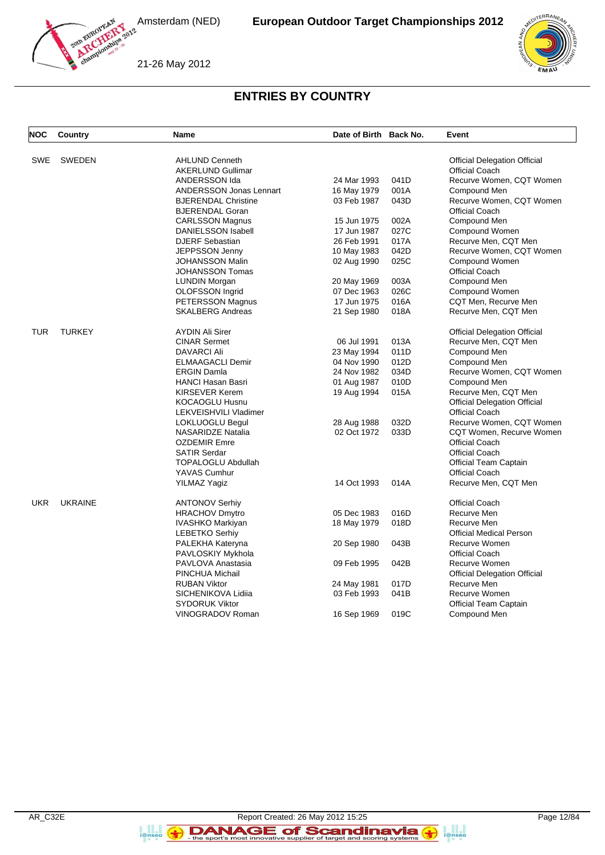21-26 May 2012



#### **ENTRIES BY COUNTRY**

| <b>NOC</b> | Country        | <b>Name</b>                    | Date of Birth Back No. |      | Event                               |
|------------|----------------|--------------------------------|------------------------|------|-------------------------------------|
|            |                |                                |                        |      |                                     |
| <b>SWE</b> | <b>SWEDEN</b>  | <b>AHLUND Cenneth</b>          |                        |      | <b>Official Delegation Official</b> |
|            |                | <b>AKERLUND Gullimar</b>       |                        |      | <b>Official Coach</b>               |
|            |                | ANDERSSON Ida                  | 24 Mar 1993            | 041D | Recurve Women, CQT Women            |
|            |                | <b>ANDERSSON Jonas Lennart</b> | 16 May 1979            | 001A | Compound Men                        |
|            |                | <b>BJERENDAL Christine</b>     | 03 Feb 1987            | 043D | Recurve Women, CQT Women            |
|            |                | <b>BJERENDAL Goran</b>         |                        |      | <b>Official Coach</b>               |
|            |                | <b>CARLSSON Magnus</b>         | 15 Jun 1975            | 002A | Compound Men                        |
|            |                | <b>DANIELSSON Isabell</b>      | 17 Jun 1987            | 027C | Compound Women                      |
|            |                | <b>DJERF Sebastian</b>         | 26 Feb 1991            | 017A | Recurve Men, CQT Men                |
|            |                | JEPPSSON Jenny                 | 10 May 1983            | 042D | Recurve Women, CQT Women            |
|            |                | <b>JOHANSSON Malin</b>         | 02 Aug 1990            | 025C | <b>Compound Women</b>               |
|            |                | <b>JOHANSSON Tomas</b>         |                        |      | <b>Official Coach</b>               |
|            |                | <b>LUNDIN Morgan</b>           | 20 May 1969            | 003A | Compound Men                        |
|            |                | <b>OLOFSSON Ingrid</b>         | 07 Dec 1963            | 026C | Compound Women                      |
|            |                | <b>PETERSSON Magnus</b>        | 17 Jun 1975            | 016A | CQT Men, Recurve Men                |
|            |                | <b>SKALBERG Andreas</b>        | 21 Sep 1980            | 018A | Recurve Men, CQT Men                |
| TUR        | <b>TURKEY</b>  | <b>AYDIN Ali Sirer</b>         |                        |      | <b>Official Delegation Official</b> |
|            |                | <b>CINAR Sermet</b>            | 06 Jul 1991            | 013A | Recurve Men, CQT Men                |
|            |                | <b>DAVARCI Ali</b>             | 23 May 1994            | 011D | Compound Men                        |
|            |                | <b>ELMAAGACLI Demir</b>        | 04 Nov 1990            | 012D | Compound Men                        |
|            |                | <b>ERGIN Damla</b>             | 24 Nov 1982            | 034D | Recurve Women, CQT Women            |
|            |                | <b>HANCI Hasan Basri</b>       | 01 Aug 1987            | 010D | Compound Men                        |
|            |                | <b>KIRSEVER Kerem</b>          | 19 Aug 1994            | 015A | Recurve Men, CQT Men                |
|            |                | KOCAOGLU Husnu                 |                        |      | <b>Official Delegation Official</b> |
|            |                | LEKVEISHVILI Vladimer          |                        |      | <b>Official Coach</b>               |
|            |                | <b>LOKLUOGLU Begul</b>         | 28 Aug 1988            | 032D | Recurve Women, CQT Women            |
|            |                | <b>NASARIDZE Natalia</b>       | 02 Oct 1972            | 033D | CQT Women, Recurve Women            |
|            |                | <b>OZDEMIR Emre</b>            |                        |      | <b>Official Coach</b>               |
|            |                | <b>SATIR Serdar</b>            |                        |      | <b>Official Coach</b>               |
|            |                | <b>TOPALOGLU Abdullah</b>      |                        |      | Official Team Captain               |
|            |                | YAVAS Cumhur                   |                        |      | Official Coach                      |
|            |                | YILMAZ Yagiz                   | 14 Oct 1993            | 014A | Recurve Men, CQT Men                |
| <b>UKR</b> | <b>UKRAINE</b> | <b>ANTONOV Serhiy</b>          |                        |      | <b>Official Coach</b>               |
|            |                | <b>HRACHOV Dmytro</b>          | 05 Dec 1983            | 016D | Recurve Men                         |
|            |                | IVASHKO Markiyan               | 18 May 1979            | 018D | Recurve Men                         |
|            |                | <b>LEBETKO Serhiy</b>          |                        |      | <b>Official Medical Person</b>      |
|            |                | PALEKHA Kateryna               | 20 Sep 1980            | 043B | Recurve Women                       |
|            |                | PAVLOSKIY Mykhola              |                        |      | <b>Official Coach</b>               |
|            |                | PAVLOVA Anastasia              | 09 Feb 1995            | 042B | Recurve Women                       |
|            |                | PINCHUA Michail                |                        |      | <b>Official Delegation Official</b> |
|            |                | <b>RUBAN Viktor</b>            | 24 May 1981            | 017D | Recurve Men                         |
|            |                | SICHENIKOVA Lidiia             | 03 Feb 1993            | 041B | Recurve Women                       |
|            |                | <b>SYDORUK Viktor</b>          |                        |      | <b>Official Team Captain</b>        |
|            |                | VINOGRADOV Roman               | 16 Sep 1969            | 019C | Compound Men                        |

**B**<br>**i**@nseo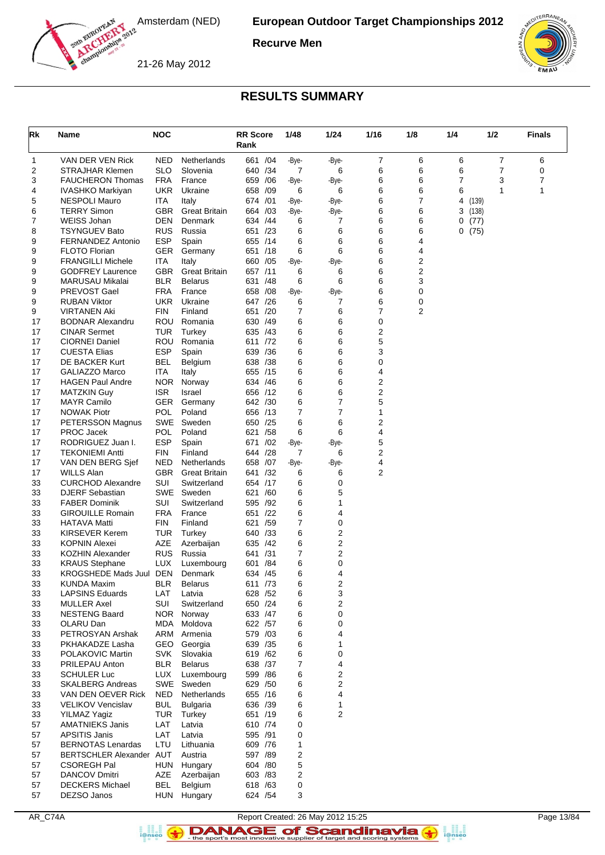

**Recurve Men**

21-26 May 2012



### **RESULTS SUMMARY**

| Rk       | Name                                           | <b>NOC</b>        |                                 | <b>RR Score</b><br>Rank |     | 1/48       | 1/24       | 1/16           | 1/8    | 1/4                     | 1/2            | <b>Finals</b> |
|----------|------------------------------------------------|-------------------|---------------------------------|-------------------------|-----|------------|------------|----------------|--------|-------------------------|----------------|---------------|
| 1        | VAN DER VEN Rick                               | NED               | Netherlands                     | 661                     | /04 | -Bye-      | -Bye-      | $\overline{7}$ | 6      | 6                       | $\overline{7}$ | 6             |
| 2        | STRAJHAR Klemen                                | SLO               | Slovenia                        | 640 / 34                |     | 7          | 6          | 6              | 6      | 6                       | $\overline{7}$ | 0             |
| 3        | <b>FAUCHERON Thomas</b>                        | <b>FRA</b>        | France                          | 659                     | /06 | -Bye-      | -Bye-      | 6              | 6      | 7                       | 3              | 7             |
| 4        | IVASHKO Markiyan                               | UKR               | Ukraine                         | 658                     | /09 | 6          | 6          | 6              | 6      | 6                       | 1              | 1             |
| 5        | NESPOLI Mauro                                  | ITA               | Italy                           | 674 /01                 |     | -Bye-      | -Bye-      | 6              | 7      | 4                       | (139)          |               |
| 6<br>7   | <b>TERRY Simon</b><br>WEISS Johan              | GBR<br>DEN        | <b>Great Britain</b><br>Denmark | 664 /03<br>634 /44      |     | -Bye-<br>6 | -Bye-<br>7 | 6<br>6         | 6<br>6 | 3<br>(138)<br>0<br>(77) |                |               |
| 8        | <b>TSYNGUEV Bato</b>                           | RUS               | Russia                          | 651 /23                 |     | 6          | 6          | 6              | 6      | 0<br>(75)               |                |               |
| 9        | <b>FERNANDEZ Antonio</b>                       | <b>ESP</b>        | Spain                           | 655 /14                 |     | 6          | 6          | 6              | 4      |                         |                |               |
| 9        | <b>FLOTO Florian</b>                           | <b>GER</b>        | Germany                         | 651 /18                 |     | 6          | 6          | 6              | 4      |                         |                |               |
| 9        | <b>FRANGILLI Michele</b>                       | ITA               | Italy                           | 660 / 05                |     | -Bye-      | -Bye-      | 6              | 2      |                         |                |               |
| 9        | <b>GODFREY Laurence</b>                        | GBR               | <b>Great Britain</b>            | 657 /11                 |     | 6          | 6          | 6              | 2      |                         |                |               |
| 9        | MARUSAU Mikalai                                | <b>BLR</b>        | <b>Belarus</b>                  | 631                     | /48 | 6          | 6          | 6              | 3      |                         |                |               |
| 9        | PREVOST Gael                                   | FRA               | France                          | 658 / 08                |     | -Bye-      | -Bye-      | 6              | 0      |                         |                |               |
| 9        | <b>RUBAN Viktor</b>                            | UKR<br>FIN        | Ukraine                         | 647 /26<br>651 /20      |     | 6<br>7     | 7<br>6     | 6<br>7         | 0<br>2 |                         |                |               |
| 9<br>17  | VIRTANEN Aki<br><b>BODNAR Alexandru</b>        | ROU               | Finland<br>Romania              | 630 /49                 |     | 6          | 6          | 0              |        |                         |                |               |
| 17       | <b>CINAR Sermet</b>                            | <b>TUR</b>        | Turkey                          | 635 /43                 |     | 6          | 6          | 2              |        |                         |                |               |
| 17       | <b>CIORNEI Daniel</b>                          | ROU               | Romania                         | 611 /72                 |     | 6          | 6          | 5              |        |                         |                |               |
| 17       | <b>CUESTA Elias</b>                            | <b>ESP</b>        | Spain                           | 639 / 36                |     | 6          | 6          | 3              |        |                         |                |               |
| 17       | <b>DE BACKER Kurt</b>                          | <b>BEL</b>        | Belgium                         | 638 /38                 |     | 6          | 6          | $\pmb{0}$      |        |                         |                |               |
| 17       | GALIAZZO Marco                                 | ITA               | Italy                           | 655 /15                 |     | 6          | 6          | 4              |        |                         |                |               |
| 17       | <b>HAGEN Paul Andre</b>                        | NOR.              | Norway                          | 634 / 46                |     | 6          | 6          | 2              |        |                         |                |               |
| 17       | <b>MATZKIN Guy</b>                             | ISR               | Israel                          | 656 /12                 |     | 6          | 6          | 2              |        |                         |                |               |
| 17       | <b>MAYR Camilo</b>                             | GER.              | Germany                         | 642 /30                 |     | 6          | 7          | 5              |        |                         |                |               |
| 17       | <b>NOWAK Piotr</b>                             | <b>POL</b>        | Poland                          | 656 /13                 |     | 7          | 7          | 1              |        |                         |                |               |
| 17       | PETERSSON Magnus                               | SWE<br>POL        | Sweden<br>Poland                | 650<br>621 /58          | /25 | 6          | 6<br>6     | 2<br>4         |        |                         |                |               |
| 17<br>17 | <b>PROC Jacek</b><br>RODRIGUEZ Juan I.         | <b>ESP</b>        | Spain                           | 671                     | /02 | 6<br>-Bye- | -Bye-      | 5              |        |                         |                |               |
| 17       | <b>TEKONIEMI Antti</b>                         | FIN               | Finland                         | 644                     | /28 | 7          | 6          | 2              |        |                         |                |               |
| 17       | VAN DEN BERG Sjef                              | NED               | Netherlands                     | 658 /07                 |     | -Bye-      | -Bye-      | 4              |        |                         |                |               |
| 17       | <b>WILLS Alan</b>                              | GBR               | <b>Great Britain</b>            | 641 /32                 |     | 6          | 6          | 2              |        |                         |                |               |
| 33       | <b>CURCHOD Alexandre</b>                       | SUI               | Switzerland                     | 654 /17                 |     | 6          | 0          |                |        |                         |                |               |
| 33       | <b>DJERF Sebastian</b>                         | SWE               | Sweden                          | 621 /60                 |     | 6          | 5          |                |        |                         |                |               |
| 33       | <b>FABER Dominik</b>                           | SUI               | Switzerland                     | 595 /92                 |     | 6          | 1          |                |        |                         |                |               |
| 33       | <b>GIROUILLE Romain</b>                        | <b>FRA</b>        | France                          | 651                     | /22 | 6          | 4          |                |        |                         |                |               |
| 33       | HATAVA Matti                                   | FIN               | Finland                         | 621 /59                 |     | 7          | 0          |                |        |                         |                |               |
| 33       | KIRSEVER Kerem<br><b>KOPNIN Alexei</b>         | TUR<br><b>AZE</b> | Turkey                          | 640 /33                 | /42 | 6          | 2<br>2     |                |        |                         |                |               |
| 33<br>33 | <b>KOZHIN Alexander</b>                        | RUS               | Azerbaijan<br>Russia            | 635<br>641 /31          |     | 6<br>7     | 2          |                |        |                         |                |               |
| 33       | <b>KRAUS Stephane</b>                          | LUX               | Luxembourg                      | 601                     | /84 | 6          | 0          |                |        |                         |                |               |
| 33       | KROGSHEDE Mads Juul                            | DEN               | Denmark                         | 634 /45                 |     | 6          | 4          |                |        |                         |                |               |
| 33       | <b>KUNDA Maxim</b>                             | BLR               | <b>Belarus</b>                  | 611 /73                 |     | 6          | 2          |                |        |                         |                |               |
| 33       | <b>LAPSINS Eduards</b>                         | LAT               | Latvia                          | 628 / 52                |     | 6          | 3          |                |        |                         |                |               |
| 33       | <b>MULLER Axel</b>                             | SUI               | Switzerland                     | 650 /24                 |     | 6          | 2          |                |        |                         |                |               |
| 33       | <b>NESTENG Baard</b>                           |                   | NOR Norway                      | 633 / 47                |     | 6          | 0          |                |        |                         |                |               |
| 33       | OLARU Dan                                      | MDA               | Moldova                         | 622 /57                 |     | 6          | 0          |                |        |                         |                |               |
| 33       | PETROSYAN Arshak                               | ARM               | Armenia                         | 579 /03                 |     | 6          | 4          |                |        |                         |                |               |
| 33       | PKHAKADZE Lasha                                |                   | GEO Georgia                     | 639 /35<br>619 /62      |     | 6          | 1          |                |        |                         |                |               |
| 33<br>33 | POLAKOVIC Martin<br>PRILEPAU Anton             | <b>BLR</b>        | SVK Slovakia<br><b>Belarus</b>  | 638 /37                 |     | 6<br>7     | 0<br>4     |                |        |                         |                |               |
| 33       | <b>SCHULER Luc</b>                             |                   | LUX Luxembourg                  | 599 / 86                |     | 6          | 2          |                |        |                         |                |               |
| 33       | <b>SKALBERG Andreas</b>                        |                   | SWE Sweden                      | 629 / 50                |     | 6          | 2          |                |        |                         |                |               |
| 33       | VAN DEN OEVER Rick                             | NED               | Netherlands                     | 655 /16                 |     | 6          | 4          |                |        |                         |                |               |
| 33       | <b>VELIKOV Vencislav</b>                       | <b>BUL</b>        | <b>Bulgaria</b>                 | 636 /39                 |     | 6          | 1          |                |        |                         |                |               |
| 33       | <b>YILMAZ Yagiz</b>                            | TUR               | Turkey                          | 651 /19                 |     | 6          | 2          |                |        |                         |                |               |
| 57       | <b>AMATNIEKS Janis</b>                         | LAT               | Latvia                          | 610 /74                 |     | 0          |            |                |        |                         |                |               |
| 57       | <b>APSITIS Janis</b>                           | LAT               | Latvia                          | 595 /91                 |     | 0          |            |                |        |                         |                |               |
| 57       | <b>BERNOTAS Lenardas</b>                       | LTU               | Lithuania                       | 609 /76                 |     | 1          |            |                |        |                         |                |               |
| 57       | BERTSCHLER Alexander AUT                       |                   | Austria                         | 597 /89                 |     | 2          |            |                |        |                         |                |               |
| 57       | <b>CSOREGH Pal</b>                             | HUN               | Hungary                         | 604 /80                 |     | 5          |            |                |        |                         |                |               |
| 57<br>57 | <b>DANCOV Dmitri</b><br><b>DECKERS Michael</b> | AZE<br><b>BEL</b> | Azerbaijan<br>Belgium           | 603 /83<br>618 /63      |     | 2<br>0     |            |                |        |                         |                |               |
| 57       | DEZSO Janos                                    |                   | HUN Hungary                     | 624 / 54                |     | 3          |            |                |        |                         |                |               |
|          |                                                |                   |                                 |                         |     |            |            |                |        |                         |                |               |

AR\_C74A Report Created: 26 May 2012 15:25 Page 13/84 **DANAGE of Scandinavia**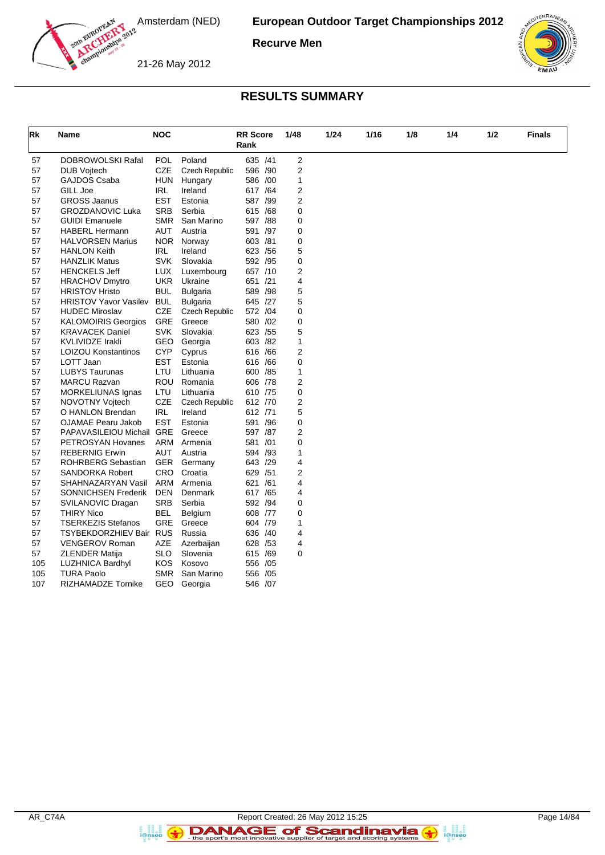

**Recurve Men**





#### **RESULTS SUMMARY**

| Rk  | Name                         | <b>NOC</b> |                       | <b>RR</b> Score |     | 1/48           | 1/24 | 1/16 | 1/8 | 1/4 | 1/2 | <b>Finals</b> |
|-----|------------------------------|------------|-----------------------|-----------------|-----|----------------|------|------|-----|-----|-----|---------------|
|     |                              |            |                       | Rank            |     |                |      |      |     |     |     |               |
| 57  | DOBROWOLSKI Rafal            | <b>POL</b> | Poland                | 635 /41         |     | 2              |      |      |     |     |     |               |
| 57  | <b>DUB Vojtech</b>           | <b>CZE</b> | <b>Czech Republic</b> | 596 /90         |     | 2              |      |      |     |     |     |               |
| 57  | GAJDOS Csaba                 | HUN        | Hungary               | 586 /00         |     | $\mathbf{1}$   |      |      |     |     |     |               |
| 57  | GILL Joe                     | <b>IRL</b> | Ireland               | 617 / 64        |     | 2              |      |      |     |     |     |               |
| 57  | <b>GROSS Jaanus</b>          | <b>EST</b> | Estonia               | 587 /99         |     | $\overline{2}$ |      |      |     |     |     |               |
| 57  | <b>GROZDANOVIC Luka</b>      | <b>SRB</b> | Serbia                | 615 /68         |     | 0              |      |      |     |     |     |               |
| 57  | <b>GUIDI Emanuele</b>        | <b>SMR</b> | San Marino            | 597 /88         |     | 0              |      |      |     |     |     |               |
| 57  | <b>HABERL Hermann</b>        | AUT        | Austria               | 591 /97         |     | 0              |      |      |     |     |     |               |
| 57  | <b>HALVORSEN Marius</b>      | <b>NOR</b> | Norway                | 603 /81         |     | 0              |      |      |     |     |     |               |
| 57  | <b>HANLON Keith</b>          | <b>IRL</b> | Ireland               | 623 / 56        |     | 5              |      |      |     |     |     |               |
| 57  | <b>HANZLIK Matus</b>         | <b>SVK</b> | Slovakia              | 592 /95         |     | 0              |      |      |     |     |     |               |
| 57  | <b>HENCKELS Jeff</b>         | LUX        | Luxembourg            | 657 /10         |     | 2              |      |      |     |     |     |               |
| 57  | <b>HRACHOV Dmytro</b>        | <b>UKR</b> | Ukraine               | 651 /21         |     | 4              |      |      |     |     |     |               |
| 57  | <b>HRISTOV Hristo</b>        | <b>BUL</b> | Bulgaria              | 589 /98         |     | 5              |      |      |     |     |     |               |
| 57  | <b>HRISTOV Yavor Vasilev</b> | <b>BUL</b> | <b>Bulgaria</b>       | 645 /27         |     | 5              |      |      |     |     |     |               |
| 57  | <b>HUDEC Miroslav</b>        | <b>CZE</b> | <b>Czech Republic</b> | 572 /04         |     | 0              |      |      |     |     |     |               |
| 57  | <b>KALOMOIRIS Georgios</b>   | <b>GRE</b> | Greece                | 580 /02         |     | 0              |      |      |     |     |     |               |
| 57  | <b>KRAVACEK Daniel</b>       | <b>SVK</b> | Slovakia              | 623 / 55        |     | 5              |      |      |     |     |     |               |
| 57  | <b>KVLIVIDZE Irakli</b>      | GEO        | Georgia               | 603 /82         |     | $\mathbf{1}$   |      |      |     |     |     |               |
| 57  | <b>LOIZOU Konstantinos</b>   | <b>CYP</b> | Cyprus                | 616 /66         |     | $\overline{2}$ |      |      |     |     |     |               |
| 57  | LOTT Jaan                    | <b>EST</b> | Estonia               | 616 /66         |     | 0              |      |      |     |     |     |               |
| 57  | <b>LUBYS Taurunas</b>        | LTU        | Lithuania             | 600 / 85        |     | 1              |      |      |     |     |     |               |
| 57  | <b>MARCU Razvan</b>          | ROU        | Romania               | 606 /78         |     | 2              |      |      |     |     |     |               |
| 57  | MORKELIUNAS Ignas            | LTU        | Lithuania             | 610 /75         |     | 0              |      |      |     |     |     |               |
| 57  | NOVOTNY Vojtech              | <b>CZE</b> | <b>Czech Republic</b> | 612 /70         |     | 2              |      |      |     |     |     |               |
| 57  | O HANLON Brendan             | <b>IRL</b> | Ireland               | 612 /71         |     | 5              |      |      |     |     |     |               |
| 57  | OJAMAE Pearu Jakob           | <b>EST</b> | Estonia               | 591 /96         |     | 0              |      |      |     |     |     |               |
| 57  | PAPAVASILEIOU Michail GRE    |            | Greece                | 597 /87         |     | $\overline{2}$ |      |      |     |     |     |               |
| 57  | PETROSYAN Hovanes            | ARM        | Armenia               | 581 /01         |     | 0              |      |      |     |     |     |               |
| 57  | <b>REBERNIG Erwin</b>        | <b>AUT</b> | Austria               | 594 /93         |     | 1              |      |      |     |     |     |               |
| 57  | ROHRBERG Sebastian           | GER        | Germany               | 643 /29         |     | 4              |      |      |     |     |     |               |
| 57  | <b>SANDORKA Robert</b>       | <b>CRO</b> | Croatia               | 629 / 51        |     | 2              |      |      |     |     |     |               |
| 57  | SHAHNAZARYAN Vasil           | ARM        | Armenia               | 621             | /61 | 4              |      |      |     |     |     |               |
| 57  | <b>SONNICHSEN Frederik</b>   | <b>DEN</b> | Denmark               | 617 / 65        |     | 4              |      |      |     |     |     |               |
| 57  | SVILANOVIC Dragan            | <b>SRB</b> | Serbia                | 592 /94         |     | 0              |      |      |     |     |     |               |
| 57  | <b>THIRY Nico</b>            | BEL        | Belgium               | 608 /77         |     | 0              |      |      |     |     |     |               |
| 57  | <b>TSERKEZIS Stefanos</b>    | <b>GRE</b> | Greece                | 604 /79         |     | $\mathbf{1}$   |      |      |     |     |     |               |
| 57  | TSYBEKDORZHIEV Bair RUS      |            | Russia                | 636 /40         |     | 4              |      |      |     |     |     |               |
| 57  | <b>VENGEROV Roman</b>        | <b>AZE</b> | Azerbaijan            | 628 / 53        |     | 4              |      |      |     |     |     |               |
| 57  | <b>ZLENDER Matija</b>        | <b>SLO</b> | Slovenia              | 615 /69         |     | 0              |      |      |     |     |     |               |
| 105 | <b>LUZHNICA Bardhyl</b>      | <b>KOS</b> | Kosovo                | 556 /05         |     |                |      |      |     |     |     |               |
| 105 | <b>TURA Paolo</b>            | <b>SMR</b> | San Marino            | 556 /05         |     |                |      |      |     |     |     |               |
| 107 | RIZHAMADZE Tornike           | GEO        | Georgia               | 546 /07         |     |                |      |      |     |     |     |               |

a analis<br>i@nseo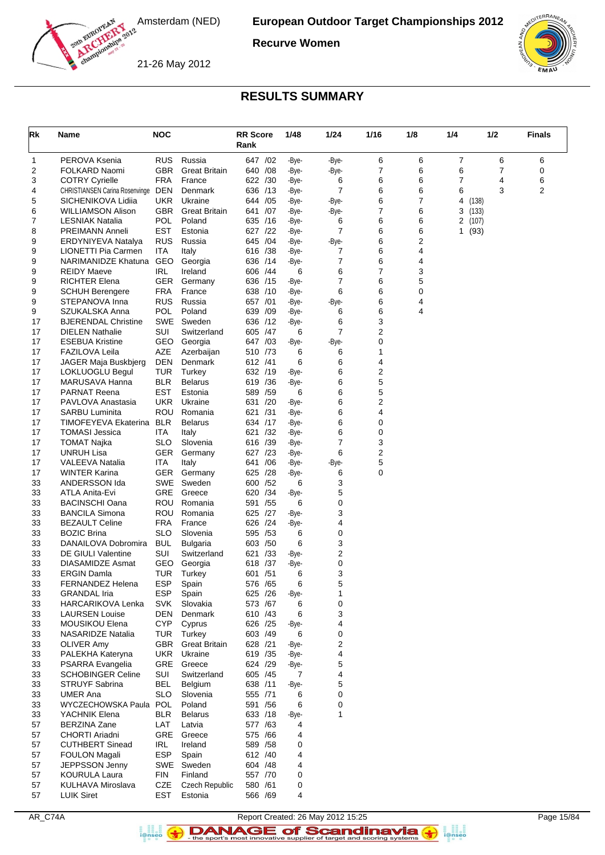

**Recurve Women**

21-26 May 2012



## **RESULTS SUMMARY**

| Rk       | Name                                             | <b>NOC</b>               |                                | <b>RR Score</b><br>Rank |     | 1/48           | 1/24                | 1/16   | 1/8    | 1/4    | 1/2           | <b>Finals</b> |
|----------|--------------------------------------------------|--------------------------|--------------------------------|-------------------------|-----|----------------|---------------------|--------|--------|--------|---------------|---------------|
| 1        | PEROVA Ksenia                                    | <b>RUS</b>               | Russia                         | 647 / 02                |     | -Bye-          | -Bye-               | 6      | 6      | 7      | 6             | 6             |
| 2        | FOLKARD Naomi                                    | <b>GBR</b>               | <b>Great Britain</b>           | 640                     | /08 | -Bye-          | -Bye-               | 7      | 6      | 6      | 7             | 0             |
| 3        | <b>COTRY Cyrielle</b>                            | FRA                      | France                         | 622 /30                 |     | -Bye-          | 6                   | 6      | 6      | 7      | 4             | 6             |
| 4        | <b>CHRISTIANSEN Carina Rosenvinge</b>            | <b>DEN</b>               | Denmark                        | 636                     | /13 | -Bye-          | 7                   | 6      | 6      | 6      | 3             | 2             |
| 5        | SICHENIKOVA Lidiia                               | <b>UKR</b>               | Ukraine                        | 644                     | /05 | -Bye-          | -Bye-               | 6      | 7      | 4      | (138)         |               |
| 6        | WILLIAMSON Alison                                | GBR                      | <b>Great Britain</b><br>Poland | 641                     | /07 | -Bye-          | -Bye-               | 7      | 6      | 3      | (133)         |               |
| 7<br>8   | <b>LESNIAK Natalia</b><br><b>PREIMANN Anneli</b> | POL<br>EST               | Estonia                        | 635<br>627 /22          | /16 | -Bye-<br>-Bye- | 6<br>$\overline{7}$ | 6<br>6 | 6<br>6 | 2<br>1 | (107)<br>(93) |               |
| 9        | ERDYNIYEVA Natalya                               | <b>RUS</b>               | Russia                         | 645 /04                 |     | -Bye-          | -Bye-               | 6      | 2      |        |               |               |
| 9        | LIONETTI Pia Carmen                              | <b>ITA</b>               | Italy                          | 616 /38                 |     | -Bye-          | 7                   | 6      | 4      |        |               |               |
| 9        | NARIMANIDZE Khatuna                              | <b>GEO</b>               | Georgia                        | 636 /14                 |     | -Bye-          | 7                   | 6      | 4      |        |               |               |
| 9        | <b>REIDY Maeve</b>                               | IRL                      | Ireland                        | 606 /44                 |     | 6              | 6                   | 7      | 3      |        |               |               |
| 9        | <b>RICHTER Elena</b>                             | GER                      | Germany                        | 636                     | /15 | -Bye-          | $\overline{7}$      | 6      | 5      |        |               |               |
| 9        | <b>SCHUH Berengere</b>                           | FRA                      | France                         | 638 /10                 |     | -Bye-          | 6                   | 6      | 0      |        |               |               |
| 9<br>9   | STEPANOVA Inna<br>SZUKALSKA Anna                 | <b>RUS</b><br>POL        | Russia<br>Poland               | 657 /01<br>639          | /09 | -Bye-<br>-Bye- | -Bye-<br>6          | 6<br>6 | 4<br>4 |        |               |               |
| 17       | <b>BJERENDAL Christine</b>                       | SWE                      | Sweden                         | 636 /12                 |     | -Bye-          | 6                   | 3      |        |        |               |               |
| 17       | <b>DIELEN Nathalie</b>                           | <b>SUI</b>               | Switzerland                    | 605                     | /47 | 6              | $\overline{7}$      | 2      |        |        |               |               |
| 17       | <b>ESEBUA Kristine</b>                           | <b>GEO</b>               | Georgia                        | 647                     | /03 | -Bye-          | -Bye-               | 0      |        |        |               |               |
| 17       | <b>FAZILOVA Leila</b>                            | AZE                      | Azerbaijan                     | 510 /73                 |     | 6              | 6                   | 1      |        |        |               |               |
| 17       | JAGER Maja Buskbjerg                             | <b>DEN</b>               | Denmark                        | 612 /41                 |     | 6              | 6                   | 4      |        |        |               |               |
| 17       | <b>LOKLUOGLU Begul</b>                           | <b>TUR</b>               | Turkey                         | 632 /19                 |     | -Bye-          | 6                   | 2      |        |        |               |               |
| 17       | MARUSAVA Hanna                                   | <b>BLR</b>               | <b>Belarus</b>                 | 619 / 36                |     | -Bye-          | 6                   | 5      |        |        |               |               |
| 17       | <b>PARNAT Reena</b>                              | EST                      | Estonia                        | 589                     | /59 | 6              | 6                   | 5      |        |        |               |               |
| 17<br>17 | PAVLOVA Anastasia<br><b>SARBU Luminita</b>       | UKR<br>ROU               | Ukraine<br>Romania             | 631<br>621 /31          | /20 | -Bye-<br>-Bye- | 6<br>6              | 2<br>4 |        |        |               |               |
| 17       | TIMOFEYEVA Ekaterina                             | <b>BLR</b>               | <b>Belarus</b>                 | 634 /17                 |     | -Bye-          | 6                   | 0      |        |        |               |               |
| 17       | <b>TOMASI Jessica</b>                            | ITA                      | Italy                          | 621                     | /32 | -Bye-          | 6                   | 0      |        |        |               |               |
| 17       | <b>TOMAT Najka</b>                               | SLO                      | Slovenia                       | 616 /39                 |     | -Bye-          | 7                   | 3      |        |        |               |               |
| 17       | <b>UNRUH Lisa</b>                                | GER                      | Germany                        | 627                     | /23 | -Bye-          | 6                   | 2      |        |        |               |               |
| 17       | <b>VALEEVA Natalia</b>                           | ITA                      | Italy                          | 641                     | /06 | -Bye-          | -Bye-               | 5      |        |        |               |               |
| 17       | <b>WINTER Karina</b>                             | GER.                     | Germany                        | 625                     | /28 | -Bye-          | 6                   | 0      |        |        |               |               |
| 33       | ANDERSSON Ida                                    | SWE                      | Sweden                         | 600                     | /52 | 6              | 3                   |        |        |        |               |               |
| 33<br>33 | ATLA Anita-Evi<br><b>BACINSCHI Oana</b>          | GRE<br><b>ROU</b>        | Greece<br>Romania              | 620 /34<br>591 /55      |     | -Bye-<br>6     | 5<br>0              |        |        |        |               |               |
| 33       | <b>BANCILA Simona</b>                            | ROU                      | Romania                        | 625                     | /27 | -Bye-          | 3                   |        |        |        |               |               |
| 33       | <b>BEZAULT Celine</b>                            | FRA                      | France                         | 626 /24                 |     | -Bye-          | 4                   |        |        |        |               |               |
| 33       | <b>BOZIC Brina</b>                               | <b>SLO</b>               | Slovenia                       | 595 /53                 |     | 6              | 0                   |        |        |        |               |               |
| 33       | DANAILOVA Dobromira                              | <b>BUL</b>               | <b>Bulgaria</b>                | 603                     | /50 | 6              | 3                   |        |        |        |               |               |
| 33       | DE GIULI Valentine                               | <b>SUI</b>               | Switzerland                    | 621                     | /33 | -Bye-          | 2                   |        |        |        |               |               |
| 33       | <b>DIASAMIDZE Asmat</b>                          | GEO                      | Georgia                        | 618                     | /37 | -Bye-          | 0                   |        |        |        |               |               |
| 33       | <b>ERGIN Damla</b>                               | TUR                      | Turkey                         | 601 / 51                |     | 6              | 3                   |        |        |        |               |               |
| 33       | FERNANDEZ Helena                                 | <b>ESP</b>               | Spain                          | 576 / 65<br>625 /26     |     | 6              | 5                   |        |        |        |               |               |
| 33<br>33 | <b>GRANDAL Iria</b><br><b>HARCARIKOVA Lenka</b>  | <b>ESP</b><br><b>SVK</b> | Spain<br>Slovakia              | 573 /67                 |     | -Bye-<br>6     | 1<br>0              |        |        |        |               |               |
| 33       | <b>LAURSEN Louise</b>                            | DEN                      | Denmark                        | 610 /43                 |     | 6              | 3                   |        |        |        |               |               |
| 33       | MOUSIKOU Elena                                   | <b>CYP</b>               | Cyprus                         | 626 /25                 |     | -Bye-          | 4                   |        |        |        |               |               |
| 33       | NASARIDZE Natalia                                | TUR                      | Turkey                         | 603 /49                 |     | 6              | 0                   |        |        |        |               |               |
| 33       | OLIVER Amy                                       | GBR                      | <b>Great Britain</b>           | 628 /21                 |     | -Bye-          | 2                   |        |        |        |               |               |
| 33       | PALEKHA Kateryna                                 | UKR                      | Ukraine                        | 619 / 35                |     | -Bye-          | 4                   |        |        |        |               |               |
| 33       | PSARRA Evangelia                                 | GRE                      | Greece                         | 624 /29                 |     | -Bye-          | 5                   |        |        |        |               |               |
| 33       | <b>SCHOBINGER Celine</b>                         | SUI                      | Switzerland                    | 605 / 45                |     | 7              | 4                   |        |        |        |               |               |
| 33       | <b>STRUYF Sabrina</b>                            | <b>BEL</b>               | Belgium                        | 638 /11                 |     | -Bye-          | 5                   |        |        |        |               |               |
| 33<br>33 | <b>UMER Ana</b><br>WYCZECHOWSKA Paula            | SLO<br>POL               | Slovenia<br>Poland             | 555 /71<br>591 /56      |     | 6<br>6         | 0<br>0              |        |        |        |               |               |
| 33       | YACHNIK Elena                                    | BLR.                     | <b>Belarus</b>                 | 633 /18                 |     | -Bye-          | $\mathbf{1}$        |        |        |        |               |               |
| 57       | <b>BERZINA Zane</b>                              | LAT                      | Latvia                         | 577 /63                 |     | 4              |                     |        |        |        |               |               |
| 57       | CHORTI Ariadni                                   | GRE                      | Greece                         | 575 /66                 |     | 4              |                     |        |        |        |               |               |
| 57       | <b>CUTHBERT Sinead</b>                           | IRL                      | Ireland                        | 589 / 58                |     | 0              |                     |        |        |        |               |               |
| 57       | <b>FOULON Magali</b>                             | <b>ESP</b>               | Spain                          | 612 /40                 |     | 4              |                     |        |        |        |               |               |
| 57       | JEPPSSON Jenny                                   | SWE                      | Sweden                         | 604 / 48                |     | 4              |                     |        |        |        |               |               |
| 57       | <b>KOURULA Laura</b>                             | FIN                      | Finland                        | 557 /70                 |     | 0              |                     |        |        |        |               |               |
| 57       | <b>KULHAVA Miroslava</b>                         | CZE                      | <b>Czech Republic</b>          | 580 /61                 |     | 0              |                     |        |        |        |               |               |
| 57       | <b>LUIK Siret</b>                                | EST                      | Estonia                        | 566 /69                 |     | 4              |                     |        |        |        |               |               |

AR\_C74A Report Created: 26 May 2012 15:25 Page 15/84

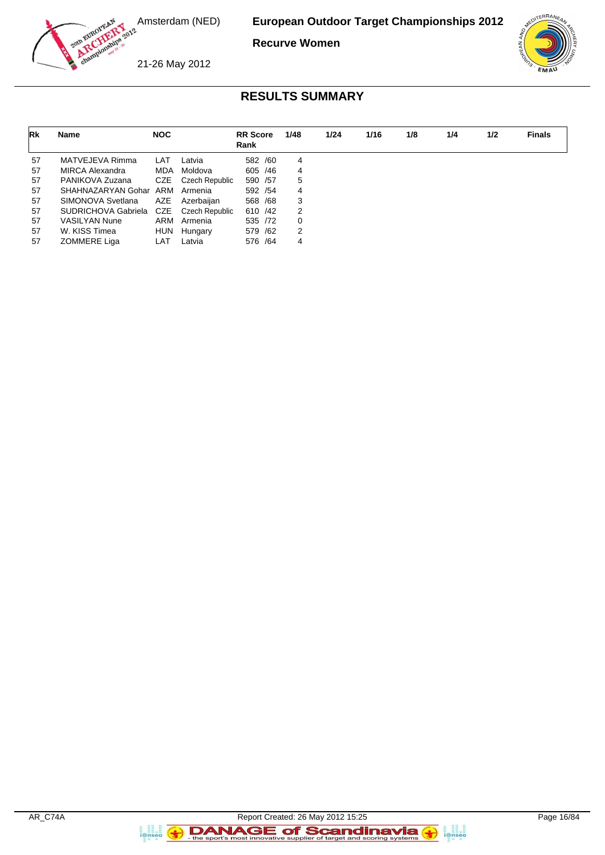

**Recurve Women**



21-26 May 2012

# **RESULTS SUMMARY**

| Rk | Name                 | <b>NOC</b> |                | <b>RR</b> Score<br>Rank | 1/48 | 1/24 | 1/16 | 1/8 | 1/4 | 1/2 | <b>Finals</b> |
|----|----------------------|------------|----------------|-------------------------|------|------|------|-----|-----|-----|---------------|
| 57 | MATVEJEVA Rimma      | LAT        | Latvia         | 582 /60                 | 4    |      |      |     |     |     |               |
| 57 | MIRCA Alexandra      | <b>MDA</b> | Moldova        | 605 / 46                | 4    |      |      |     |     |     |               |
| 57 | PANIKOVA Zuzana      | CZE        | Czech Republic | 590 /57                 | 5    |      |      |     |     |     |               |
| 57 | SHAHNAZARYAN Gohar   |            | ARM Armenia    | 592 / 54                | 4    |      |      |     |     |     |               |
| 57 | SIMONOVA Svetlana    | AZE        | Azerbaiian     | 568 /68                 | 3    |      |      |     |     |     |               |
| 57 | SUDRICHOVA Gabriela  | CZE        | Czech Republic | 610 /42                 | 2    |      |      |     |     |     |               |
| 57 | <b>VASILYAN Nune</b> | ARM        | Armenia        | 535 /72                 | 0    |      |      |     |     |     |               |
| 57 | W. KISS Timea        | <b>HUN</b> | Hungary        | 579 /62                 | 2    |      |      |     |     |     |               |
| 57 | <b>ZOMMERE Liga</b>  | LAT        | Latvia         | 576 /64                 | 4    |      |      |     |     |     |               |

 $\left( \bullet \right)$ 

a anglica<br>i@nseo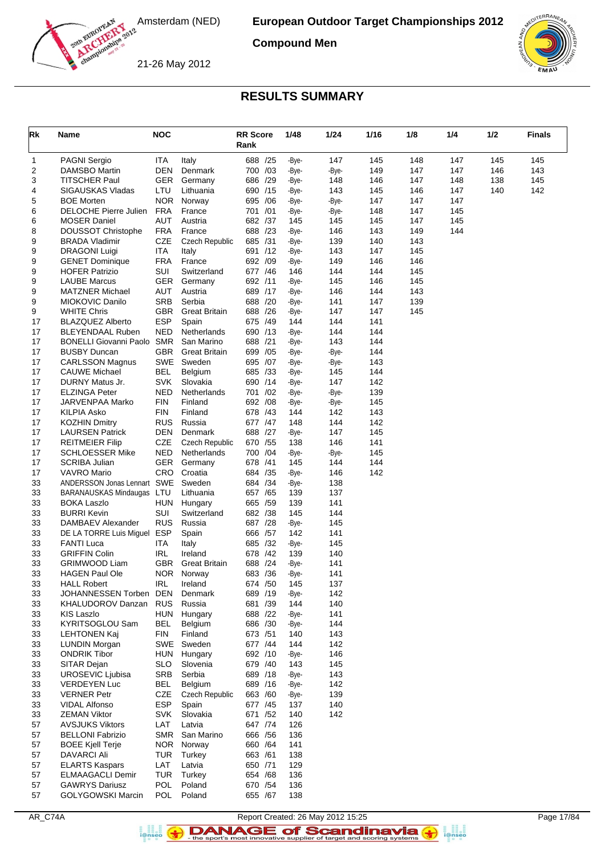

**Compound Men**

21-26 May 2012



### **RESULTS SUMMARY**

| Rk       | Name                                              | <b>NOC</b>               |                       | <b>RR Score</b><br>Rank | 1/48         | 1/24         | 1/16       | 1/8        | 1/4        | 1/2 | <b>Finals</b> |
|----------|---------------------------------------------------|--------------------------|-----------------------|-------------------------|--------------|--------------|------------|------------|------------|-----|---------------|
| 1        | <b>PAGNI Sergio</b>                               | <b>ITA</b>               | Italy                 | 688 /25                 | -Bye-        | 147          | 145        | 148        | 147        | 145 | 145           |
| 2        | DAMSBO Martin                                     | <b>DEN</b>               | Denmark               | 700 /03                 | -Bye-        | -Bye-        | 149        | 147        | 147        | 146 | 143           |
| 3        | TITSCHER Paul                                     | <b>GER</b>               | Germany               | 686 /29                 | -Bye-        | 148          | 146        | 147        | 148        | 138 | 145           |
| 4        | SIGAUSKAS Vladas                                  | LTU                      | Lithuania             | 690 /15                 | -Bye-        | 143          | 145        | 146        | 147        | 140 | 142           |
| 5        | <b>BOE Morten</b>                                 | <b>NOR</b>               | Norway                | 695 / 06                | -Bye-        | -Bye-        | 147        | 147        | 147        |     |               |
| 6        | DELOCHE Pierre Julien                             | <b>FRA</b><br>AUT        | France                | 701 /01<br>682 /37      | -Bye-<br>145 | -Bye-<br>145 | 148        | 147<br>147 | 145<br>145 |     |               |
| 6<br>8   | <b>MOSER Daniel</b><br>DOUSSOT Christophe         | <b>FRA</b>               | Austria<br>France     | 688 /23                 | -Bye-        | 146          | 145<br>143 | 149        | 144        |     |               |
| 9        | <b>BRADA Vladimir</b>                             | <b>CZE</b>               | <b>Czech Republic</b> | 685 /31                 | -Bye-        | 139          | 140        | 143        |            |     |               |
| 9        | <b>DRAGONI Luigi</b>                              | <b>ITA</b>               | Italy                 | 691 /12                 | -Bye-        | 143          | 147        | 145        |            |     |               |
| 9        | <b>GENET Dominique</b>                            | <b>FRA</b>               | France                | 692 /09                 | -Bye-        | 149          | 146        | 146        |            |     |               |
| 9        | <b>HOFER Patrizio</b>                             | <b>SUI</b>               | Switzerland           | 677 /46                 | 146          | 144          | 144        | 145        |            |     |               |
| 9        | <b>LAUBE Marcus</b>                               | <b>GER</b>               | Germany               | 692 /11                 | -Bye-        | 145          | 146        | 145        |            |     |               |
| 9        | <b>MATZNER Michael</b>                            | AUT                      | Austria               | 689 /17                 | -Bye-        | 146          | 144        | 143        |            |     |               |
| 9        | MIOKOVIC Danilo                                   | <b>SRB</b>               | Serbia                | 688 /20                 | -Bye-        | 141          | 147        | 139        |            |     |               |
| 9        | <b>WHITE Chris</b>                                | <b>GBR</b>               | <b>Great Britain</b>  | 688 /26                 | -Bye-        | 147          | 147        | 145        |            |     |               |
| 17<br>17 | <b>BLAZQUEZ Alberto</b><br>BLEYENDAAL Ruben       | <b>ESP</b><br>NED        | Spain<br>Netherlands  | 675 /49<br>690 /13      | 144<br>-Bye- | 144<br>144   | 141<br>144 |            |            |     |               |
| 17       | <b>BONELLI Giovanni Paolo</b>                     | <b>SMR</b>               | San Marino            | 688 /21                 | -Bye-        | 143          | 144        |            |            |     |               |
| 17       | <b>BUSBY Duncan</b>                               | <b>GBR</b>               | <b>Great Britain</b>  | 699 /05                 | -Bye-        | -Bye-        | 144        |            |            |     |               |
| 17       | <b>CARLSSON Magnus</b>                            | SWE                      | Sweden                | /07<br>695              | -Bye-        | -Bye-        | 143        |            |            |     |               |
| 17       | <b>CAUWE Michael</b>                              | <b>BEL</b>               | Belgium               | 685 /33                 | -Bye-        | 145          | 144        |            |            |     |               |
| 17       | DURNY Matus Jr.                                   | SVK                      | Slovakia              | 690 /14                 | -Bye-        | 147          | 142        |            |            |     |               |
| 17       | <b>ELZINGA Peter</b>                              | NED                      | Netherlands           | /02<br>701              | -Bye-        | -Bye-        | 139        |            |            |     |               |
| 17       | JARVENPAA Marko                                   | <b>FIN</b>               | Finland               | 692 /08                 | -Bye-        | -Bye-        | 145        |            |            |     |               |
| 17       | <b>KILPIA Asko</b>                                | FIN                      | Finland               | 678 /43                 | 144          | 142          | 143        |            |            |     |               |
| 17<br>17 | <b>KOZHIN Dmitry</b><br><b>LAURSEN Patrick</b>    | <b>RUS</b><br><b>DEN</b> | Russia<br>Denmark     | 677 / 47<br>688 /27     | 148          | 144<br>147   | 142<br>145 |            |            |     |               |
| 17       | <b>REITMEIER Filip</b>                            | CZE                      | <b>Czech Republic</b> | 670 /55                 | -Bye-<br>138 | 146          | 141        |            |            |     |               |
| 17       | <b>SCHLOESSER Mike</b>                            | <b>NED</b>               | Netherlands           | /04<br>700              | -Bye-        | -Bye-        | 145        |            |            |     |               |
| 17       | <b>SCRIBA Julian</b>                              | <b>GER</b>               | Germany               | 678 /41                 | 145          | 144          | 144        |            |            |     |               |
| 17       | VAVRO Mario                                       | CRO                      | Croatia               | 684 /35                 | -Bye-        | 146          | 142        |            |            |     |               |
| 33       | ANDERSSON Jonas Lennart SWE                       |                          | Sweden                | 684 / 34                | -Bye-        | 138          |            |            |            |     |               |
| 33       | BARANAUSKAS Mindaugas                             | LTU                      | Lithuania             | 657 / 65                | 139          | 137          |            |            |            |     |               |
| 33       | <b>BOKA Laszlo</b>                                | <b>HUN</b>               | Hungary               | 665 /59                 | 139          | 141          |            |            |            |     |               |
| 33       | <b>BURRI Kevin</b>                                | SUI                      | Switzerland           | 682 /38                 | 145          | 144          |            |            |            |     |               |
| 33<br>33 | DAMBAEV Alexander<br>DE LA TORRE Luis Miguel      | <b>RUS</b><br>ESP        | Russia<br>Spain       | 687 /28<br>666 / 57     | -Bye-<br>142 | 145<br>141   |            |            |            |     |               |
| 33       | <b>FANTI Luca</b>                                 | <b>ITA</b>               | Italy                 | 685 /32                 | -Bye-        | 145          |            |            |            |     |               |
| 33       | <b>GRIFFIN Colin</b>                              | <b>IRL</b>               | Ireland               | 678 / 42                | 139          | 140          |            |            |            |     |               |
| 33       | GRIMWOOD Liam                                     | GBR                      | <b>Great Britain</b>  | 688<br>/24              | -Bye-        | 141          |            |            |            |     |               |
| 33       | <b>HAGEN Paul Ole</b>                             | <b>NOR</b>               | Norway                | 683 /36                 | -Bye-        | 141          |            |            |            |     |               |
| 33       | <b>HALL Robert</b>                                | <b>IRL</b>               | Ireland               | 674 / 50                | 145          | 137          |            |            |            |     |               |
| 33       | JOHANNESSEN Torben                                | DEN                      | Denmark               | 689 /19                 | -Bye-        | 142          |            |            |            |     |               |
| 33       | <b>KHALUDOROV Danzan</b>                          | <b>RUS</b>               | Russia                | 681 /39                 | 144          | 140          |            |            |            |     |               |
| 33       | <b>KIS Laszlo</b>                                 | HUN                      | Hungary<br>Belgium    | 688 /22                 | -Bye-        | 141          |            |            |            |     |               |
| 33<br>33 | KYRITSOGLOU Sam<br><b>LEHTONEN Kaj</b>            | BEL<br><b>FIN</b>        | Finland               | 686 /30<br>673 /51      | -Bye-<br>140 | 144<br>143   |            |            |            |     |               |
| 33       | <b>LUNDIN Morgan</b>                              | SWE                      | Sweden                | 677 /44                 | 144          | 142          |            |            |            |     |               |
| 33       | <b>ONDRIK Tibor</b>                               | <b>HUN</b>               | Hungary               | 692 /10                 | -Bye-        | 146          |            |            |            |     |               |
| 33       | SITAR Dejan                                       | <b>SLO</b>               | Slovenia              | 679 /40                 | 143          | 145          |            |            |            |     |               |
| 33       | <b>UROSEVIC Ljubisa</b>                           | <b>SRB</b>               | Serbia                | 689 /18                 | -Bye-        | 143          |            |            |            |     |               |
| 33       | <b>VERDEYEN Luc</b>                               | <b>BEL</b>               | Belgium               | 689 /16                 | -Bye-        | 142          |            |            |            |     |               |
| 33       | <b>VERNER Petr</b>                                | CZE                      | <b>Czech Republic</b> | 663 /60                 | -Bye-        | 139          |            |            |            |     |               |
| 33       | <b>VIDAL Alfonso</b>                              | ESP                      | Spain                 | 677 / 45                | 137          | 140          |            |            |            |     |               |
| 33       | <b>ZEMAN Viktor</b>                               | <b>SVK</b>               | Slovakia              | 671 /52                 | 140          | 142          |            |            |            |     |               |
| 57<br>57 | <b>AVSJUKS Viktors</b><br><b>BELLONI Fabrizio</b> | LAT<br>SMR               | Latvia<br>San Marino  | 647 /74<br>666 / 56     | 126<br>136   |              |            |            |            |     |               |
| 57       | <b>BOEE Kjell Terje</b>                           | <b>NOR</b>               | Norway                | 660 / 64                | 141          |              |            |            |            |     |               |
| 57       | <b>DAVARCI Ali</b>                                | TUR                      | Turkey                | 663 / 61                | 138          |              |            |            |            |     |               |
| 57       | <b>ELARTS Kaspars</b>                             | LAT                      | Latvia                | 650 /71                 | 129          |              |            |            |            |     |               |
| 57       | <b>ELMAAGACLI Demir</b>                           | <b>TUR</b>               | Turkey                | 654 / 68                | 136          |              |            |            |            |     |               |
| 57       | <b>GAWRYS Dariusz</b>                             | <b>POL</b>               | Poland                | 670 / 54                | 136          |              |            |            |            |     |               |
| 57       | <b>GOLYGOWSKI Marcin</b>                          | <b>POL</b>               | Poland                | 655 / 67                | 138          |              |            |            |            |     |               |

a an<br>i@nseo

Report Created: 26 May 2012 15:25<br>Page 17/84<br>Report's most innovative supplier of target and scoring systems **of the second of the social systems**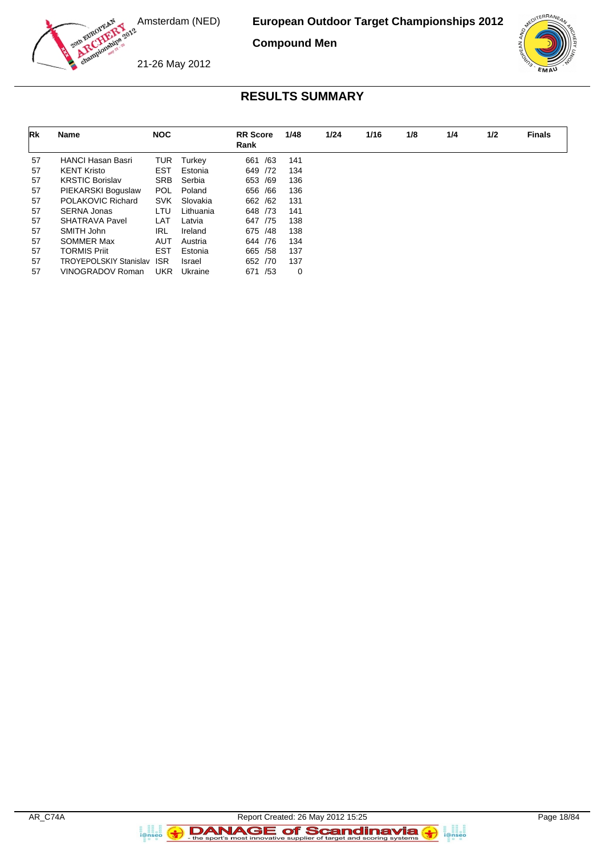

**Compound Men**



21-26 May 2012

# **RESULTS SUMMARY**

| Rk | Name                          | <b>NOC</b> |           | <b>RR</b> Score<br>Rank | 1/48 | 1/24 | 1/16 | 1/8 | 1/4 | 1/2 | <b>Finals</b> |
|----|-------------------------------|------------|-----------|-------------------------|------|------|------|-----|-----|-----|---------------|
| 57 | <b>HANCI Hasan Basri</b>      | TUR        | Turkey    | /63<br>661              | 141  |      |      |     |     |     |               |
| 57 | <b>KENT Kristo</b>            | EST        | Estonia   | 649 / 72                | 134  |      |      |     |     |     |               |
| 57 | <b>KRSTIC Borislav</b>        | <b>SRB</b> | Serbia    | /69<br>653              | 136  |      |      |     |     |     |               |
| 57 | PIEKARSKI Boguslaw            | <b>POL</b> | Poland    | 656 / 66                | 136  |      |      |     |     |     |               |
| 57 | POLAKOVIC Richard             | <b>SVK</b> | Slovakia  | 662 / 62                | 131  |      |      |     |     |     |               |
| 57 | <b>SERNA Jonas</b>            | LTU        | Lithuania | 648 / 73                | 141  |      |      |     |     |     |               |
| 57 | SHATRAVA Pavel                | LAT        | Latvia    | 647<br>/75              | 138  |      |      |     |     |     |               |
| 57 | SMITH John                    | <b>IRL</b> | Ireland   | 675 /48                 | 138  |      |      |     |     |     |               |
| 57 | SOMMER Max                    | AUT        | Austria   | 644 / 76                | 134  |      |      |     |     |     |               |
| 57 | <b>TORMIS Priit</b>           | <b>EST</b> | Estonia   | 665 / 58                | 137  |      |      |     |     |     |               |
| 57 | <b>TROYEPOLSKIY Stanislav</b> | <b>ISR</b> | Israel    | /70<br>652              | 137  |      |      |     |     |     |               |
| 57 | VINOGRADOV Roman              | <b>UKR</b> | Ukraine   | /53<br>671              | 0    |      |      |     |     |     |               |

a analis<br>i@nseo

 $\left( \rightarrow \right)$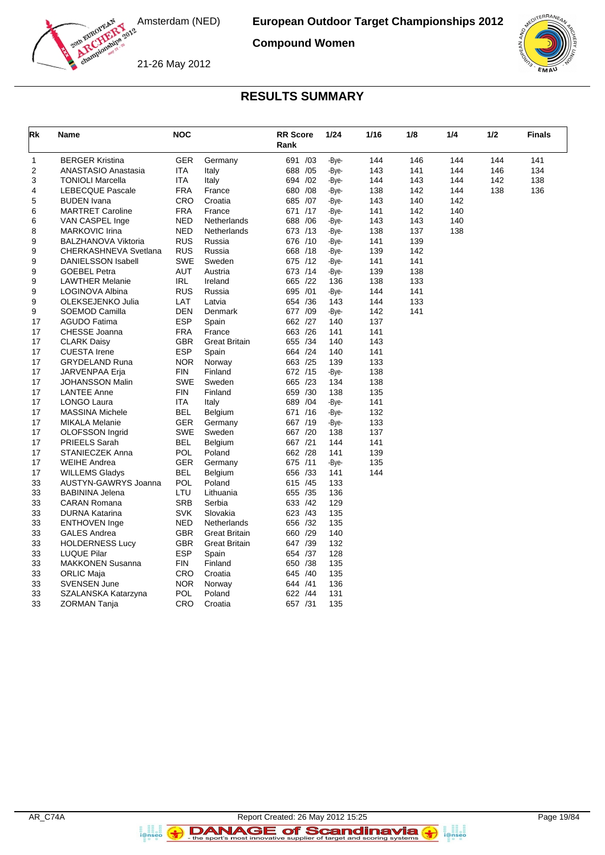

**Compound Women**

21-26 May 2012



### **RESULTS SUMMARY**

| Rk | Name                       | <b>NOC</b> |                      | <b>RR</b> Score<br>Rank | 1/24  | 1/16 | 1/8 | 1/4 | 1/2 | <b>Finals</b> |
|----|----------------------------|------------|----------------------|-------------------------|-------|------|-----|-----|-----|---------------|
| 1  | <b>BERGER Kristina</b>     | <b>GER</b> | Germany              | 691 /03                 | -Bye- | 144  | 146 | 144 | 144 | 141           |
| 2  | <b>ANASTASIO Anastasia</b> | <b>ITA</b> | Italy                | 688 / 05                | -Bye- | 143  | 141 | 144 | 146 | 134           |
| 3  | <b>TONIOLI Marcella</b>    | <b>ITA</b> | Italy                | 694 /02                 | -Bye- | 144  | 143 | 144 | 142 | 138           |
| 4  | <b>LEBECQUE Pascale</b>    | <b>FRA</b> | France               | 680 / 08                | -Bye- | 138  | 142 | 144 | 138 | 136           |
| 5  | <b>BUDEN</b> Ivana         | CRO        | Croatia              | 685 /07                 | -Bye- | 143  | 140 | 142 |     |               |
| 6  | <b>MARTRET Caroline</b>    | <b>FRA</b> | France               | 671 /17                 | -Bye- | 141  | 142 | 140 |     |               |
| 6  | VAN CASPEL Inge            | <b>NED</b> | Netherlands          | /06<br>688              | -Bye- | 143  | 143 | 140 |     |               |
| 8  | <b>MARKOVIC Irina</b>      | <b>NED</b> | Netherlands          | 673 /13                 | -Bye- | 138  | 137 | 138 |     |               |
| 9  | <b>BALZHANOVA Viktoria</b> | <b>RUS</b> | Russia               | 676 /10                 | -Bye- | 141  | 139 |     |     |               |
| 9  | CHERKASHNEVA Svetlana      | <b>RUS</b> | Russia               | 668 /18                 | -Bye- | 139  | 142 |     |     |               |
| 9  | <b>DANIELSSON Isabell</b>  | <b>SWE</b> | Sweden               | 675 /12                 | -Bye- | 141  | 141 |     |     |               |
| 9  | <b>GOEBEL Petra</b>        | <b>AUT</b> | Austria              | 673 /14                 | -Bye- | 139  | 138 |     |     |               |
| 9  | <b>LAWTHER Melanie</b>     | IRL        | Ireland              | 665 /22                 | 136   | 138  | 133 |     |     |               |
| 9  | LOGINOVA Albina            | <b>RUS</b> | Russia               | 695 /01                 | -Bye- | 144  | 141 |     |     |               |
| 9  | OLEKSEJENKO Julia          | LAT        | Latvia               | 654 /36                 | 143   | 144  | 133 |     |     |               |
| 9  | SOEMOD Camilla             | DEN        | Denmark              | 677 /09                 | -Bye- | 142  | 141 |     |     |               |
| 17 | <b>AGUDO Fatima</b>        | <b>ESP</b> | Spain                | 662 /27                 | 140   | 137  |     |     |     |               |
| 17 | CHESSE Joanna              | FRA        | France               | 663 /26                 | 141   | 141  |     |     |     |               |
| 17 | <b>CLARK Daisy</b>         | <b>GBR</b> | Great Britain        | 655 /34                 | 140   | 143  |     |     |     |               |
| 17 | <b>CUESTA Irene</b>        | <b>ESP</b> | Spain                | 664 /24                 | 140   | 141  |     |     |     |               |
| 17 | <b>GRYDELAND Runa</b>      | <b>NOR</b> | Norway               | 663 /25                 | 139   | 133  |     |     |     |               |
| 17 | JARVENPAA Erja             | FIN        | Finland              | 672 /15                 | -Bye- | 138  |     |     |     |               |
| 17 | <b>JOHANSSON Malin</b>     | <b>SWE</b> | Sweden               | 665 /23                 | 134   | 138  |     |     |     |               |
| 17 | <b>LANTEE Anne</b>         | <b>FIN</b> | Finland              | 659 /30                 | 138   | 135  |     |     |     |               |
| 17 | LONGO Laura                | ITA        | Italy                | 689 / 04                | -Bye- | 141  |     |     |     |               |
| 17 | <b>MASSINA Michele</b>     | BEL        | Belgium              | 671 /16                 | -Bye- | 132  |     |     |     |               |
| 17 | <b>MIKALA Melanie</b>      | GER        | Germany              | 667 /19                 | -Bye- | 133  |     |     |     |               |
| 17 | OLOFSSON Ingrid            | <b>SWE</b> | Sweden               | 667 /20                 | 138   | 137  |     |     |     |               |
| 17 | <b>PRIEELS Sarah</b>       | <b>BEL</b> | Belgium              | 667 /21                 | 144   | 141  |     |     |     |               |
| 17 | <b>STANIECZEK Anna</b>     | POL        | Poland               | 662 /28                 | 141   | 139  |     |     |     |               |
| 17 | WEIHE Andrea               | GER        | Germany              | 675 /11                 | -Bye- | 135  |     |     |     |               |
| 17 | <b>WILLEMS Gladys</b>      | <b>BEL</b> | Belgium              | 656 /33                 | 141   | 144  |     |     |     |               |
| 33 | AUSTYN-GAWRYS Joanna       | POL        | Poland               | 615 /45                 | 133   |      |     |     |     |               |
| 33 | <b>BABININA Jelena</b>     | LTU        | Lithuania            | 655 /35                 | 136   |      |     |     |     |               |
| 33 | <b>CARAN Romana</b>        | <b>SRB</b> | Serbia               | 633 /42                 | 129   |      |     |     |     |               |
| 33 | <b>DURNA Katarina</b>      | <b>SVK</b> | Slovakia             | 623 /43                 | 135   |      |     |     |     |               |
| 33 | <b>ENTHOVEN</b> Inge       | <b>NED</b> | Netherlands          | 656 /32                 | 135   |      |     |     |     |               |
| 33 | <b>GALES Andrea</b>        | <b>GBR</b> | <b>Great Britain</b> | 660 /29                 | 140   |      |     |     |     |               |
| 33 | <b>HOLDERNESS Lucy</b>     | GBR        | Great Britain        | 647 /39                 | 132   |      |     |     |     |               |
| 33 | LUQUE Pilar                | <b>ESP</b> | Spain                | 654 /37                 | 128   |      |     |     |     |               |
| 33 | <b>MAKKONEN Susanna</b>    | <b>FIN</b> | Finland              | 650 /38                 | 135   |      |     |     |     |               |
| 33 | <b>ORLIC Maja</b>          | <b>CRO</b> | Croatia              | 645 /40                 | 135   |      |     |     |     |               |
| 33 | <b>SVENSEN June</b>        | <b>NOR</b> | Norway               | 644 /41                 | 136   |      |     |     |     |               |
| 33 | SZALANSKA Katarzyna        | POL        | Poland               | 622 /44                 | 131   |      |     |     |     |               |
| 33 | <b>ZORMAN Tanja</b>        | CRO        | Croatia              | 657 /31                 | 135   |      |     |     |     |               |

DANAGE of Scandinavia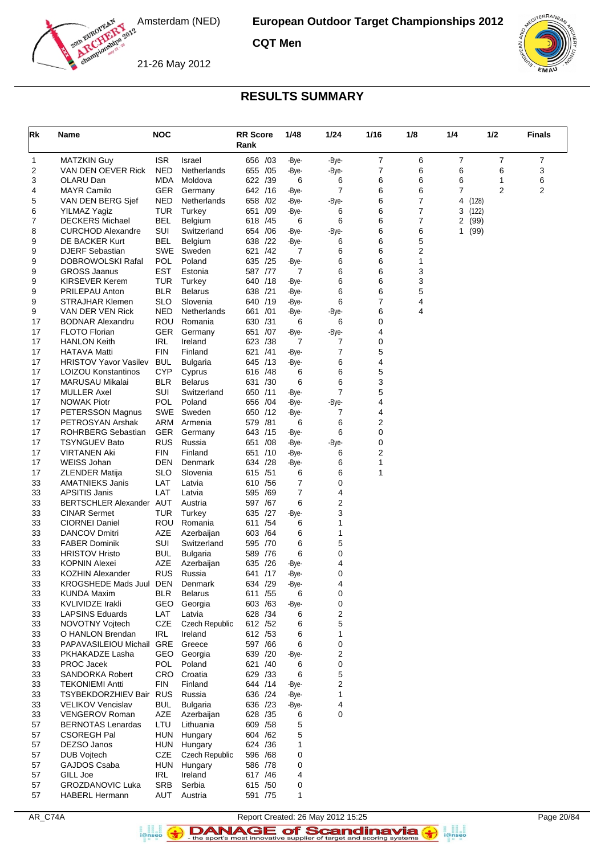

**CQT Men**





### **RESULTS SUMMARY**

| Rk       | Name                                              | <b>NOC</b>        |                       | <b>RR Score</b><br>Rank |            | 1/48           | $1/24$                      | 1/16           | 1/8    | 1/4          | 1/2           |                | <b>Finals</b> |
|----------|---------------------------------------------------|-------------------|-----------------------|-------------------------|------------|----------------|-----------------------------|----------------|--------|--------------|---------------|----------------|---------------|
| 1        | <b>MATZKIN Guy</b>                                | <b>ISR</b>        | Israel                | 656 /03                 |            | -Bye-          | -Bye-                       | $\overline{7}$ | 6      | 7            |               | 7              | 7             |
| 2        | VAN DEN OEVER Rick                                | <b>NED</b>        | Netherlands           | 655                     | /05        | -Bye-          | -Bye-                       | $\overline{7}$ | 6      | 6            |               | 6              | 3             |
| 3        | OLARU Dan                                         | MDA               | Moldova               | 622 /39                 |            | 6              | 6                           | 6              | 6      | 6            |               | 1              | 6             |
| 4        | <b>MAYR Camilo</b>                                | GER               | Germany               | 642 /16                 |            | -Bye-          | 7                           | 6              | 6      | 7            |               | $\overline{2}$ | 2             |
| 5        | VAN DEN BERG Sjef                                 | NED<br><b>TUR</b> | Netherlands           | 658                     | /02        | -Bye-          | -Bye-                       | 6<br>6         | 7<br>7 | 4            | (128)         |                |               |
| 6<br>7   | <b>YILMAZ Yagiz</b><br><b>DECKERS Michael</b>     | BEL               | Turkey<br>Belgium     | 651<br>618              | /09<br>/45 | -Bye-<br>6     | 6<br>6                      | 6              | 7      | 3<br>2       | (122)<br>(99) |                |               |
| 8        | <b>CURCHOD Alexandre</b>                          | <b>SUI</b>        | Switzerland           | 654 / 06                |            | -Bye-          | -Bye-                       | 6              | 6      | $\mathbf{1}$ | (99)          |                |               |
| 9        | DE BACKER Kurt                                    | <b>BEL</b>        | Belgium               | 638                     | /22        | -Bye-          | 6                           | 6              | 5      |              |               |                |               |
| 9        | <b>DJERF Sebastian</b>                            | SWE               | Sweden                | 621                     | /42        | 7              | 6                           | 6              | 2      |              |               |                |               |
| 9        | DOBROWOLSKI Rafal                                 | POL               | Poland                | 635 /25                 |            | -Bye-          | 6                           | 6              | 1      |              |               |                |               |
| 9        | <b>GROSS Jaanus</b>                               | EST               | Estonia               | 587 /77                 |            | 7              | 6                           | 6              | 3      |              |               |                |               |
| 9        | <b>KIRSEVER Kerem</b>                             | TUR               | Turkey                | 640                     | /18        | -Bye-          | 6                           | 6              | 3      |              |               |                |               |
| 9        | PRILEPAU Anton                                    | <b>BLR</b>        | <b>Belarus</b>        | 638 /21                 |            | -Bye-          | 6                           | 6              | 5      |              |               |                |               |
| 9        | <b>STRAJHAR Klemen</b>                            | <b>SLO</b>        | Slovenia              | 640                     | /19        | -Bye-          | 6                           | 7              | 4      |              |               |                |               |
| 9        | VAN DER VEN Rick<br><b>BODNAR Alexandru</b>       | NED<br>ROU        | Netherlands           | 661<br>630 /31          | /01        | -Bye-          | -Bye-                       | 6<br>0         | 4      |              |               |                |               |
| 17<br>17 | <b>FLOTO Florian</b>                              | GER               | Romania<br>Germany    | 651                     | /07        | 6<br>-Bye-     | 6<br>-Bye-                  | 4              |        |              |               |                |               |
| 17       | <b>HANLON Keith</b>                               | IRL               | Ireland               | 623                     | /38        | 7              | 7                           | 0              |        |              |               |                |               |
| 17       | <b>HATAVA Matti</b>                               | FIN               | Finland               | 621 /41                 |            | -Bye-          | 7                           | 5              |        |              |               |                |               |
| 17       | <b>HRISTOV Yavor Vasilev</b>                      | <b>BUL</b>        | <b>Bulgaria</b>       | 645                     | /13        | -Bye-          | 6                           | 4              |        |              |               |                |               |
| 17       | LOIZOU Konstantinos                               | <b>CYP</b>        | Cyprus                | 616 /48                 |            | 6              | 6                           | 5              |        |              |               |                |               |
| 17       | MARUSAU Mikalai                                   | BLR               | <b>Belarus</b>        | 631 /30                 |            | 6              | 6                           | 3              |        |              |               |                |               |
| 17       | <b>MULLER Axel</b>                                | SUI               | Switzerland           | 650 /11                 |            | -Bye-          | $\overline{7}$              | 5              |        |              |               |                |               |
| 17       | <b>NOWAK Piotr</b>                                | POL               | Poland                | 656                     | /04        | -Bye-          | -Bye-                       | 4              |        |              |               |                |               |
| 17       | PETERSSON Magnus                                  | SWE               | Sweden                | 650 /12                 |            | -Bye-          | 7                           | 4              |        |              |               |                |               |
| 17       | PETROSYAN Arshak                                  | ARM               | Armenia               | 579                     | /81        | 6              | 6                           | 2              |        |              |               |                |               |
| 17       | <b>ROHRBERG Sebastian</b>                         | <b>GER</b>        | Germany               | 643 /15                 |            | -Bye-          | 6                           | 0              |        |              |               |                |               |
| 17       | <b>TSYNGUEV Bato</b><br><b>VIRTANEN Aki</b>       | <b>RUS</b><br>FIN | Russia<br>Finland     | 651                     | /08        | -Bye-          | -Bye-                       | 0<br>2         |        |              |               |                |               |
| 17<br>17 | WEISS Johan                                       | DEN               | Denmark               | 651<br>634 /28          | /10        | -Bye-<br>-Bye- | 6<br>6                      | 1              |        |              |               |                |               |
| 17       | <b>ZLENDER Matija</b>                             | <b>SLO</b>        | Slovenia              | 615 /51                 |            | 6              | 6                           | 1              |        |              |               |                |               |
| 33       | <b>AMATNIEKS Janis</b>                            | LAT               | Latvia                | 610                     | /56        | 7              | 0                           |                |        |              |               |                |               |
| 33       | <b>APSITIS Janis</b>                              | LAT               | Latvia                | 595                     | /69        | 7              | 4                           |                |        |              |               |                |               |
| 33       | BERTSCHLER Alexander AUT                          |                   | Austria               | 597 /67                 |            | 6              | 2                           |                |        |              |               |                |               |
| 33       | <b>CINAR Sermet</b>                               | TUR               | Turkey                | 635                     | /27        | -Bye-          | 3                           |                |        |              |               |                |               |
| 33       | <b>CIORNEI Daniel</b>                             | ROU               | Romania               | 611 /54                 |            | 6              | 1                           |                |        |              |               |                |               |
| 33       | <b>DANCOV Dmitri</b>                              | AZE               | Azerbaijan            | 603                     | /64        | 6              | 1                           |                |        |              |               |                |               |
| 33       | <b>FABER Dominik</b>                              | <b>SUI</b>        | Switzerland           | 595 /70                 |            | 6              | 5                           |                |        |              |               |                |               |
| 33       | <b>HRISTOV Hristo</b>                             | BUL               | <b>Bulgaria</b>       | 589 /76                 |            | 6              | 0                           |                |        |              |               |                |               |
| 33<br>33 | <b>KOPNIN Alexei</b><br>KOZHIN Alexander          | AZE<br><b>RUS</b> | Azerbaijan<br>Russia  | 635<br>641 /17          | /26        | -Bye-<br>-Bye- | 4<br>0                      |                |        |              |               |                |               |
| 33       | KROGSHEDE Mads Juul                               | DEN               | Denmark               | 634 /29                 |            | -Bye-          | 4                           |                |        |              |               |                |               |
| 33       | <b>KUNDA Maxim</b>                                | <b>BLR</b>        | <b>Belarus</b>        | 611 /55                 |            | 6              | 0                           |                |        |              |               |                |               |
| 33       | KVLIVIDZE Irakli                                  | GEO               | Georgia               | 603 /63                 |            | -Bye-          | 0                           |                |        |              |               |                |               |
| 33       | <b>LAPSINS Eduards</b>                            | LAT               | Latvia                | 628 /34                 |            | 6              | 2                           |                |        |              |               |                |               |
| 33       | NOVOTNY Vojtech                                   | CZE               | <b>Czech Republic</b> | 612 /52                 |            | 6              | 5                           |                |        |              |               |                |               |
| 33       | O HANLON Brendan                                  | <b>IRL</b>        | Ireland               | 612 /53                 |            | 6              | 1                           |                |        |              |               |                |               |
| 33       | PAPAVASILEIOU Michail                             | GRE               | Greece                | 597 /66                 |            | 6              | 0                           |                |        |              |               |                |               |
| 33       | PKHAKADZE Lasha                                   | GEO               | Georgia               | 639 /20                 |            | -Bye-          | 2                           |                |        |              |               |                |               |
| 33       | PROC Jacek                                        | <b>POL</b>        | Poland                | 621 /40                 |            | 6              | 0                           |                |        |              |               |                |               |
| 33       | SANDORKA Robert                                   | CRO               | Croatia               | 629 /33                 |            | 6              | 5                           |                |        |              |               |                |               |
| 33<br>33 | <b>TEKONIEMI Antti</b><br>TSYBEKDORZHIEV Bair RUS | FIN               | Finland<br>Russia     | 644 /14<br>636 /24      |            | -Bye-<br>-Bye- | $\mathbf 2$<br>$\mathbf{1}$ |                |        |              |               |                |               |
| 33       | <b>VELIKOV Vencislav</b>                          | <b>BUL</b>        | <b>Bulgaria</b>       | 636 /23                 |            | -Bye-          | 4                           |                |        |              |               |                |               |
| 33       | <b>VENGEROV Roman</b>                             | AZE               | Azerbaijan            | 628 /35                 |            | 6              | 0                           |                |        |              |               |                |               |
| 57       | <b>BERNOTAS Lenardas</b>                          | LTU               | Lithuania             | 609 / 58                |            | 5              |                             |                |        |              |               |                |               |
| 57       | <b>CSOREGH Pal</b>                                | <b>HUN</b>        | Hungary               | 604 / 62                |            | 5              |                             |                |        |              |               |                |               |
| 57       | DEZSO Janos                                       | <b>HUN</b>        | Hungary               | 624 /36                 |            | 1              |                             |                |        |              |               |                |               |
| 57       | <b>DUB Vojtech</b>                                | CZE               | <b>Czech Republic</b> | 596 /68                 |            | 0              |                             |                |        |              |               |                |               |
| 57       | GAJDOS Csaba                                      | HUN               | Hungary               | 586 /78                 |            | 0              |                             |                |        |              |               |                |               |
| 57       | GILL Joe                                          | IRL               | Ireland               | 617 / 46                |            | 4              |                             |                |        |              |               |                |               |
| 57       | <b>GROZDANOVIC Luka</b>                           | <b>SRB</b>        | Serbia                | 615 /50                 |            | 0              |                             |                |        |              |               |                |               |
| 57       | <b>HABERL Hermann</b>                             | AUT               | Austria               | 591 /75                 |            | 1              |                             |                |        |              |               |                |               |

AR\_C74A Report Created: 26 May 2012 15:25 Page 20/84 **DANAGE of Scandinavia**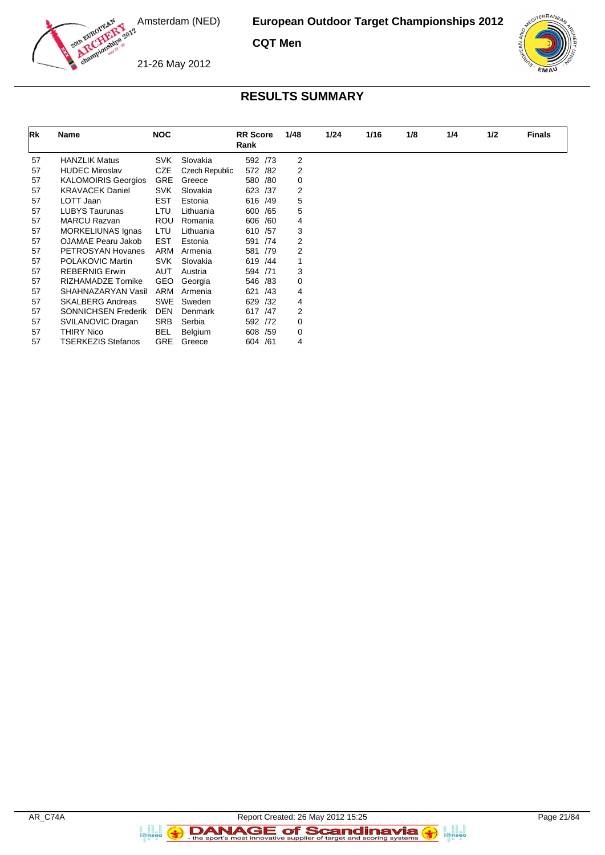

**CQT Men**





#### **RESULTS SUMMARY**

| Rk | <b>Name</b>                | <b>NOC</b> |                | <b>RR</b> Score |     | 1/48 | 1/24 | 1/16 | 1/8 | 1/4 | 1/2 | <b>Finals</b> |
|----|----------------------------|------------|----------------|-----------------|-----|------|------|------|-----|-----|-----|---------------|
|    |                            |            |                | Rank            |     |      |      |      |     |     |     |               |
| 57 | <b>HANZLIK Matus</b>       | <b>SVK</b> | Slovakia       | 592 /73         |     | 2    |      |      |     |     |     |               |
| 57 | <b>HUDEC Miroslav</b>      | CZE        | Czech Republic | 572 /82         |     | 2    |      |      |     |     |     |               |
| 57 | <b>KALOMOIRIS Georgios</b> | <b>GRE</b> | Greece         | 580 /80         |     | 0    |      |      |     |     |     |               |
| 57 | <b>KRAVACEK Daniel</b>     | <b>SVK</b> | Slovakia       | 623             | /37 | 2    |      |      |     |     |     |               |
| 57 | LOTT Jaan                  | <b>EST</b> | Estonia        | 616 /49         |     | 5    |      |      |     |     |     |               |
| 57 | <b>LUBYS Taurunas</b>      | <b>LTU</b> | Lithuania      | 600             | /65 | 5    |      |      |     |     |     |               |
| 57 | <b>MARCU Razvan</b>        | <b>ROU</b> | Romania        | 606             | /60 | 4    |      |      |     |     |     |               |
| 57 | <b>MORKELIUNAS Ignas</b>   | LTU        | Lithuania      | 610 /57         |     | 3    |      |      |     |     |     |               |
| 57 | OJAMAE Pearu Jakob         | EST        | Estonia        | 591             | /74 | 2    |      |      |     |     |     |               |
| 57 | PETROSYAN Hovanes          | ARM        | Armenia        | 581             | /79 | 2    |      |      |     |     |     |               |
| 57 | POLAKOVIC Martin           | <b>SVK</b> | Slovakia       | 619 /44         |     |      |      |      |     |     |     |               |
| 57 | <b>REBERNIG Erwin</b>      | AUT        | Austria        | 594             | /71 | 3    |      |      |     |     |     |               |
| 57 | RIZHAMADZE Tornike         | GEO        | Georgia        | 546             | /83 | 0    |      |      |     |     |     |               |
| 57 | SHAHNAZARYAN Vasil         | ARM        | Armenia        | 621             | /43 | 4    |      |      |     |     |     |               |
| 57 | <b>SKALBERG Andreas</b>    | SWE        | Sweden         | 629             | /32 | 4    |      |      |     |     |     |               |
| 57 | <b>SONNICHSEN Frederik</b> | <b>DEN</b> | Denmark        | 617 / 47        |     | 2    |      |      |     |     |     |               |
| 57 | SVILANOVIC Dragan          | <b>SRB</b> | Serbia         | 592 /72         |     | 0    |      |      |     |     |     |               |
| 57 | <b>THIRY Nico</b>          | BEL        | <b>Belgium</b> | 608             | /59 | 0    |      |      |     |     |     |               |
| 57 | <b>TSERKEZIS Stefanos</b>  | <b>GRE</b> | Greece         | 604 /61         |     | 4    |      |      |     |     |     |               |

a analis<br>i@nseo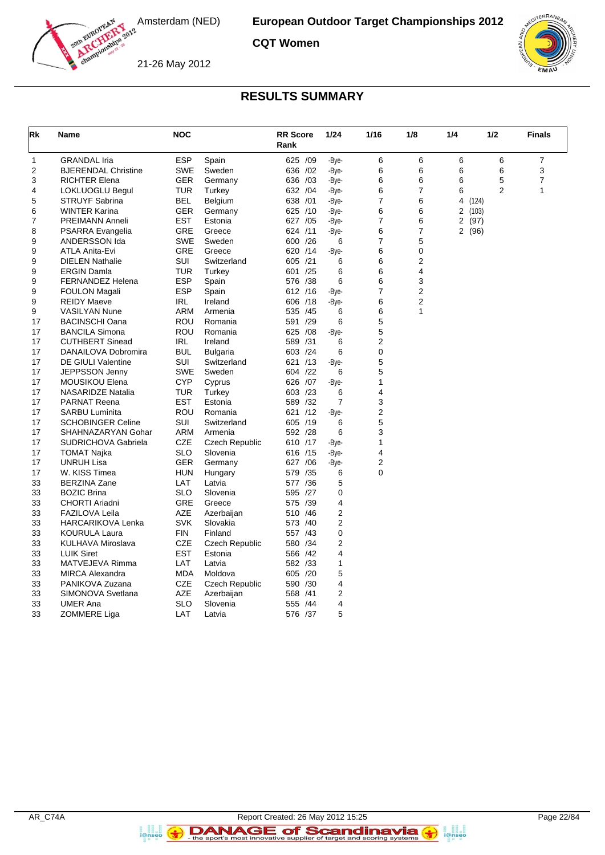

**CQT Women**

21-26 May 2012



### **RESULTS SUMMARY**

| Rk | Name                       | <b>NOC</b> |                | <b>RR</b> Score<br>Rank |     | 1/24   | 1/16           | 1/8            | 1/4    | 1/2            | <b>Finals</b>  |
|----|----------------------------|------------|----------------|-------------------------|-----|--------|----------------|----------------|--------|----------------|----------------|
| 1  | <b>GRANDAL Iria</b>        | <b>ESP</b> | Spain          | 625 /09                 |     | -Bye-  | 6              | 6              | 6      | 6              | $\overline{7}$ |
| 2  | <b>BJERENDAL Christine</b> | SWE        | Sweden         | 636 /02                 |     | -Bye-  | 6              | 6              | 6      | 6              | 3              |
| 3  | <b>RICHTER Elena</b>       | GER        | Germany        | 636 /03                 |     | -Bye-  | 6              | 6              | 6      | 5              | $\overline{7}$ |
| 4  | LOKLUOGLU Begul            | <b>TUR</b> | Turkey         | 632 /04                 |     | -Bye-  | 6              | $\overline{7}$ | 6      | $\overline{2}$ | 1              |
| 5  | <b>STRUYF Sabrina</b>      | <b>BEL</b> | Belgium        | 638 /01                 |     | -Bye-  | 7              | 6              | 4      | (124)          |                |
| 6  | <b>WINTER Karina</b>       | <b>GER</b> | Germany        | 625 /10                 |     | -Bye-  | 6              | 6              | 2      | (103)          |                |
| 7  | <b>PREIMANN Anneli</b>     | <b>EST</b> | Estonia        | 627 /05                 |     | -Bye-  | $\overline{7}$ | 6              | 2      | (97)           |                |
| 8  | PSARRA Evangelia           | GRE        | Greece         | 624 /11                 |     | -Bye-  | 6              | 7              | 2 (96) |                |                |
| 9  | ANDERSSON Ida              | <b>SWE</b> | Sweden         | 600                     | /26 | 6      | $\overline{7}$ | 5              |        |                |                |
| 9  | ATLA Anita-Evi             | <b>GRE</b> | Greece         | 620 /14                 |     | -Bye-  | 6              | 0              |        |                |                |
| 9  | <b>DIELEN Nathalie</b>     | SUI        | Switzerland    | 605 /21                 |     | 6      | 6              | 2              |        |                |                |
| 9  | <b>ERGIN Damla</b>         | <b>TUR</b> | Turkey         | 601 /25                 |     | 6      | 6              | 4              |        |                |                |
| 9  | <b>FERNANDEZ Helena</b>    | <b>ESP</b> | Spain          | 576 /38                 |     | 6      | 6              | 3              |        |                |                |
| 9  | <b>FOULON Magali</b>       | ESP        | Spain          | 612 /16                 |     | -Bye-  | 7              | 2              |        |                |                |
| 9  | <b>REIDY Maeve</b>         | IRL        | Ireland        | 606 /18                 |     | -Bye-  | 6              | 2              |        |                |                |
| 9  | <b>VASILYAN Nune</b>       | ARM        | Armenia        | 535 /45                 |     | 6      | 6              | 1              |        |                |                |
| 17 | <b>BACINSCHI Oana</b>      | <b>ROU</b> | Romania        | 591 /29                 |     | 6      | 5              |                |        |                |                |
| 17 | <b>BANCILA Simona</b>      | ROU        | Romania        | 625 /08                 |     | -Bye-  | 5              |                |        |                |                |
| 17 | <b>CUTHBERT Sinead</b>     | <b>IRL</b> | Ireland        | 589 /31                 |     | 6      | $\mathbf 2$    |                |        |                |                |
| 17 | DANAILOVA Dobromira        | <b>BUL</b> | Bulgaria       | 603 /24                 |     | 6      | 0              |                |        |                |                |
| 17 | <b>DE GIULI Valentine</b>  | <b>SUI</b> | Switzerland    | 621 /13                 |     | -Bye-  | 5              |                |        |                |                |
| 17 | JEPPSSON Jenny             | <b>SWE</b> | Sweden         | 604 /22                 |     | 6      | 5              |                |        |                |                |
| 17 | <b>MOUSIKOU Elena</b>      | <b>CYP</b> | Cyprus         | 626 /07                 |     | -Bye-  | 1              |                |        |                |                |
| 17 | <b>NASARIDZE Natalia</b>   | <b>TUR</b> | Turkey         | 603 /23                 |     | 6      | 4              |                |        |                |                |
| 17 | <b>PARNAT Reena</b>        | <b>EST</b> | Estonia        | 589 /32                 |     | 7      | 3              |                |        |                |                |
| 17 | <b>SARBU Luminita</b>      | ROU        | Romania        | 621 /12                 |     | -Bye-  | 2              |                |        |                |                |
| 17 | <b>SCHOBINGER Celine</b>   | SUI        | Switzerland    | 605 /19                 |     | 6      | 5              |                |        |                |                |
| 17 | SHAHNAZARYAN Gohar         | ARM        | Armenia        | 592 /28                 |     | 6      | 3              |                |        |                |                |
| 17 | <b>SUDRICHOVA Gabriela</b> | CZE        | Czech Republic | 610 /17                 |     | -Bye-  | 1              |                |        |                |                |
| 17 | <b>TOMAT Najka</b>         | <b>SLO</b> | Slovenia       | 616 /15                 |     | -Bye-  | 4              |                |        |                |                |
| 17 | <b>UNRUH Lisa</b>          | <b>GER</b> | Germany        | 627                     | /06 | -Bye-  | 2              |                |        |                |                |
| 17 | W. KISS Timea              | <b>HUN</b> | Hungary        | 579                     | /35 | 6      | 0              |                |        |                |                |
| 33 | <b>BERZINA Zane</b>        | LAT        | Latvia         | 577 /36                 |     | 5      |                |                |        |                |                |
| 33 | <b>BOZIC Brina</b>         | <b>SLO</b> | Slovenia       | 595 /27                 |     | 0      |                |                |        |                |                |
| 33 | <b>CHORTI Ariadni</b>      | <b>GRE</b> | Greece         | 575 /39                 |     | 4      |                |                |        |                |                |
| 33 | <b>FAZILOVA Leila</b>      | <b>AZE</b> | Azerbaijan     | 510                     | /46 | 2      |                |                |        |                |                |
| 33 | <b>HARCARIKOVA Lenka</b>   | SVK        | Slovakia       | 573 /40                 |     | 2      |                |                |        |                |                |
| 33 | <b>KOURULA Laura</b>       | FIN        | Finland        | 557 /43                 |     | 0      |                |                |        |                |                |
| 33 | KULHAVA Miroslava          | <b>CZE</b> | Czech Republic | 580 /34                 |     | 2      |                |                |        |                |                |
| 33 | <b>LUIK Siret</b>          | <b>EST</b> | Estonia        | 566 /42                 |     | 4      |                |                |        |                |                |
| 33 | MATVEJEVA Rimma            | LAT        | Latvia         | 582 /33                 |     | 1      |                |                |        |                |                |
| 33 | <b>MIRCA Alexandra</b>     | <b>MDA</b> | Moldova        | 605 /20                 |     | 5      |                |                |        |                |                |
| 33 | PANIKOVA Zuzana            | <b>CZE</b> | Czech Republic | 590 /30                 |     | 4      |                |                |        |                |                |
| 33 | SIMONOVA Svetlana          | AZE        | Azerbaijan     | 568                     | /41 | 2<br>4 |                |                |        |                |                |
| 33 | <b>UMER Ana</b>            | <b>SLO</b> | Slovenia       | 555 /44                 |     |        |                |                |        |                |                |
| 33 | ZOMMERE Liga               | LAT        | Latvia         | 576 /37                 |     | 5      |                |                |        |                |                |

a analis<br>i@nseo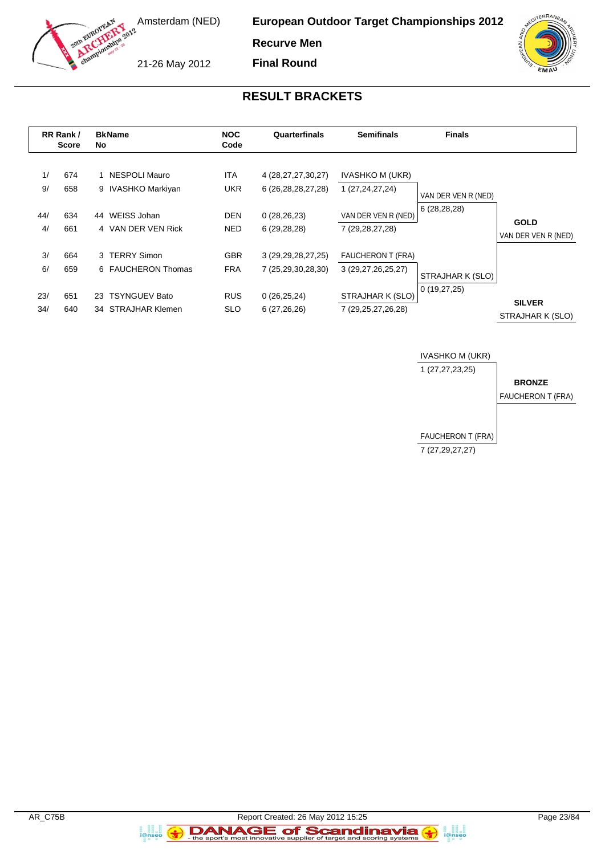

**Recurve Men Final Round**

21-26 May 2012

#### **RESULT BRACKETS**

|          | RR Rank /<br><b>Score</b> | No | <b>BkName</b>                         | <b>NOC</b><br>Code       | Quarterfinals                                    | <b>Semifinals</b>                         | <b>Finals</b>                        |                     |
|----------|---------------------------|----|---------------------------------------|--------------------------|--------------------------------------------------|-------------------------------------------|--------------------------------------|---------------------|
| 1/<br>9/ | 674<br>658                |    | 1 NESPOLI Mauro<br>9 IVASHKO Markiyan | <b>ITA</b><br><b>UKR</b> | 4 (28, 27, 27, 30, 27)<br>6 (26, 28, 28, 27, 28) | <b>IVASHKO M (UKR)</b><br>1 (27,24,27,24) | VAN DER VEN R (NED)<br>6(28, 28, 28) |                     |
| 44/      | 634                       | 44 | WEISS Johan                           | <b>DEN</b>               | 0(28, 26, 23)                                    | VAN DER VEN R (NED)                       |                                      | <b>GOLD</b>         |
| 4/       | 661                       |    | 4 VAN DER VEN Rick                    | <b>NED</b>               | 6(29, 28, 28)                                    | 7 (29, 28, 27, 28)                        |                                      | VAN DER VEN R (NED) |
| 3/       | 664                       |    | 3 TERRY Simon                         | <b>GBR</b>               | 3 (29, 29, 28, 27, 25)                           | <b>FAUCHERON T (FRA)</b>                  |                                      |                     |
| 6/       | 659                       |    | 6 FAUCHERON Thomas                    | <b>FRA</b>               | 7 (25,29,30,28,30)                               | 3 (29,27,26,25,27)                        | STRAJHAR K (SLO)                     |                     |
| 23/      | 651                       |    | 23 TSYNGUEV Bato                      | <b>RUS</b>               | 0(26, 25, 24)                                    | STRAJHAR K (SLO)                          | 0(19,27,25)                          | <b>SILVER</b>       |
| 34/      | 640                       |    | 34 STRAJHAR Klemen                    | <b>SLO</b>               | 6(27, 26, 26)                                    | 7 (29,25,27,26,28)                        |                                      | STRAJHAR K (SLO)    |



a anglica<br>i@nseo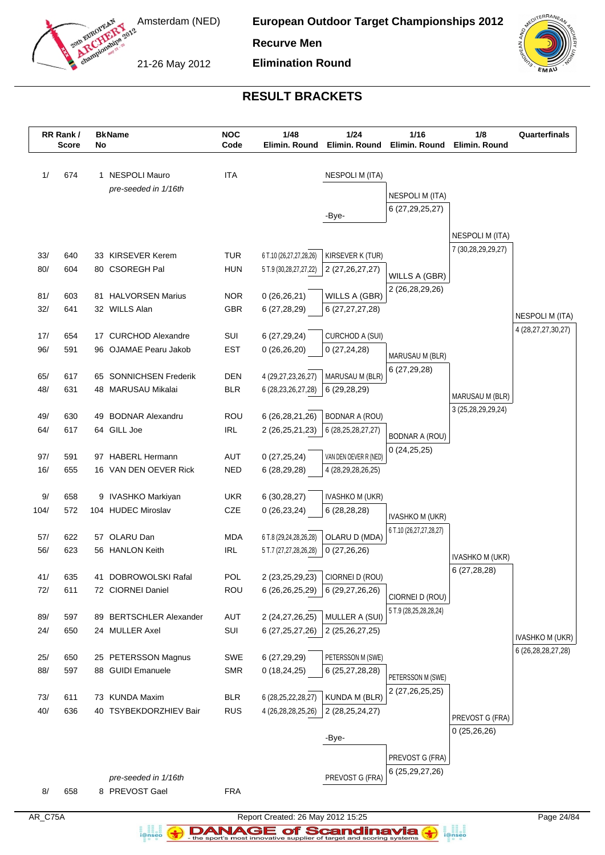

**European Outdoor Target Championships 2012**

**Recurve Men**

21-26 May 2012

**Elimination Round**



# **RESULT BRACKETS**

| <b>ITA</b><br><b>NESPOLI M (ITA)</b><br>1/<br>674<br>1 NESPOLI Mauro<br>pre-seeded in 1/16th<br>NESPOLI M (ITA)<br>6 (27, 29, 25, 27)<br>-Bye-<br><b>NESPOLI M (ITA)</b><br>7 (30,28,29,29,27)<br>33/<br><b>TUR</b><br>640<br>33 KIRSEVER Kerem<br>6 T.10 (26,27,27,28,26)<br>KIRSEVER K (TUR)<br>80/<br>80 CSOREGH Pal<br><b>HUN</b><br>604<br>5 T.9 (30,28,27,27,22)<br>2 (27, 26, 27, 27)<br>WILLS A (GBR)<br>2 (26,28,29,26)<br><b>NOR</b><br>81/<br>603<br>81 HALVORSEN Marius<br>0(26, 26, 21)<br>WILLS A (GBR)<br>32/<br>641<br>32 WILLS Alan<br><b>GBR</b><br>6 (27,28,29)<br>6 (27, 27, 27, 28)<br><b>NESPOLI M (ITA)</b><br>SUI<br>17/<br>654<br>17 CURCHOD Alexandre<br>6(27, 29, 24)<br>CURCHOD A (SUI)<br>96/<br>96 OJAMAE Pearu Jakob<br><b>EST</b><br>591<br>0(26,26,20)<br>0(27, 24, 28)<br>MARUSAU M (BLR)<br>6(27, 29, 28)<br>65/<br>65 SONNICHSEN Frederik<br><b>DEN</b><br>MARUSAU M (BLR)<br>617<br>4 (29,27,23,26,27)<br>48/<br>631<br>48 MARUSAU Mikalai<br><b>BLR</b><br>6 (28, 23, 26, 27, 28)<br>6(29, 28, 29)<br>MARUSAU M (BLR)<br>3 (25,28,29,29,24)<br>49 BODNAR Alexandru<br>ROU<br>49/<br>630<br>6 (26, 28, 21, 26)<br><b>BODNAR A (ROU)</b><br>64/<br>617<br>64 GILL Joe<br><b>IRL</b><br>2 (26,25,21,23)<br>6 (28, 25, 28, 27, 27)<br><b>BODNAR A (ROU)</b><br>0(24,25,25)<br>97 HABERL Hermann<br>AUT<br>VAN DEN OEVER R (NED)<br>97/<br>591<br>0(27, 25, 24)<br>16/<br><b>NED</b><br>655<br>16 VAN DEN OEVER Rick<br>6 (28,29,28)<br>4 (28,29,28,26,25) |      | RR Rank /<br><b>Score</b> | No | <b>BkName</b>      | <b>NOC</b><br>Code | 1/48<br>Elimin. Round | 1/24<br>Elimin. Round | 1/16<br>Elimin. Round | 1/8<br>Elimin. Round | Quarterfinals          |
|---------------------------------------------------------------------------------------------------------------------------------------------------------------------------------------------------------------------------------------------------------------------------------------------------------------------------------------------------------------------------------------------------------------------------------------------------------------------------------------------------------------------------------------------------------------------------------------------------------------------------------------------------------------------------------------------------------------------------------------------------------------------------------------------------------------------------------------------------------------------------------------------------------------------------------------------------------------------------------------------------------------------------------------------------------------------------------------------------------------------------------------------------------------------------------------------------------------------------------------------------------------------------------------------------------------------------------------------------------------------------------------------------------------------------------------------------------------------------------------------|------|---------------------------|----|--------------------|--------------------|-----------------------|-----------------------|-----------------------|----------------------|------------------------|
|                                                                                                                                                                                                                                                                                                                                                                                                                                                                                                                                                                                                                                                                                                                                                                                                                                                                                                                                                                                                                                                                                                                                                                                                                                                                                                                                                                                                                                                                                             |      |                           |    |                    |                    |                       |                       |                       |                      |                        |
|                                                                                                                                                                                                                                                                                                                                                                                                                                                                                                                                                                                                                                                                                                                                                                                                                                                                                                                                                                                                                                                                                                                                                                                                                                                                                                                                                                                                                                                                                             |      |                           |    |                    |                    |                       |                       |                       |                      |                        |
|                                                                                                                                                                                                                                                                                                                                                                                                                                                                                                                                                                                                                                                                                                                                                                                                                                                                                                                                                                                                                                                                                                                                                                                                                                                                                                                                                                                                                                                                                             |      |                           |    |                    |                    |                       |                       |                       |                      |                        |
|                                                                                                                                                                                                                                                                                                                                                                                                                                                                                                                                                                                                                                                                                                                                                                                                                                                                                                                                                                                                                                                                                                                                                                                                                                                                                                                                                                                                                                                                                             |      |                           |    |                    |                    |                       |                       |                       |                      |                        |
|                                                                                                                                                                                                                                                                                                                                                                                                                                                                                                                                                                                                                                                                                                                                                                                                                                                                                                                                                                                                                                                                                                                                                                                                                                                                                                                                                                                                                                                                                             |      |                           |    |                    |                    |                       |                       |                       |                      |                        |
|                                                                                                                                                                                                                                                                                                                                                                                                                                                                                                                                                                                                                                                                                                                                                                                                                                                                                                                                                                                                                                                                                                                                                                                                                                                                                                                                                                                                                                                                                             |      |                           |    |                    |                    |                       |                       |                       |                      |                        |
|                                                                                                                                                                                                                                                                                                                                                                                                                                                                                                                                                                                                                                                                                                                                                                                                                                                                                                                                                                                                                                                                                                                                                                                                                                                                                                                                                                                                                                                                                             |      |                           |    |                    |                    |                       |                       |                       |                      |                        |
|                                                                                                                                                                                                                                                                                                                                                                                                                                                                                                                                                                                                                                                                                                                                                                                                                                                                                                                                                                                                                                                                                                                                                                                                                                                                                                                                                                                                                                                                                             |      |                           |    |                    |                    |                       |                       |                       |                      |                        |
|                                                                                                                                                                                                                                                                                                                                                                                                                                                                                                                                                                                                                                                                                                                                                                                                                                                                                                                                                                                                                                                                                                                                                                                                                                                                                                                                                                                                                                                                                             |      |                           |    |                    |                    |                       |                       |                       |                      |                        |
|                                                                                                                                                                                                                                                                                                                                                                                                                                                                                                                                                                                                                                                                                                                                                                                                                                                                                                                                                                                                                                                                                                                                                                                                                                                                                                                                                                                                                                                                                             |      |                           |    |                    |                    |                       |                       |                       |                      |                        |
|                                                                                                                                                                                                                                                                                                                                                                                                                                                                                                                                                                                                                                                                                                                                                                                                                                                                                                                                                                                                                                                                                                                                                                                                                                                                                                                                                                                                                                                                                             |      |                           |    |                    |                    |                       |                       |                       |                      | 4 (28, 27, 27, 30, 27) |
|                                                                                                                                                                                                                                                                                                                                                                                                                                                                                                                                                                                                                                                                                                                                                                                                                                                                                                                                                                                                                                                                                                                                                                                                                                                                                                                                                                                                                                                                                             |      |                           |    |                    |                    |                       |                       |                       |                      |                        |
|                                                                                                                                                                                                                                                                                                                                                                                                                                                                                                                                                                                                                                                                                                                                                                                                                                                                                                                                                                                                                                                                                                                                                                                                                                                                                                                                                                                                                                                                                             |      |                           |    |                    |                    |                       |                       |                       |                      |                        |
|                                                                                                                                                                                                                                                                                                                                                                                                                                                                                                                                                                                                                                                                                                                                                                                                                                                                                                                                                                                                                                                                                                                                                                                                                                                                                                                                                                                                                                                                                             |      |                           |    |                    |                    |                       |                       |                       |                      |                        |
|                                                                                                                                                                                                                                                                                                                                                                                                                                                                                                                                                                                                                                                                                                                                                                                                                                                                                                                                                                                                                                                                                                                                                                                                                                                                                                                                                                                                                                                                                             |      |                           |    |                    |                    |                       |                       |                       |                      |                        |
|                                                                                                                                                                                                                                                                                                                                                                                                                                                                                                                                                                                                                                                                                                                                                                                                                                                                                                                                                                                                                                                                                                                                                                                                                                                                                                                                                                                                                                                                                             |      |                           |    |                    |                    |                       |                       |                       |                      |                        |
|                                                                                                                                                                                                                                                                                                                                                                                                                                                                                                                                                                                                                                                                                                                                                                                                                                                                                                                                                                                                                                                                                                                                                                                                                                                                                                                                                                                                                                                                                             |      |                           |    |                    |                    |                       |                       |                       |                      |                        |
|                                                                                                                                                                                                                                                                                                                                                                                                                                                                                                                                                                                                                                                                                                                                                                                                                                                                                                                                                                                                                                                                                                                                                                                                                                                                                                                                                                                                                                                                                             |      |                           |    |                    |                    |                       |                       |                       |                      |                        |
|                                                                                                                                                                                                                                                                                                                                                                                                                                                                                                                                                                                                                                                                                                                                                                                                                                                                                                                                                                                                                                                                                                                                                                                                                                                                                                                                                                                                                                                                                             |      |                           |    |                    |                    |                       |                       |                       |                      |                        |
|                                                                                                                                                                                                                                                                                                                                                                                                                                                                                                                                                                                                                                                                                                                                                                                                                                                                                                                                                                                                                                                                                                                                                                                                                                                                                                                                                                                                                                                                                             |      |                           |    |                    |                    |                       |                       |                       |                      |                        |
|                                                                                                                                                                                                                                                                                                                                                                                                                                                                                                                                                                                                                                                                                                                                                                                                                                                                                                                                                                                                                                                                                                                                                                                                                                                                                                                                                                                                                                                                                             |      |                           |    |                    |                    |                       |                       |                       |                      |                        |
|                                                                                                                                                                                                                                                                                                                                                                                                                                                                                                                                                                                                                                                                                                                                                                                                                                                                                                                                                                                                                                                                                                                                                                                                                                                                                                                                                                                                                                                                                             | $9/$ | 658                       |    | 9 IVASHKO Markiyan | <b>UKR</b>         | 6(30, 28, 27)         | IVASHKO M (UKR)       |                       |                      |                        |
| 572<br>104 HUDEC Miroslav<br>CZE<br>104/<br>0(26, 23, 24)<br>6 (28,28,28)<br><b>IVASHKO M (UKR)</b>                                                                                                                                                                                                                                                                                                                                                                                                                                                                                                                                                                                                                                                                                                                                                                                                                                                                                                                                                                                                                                                                                                                                                                                                                                                                                                                                                                                         |      |                           |    |                    |                    |                       |                       |                       |                      |                        |
| 6 T.10 (26,27,27,28,27)                                                                                                                                                                                                                                                                                                                                                                                                                                                                                                                                                                                                                                                                                                                                                                                                                                                                                                                                                                                                                                                                                                                                                                                                                                                                                                                                                                                                                                                                     |      |                           |    |                    |                    |                       |                       |                       |                      |                        |
| OLARU Dan<br><b>MDA</b><br>OLARU D (MDA)<br>57/<br>622<br>6 T.8 (29,24,28,26,28)<br>57<br>56/                                                                                                                                                                                                                                                                                                                                                                                                                                                                                                                                                                                                                                                                                                                                                                                                                                                                                                                                                                                                                                                                                                                                                                                                                                                                                                                                                                                               |      |                           |    |                    |                    |                       |                       |                       |                      |                        |
| <b>IRL</b><br>623<br>56 HANLON Keith<br>5 T.7 (27,27,28,26,28)<br>0(27,26,26)<br><b>IVASHKO M (UKR)</b>                                                                                                                                                                                                                                                                                                                                                                                                                                                                                                                                                                                                                                                                                                                                                                                                                                                                                                                                                                                                                                                                                                                                                                                                                                                                                                                                                                                     |      |                           |    |                    |                    |                       |                       |                       |                      |                        |
| 6(27, 28, 28)<br><b>POL</b><br>2 (23,25,29,23) CIORNEI D (ROU)<br>635<br>41 DOBROWOLSKI Rafal<br>41/                                                                                                                                                                                                                                                                                                                                                                                                                                                                                                                                                                                                                                                                                                                                                                                                                                                                                                                                                                                                                                                                                                                                                                                                                                                                                                                                                                                        |      |                           |    |                    |                    |                       |                       |                       |                      |                        |
| ROU<br>72/<br>611<br>72 CIORNEI Daniel<br>$6(26,26,25,29)$ 6 (29,27,26,26)                                                                                                                                                                                                                                                                                                                                                                                                                                                                                                                                                                                                                                                                                                                                                                                                                                                                                                                                                                                                                                                                                                                                                                                                                                                                                                                                                                                                                  |      |                           |    |                    |                    |                       |                       |                       |                      |                        |
| CIORNEI D (ROU)<br>5 T.9 (28,25,28,28,24)                                                                                                                                                                                                                                                                                                                                                                                                                                                                                                                                                                                                                                                                                                                                                                                                                                                                                                                                                                                                                                                                                                                                                                                                                                                                                                                                                                                                                                                   |      |                           |    |                    |                    |                       |                       |                       |                      |                        |
| <b>AUT</b><br>MULLER A (SUI)<br>89/<br>597<br>89 BERTSCHLER Alexander<br>2 (24,27,26,25)                                                                                                                                                                                                                                                                                                                                                                                                                                                                                                                                                                                                                                                                                                                                                                                                                                                                                                                                                                                                                                                                                                                                                                                                                                                                                                                                                                                                    |      |                           |    |                    |                    |                       |                       |                       |                      |                        |
| 24/<br>650<br>SUI<br>24 MULLER Axel<br>6 (27, 25, 27, 26)<br>2 (25,26,27,25)                                                                                                                                                                                                                                                                                                                                                                                                                                                                                                                                                                                                                                                                                                                                                                                                                                                                                                                                                                                                                                                                                                                                                                                                                                                                                                                                                                                                                |      |                           |    |                    |                    |                       |                       |                       |                      | <b>IVASHKO M (UKR)</b> |
| PETERSSON M (SWE)<br>25/<br>650<br>25 PETERSSON Magnus<br>SWE<br>6 (27,29,29)                                                                                                                                                                                                                                                                                                                                                                                                                                                                                                                                                                                                                                                                                                                                                                                                                                                                                                                                                                                                                                                                                                                                                                                                                                                                                                                                                                                                               |      |                           |    |                    |                    |                       |                       |                       |                      | 6 (26, 28, 28, 27, 28) |
| 88/<br>88 GUIDI Emanuele<br>597<br><b>SMR</b><br>0(18, 24, 25)<br>6 (25, 27, 28, 28)                                                                                                                                                                                                                                                                                                                                                                                                                                                                                                                                                                                                                                                                                                                                                                                                                                                                                                                                                                                                                                                                                                                                                                                                                                                                                                                                                                                                        |      |                           |    |                    |                    |                       |                       |                       |                      |                        |
| PETERSSON M (SWE)                                                                                                                                                                                                                                                                                                                                                                                                                                                                                                                                                                                                                                                                                                                                                                                                                                                                                                                                                                                                                                                                                                                                                                                                                                                                                                                                                                                                                                                                           |      |                           |    |                    |                    |                       |                       |                       |                      |                        |
| 2 (27,26,25,25)<br>73 KUNDA Maxim<br>KUNDA M (BLR)<br>73/<br><b>BLR</b><br>6 (28, 25, 22, 28, 27)<br>611                                                                                                                                                                                                                                                                                                                                                                                                                                                                                                                                                                                                                                                                                                                                                                                                                                                                                                                                                                                                                                                                                                                                                                                                                                                                                                                                                                                    |      |                           |    |                    |                    |                       |                       |                       |                      |                        |
| 40/<br>636<br>40 TSYBEKDORZHIEV Bair<br><b>RUS</b><br>2 (28, 25, 24, 27)<br>4 (26, 28, 28, 25, 26)<br>PREVOST G (FRA)                                                                                                                                                                                                                                                                                                                                                                                                                                                                                                                                                                                                                                                                                                                                                                                                                                                                                                                                                                                                                                                                                                                                                                                                                                                                                                                                                                       |      |                           |    |                    |                    |                       |                       |                       |                      |                        |
| 0(25,26,26)                                                                                                                                                                                                                                                                                                                                                                                                                                                                                                                                                                                                                                                                                                                                                                                                                                                                                                                                                                                                                                                                                                                                                                                                                                                                                                                                                                                                                                                                                 |      |                           |    |                    |                    |                       |                       |                       |                      |                        |
| -Bye-                                                                                                                                                                                                                                                                                                                                                                                                                                                                                                                                                                                                                                                                                                                                                                                                                                                                                                                                                                                                                                                                                                                                                                                                                                                                                                                                                                                                                                                                                       |      |                           |    |                    |                    |                       |                       |                       |                      |                        |
| PREVOST G (FRA)                                                                                                                                                                                                                                                                                                                                                                                                                                                                                                                                                                                                                                                                                                                                                                                                                                                                                                                                                                                                                                                                                                                                                                                                                                                                                                                                                                                                                                                                             |      |                           |    |                    |                    |                       |                       |                       |                      |                        |
| 6 (25, 29, 27, 26)<br>PREVOST G (FRA)<br>pre-seeded in 1/16th                                                                                                                                                                                                                                                                                                                                                                                                                                                                                                                                                                                                                                                                                                                                                                                                                                                                                                                                                                                                                                                                                                                                                                                                                                                                                                                                                                                                                               |      |                           |    |                    |                    |                       |                       |                       |                      |                        |
| <b>FRA</b><br>8/<br>658<br>8 PREVOST Gael                                                                                                                                                                                                                                                                                                                                                                                                                                                                                                                                                                                                                                                                                                                                                                                                                                                                                                                                                                                                                                                                                                                                                                                                                                                                                                                                                                                                                                                   |      |                           |    |                    |                    |                       |                       |                       |                      |                        |

a analis<br>i@nseo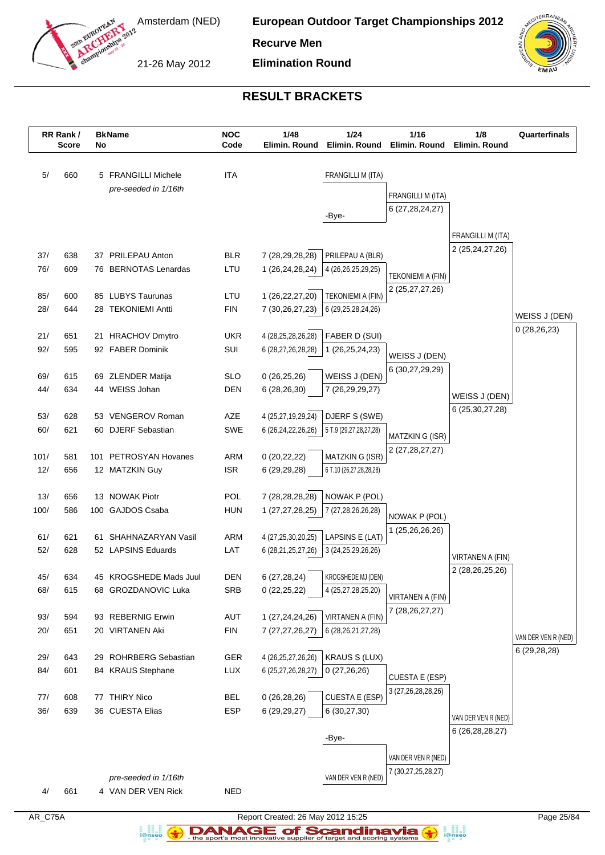

**European Outdoor Target Championships 2012**

**Recurve Men**

21-26 May 2012

**Elimination Round**



# **RESULT BRACKETS**

| 5/<br><b>ITA</b><br>FRANGILLI M (ITA)<br>660<br>5 FRANGILLI Michele<br>pre-seeded in 1/16th<br>FRANGILLI M (ITA)<br>6 (27, 28, 24, 27)<br>-Bye-<br>FRANGILLI M (ITA)<br>2 (25, 24, 27, 26)<br><b>BLR</b><br>PRILEPAU A (BLR)<br>37/<br>638<br>37 PRILEPAU Anton<br>7 (28,29,28,28)<br>76/<br>609<br>76 BERNOTAS Lenardas<br>LTU<br>1 (26,24,28,24)<br>4 (26,26,25,29,25)<br><b>TEKONIEMI A (FIN)</b><br>2 (25,27,27,26)<br>85/<br>85 LUBYS Taurunas<br>LTU<br>1 (26,22,27,20)<br>600<br><b>TEKONIEMI A (FIN)</b><br>28/<br>644<br>28 TEKONIEMI Antti<br><b>FIN</b><br>7 (30,26,27,23)<br>6 (29, 25, 28, 24, 26)<br>WEISS J (DEN)<br>0(28, 26, 23)<br>21/<br><b>UKR</b><br>FABER D (SUI)<br>651<br>21 HRACHOV Dmytro<br>4 (28,25,28,26,28)<br>92/<br>595<br>92 FABER Dominik<br>SUI<br>1 (26,25,24,23)<br>6 (28,27,26,28,28)<br>WEISS J (DEN)<br>6 (30,27,29,29)<br>WEISS J (DEN)<br><b>SLO</b><br>69/<br>69 ZLENDER Matija<br>0(26, 25, 26)<br>615<br>44/<br>44 WEISS Johan<br>634<br><b>DEN</b><br>6 (28,26,30)<br>7 (26,29,29,27)<br>WEISS J (DEN)<br>6 (25, 30, 27, 28)<br>53/<br>53 VENGEROV Roman<br>AZE<br>4 (25,27,19,29,24)<br>DJERF S (SWE)<br>628<br>60/<br>621<br>60 DJERF Sebastian<br>SWE<br>6 (26, 24, 22, 26, 26)<br>5 T.9 (29,27,28,27,28)<br>MATZKIN G (ISR)<br>2 (27, 28, 27, 27)<br>ARM<br>MATZKIN G (ISR)<br>101/<br>581<br>101 PETROSYAN Hovanes<br>0(20, 22, 22)<br>12/<br><b>ISR</b><br>656<br>12 MATZKIN Guy<br>6 (29,29,28)<br>6 T.10 (26,27,28,28,28)<br>13/<br>13 NOWAK Piotr<br>POL<br>NOWAK P (POL)<br>656<br>7 (28,28,28,28)<br>100/<br>100 GAJDOS Csaba<br><b>HUN</b><br>586<br>1 (27,27,28,25)<br>7 (27,28,26,26,28)<br>NOWAK P (POL)<br>1 (25,26,26,26)<br>61/<br>ARM<br>LAPSINS E (LAT)<br>621<br>61 SHAHNAZARYAN Vasil<br>4 (27,25,30,20,25)<br>52/<br>52 LAPSINS Eduards<br>LAT<br>628<br>6 (28,21,25,27,26)<br>3 (24, 25, 29, 26, 26)<br>VIRTANEN A (FIN)<br>2 (28,26,25,26)<br>KROGSHEDE MJ (DEN)<br><b>DEN</b><br>6 (27,28,24)<br>45 KROGSHEDE Mads Juul<br>45/<br>634<br>68/<br>68 GROZDANOVIC Luka<br><b>SRB</b><br>4 (25,27,28,25,20)<br>615<br>0(22, 25, 22)<br>VIRTANEN A (FIN)<br>7 (28, 26, 27, 27)<br>93/<br>594<br>93 REBERNIG Erwin<br><b>AUT</b><br>1 (27,24,24,26)<br>VIRTANEN A (FIN)<br>20/<br><b>FIN</b><br>651<br>20 VIRTANEN Aki<br>6 (28, 26, 21, 27, 28)<br>7 (27, 27, 26, 27)<br>VAN DER VEN R (NED)<br>6 (29,28,28)<br><b>GER</b><br><b>KRAUS S (LUX)</b><br>29/<br>643<br>29 ROHRBERG Sebastian<br>4 (26, 25, 27, 26, 26)<br>84/<br>LUX<br>601<br>84 KRAUS Stephane<br>6 (25,27,26,28,27)<br>0(27,26,26)<br><b>CUESTA E (ESP)</b><br>3 (27, 26, 28, 28, 26)<br>77 THIRY Nico<br>CUESTA E (ESP)<br>77/<br><b>BEL</b><br>0(26, 28, 26)<br>608<br>36/<br>36 CUESTA Elias<br><b>ESP</b><br>639<br>6 (30,27,30)<br>6 (29, 29, 27)<br>VAN DER VEN R (NED)<br>6 (26, 28, 28, 27)<br>-Bye-<br>VAN DER VEN R (NED)<br>7 (30,27,25,28,27)<br>VAN DER VEN R (NED)<br>pre-seeded in 1/16th<br>661<br><b>NED</b><br>4/<br>4 VAN DER VEN Rick | RR Rank /<br><b>Score</b> | No | <b>BkName</b> | <b>NOC</b><br>Code | 1/48<br>Elimin. Round | $1/24$<br>Elimin. Round | 1/16<br>Elimin. Round | 1/8<br>Elimin. Round | Quarterfinals |
|----------------------------------------------------------------------------------------------------------------------------------------------------------------------------------------------------------------------------------------------------------------------------------------------------------------------------------------------------------------------------------------------------------------------------------------------------------------------------------------------------------------------------------------------------------------------------------------------------------------------------------------------------------------------------------------------------------------------------------------------------------------------------------------------------------------------------------------------------------------------------------------------------------------------------------------------------------------------------------------------------------------------------------------------------------------------------------------------------------------------------------------------------------------------------------------------------------------------------------------------------------------------------------------------------------------------------------------------------------------------------------------------------------------------------------------------------------------------------------------------------------------------------------------------------------------------------------------------------------------------------------------------------------------------------------------------------------------------------------------------------------------------------------------------------------------------------------------------------------------------------------------------------------------------------------------------------------------------------------------------------------------------------------------------------------------------------------------------------------------------------------------------------------------------------------------------------------------------------------------------------------------------------------------------------------------------------------------------------------------------------------------------------------------------------------------------------------------------------------------------------------------------------------------------------------------------------------------------------------------------------------------------------------------------------------------------------------------------------------------------------------------------------------------------------------------------------------------------------------------------------------------------------------------------------------------------------------------------------------------------|---------------------------|----|---------------|--------------------|-----------------------|-------------------------|-----------------------|----------------------|---------------|
|                                                                                                                                                                                                                                                                                                                                                                                                                                                                                                                                                                                                                                                                                                                                                                                                                                                                                                                                                                                                                                                                                                                                                                                                                                                                                                                                                                                                                                                                                                                                                                                                                                                                                                                                                                                                                                                                                                                                                                                                                                                                                                                                                                                                                                                                                                                                                                                                                                                                                                                                                                                                                                                                                                                                                                                                                                                                                                                                                                                              |                           |    |               |                    |                       |                         |                       |                      |               |
|                                                                                                                                                                                                                                                                                                                                                                                                                                                                                                                                                                                                                                                                                                                                                                                                                                                                                                                                                                                                                                                                                                                                                                                                                                                                                                                                                                                                                                                                                                                                                                                                                                                                                                                                                                                                                                                                                                                                                                                                                                                                                                                                                                                                                                                                                                                                                                                                                                                                                                                                                                                                                                                                                                                                                                                                                                                                                                                                                                                              |                           |    |               |                    |                       |                         |                       |                      |               |
|                                                                                                                                                                                                                                                                                                                                                                                                                                                                                                                                                                                                                                                                                                                                                                                                                                                                                                                                                                                                                                                                                                                                                                                                                                                                                                                                                                                                                                                                                                                                                                                                                                                                                                                                                                                                                                                                                                                                                                                                                                                                                                                                                                                                                                                                                                                                                                                                                                                                                                                                                                                                                                                                                                                                                                                                                                                                                                                                                                                              |                           |    |               |                    |                       |                         |                       |                      |               |
|                                                                                                                                                                                                                                                                                                                                                                                                                                                                                                                                                                                                                                                                                                                                                                                                                                                                                                                                                                                                                                                                                                                                                                                                                                                                                                                                                                                                                                                                                                                                                                                                                                                                                                                                                                                                                                                                                                                                                                                                                                                                                                                                                                                                                                                                                                                                                                                                                                                                                                                                                                                                                                                                                                                                                                                                                                                                                                                                                                                              |                           |    |               |                    |                       |                         |                       |                      |               |
|                                                                                                                                                                                                                                                                                                                                                                                                                                                                                                                                                                                                                                                                                                                                                                                                                                                                                                                                                                                                                                                                                                                                                                                                                                                                                                                                                                                                                                                                                                                                                                                                                                                                                                                                                                                                                                                                                                                                                                                                                                                                                                                                                                                                                                                                                                                                                                                                                                                                                                                                                                                                                                                                                                                                                                                                                                                                                                                                                                                              |                           |    |               |                    |                       |                         |                       |                      |               |
|                                                                                                                                                                                                                                                                                                                                                                                                                                                                                                                                                                                                                                                                                                                                                                                                                                                                                                                                                                                                                                                                                                                                                                                                                                                                                                                                                                                                                                                                                                                                                                                                                                                                                                                                                                                                                                                                                                                                                                                                                                                                                                                                                                                                                                                                                                                                                                                                                                                                                                                                                                                                                                                                                                                                                                                                                                                                                                                                                                                              |                           |    |               |                    |                       |                         |                       |                      |               |
|                                                                                                                                                                                                                                                                                                                                                                                                                                                                                                                                                                                                                                                                                                                                                                                                                                                                                                                                                                                                                                                                                                                                                                                                                                                                                                                                                                                                                                                                                                                                                                                                                                                                                                                                                                                                                                                                                                                                                                                                                                                                                                                                                                                                                                                                                                                                                                                                                                                                                                                                                                                                                                                                                                                                                                                                                                                                                                                                                                                              |                           |    |               |                    |                       |                         |                       |                      |               |
|                                                                                                                                                                                                                                                                                                                                                                                                                                                                                                                                                                                                                                                                                                                                                                                                                                                                                                                                                                                                                                                                                                                                                                                                                                                                                                                                                                                                                                                                                                                                                                                                                                                                                                                                                                                                                                                                                                                                                                                                                                                                                                                                                                                                                                                                                                                                                                                                                                                                                                                                                                                                                                                                                                                                                                                                                                                                                                                                                                                              |                           |    |               |                    |                       |                         |                       |                      |               |
|                                                                                                                                                                                                                                                                                                                                                                                                                                                                                                                                                                                                                                                                                                                                                                                                                                                                                                                                                                                                                                                                                                                                                                                                                                                                                                                                                                                                                                                                                                                                                                                                                                                                                                                                                                                                                                                                                                                                                                                                                                                                                                                                                                                                                                                                                                                                                                                                                                                                                                                                                                                                                                                                                                                                                                                                                                                                                                                                                                                              |                           |    |               |                    |                       |                         |                       |                      |               |
|                                                                                                                                                                                                                                                                                                                                                                                                                                                                                                                                                                                                                                                                                                                                                                                                                                                                                                                                                                                                                                                                                                                                                                                                                                                                                                                                                                                                                                                                                                                                                                                                                                                                                                                                                                                                                                                                                                                                                                                                                                                                                                                                                                                                                                                                                                                                                                                                                                                                                                                                                                                                                                                                                                                                                                                                                                                                                                                                                                                              |                           |    |               |                    |                       |                         |                       |                      |               |
|                                                                                                                                                                                                                                                                                                                                                                                                                                                                                                                                                                                                                                                                                                                                                                                                                                                                                                                                                                                                                                                                                                                                                                                                                                                                                                                                                                                                                                                                                                                                                                                                                                                                                                                                                                                                                                                                                                                                                                                                                                                                                                                                                                                                                                                                                                                                                                                                                                                                                                                                                                                                                                                                                                                                                                                                                                                                                                                                                                                              |                           |    |               |                    |                       |                         |                       |                      |               |
|                                                                                                                                                                                                                                                                                                                                                                                                                                                                                                                                                                                                                                                                                                                                                                                                                                                                                                                                                                                                                                                                                                                                                                                                                                                                                                                                                                                                                                                                                                                                                                                                                                                                                                                                                                                                                                                                                                                                                                                                                                                                                                                                                                                                                                                                                                                                                                                                                                                                                                                                                                                                                                                                                                                                                                                                                                                                                                                                                                                              |                           |    |               |                    |                       |                         |                       |                      |               |
|                                                                                                                                                                                                                                                                                                                                                                                                                                                                                                                                                                                                                                                                                                                                                                                                                                                                                                                                                                                                                                                                                                                                                                                                                                                                                                                                                                                                                                                                                                                                                                                                                                                                                                                                                                                                                                                                                                                                                                                                                                                                                                                                                                                                                                                                                                                                                                                                                                                                                                                                                                                                                                                                                                                                                                                                                                                                                                                                                                                              |                           |    |               |                    |                       |                         |                       |                      |               |
|                                                                                                                                                                                                                                                                                                                                                                                                                                                                                                                                                                                                                                                                                                                                                                                                                                                                                                                                                                                                                                                                                                                                                                                                                                                                                                                                                                                                                                                                                                                                                                                                                                                                                                                                                                                                                                                                                                                                                                                                                                                                                                                                                                                                                                                                                                                                                                                                                                                                                                                                                                                                                                                                                                                                                                                                                                                                                                                                                                                              |                           |    |               |                    |                       |                         |                       |                      |               |
|                                                                                                                                                                                                                                                                                                                                                                                                                                                                                                                                                                                                                                                                                                                                                                                                                                                                                                                                                                                                                                                                                                                                                                                                                                                                                                                                                                                                                                                                                                                                                                                                                                                                                                                                                                                                                                                                                                                                                                                                                                                                                                                                                                                                                                                                                                                                                                                                                                                                                                                                                                                                                                                                                                                                                                                                                                                                                                                                                                                              |                           |    |               |                    |                       |                         |                       |                      |               |
|                                                                                                                                                                                                                                                                                                                                                                                                                                                                                                                                                                                                                                                                                                                                                                                                                                                                                                                                                                                                                                                                                                                                                                                                                                                                                                                                                                                                                                                                                                                                                                                                                                                                                                                                                                                                                                                                                                                                                                                                                                                                                                                                                                                                                                                                                                                                                                                                                                                                                                                                                                                                                                                                                                                                                                                                                                                                                                                                                                                              |                           |    |               |                    |                       |                         |                       |                      |               |
|                                                                                                                                                                                                                                                                                                                                                                                                                                                                                                                                                                                                                                                                                                                                                                                                                                                                                                                                                                                                                                                                                                                                                                                                                                                                                                                                                                                                                                                                                                                                                                                                                                                                                                                                                                                                                                                                                                                                                                                                                                                                                                                                                                                                                                                                                                                                                                                                                                                                                                                                                                                                                                                                                                                                                                                                                                                                                                                                                                                              |                           |    |               |                    |                       |                         |                       |                      |               |
|                                                                                                                                                                                                                                                                                                                                                                                                                                                                                                                                                                                                                                                                                                                                                                                                                                                                                                                                                                                                                                                                                                                                                                                                                                                                                                                                                                                                                                                                                                                                                                                                                                                                                                                                                                                                                                                                                                                                                                                                                                                                                                                                                                                                                                                                                                                                                                                                                                                                                                                                                                                                                                                                                                                                                                                                                                                                                                                                                                                              |                           |    |               |                    |                       |                         |                       |                      |               |
|                                                                                                                                                                                                                                                                                                                                                                                                                                                                                                                                                                                                                                                                                                                                                                                                                                                                                                                                                                                                                                                                                                                                                                                                                                                                                                                                                                                                                                                                                                                                                                                                                                                                                                                                                                                                                                                                                                                                                                                                                                                                                                                                                                                                                                                                                                                                                                                                                                                                                                                                                                                                                                                                                                                                                                                                                                                                                                                                                                                              |                           |    |               |                    |                       |                         |                       |                      |               |
|                                                                                                                                                                                                                                                                                                                                                                                                                                                                                                                                                                                                                                                                                                                                                                                                                                                                                                                                                                                                                                                                                                                                                                                                                                                                                                                                                                                                                                                                                                                                                                                                                                                                                                                                                                                                                                                                                                                                                                                                                                                                                                                                                                                                                                                                                                                                                                                                                                                                                                                                                                                                                                                                                                                                                                                                                                                                                                                                                                                              |                           |    |               |                    |                       |                         |                       |                      |               |
|                                                                                                                                                                                                                                                                                                                                                                                                                                                                                                                                                                                                                                                                                                                                                                                                                                                                                                                                                                                                                                                                                                                                                                                                                                                                                                                                                                                                                                                                                                                                                                                                                                                                                                                                                                                                                                                                                                                                                                                                                                                                                                                                                                                                                                                                                                                                                                                                                                                                                                                                                                                                                                                                                                                                                                                                                                                                                                                                                                                              |                           |    |               |                    |                       |                         |                       |                      |               |
|                                                                                                                                                                                                                                                                                                                                                                                                                                                                                                                                                                                                                                                                                                                                                                                                                                                                                                                                                                                                                                                                                                                                                                                                                                                                                                                                                                                                                                                                                                                                                                                                                                                                                                                                                                                                                                                                                                                                                                                                                                                                                                                                                                                                                                                                                                                                                                                                                                                                                                                                                                                                                                                                                                                                                                                                                                                                                                                                                                                              |                           |    |               |                    |                       |                         |                       |                      |               |
|                                                                                                                                                                                                                                                                                                                                                                                                                                                                                                                                                                                                                                                                                                                                                                                                                                                                                                                                                                                                                                                                                                                                                                                                                                                                                                                                                                                                                                                                                                                                                                                                                                                                                                                                                                                                                                                                                                                                                                                                                                                                                                                                                                                                                                                                                                                                                                                                                                                                                                                                                                                                                                                                                                                                                                                                                                                                                                                                                                                              |                           |    |               |                    |                       |                         |                       |                      |               |
|                                                                                                                                                                                                                                                                                                                                                                                                                                                                                                                                                                                                                                                                                                                                                                                                                                                                                                                                                                                                                                                                                                                                                                                                                                                                                                                                                                                                                                                                                                                                                                                                                                                                                                                                                                                                                                                                                                                                                                                                                                                                                                                                                                                                                                                                                                                                                                                                                                                                                                                                                                                                                                                                                                                                                                                                                                                                                                                                                                                              |                           |    |               |                    |                       |                         |                       |                      |               |
|                                                                                                                                                                                                                                                                                                                                                                                                                                                                                                                                                                                                                                                                                                                                                                                                                                                                                                                                                                                                                                                                                                                                                                                                                                                                                                                                                                                                                                                                                                                                                                                                                                                                                                                                                                                                                                                                                                                                                                                                                                                                                                                                                                                                                                                                                                                                                                                                                                                                                                                                                                                                                                                                                                                                                                                                                                                                                                                                                                                              |                           |    |               |                    |                       |                         |                       |                      |               |
|                                                                                                                                                                                                                                                                                                                                                                                                                                                                                                                                                                                                                                                                                                                                                                                                                                                                                                                                                                                                                                                                                                                                                                                                                                                                                                                                                                                                                                                                                                                                                                                                                                                                                                                                                                                                                                                                                                                                                                                                                                                                                                                                                                                                                                                                                                                                                                                                                                                                                                                                                                                                                                                                                                                                                                                                                                                                                                                                                                                              |                           |    |               |                    |                       |                         |                       |                      |               |
|                                                                                                                                                                                                                                                                                                                                                                                                                                                                                                                                                                                                                                                                                                                                                                                                                                                                                                                                                                                                                                                                                                                                                                                                                                                                                                                                                                                                                                                                                                                                                                                                                                                                                                                                                                                                                                                                                                                                                                                                                                                                                                                                                                                                                                                                                                                                                                                                                                                                                                                                                                                                                                                                                                                                                                                                                                                                                                                                                                                              |                           |    |               |                    |                       |                         |                       |                      |               |
|                                                                                                                                                                                                                                                                                                                                                                                                                                                                                                                                                                                                                                                                                                                                                                                                                                                                                                                                                                                                                                                                                                                                                                                                                                                                                                                                                                                                                                                                                                                                                                                                                                                                                                                                                                                                                                                                                                                                                                                                                                                                                                                                                                                                                                                                                                                                                                                                                                                                                                                                                                                                                                                                                                                                                                                                                                                                                                                                                                                              |                           |    |               |                    |                       |                         |                       |                      |               |
|                                                                                                                                                                                                                                                                                                                                                                                                                                                                                                                                                                                                                                                                                                                                                                                                                                                                                                                                                                                                                                                                                                                                                                                                                                                                                                                                                                                                                                                                                                                                                                                                                                                                                                                                                                                                                                                                                                                                                                                                                                                                                                                                                                                                                                                                                                                                                                                                                                                                                                                                                                                                                                                                                                                                                                                                                                                                                                                                                                                              |                           |    |               |                    |                       |                         |                       |                      |               |
|                                                                                                                                                                                                                                                                                                                                                                                                                                                                                                                                                                                                                                                                                                                                                                                                                                                                                                                                                                                                                                                                                                                                                                                                                                                                                                                                                                                                                                                                                                                                                                                                                                                                                                                                                                                                                                                                                                                                                                                                                                                                                                                                                                                                                                                                                                                                                                                                                                                                                                                                                                                                                                                                                                                                                                                                                                                                                                                                                                                              |                           |    |               |                    |                       |                         |                       |                      |               |
|                                                                                                                                                                                                                                                                                                                                                                                                                                                                                                                                                                                                                                                                                                                                                                                                                                                                                                                                                                                                                                                                                                                                                                                                                                                                                                                                                                                                                                                                                                                                                                                                                                                                                                                                                                                                                                                                                                                                                                                                                                                                                                                                                                                                                                                                                                                                                                                                                                                                                                                                                                                                                                                                                                                                                                                                                                                                                                                                                                                              |                           |    |               |                    |                       |                         |                       |                      |               |
|                                                                                                                                                                                                                                                                                                                                                                                                                                                                                                                                                                                                                                                                                                                                                                                                                                                                                                                                                                                                                                                                                                                                                                                                                                                                                                                                                                                                                                                                                                                                                                                                                                                                                                                                                                                                                                                                                                                                                                                                                                                                                                                                                                                                                                                                                                                                                                                                                                                                                                                                                                                                                                                                                                                                                                                                                                                                                                                                                                                              |                           |    |               |                    |                       |                         |                       |                      |               |
|                                                                                                                                                                                                                                                                                                                                                                                                                                                                                                                                                                                                                                                                                                                                                                                                                                                                                                                                                                                                                                                                                                                                                                                                                                                                                                                                                                                                                                                                                                                                                                                                                                                                                                                                                                                                                                                                                                                                                                                                                                                                                                                                                                                                                                                                                                                                                                                                                                                                                                                                                                                                                                                                                                                                                                                                                                                                                                                                                                                              |                           |    |               |                    |                       |                         |                       |                      |               |
|                                                                                                                                                                                                                                                                                                                                                                                                                                                                                                                                                                                                                                                                                                                                                                                                                                                                                                                                                                                                                                                                                                                                                                                                                                                                                                                                                                                                                                                                                                                                                                                                                                                                                                                                                                                                                                                                                                                                                                                                                                                                                                                                                                                                                                                                                                                                                                                                                                                                                                                                                                                                                                                                                                                                                                                                                                                                                                                                                                                              |                           |    |               |                    |                       |                         |                       |                      |               |
|                                                                                                                                                                                                                                                                                                                                                                                                                                                                                                                                                                                                                                                                                                                                                                                                                                                                                                                                                                                                                                                                                                                                                                                                                                                                                                                                                                                                                                                                                                                                                                                                                                                                                                                                                                                                                                                                                                                                                                                                                                                                                                                                                                                                                                                                                                                                                                                                                                                                                                                                                                                                                                                                                                                                                                                                                                                                                                                                                                                              |                           |    |               |                    |                       |                         |                       |                      |               |
|                                                                                                                                                                                                                                                                                                                                                                                                                                                                                                                                                                                                                                                                                                                                                                                                                                                                                                                                                                                                                                                                                                                                                                                                                                                                                                                                                                                                                                                                                                                                                                                                                                                                                                                                                                                                                                                                                                                                                                                                                                                                                                                                                                                                                                                                                                                                                                                                                                                                                                                                                                                                                                                                                                                                                                                                                                                                                                                                                                                              |                           |    |               |                    |                       |                         |                       |                      |               |
|                                                                                                                                                                                                                                                                                                                                                                                                                                                                                                                                                                                                                                                                                                                                                                                                                                                                                                                                                                                                                                                                                                                                                                                                                                                                                                                                                                                                                                                                                                                                                                                                                                                                                                                                                                                                                                                                                                                                                                                                                                                                                                                                                                                                                                                                                                                                                                                                                                                                                                                                                                                                                                                                                                                                                                                                                                                                                                                                                                                              |                           |    |               |                    |                       |                         |                       |                      |               |
|                                                                                                                                                                                                                                                                                                                                                                                                                                                                                                                                                                                                                                                                                                                                                                                                                                                                                                                                                                                                                                                                                                                                                                                                                                                                                                                                                                                                                                                                                                                                                                                                                                                                                                                                                                                                                                                                                                                                                                                                                                                                                                                                                                                                                                                                                                                                                                                                                                                                                                                                                                                                                                                                                                                                                                                                                                                                                                                                                                                              |                           |    |               |                    |                       |                         |                       |                      |               |
|                                                                                                                                                                                                                                                                                                                                                                                                                                                                                                                                                                                                                                                                                                                                                                                                                                                                                                                                                                                                                                                                                                                                                                                                                                                                                                                                                                                                                                                                                                                                                                                                                                                                                                                                                                                                                                                                                                                                                                                                                                                                                                                                                                                                                                                                                                                                                                                                                                                                                                                                                                                                                                                                                                                                                                                                                                                                                                                                                                                              |                           |    |               |                    |                       |                         |                       |                      |               |
|                                                                                                                                                                                                                                                                                                                                                                                                                                                                                                                                                                                                                                                                                                                                                                                                                                                                                                                                                                                                                                                                                                                                                                                                                                                                                                                                                                                                                                                                                                                                                                                                                                                                                                                                                                                                                                                                                                                                                                                                                                                                                                                                                                                                                                                                                                                                                                                                                                                                                                                                                                                                                                                                                                                                                                                                                                                                                                                                                                                              |                           |    |               |                    |                       |                         |                       |                      |               |
|                                                                                                                                                                                                                                                                                                                                                                                                                                                                                                                                                                                                                                                                                                                                                                                                                                                                                                                                                                                                                                                                                                                                                                                                                                                                                                                                                                                                                                                                                                                                                                                                                                                                                                                                                                                                                                                                                                                                                                                                                                                                                                                                                                                                                                                                                                                                                                                                                                                                                                                                                                                                                                                                                                                                                                                                                                                                                                                                                                                              |                           |    |               |                    |                       |                         |                       |                      |               |
|                                                                                                                                                                                                                                                                                                                                                                                                                                                                                                                                                                                                                                                                                                                                                                                                                                                                                                                                                                                                                                                                                                                                                                                                                                                                                                                                                                                                                                                                                                                                                                                                                                                                                                                                                                                                                                                                                                                                                                                                                                                                                                                                                                                                                                                                                                                                                                                                                                                                                                                                                                                                                                                                                                                                                                                                                                                                                                                                                                                              |                           |    |               |                    |                       |                         |                       |                      |               |

AR\_C75A Report Created: 26 May 2012 15:25 Page 25/84 **DANAGE of Scandinavia** 

a analis<br>i@nseo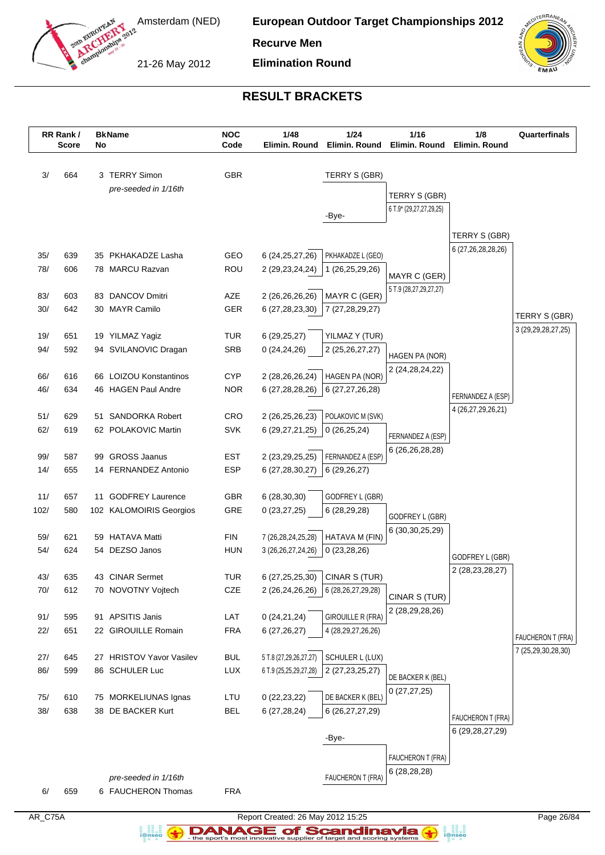

**European Outdoor Target Championships 2012**

**Recurve Men**

21-26 May 2012

**Elimination Round**



# **RESULT BRACKETS**

|            | RR Rank /<br><b>Score</b> | No | <b>BkName</b>                               | <b>NOC</b><br>Code       | 1/48<br>Elimin. Round                 | 1/24<br>Elimin. Round                | 1/16<br>Elimin. Round              | 1/8<br>Elimin. Round                | Quarterfinals          |
|------------|---------------------------|----|---------------------------------------------|--------------------------|---------------------------------------|--------------------------------------|------------------------------------|-------------------------------------|------------------------|
| 3/         | 664                       |    | 3 TERRY Simon                               | <b>GBR</b>               |                                       | TERRY S (GBR)                        |                                    |                                     |                        |
|            |                           |    | pre-seeded in 1/16th                        |                          |                                       |                                      | TERRY S (GBR)                      |                                     |                        |
|            |                           |    |                                             |                          |                                       | -Bye-                                | 6 T.9* (29,27,27,29,25)            |                                     |                        |
|            |                           |    |                                             |                          |                                       |                                      |                                    |                                     |                        |
|            |                           |    |                                             |                          |                                       |                                      |                                    | TERRY S (GBR)<br>6 (27,26,28,28,26) |                        |
| 35/        | 639                       |    | 35 PKHAKADZE Lasha                          | GEO                      | 6 (24, 25, 27, 26)                    | PKHAKADZE L (GEO)                    |                                    |                                     |                        |
| 78/        | 606                       |    | 78 MARCU Razvan                             | ROU                      | 2 (29, 23, 24, 24)                    | 1 (26,25,29,26)                      | MAYR C (GER)                       |                                     |                        |
| 83/        | 603                       |    | 83 DANCOV Dmitri                            | AZE                      | 2 (26,26,26,26)                       | MAYR C (GER)                         | 5 T.9 (28,27,29,27,27)             |                                     |                        |
| 30/        | 642                       |    | 30 MAYR Camilo                              | <b>GER</b>               | 6 (27, 28, 23, 30)                    | 7 (27,28,29,27)                      |                                    |                                     |                        |
|            |                           |    |                                             |                          |                                       |                                      |                                    |                                     | TERRY S (GBR)          |
| 19/        | 651                       |    | 19 YILMAZ Yagiz                             | <b>TUR</b>               | 6(29, 25, 27)                         | YILMAZ Y (TUR)                       |                                    |                                     | 3 (29, 29, 28, 27, 25) |
| 94/        | 592                       |    | 94 SVILANOVIC Dragan                        | <b>SRB</b>               | 0(24, 24, 26)                         | 2 (25, 26, 27, 27)                   | HAGEN PA (NOR)                     |                                     |                        |
| 66/        | 616                       |    | 66 LOIZOU Konstantinos                      | <b>CYP</b>               |                                       | HAGEN PA (NOR)                       | 2 (24, 28, 24, 22)                 |                                     |                        |
| 46/        | 634                       |    | 46 HAGEN Paul Andre                         | <b>NOR</b>               | 2 (28,26,26,24)<br>6 (27,28,28,26)    | 6 (27,27,26,28)                      |                                    |                                     |                        |
|            |                           |    |                                             |                          |                                       |                                      |                                    | FERNANDEZ A (ESP)                   |                        |
| 51/        | 629                       |    | 51 SANDORKA Robert                          | CRO                      | 2 (26,25,26,23)                       | POLAKOVIC M (SVK)                    |                                    | 4 (26,27,29,26,21)                  |                        |
| 62/        | 619                       |    | 62 POLAKOVIC Martin                         | <b>SVK</b>               | 6 (29,27,21,25)                       | 0(26, 25, 24)                        | FERNANDEZ A (ESP)                  |                                     |                        |
|            |                           |    |                                             |                          |                                       |                                      | 6 (26, 26, 28, 28)                 |                                     |                        |
| 99/<br>14/ | 587<br>655                | 99 | <b>GROSS Jaanus</b><br>14 FERNANDEZ Antonio | <b>EST</b><br><b>ESP</b> | 2 (23, 29, 25, 25)<br>6 (27,28,30,27) | FERNANDEZ A (ESP)<br>6(29,26,27)     |                                    |                                     |                        |
|            |                           |    |                                             |                          |                                       |                                      |                                    |                                     |                        |
| 11/        | 657                       |    | 11 GODFREY Laurence                         | GBR                      | 6(28, 30, 30)                         | GODFREY L (GBR)                      |                                    |                                     |                        |
| 102/       | 580                       |    | 102 KALOMOIRIS Georgios                     | GRE                      | 0(23, 27, 25)                         | 6(28, 29, 28)                        | GODFREY L (GBR)                    |                                     |                        |
|            |                           |    |                                             |                          |                                       |                                      | 6 (30, 30, 25, 29)                 |                                     |                        |
| 59/<br>54/ | 621                       | 59 | <b>HATAVA Matti</b><br>54 DEZSO Janos       | <b>FIN</b>               | 7 (26,28,24,25,28)                    | HATAVA M (FIN)                       |                                    |                                     |                        |
|            | 624                       |    |                                             | <b>HUN</b>               | 3 (26, 26, 27, 24, 26)                | 0(23, 28, 26)                        |                                    | GODFREY L (GBR)                     |                        |
| 43/        | 635                       |    | 43 CINAR Sermet                             | <b>TUR</b>               | 6 (27,25,25,30)                       | CINAR S (TUR)                        |                                    | 2 (28, 23, 28, 27)                  |                        |
| 70/        | 612                       |    | 70 NOVOTNY Vojtech                          | CZE                      |                                       | 2 (26,24,26,26)   6 (28,26,27,29,28) |                                    |                                     |                        |
|            |                           |    |                                             |                          |                                       |                                      | CINAR S (TUR)<br>2 (28,29,28,26)   |                                     |                        |
| 91/        | 595                       |    | 91 APSITIS Janis                            | LAT                      | 0(24,21,24)                           | <b>GIROUILLE R (FRA)</b>             |                                    |                                     |                        |
| 22/        | 651                       |    | 22 GIROUILLE Romain                         | <b>FRA</b>               | 6(27,26,27)                           | 4 (28, 29, 27, 26, 26)               |                                    |                                     | FAUCHERON T (FRA)      |
| 27/        | 645                       |    | 27 HRISTOV Yavor Vasilev                    | <b>BUL</b>               | 5 T.8 (27,29,26,27,27)                | SCHULER L (LUX)                      |                                    |                                     | 7 (25,29,30,28,30)     |
| 86/        | 599                       |    | 86 SCHULER Luc                              | LUX                      | 6 T.9 (25,25,29,27,28)                | 2 (27, 23, 25, 27)                   |                                    |                                     |                        |
|            |                           |    |                                             |                          |                                       |                                      | DE BACKER K (BEL)<br>0(27, 27, 25) |                                     |                        |
| 75/        | 610                       |    | 75 MORKELIUNAS Ignas                        | LTU                      | 0(22, 23, 22)                         | DE BACKER K (BEL)                    |                                    |                                     |                        |
| 38/        | 638                       |    | 38 DE BACKER Kurt                           | <b>BEL</b>               | 6 (27,28,24)                          | 6 (26, 27, 27, 29)                   |                                    | FAUCHERON T (FRA)                   |                        |
|            |                           |    |                                             |                          |                                       | -Bye-                                |                                    | 6 (29, 28, 27, 29)                  |                        |
|            |                           |    |                                             |                          |                                       |                                      |                                    |                                     |                        |
|            |                           |    |                                             |                          |                                       |                                      | FAUCHERON T (FRA)                  |                                     |                        |
|            |                           |    | pre-seeded in 1/16th                        |                          |                                       | FAUCHERON T (FRA)                    | 6(28, 28, 28)                      |                                     |                        |
| 6/         | 659                       |    | 6 FAUCHERON Thomas                          | <b>FRA</b>               |                                       |                                      |                                    |                                     |                        |

a analis<br>i@nseo

AR\_C75A Report Created: 26 May 2012 15:25 Page 26/84 **DANAGE of Scandinavia**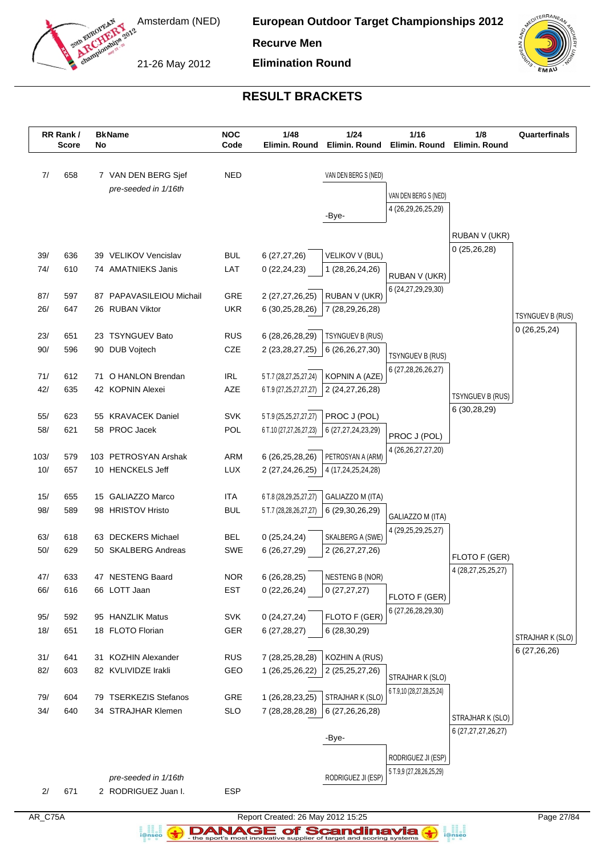

**European Outdoor Target Championships 2012**

**Recurve Men**

21-26 May 2012

**Elimination Round**



# **RESULT BRACKETS**

|             | RR Rank /<br><b>Score</b> | No | <b>BkName</b>                            | <b>NOC</b><br>Code | 1/48<br>Elimin. Round              | 1/24<br>Elimin. Round                   | 1/16<br>Elimin. Round                   | 1/8<br>Elimin. Round         | Quarterfinals           |
|-------------|---------------------------|----|------------------------------------------|--------------------|------------------------------------|-----------------------------------------|-----------------------------------------|------------------------------|-------------------------|
| 7/          | 658                       |    | 7 VAN DEN BERG Sjef                      | <b>NED</b>         |                                    | VAN DEN BERG S (NED)                    |                                         |                              |                         |
|             |                           |    | pre-seeded in 1/16th                     |                    |                                    |                                         | VAN DEN BERG S (NED)                    |                              |                         |
|             |                           |    |                                          |                    |                                    | -Bye-                                   | 4 (26,29,26,25,29)                      |                              |                         |
|             |                           |    |                                          |                    |                                    |                                         |                                         |                              |                         |
|             |                           |    |                                          |                    |                                    |                                         |                                         | RUBAN V (UKR)<br>0(25,26,28) |                         |
| 39/         | 636                       |    | 39 VELIKOV Vencislav                     | <b>BUL</b>         | 6(27, 27, 26)                      | VELIKOV V (BUL)                         |                                         |                              |                         |
| 74/         | 610                       |    | 74 AMATNIEKS Janis                       | LAT                | 0(22, 24, 23)                      | 1 (28, 26, 24, 26)                      | RUBAN V (UKR)                           |                              |                         |
| 87/         | 597                       |    | 87 PAPAVASILEIOU Michail                 | GRE                | 2 (27,27,26,25)                    | RUBAN V (UKR)                           | 6 (24, 27, 29, 29, 30)                  |                              |                         |
| 26/         | 647                       |    | 26 RUBAN Viktor                          | <b>UKR</b>         | 6 (30,25,28,26)                    | 7 (28,29,26,28)                         |                                         |                              |                         |
|             |                           |    |                                          |                    |                                    |                                         |                                         |                              | <b>TSYNGUEV B (RUS)</b> |
| 23/         | 651                       |    | 23 TSYNGUEV Bato                         | <b>RUS</b>         | 6 (28,26,28,29)                    | TSYNGUEV B (RUS)                        |                                         |                              | 0(26, 25, 24)           |
| 90/         | 596                       |    | 90 DUB Vojtech                           | CZE                | 2 (23, 28, 27, 25)                 | 6 (26,26,27,30)                         | TSYNGUEV B (RUS)                        |                              |                         |
| 71/         | 612                       |    | 71 O HANLON Brendan                      | <b>IRL</b>         | 5 T.7 (28,27,25,27,24)             | KOPNIN A (AZE)                          | 6 (27,28,26,26,27)                      |                              |                         |
| 42/         | 635                       |    | 42 KOPNIN Alexei                         | AZE                | 6 T.9 (27,25,27,27,27)             | 2 (24,27,26,28)                         |                                         |                              |                         |
|             |                           |    |                                          |                    |                                    |                                         |                                         | <b>TSYNGUEV B (RUS)</b>      |                         |
| 55/         | 623                       |    | 55 KRAVACEK Daniel                       | <b>SVK</b>         | 5 T.9 (25,25,27,27,27)             | PROC J (POL)                            |                                         | 6 (30,28,29)                 |                         |
| 58/         | 621                       |    | 58 PROC Jacek                            | POL                | 6 T.10 (27,27,26,27,23)            | 6 (27,27,24,23,29)                      | PROC J (POL)                            |                              |                         |
|             |                           |    |                                          |                    |                                    |                                         | 4 (26, 26, 27, 27, 20)                  |                              |                         |
| 103/<br>10/ | 579<br>657                |    | 103 PETROSYAN Arshak<br>10 HENCKELS Jeff | ARM<br><b>LUX</b>  | 6 (26,25,28,26)<br>2 (27,24,26,25) | PETROSYAN A (ARM)<br>4 (17,24,25,24,28) |                                         |                              |                         |
|             |                           |    |                                          |                    |                                    |                                         |                                         |                              |                         |
| 15/         | 655                       |    | 15 GALIAZZO Marco                        | <b>ITA</b>         | 6 T.8 (28,29,25,27,27)             | GALIAZZO M (ITA)                        |                                         |                              |                         |
| 98/         | 589                       |    | 98 HRISTOV Hristo                        | <b>BUL</b>         | 5 T.7 (28,28,26,27,27)             | 6 (29,30,26,29)                         | GALIAZZO M (ITA)                        |                              |                         |
|             |                           |    |                                          |                    |                                    |                                         | 4 (29, 25, 29, 25, 27)                  |                              |                         |
| 63/         | 618                       |    | 63 DECKERS Michael                       | <b>BEL</b>         | 0(25, 24, 24)                      | SKALBERG A (SWE)                        |                                         |                              |                         |
| $50/$       | 629                       |    | 50 SKALBERG Andreas                      | SWE                | 6 (26,27,29)                       | 2 (26, 27, 27, 26)                      |                                         | FLOTO F (GER)                |                         |
| 47/         | 633                       |    | 47 NESTENG Baard                         | <b>NOR</b>         | 6 (26,28,25)                       | <b>NESTENG B (NOR)</b>                  |                                         | 4 (28, 27, 25, 25, 27)       |                         |
| 66/         | 616                       |    | 66 LOTT Jaan                             | <b>EST</b>         | 0(22, 26, 24)                      | 0(27, 27, 27)                           |                                         |                              |                         |
|             |                           |    |                                          |                    |                                    |                                         | FLOTO F (GER)<br>6 (27, 26, 28, 29, 30) |                              |                         |
| 95/         | 592                       |    | 95 HANZLIK Matus                         | <b>SVK</b>         | 0(24, 27, 24)                      | FLOTO F (GER)                           |                                         |                              |                         |
| 18/         | 651                       |    | 18 FLOTO Florian                         | GER                | 6(27, 28, 27)                      | 6(28, 30, 29)                           |                                         |                              | STRAJHAR K (SLO)        |
| 31/         | 641                       | 31 | <b>KOZHIN Alexander</b>                  | <b>RUS</b>         | 7 (28,25,28,28)                    | KOZHIN A (RUS)                          |                                         |                              | 6 (27,26,26)            |
| 82/         | 603                       |    | 82 KVLIVIDZE Irakli                      | GEO                | 1 (26,25,26,22)                    | 2 (25,25,27,26)                         |                                         |                              |                         |
|             |                           |    |                                          |                    |                                    |                                         | STRAJHAR K (SLO)                        |                              |                         |
| 79/         | 604                       |    | 79 TSERKEZIS Stefanos                    | GRE                | 1 (26,28,23,25)                    | STRAJHAR K (SLO)                        | 6 T.9,10 (28,27,28,25,24)               |                              |                         |
| 34/         | 640                       |    | 34 STRAJHAR Klemen                       | <b>SLO</b>         | 7 (28,28,28,28)                    | 6 (27,26,26,28)                         |                                         | STRAJHAR K (SLO)             |                         |
|             |                           |    |                                          |                    |                                    |                                         |                                         | 6 (27, 27, 27, 26, 27)       |                         |
|             |                           |    |                                          |                    |                                    | -Bye-                                   |                                         |                              |                         |
|             |                           |    |                                          |                    |                                    |                                         | RODRIGUEZ JI (ESP)                      |                              |                         |
|             |                           |    | pre-seeded in 1/16th                     |                    |                                    | RODRIGUEZ JI (ESP)                      | 5 T.9,9 (27,28,26,25,29)                |                              |                         |
| 2/          | 671                       |    | 2 RODRIGUEZ Juan I.                      | <b>ESP</b>         |                                    |                                         |                                         |                              |                         |

a analis<br>i@nseo

AR\_C75A Report Created: 26 May 2012 15:25 Page 27/84 **DANAGE of Scandinavia**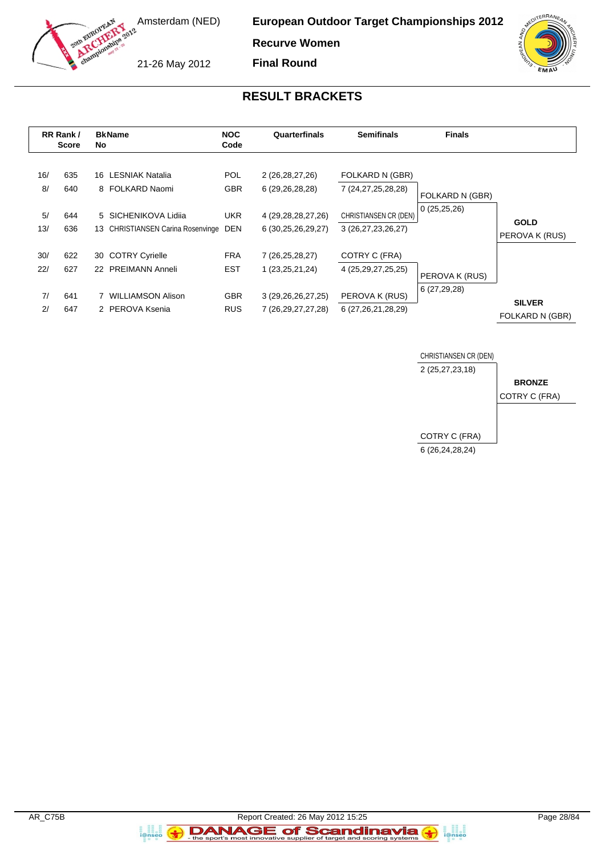

**Recurve Women Final Round**

21-26 May 2012



# **RESULT BRACKETS**

|                      | RR Rank /<br><b>Score</b> | <b>BkName</b><br>No                                                 | <b>NOC</b><br>Code       | Quarterfinals                                    | <b>Semifinals</b>                           | <b>Finals</b>                  |                                  |
|----------------------|---------------------------|---------------------------------------------------------------------|--------------------------|--------------------------------------------------|---------------------------------------------|--------------------------------|----------------------------------|
| 16/<br>8/            | 635<br>640                | 16 LESNIAK Natalia<br>8 FOLKARD Naomi                               | POL.<br><b>GBR</b>       | 2 (26,28,27,26)<br>6 (29,26,28,28)               | FOLKARD N (GBR)<br>7 (24,27,25,28,28)       | FOLKARD N (GBR)                |                                  |
| 5/<br>13/            | 644<br>636                | 5 SICHENIKOVA Lidija<br><b>CHRISTIANSEN Carina Rosenvinge</b><br>13 | <b>UKR</b><br><b>DEN</b> | 4 (29, 28, 28, 27, 26)<br>6 (30,25,26,29,27)     | CHRISTIANSEN CR (DEN)<br>3 (26,27,23,26,27) | 0(25,25,26)                    | <b>GOLD</b><br>PEROVA K (RUS)    |
| 30/<br>22/           | 622<br>627                | <b>COTRY Cyrielle</b><br>30<br>22 PREIMANN Anneli                   | <b>FRA</b><br><b>EST</b> | 7 (26,25,28,27)<br>1 (23, 25, 21, 24)            | COTRY C (FRA)<br>4 (25, 29, 27, 25, 25)     |                                |                                  |
| 7/<br>2 <sup>1</sup> | 641<br>647                | <b>WILLIAMSON Alison</b><br>2 PEROVA Ksenia                         | <b>GBR</b><br><b>RUS</b> | 3 (29, 26, 26, 27, 25)<br>7 (26, 29, 27, 27, 28) | PEROVA K (RUS)<br>6 (27,26,21,28,29)        | PEROVA K (RUS)<br>6 (27,29,28) | <b>SILVER</b><br>FOLKARD N (GBR) |



a<br>i@nseo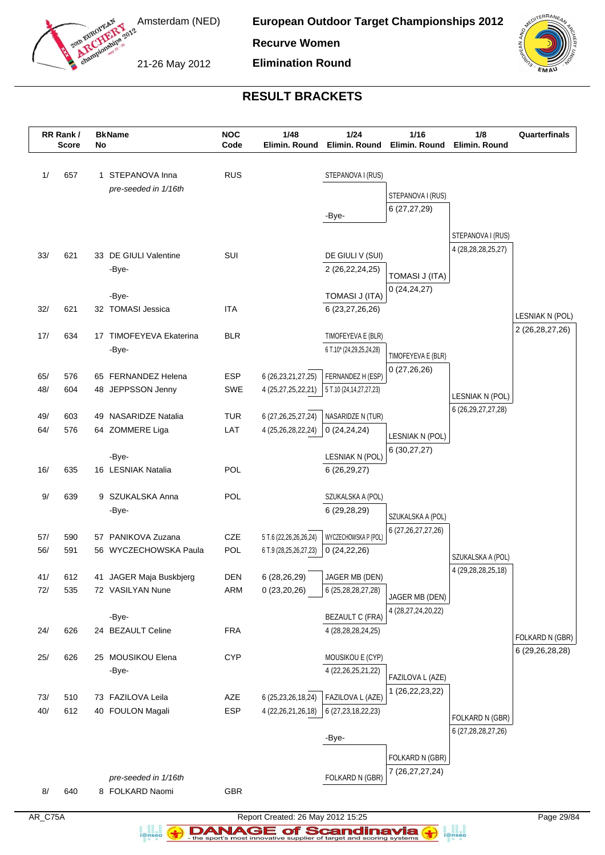

**European Outdoor Target Championships 2012**

**Recurve Women**

21-26 May 2012

**Elimination Round**



# **RESULT BRACKETS**

|     | RR Rank /<br><b>Score</b> | No | <b>BkName</b>               | <b>NOC</b><br>Code | 1/48<br>Elimin. Round  | 1/24<br>Elimin. Round            | 1/16<br>Elimin. Round  | 1/8<br>Elimin. Round   | Quarterfinals      |
|-----|---------------------------|----|-----------------------------|--------------------|------------------------|----------------------------------|------------------------|------------------------|--------------------|
|     |                           |    |                             |                    |                        |                                  |                        |                        |                    |
| 1/  | 657                       |    | 1 STEPANOVA Inna            | <b>RUS</b>         |                        | STEPANOVA I (RUS)                |                        |                        |                    |
|     |                           |    | pre-seeded in 1/16th        |                    |                        |                                  | STEPANOVA I (RUS)      |                        |                    |
|     |                           |    |                             |                    |                        |                                  | 6(27, 27, 29)          |                        |                    |
|     |                           |    |                             |                    |                        | -Bye-                            |                        |                        |                    |
|     |                           |    |                             |                    |                        |                                  |                        | STEPANOVA I (RUS)      |                    |
| 33/ | 621                       |    | 33 DE GIULI Valentine       | SUI                |                        | DE GIULI V (SUI)                 |                        | 4 (28, 28, 28, 25, 27) |                    |
|     |                           |    | -Bye-                       |                    |                        | 2 (26, 22, 24, 25)               |                        |                        |                    |
|     |                           |    |                             |                    |                        |                                  | <b>TOMASI J (ITA)</b>  |                        |                    |
|     |                           |    | -Bye-                       |                    |                        | TOMASI J (ITA)                   | 0(24,24,27)            |                        |                    |
| 32/ | 621                       |    | 32 TOMASI Jessica           | <b>ITA</b>         |                        | 6 (23,27,26,26)                  |                        |                        | LESNIAK N (POL)    |
|     |                           |    |                             |                    |                        |                                  |                        |                        | 2 (26, 28, 27, 26) |
| 17/ | 634                       | 17 | <b>TIMOFEYEVA Ekaterina</b> | <b>BLR</b>         |                        | TIMOFEYEVA E (BLR)               |                        |                        |                    |
|     |                           |    | -Bye-                       |                    |                        | 6 T.10* (24,29,25,24,28)         | TIMOFEYEVA E (BLR)     |                        |                    |
| 65/ | 576                       |    | 65 FERNANDEZ Helena         | <b>ESP</b>         | 6 (26, 23, 21, 27, 25) | FERNANDEZ H (ESP)                | 0(27,26,26)            |                        |                    |
| 48/ | 604                       |    | 48 JEPPSSON Jenny           | <b>SWE</b>         | 4 (25,27,25,22,21)     | 5 T.10 (24,14,27,27,23)          |                        |                        |                    |
|     |                           |    |                             |                    |                        |                                  |                        | LESNIAK N (POL)        |                    |
| 49/ | 603                       | 49 | <b>NASARIDZE Natalia</b>    | <b>TUR</b>         | 6 (27, 26, 25, 27, 24) | NASARIDZE N (TUR)                |                        | 6 (26, 29, 27, 27, 28) |                    |
| 64/ | 576                       |    | 64 ZOMMERE Liga             | LAT                | 4 (25,26,28,22,24)     | 0(24, 24, 24)                    | LESNIAK N (POL)        |                        |                    |
|     |                           |    |                             |                    |                        |                                  | 6(30,27,27)            |                        |                    |
| 16/ | 635                       |    | -Bye-<br>16 LESNIAK Natalia | POL                |                        | LESNIAK N (POL)<br>6(26, 29, 27) |                        |                        |                    |
|     |                           |    |                             |                    |                        |                                  |                        |                        |                    |
| 9/  | 639                       |    | 9 SZUKALSKA Anna            | POL                |                        | SZUKALSKA A (POL)                |                        |                        |                    |
|     |                           |    | -Bye-                       |                    |                        | 6 (29,28,29)                     | SZUKALSKA A (POL)      |                        |                    |
|     |                           |    |                             |                    |                        |                                  | 6 (27, 26, 27, 27, 26) |                        |                    |
| 57/ | 590                       | 57 | PANIKOVA Zuzana             | CZE                | 5 T.6 (22,26,26,26,24) | WYCZECHOWSKA P (POL)             |                        |                        |                    |
| 56/ | 591                       |    | 56 WYCZECHOWSKA Paula       | POL                | 6 T.9 (28,25,26,27,23) | 0(24,22,26)                      |                        | SZUKALSKA A (POL)      |                    |
| 41/ | 612                       |    | 41 JAGER Maja Buskbjerg     | DEN                | 6 (28,26,29)           | JAGER MB (DEN)                   |                        | 4 (29, 28, 28, 25, 18) |                    |
| 72/ | 535                       |    | 72 VASILYAN Nune            | ARM                | 0(23,20,26)            | 6 (25,28,28,27,28)               |                        |                        |                    |
|     |                           |    |                             |                    |                        |                                  | JAGER MB (DEN)         |                        |                    |
|     |                           |    | -Bye-                       |                    |                        | <b>BEZAULT C (FRA)</b>           | 4 (28, 27, 24, 20, 22) |                        |                    |
| 24/ | 626                       |    | 24 BEZAULT Celine           | <b>FRA</b>         |                        | 4 (28,28,28,24,25)               |                        |                        | FOLKARD N (GBR)    |
|     |                           |    |                             |                    |                        |                                  |                        |                        | 6 (29,26,28,28)    |
| 25/ | 626                       |    | 25 MOUSIKOU Elena           | <b>CYP</b>         |                        | MOUSIKOU E (CYP)                 |                        |                        |                    |
|     |                           |    | -Bye-                       |                    |                        | 4 (22, 26, 25, 21, 22)           | FAZILOVA L (AZE)       |                        |                    |
| 73/ | 510                       |    | 73 FAZILOVA Leila           | AZE                | 6 (25, 23, 26, 18, 24) | FAZILOVA L (AZE)                 | 1 (26, 22, 23, 22)     |                        |                    |
| 40/ | 612                       |    | 40 FOULON Magali            | <b>ESP</b>         | 4 (22, 26, 21, 26, 18) | 6 (27, 23, 18, 22, 23)           |                        |                        |                    |
|     |                           |    |                             |                    |                        |                                  |                        | FOLKARD N (GBR)        |                    |
|     |                           |    |                             |                    |                        | -Bye-                            |                        | 6 (27,28,28,27,26)     |                    |
|     |                           |    |                             |                    |                        |                                  | FOLKARD N (GBR)        |                        |                    |
|     |                           |    |                             |                    |                        |                                  | 7 (26, 27, 27, 24)     |                        |                    |
|     |                           |    | pre-seeded in 1/16th        |                    |                        | FOLKARD N (GBR)                  |                        |                        |                    |
| 8/  | 640                       |    | 8 FOLKARD Naomi             | GBR                |                        |                                  |                        |                        |                    |

AR\_C75A Report Created: 26 May 2012 15:25 Page 29/84 **DANAGE of Scandinavia** 

a analis<br>i@nseo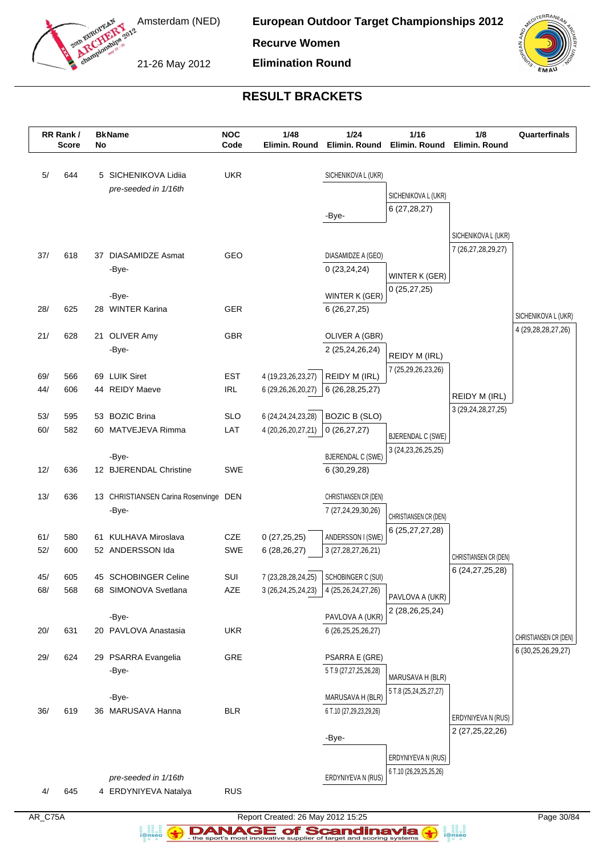

**European Outdoor Target Championships 2012**

**Recurve Women**

21-26 May 2012

**Elimination Round**



# **RESULT BRACKETS**

|            | RR Rank /<br><b>Score</b> | No | <b>BkName</b>                            | <b>NOC</b><br>Code | 1/48<br>Elimin. Round          | 1/24<br>Elimin. Round                       | 1/16<br>Elimin. Round                      | 1/8<br>Elimin. Round                    | Quarterfinals          |
|------------|---------------------------|----|------------------------------------------|--------------------|--------------------------------|---------------------------------------------|--------------------------------------------|-----------------------------------------|------------------------|
| 5/         | 644                       |    | 5 SICHENIKOVA Lidiia                     | <b>UKR</b>         |                                | SICHENIKOVA L (UKR)                         |                                            |                                         |                        |
|            |                           |    | pre-seeded in 1/16th                     |                    |                                |                                             |                                            |                                         |                        |
|            |                           |    |                                          |                    |                                |                                             | SICHENIKOVA L (UKR)                        |                                         |                        |
|            |                           |    |                                          |                    |                                | -Bye-                                       | 6(27, 28, 27)                              |                                         |                        |
|            |                           |    |                                          |                    |                                |                                             |                                            | SICHENIKOVA L (UKR)                     |                        |
|            |                           |    |                                          |                    |                                |                                             |                                            | 7 (26,27,28,29,27)                      |                        |
| 37/        | 618                       |    | 37 DIASAMIDZE Asmat<br>-Bye-             | GEO                |                                | DIASAMIDZE A (GEO)<br>0(23, 24, 24)         |                                            |                                         |                        |
|            |                           |    |                                          |                    |                                |                                             | WINTER K (GER)                             |                                         |                        |
|            |                           |    | -Bye-                                    |                    |                                | WINTER K (GER)                              | 0(25, 27, 25)                              |                                         |                        |
| 28/        | 625                       |    | 28 WINTER Karina                         | <b>GER</b>         |                                | 6(26, 27, 25)                               |                                            |                                         | SICHENIKOVA L (UKR)    |
|            |                           |    |                                          |                    |                                |                                             |                                            |                                         | 4 (29, 28, 28, 27, 26) |
| 21/        | 628                       |    | 21 OLIVER Amy                            | GBR                |                                | OLIVER A (GBR)                              |                                            |                                         |                        |
|            |                           |    | -Bye-                                    |                    |                                | 2 (25,24,26,24)                             | REIDY M (IRL)                              |                                         |                        |
| 69/        | 566                       |    | 69 LUIK Siret                            | <b>EST</b>         | 4 (19,23,26,23,27)             | REIDY M (IRL)                               | 7 (25,29,26,23,26)                         |                                         |                        |
| 44/        | 606                       |    | 44 REIDY Maeve                           | <b>IRL</b>         | 6 (29,26,26,20,27)             | 6 (26, 28, 25, 27)                          |                                            |                                         |                        |
|            |                           |    |                                          |                    |                                |                                             |                                            | REIDY M (IRL)<br>3 (29, 24, 28, 27, 25) |                        |
| 53/        | 595                       |    | 53 BOZIC Brina                           | <b>SLO</b>         | 6 (24, 24, 24, 23, 28)         | <b>BOZIC B (SLO)</b>                        |                                            |                                         |                        |
| 60/        | 582                       |    | 60 MATVEJEVA Rimma                       | LAT                | 4 (20,26,20,27,21)             | 0(26, 27, 27)                               | <b>BJERENDAL C (SWE)</b>                   |                                         |                        |
|            |                           |    | -Bye-                                    |                    |                                | <b>BJERENDAL C (SWE)</b>                    | 3 (24, 23, 26, 25, 25)                     |                                         |                        |
| 12/        | 636                       |    | 12 BJERENDAL Christine                   | <b>SWE</b>         |                                | 6(30,29,28)                                 |                                            |                                         |                        |
|            |                           |    |                                          |                    |                                |                                             |                                            |                                         |                        |
| 13/        | 636                       |    | 13 CHRISTIANSEN Carina Rosenvinge DEN    |                    |                                | CHRISTIANSEN CR (DEN)                       |                                            |                                         |                        |
|            |                           |    | -Bye-                                    |                    |                                | 7 (27,24,29,30,26)                          | CHRISTIANSEN CR (DEN)                      |                                         |                        |
|            |                           |    |                                          |                    |                                |                                             | 6 (25,27,27,28)                            |                                         |                        |
| 61/<br>52/ | 580<br>600                |    | 61 KULHAVA Miroslava<br>52 ANDERSSON Ida | CZE<br><b>SWE</b>  | 0(27, 25, 25)<br>6(28, 26, 27) | ANDERSSON I (SWE)<br>3 (27, 28, 27, 26, 21) |                                            |                                         |                        |
|            |                           |    |                                          |                    |                                |                                             |                                            | CHRISTIANSEN CR (DEN)                   |                        |
| 45/        | 605                       |    | 45 SCHOBINGER Celine                     | SUI                | 7 (23,28,28,24,25)             | SCHOBINGER C (SUI)                          |                                            | 6 (24, 27, 25, 28)                      |                        |
| 68/        | 568                       |    | 68 SIMONOVA Svetlana                     | AZE                | 3 (26, 24, 25, 24, 23)         | 4 (25,26,24,27,26)                          | PAVLOVA A (UKR)                            |                                         |                        |
|            |                           |    |                                          |                    |                                |                                             | 2 (28, 26, 25, 24)                         |                                         |                        |
|            |                           |    | -Bye-                                    |                    |                                | PAVLOVA A (UKR)                             |                                            |                                         |                        |
| 20/        | 631                       |    | 20 PAVLOVA Anastasia                     | <b>UKR</b>         |                                | 6 (26, 25, 25, 26, 27)                      |                                            |                                         | CHRISTIANSEN CR (DEN)  |
| 29/        | 624                       |    | 29 PSARRA Evangelia                      | GRE                |                                | PSARRA E (GRE)                              |                                            |                                         | 6 (30, 25, 26, 29, 27) |
|            |                           |    | -Bye-                                    |                    |                                | 5 T.9 (27,27,25,26,28)                      |                                            |                                         |                        |
|            |                           |    |                                          |                    |                                |                                             | MARUSAVA H (BLR)<br>5 T.8 (25,24,25,27,27) |                                         |                        |
|            |                           |    | -Bye-                                    |                    |                                | MARUSAVA H (BLR)                            |                                            |                                         |                        |
| 36/        | 619                       |    | 36 MARUSAVA Hanna                        | <b>BLR</b>         |                                | 6 T.10 (27,29,23,29,26)                     |                                            | ERDYNIYEVA N (RUS)                      |                        |
|            |                           |    |                                          |                    |                                |                                             |                                            | 2 (27, 25, 22, 26)                      |                        |
|            |                           |    |                                          |                    |                                | -Bye-                                       |                                            |                                         |                        |
|            |                           |    |                                          |                    |                                |                                             | ERDYNIYEVA N (RUS)                         |                                         |                        |
|            |                           |    | pre-seeded in 1/16th                     |                    |                                | ERDYNIYEVA N (RUS)                          | 6 T.10 (26,29,25,25,26)                    |                                         |                        |
| 4/         | 645                       |    | 4 ERDYNIYEVA Natalya                     | <b>RUS</b>         |                                |                                             |                                            |                                         |                        |

a analis<br>i@nseo

AR\_C75A Report Created: 26 May 2012 15:25 Page 30/84 **DANAGE of Scandinavia**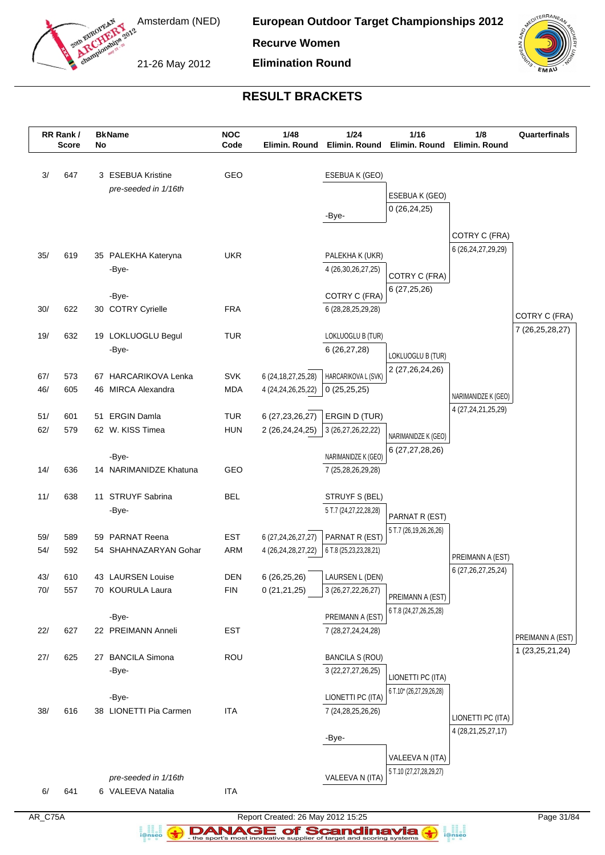

**European Outdoor Target Championships 2012**

**Recurve Women**

21-26 May 2012

**Elimination Round**



# **RESULT BRACKETS**

|            | RR Rank /<br><b>Score</b> | No | <b>BkName</b>                              | <b>NOC</b><br>Code       | 1/48<br>Elimin. Round                            | 1/24<br>Elimin. Round                            | 1/16<br>Elimin. Round                    | 1/8<br>Elimin. Round                    | Quarterfinals      |
|------------|---------------------------|----|--------------------------------------------|--------------------------|--------------------------------------------------|--------------------------------------------------|------------------------------------------|-----------------------------------------|--------------------|
|            |                           |    |                                            |                          |                                                  |                                                  |                                          |                                         |                    |
| 3/         | 647                       |    | 3 ESEBUA Kristine                          | GEO                      |                                                  | ESEBUA K (GEO)                                   |                                          |                                         |                    |
|            |                           |    | pre-seeded in 1/16th                       |                          |                                                  |                                                  | ESEBUA K (GEO)                           |                                         |                    |
|            |                           |    |                                            |                          |                                                  | -Bye-                                            | 0(26, 24, 25)                            |                                         |                    |
|            |                           |    |                                            |                          |                                                  |                                                  |                                          |                                         |                    |
|            |                           |    |                                            |                          |                                                  |                                                  |                                          | COTRY C (FRA)<br>6 (26, 24, 27, 29, 29) |                    |
| 35/        | 619                       |    | 35 PALEKHA Kateryna                        | <b>UKR</b>               |                                                  | PALEKHA K (UKR)                                  |                                          |                                         |                    |
|            |                           |    | -Bye-                                      |                          |                                                  | 4 (26, 30, 26, 27, 25)                           | COTRY C (FRA)                            |                                         |                    |
|            |                           |    | -Bye-                                      |                          |                                                  | COTRY C (FRA)                                    | 6(27, 25, 26)                            |                                         |                    |
| 30/        | 622                       |    | 30 COTRY Cyrielle                          | <b>FRA</b>               |                                                  | 6 (28, 28, 25, 29, 28)                           |                                          |                                         |                    |
|            |                           |    |                                            |                          |                                                  |                                                  |                                          |                                         | COTRY C (FRA)      |
| 19/        | 632                       |    | 19 LOKLUOGLU Begul                         | <b>TUR</b>               |                                                  | LOKLUOGLU B (TUR)                                |                                          |                                         | 7 (26, 25, 28, 27) |
|            |                           |    | -Bye-                                      |                          |                                                  | 6 (26,27,28)                                     | LOKLUOGLU B (TUR)                        |                                         |                    |
|            |                           |    |                                            |                          |                                                  |                                                  | 2 (27,26,24,26)                          |                                         |                    |
| 67/<br>46/ | 573<br>605                |    | 67 HARCARIKOVA Lenka<br>46 MIRCA Alexandra | <b>SVK</b><br><b>MDA</b> | 6 (24, 18, 27, 25, 28)<br>4 (24, 24, 26, 25, 22) | HARCARIKOVA L (SVK)<br>0(25,25,25)               |                                          |                                         |                    |
|            |                           |    |                                            |                          |                                                  |                                                  |                                          | NARIMANIDZE K (GEO)                     |                    |
| 51/        | 601                       |    | 51 ERGIN Damla                             | <b>TUR</b>               | 6 (27, 23, 26, 27)                               | ERGIN D (TUR)                                    |                                          | 4 (27, 24, 21, 25, 29)                  |                    |
| 62/        | 579                       |    | 62 W. KISS Timea                           | <b>HUN</b>               | 2 (26,24,24,25)                                  | 3 (26,27,26,22,22)                               | NARIMANIDZE K (GEO)                      |                                         |                    |
|            |                           |    |                                            |                          |                                                  |                                                  | 6 (27,27,28,26)                          |                                         |                    |
|            |                           |    | -Bye-                                      |                          |                                                  | NARIMANIDZE K (GEO)                              |                                          |                                         |                    |
| 14/        | 636                       |    | 14 NARIMANIDZE Khatuna                     | GEO                      |                                                  | 7 (25,28,26,29,28)                               |                                          |                                         |                    |
| 11/        | 638                       |    | 11 STRUYF Sabrina                          | <b>BEL</b>               |                                                  | STRUYF S (BEL)                                   |                                          |                                         |                    |
|            |                           |    | -Bye-                                      |                          |                                                  | 5 T.7 (24,27,22,28,28)                           |                                          |                                         |                    |
|            |                           |    |                                            |                          |                                                  |                                                  | PARNAT R (EST)<br>5 T.7 (26,19,26,26,26) |                                         |                    |
| 59/        | 589                       |    | 59 PARNAT Reena                            | <b>EST</b>               | 6 (27, 24, 26, 27, 27)                           | PARNAT R (EST)                                   |                                          |                                         |                    |
| 54/        | 592                       |    | 54 SHAHNAZARYAN Gohar                      | ARM                      | 4 (26, 24, 28, 27, 22)                           | 6 T.8 (25,23,23,28,21)                           |                                          | PREIMANN A (EST)                        |                    |
| 43/        | 610                       |    | 43 LAURSEN Louise                          | DEN                      | 6 (26,25,26)                                     | LAURSEN L (DEN)                                  |                                          | 6 (27, 26, 27, 25, 24)                  |                    |
| 70/        | 557                       |    | 70 KOURULA Laura                           | <b>FIN</b>               | 0(21,21,25)                                      | 3 (26,27,22,26,27)                               |                                          |                                         |                    |
|            |                           |    |                                            |                          |                                                  |                                                  | PREIMANN A (EST)                         |                                         |                    |
|            |                           |    | -Bye-                                      |                          |                                                  | PREIMANN A (EST)                                 | 6 T.8 (24, 27, 26, 25, 28)               |                                         |                    |
| 22/        | 627                       |    | 22 PREIMANN Anneli                         | <b>EST</b>               |                                                  | 7 (28, 27, 24, 24, 28)                           |                                          |                                         | PREIMANN A (EST)   |
|            |                           |    | 27 BANCILA Simona                          |                          |                                                  |                                                  |                                          |                                         | 1 (23, 25, 21, 24) |
| 27/        | 625                       |    | -Bye-                                      | ROU                      |                                                  | <b>BANCILA S (ROU)</b><br>3 (22, 27, 27, 26, 25) |                                          |                                         |                    |
|            |                           |    |                                            |                          |                                                  |                                                  | LIONETTI PC (ITA)                        |                                         |                    |
|            |                           |    | -Bye-                                      |                          |                                                  | LIONETTI PC (ITA)                                | 6 T.10* (26,27,29,26,28)                 |                                         |                    |
| 38/        | 616                       |    | 38 LIONETTI Pia Carmen                     | <b>ITA</b>               |                                                  | 7 (24, 28, 25, 26, 26)                           |                                          | LIONETTI PC (ITA)                       |                    |
|            |                           |    |                                            |                          |                                                  |                                                  |                                          | 4 (28,21,25,27,17)                      |                    |
|            |                           |    |                                            |                          |                                                  | -Bye-                                            |                                          |                                         |                    |
|            |                           |    |                                            |                          |                                                  |                                                  | VALEEVA N (ITA)                          |                                         |                    |
|            |                           |    | pre-seeded in 1/16th                       |                          |                                                  | VALEEVA N (ITA)                                  | 5 T.10 (27,27,28,29,27)                  |                                         |                    |
| 6/         | 641                       |    | 6 VALEEVA Natalia                          | <b>ITA</b>               |                                                  |                                                  |                                          |                                         |                    |

a analis<br>i@nseo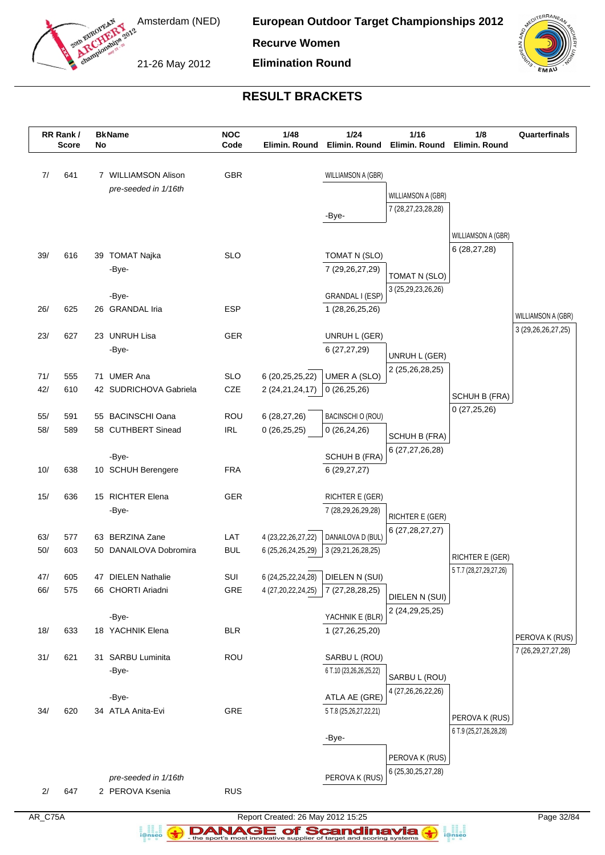

**European Outdoor Target Championships 2012**

**Recurve Women**

21-26 May 2012

**Elimination Round**



# **RESULT BRACKETS**

|            | RR Rank /<br><b>Score</b> | No | <b>BkName</b>                           | <b>NOC</b><br>Code                        | 1/48<br>Elimin. Round          | 1/24<br>Elimin. Round              | $1/16$<br>Elimin. Round                      | 1/8<br>Elimin. Round                      | Quarterfinals                            |
|------------|---------------------------|----|-----------------------------------------|-------------------------------------------|--------------------------------|------------------------------------|----------------------------------------------|-------------------------------------------|------------------------------------------|
|            |                           |    |                                         |                                           |                                |                                    |                                              |                                           |                                          |
| 7/         | 641                       |    | 7 WILLIAMSON Alison                     | GBR                                       |                                | WILLIAMSON A (GBR)                 |                                              |                                           |                                          |
|            |                           |    | pre-seeded in 1/16th                    |                                           |                                |                                    |                                              |                                           |                                          |
|            |                           |    |                                         |                                           |                                |                                    | WILLIAMSON A (GBR)<br>7 (28, 27, 23, 28, 28) |                                           |                                          |
|            |                           |    |                                         |                                           |                                | -Bye-                              |                                              |                                           |                                          |
|            |                           |    |                                         |                                           |                                |                                    |                                              | WILLIAMSON A (GBR)                        |                                          |
| 39/        | 616                       |    | 39 TOMAT Najka                          | <b>SLO</b>                                |                                | TOMAT N (SLO)                      |                                              | 6(28, 27, 28)                             |                                          |
|            |                           |    | -Bye-                                   |                                           |                                | 7 (29, 26, 27, 29)                 |                                              |                                           |                                          |
|            |                           |    |                                         |                                           |                                |                                    | TOMAT N (SLO)<br>3 (25,29,23,26,26)          |                                           |                                          |
|            |                           |    | -Bye-                                   |                                           |                                | GRANDAL I (ESP)                    |                                              |                                           |                                          |
| 26/        | 625                       |    | 26 GRANDAL Iria                         | <b>ESP</b>                                |                                | 1 (28,26,25,26)                    |                                              |                                           | WILLIAMSON A (GBR)                       |
| 23/        | 627                       |    | 23 UNRUH Lisa                           | GER                                       |                                | UNRUH L (GER)                      |                                              |                                           | 3 (29, 26, 26, 27, 25)                   |
|            |                           |    | -Bye-                                   |                                           |                                | 6(27, 27, 29)                      |                                              |                                           |                                          |
|            |                           |    |                                         |                                           |                                |                                    | UNRUH L (GER)                                |                                           |                                          |
| 71/        | 555                       |    | 71 UMER Ana                             | <b>SLO</b>                                | 6 (20,25,25,22)                | UMER A (SLO)                       | 2 (25,26,28,25)                              |                                           |                                          |
| 42/        | 610                       |    | 42 SUDRICHOVA Gabriela                  | CZE                                       | 2 (24, 21, 24, 17)             | 0(26,25,26)                        |                                              | SCHUH B (FRA)                             |                                          |
|            |                           |    |                                         |                                           |                                |                                    |                                              | 0(27,25,26)                               |                                          |
| 55/<br>58/ | 591<br>589                |    | 55 BACINSCHI Oana<br>58 CUTHBERT Sinead | ROU<br>$\ensuremath{\mathsf{IRL}}\xspace$ | 6(28, 27, 26)<br>0(26, 25, 25) | BACINSCHI O (ROU)<br>0(26, 24, 26) |                                              |                                           |                                          |
|            |                           |    |                                         |                                           |                                |                                    | SCHUH B (FRA)                                |                                           |                                          |
|            |                           |    | -Bye-                                   |                                           |                                | SCHUH B (FRA)                      | 6 (27,27,26,28)                              |                                           |                                          |
| 10/        | 638                       |    | 10 SCHUH Berengere                      | <b>FRA</b>                                |                                | 6(29, 27, 27)                      |                                              |                                           |                                          |
|            |                           |    |                                         |                                           |                                |                                    |                                              |                                           |                                          |
| 15/        | 636                       |    | 15 RICHTER Elena                        | GER                                       |                                | RICHTER E (GER)                    |                                              |                                           |                                          |
|            |                           |    | -Bye-                                   |                                           |                                | 7 (28,29,26,29,28)                 | RICHTER E (GER)                              |                                           |                                          |
| 63/        | 577                       |    | 63 BERZINA Zane                         | LAT                                       | 4 (23, 22, 26, 27, 22)         | DANAILOVA D (BUL)                  | 6 (27, 28, 27, 27)                           |                                           |                                          |
| 50/        | 603                       |    | 50 DANAILOVA Dobromira                  | <b>BUL</b>                                | 6 (25,26,24,25,29)             | 3 (29,21,26,28,25)                 |                                              |                                           |                                          |
|            |                           |    |                                         |                                           |                                |                                    |                                              | RICHTER E (GER)<br>5 T.7 (28,27,29,27,26) |                                          |
| 47/        | 605                       |    | 47 DIELEN Nathalie                      | SUI                                       | 6 (24, 25, 22, 24, 28)         | DIELEN N (SUI)                     |                                              |                                           |                                          |
| 66/        | 575                       |    | 66 CHORTI Ariadni                       | GRE                                       | 4 (27,20,22,24,25)             | 7 (27,28,28,25)                    | DIELEN N (SUI)                               |                                           |                                          |
|            |                           |    | -Bye-                                   |                                           |                                | YACHNIK E (BLR)                    | 2 (24, 29, 25, 25)                           |                                           |                                          |
| 18/        | 633                       |    | 18 YACHNIK Elena                        | <b>BLR</b>                                |                                | 1 (27,26,25,20)                    |                                              |                                           |                                          |
|            |                           |    |                                         |                                           |                                |                                    |                                              |                                           | PEROVA K (RUS)<br>7 (26, 29, 27, 27, 28) |
| 31/        | 621                       |    | 31 SARBU Luminita                       | <b>ROU</b>                                |                                | SARBU L (ROU)                      |                                              |                                           |                                          |
|            |                           |    | -Bye-                                   |                                           |                                | 6 T.10 (23,26,26,25,22)            | SARBU L (ROU)                                |                                           |                                          |
|            |                           |    | -Bye-                                   |                                           |                                | ATLA AE (GRE)                      | 4 (27,26,26,22,26)                           |                                           |                                          |
| 34/        | 620                       |    | 34 ATLA Anita-Evi                       | GRE                                       |                                | 5 T.8 (25,26,27,22,21)             |                                              |                                           |                                          |
|            |                           |    |                                         |                                           |                                |                                    |                                              | PEROVA K (RUS)                            |                                          |
|            |                           |    |                                         |                                           |                                | -Bye-                              |                                              | 6 T.9 (25,27,26,28,28)                    |                                          |
|            |                           |    |                                         |                                           |                                |                                    | PEROVA K (RUS)                               |                                           |                                          |
|            |                           |    |                                         |                                           |                                |                                    | 6 (25, 30, 25, 27, 28)                       |                                           |                                          |
| 2/         | 647                       |    | pre-seeded in 1/16th<br>2 PEROVA Ksenia | <b>RUS</b>                                |                                | PEROVA K (RUS)                     |                                              |                                           |                                          |
|            |                           |    |                                         |                                           |                                |                                    |                                              |                                           |                                          |

AR\_C75A Report Created: 26 May 2012 15:25 Page 32/84

a analis<br>i@nseo

**DANAGE of Scandinavia**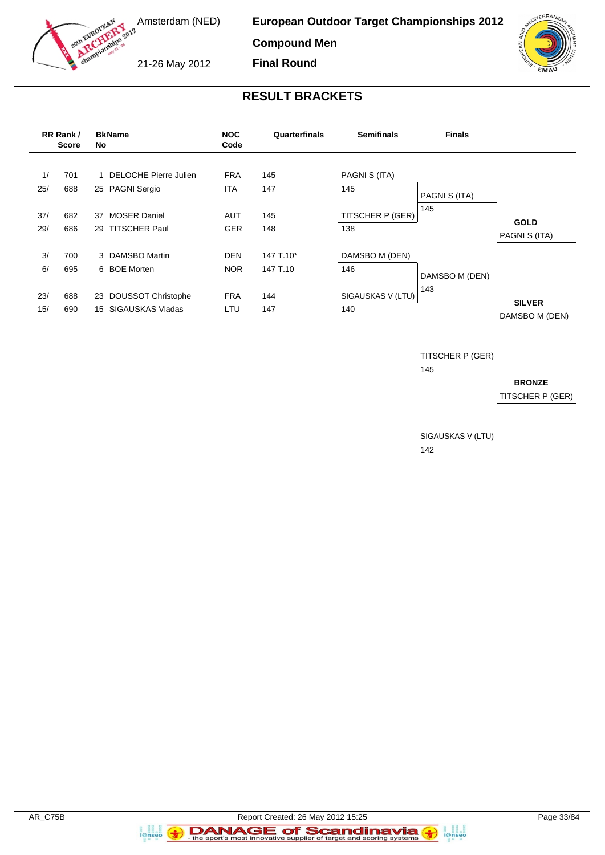

**Compound Men**

21-26 May 2012

**Final Round**



# **RESULT BRACKETS**

|           | RR Rank /<br><b>Score</b> | No | <b>BkName</b>                              | <b>NOC</b><br>Code       | Quarterfinals | <b>Semifinals</b>    | <b>Finals</b>        |                              |
|-----------|---------------------------|----|--------------------------------------------|--------------------------|---------------|----------------------|----------------------|------------------------------|
| 1/<br>25/ | 701<br>688                |    | 1 DELOCHE Pierre Julien<br>25 PAGNI Sergio | <b>FRA</b><br><b>ITA</b> | 145<br>147    | PAGNI S (ITA)<br>145 |                      |                              |
| 37/       | 682                       | 37 | <b>MOSER Daniel</b>                        | AUT                      | 145           | TITSCHER P (GER)     | PAGNI S (ITA)<br>145 |                              |
| 29/       | 686                       | 29 | <b>TITSCHER Paul</b>                       | <b>GER</b>               | 148           | 138                  |                      | <b>GOLD</b><br>PAGNI S (ITA) |
| 3/        | 700                       |    | 3 DAMSBO Martin                            | <b>DEN</b>               | 147 T.10*     | DAMSBO M (DEN)       |                      |                              |
| 6/        | 695                       |    | 6 BOE Morten                               | <b>NOR</b>               | 147 T.10      | 146                  | DAMSBO M (DEN)       |                              |
| 23/       | 688                       | 23 | DOUSSOT Christophe                         | <b>FRA</b>               | 144           | SIGAUSKAS V (LTU)    | 143                  | <b>SILVER</b>                |
| 15/       | 690                       | 15 | SIGAUSKAS Vladas                           | LTU                      | 147           | 140                  |                      | DAMSBO M (DEN)               |



a ana an<br>i@nseo

a anglica<br>i@nseo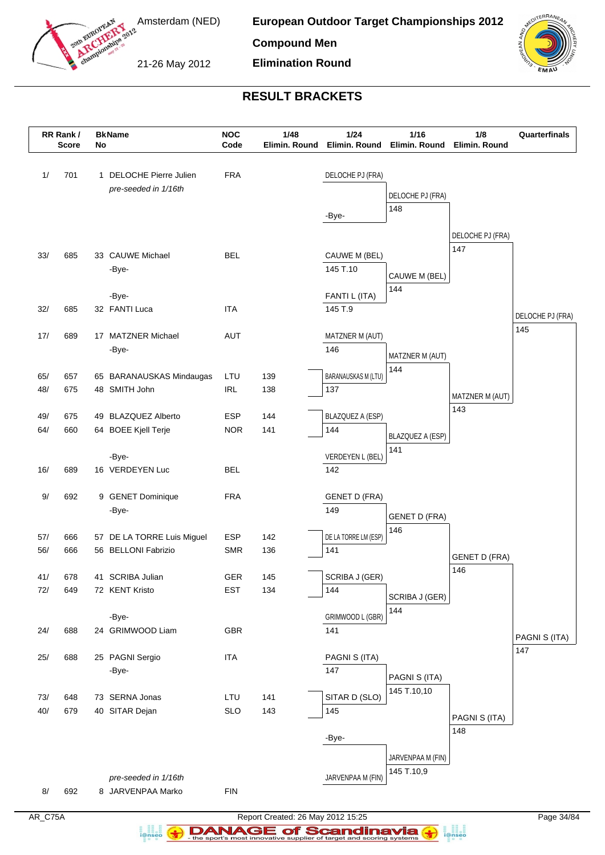

**European Outdoor Target Championships 2012**

**Compound Men**

21-26 May 2012

**Elimination Round**



# **RESULT BRACKETS**

|            | RR Rank /<br><b>Score</b> | No | <b>BkName</b>                                   | <b>NOC</b><br>Code       | 1/48<br>Elimin. Round | 1/24                           | 1/16<br>Elimin. Round Elimin. Round | 1/8<br>Elimin. Round | Quarterfinals    |
|------------|---------------------------|----|-------------------------------------------------|--------------------------|-----------------------|--------------------------------|-------------------------------------|----------------------|------------------|
| 1/         | 701                       |    | 1 DELOCHE Pierre Julien<br>pre-seeded in 1/16th | <b>FRA</b>               |                       | DELOCHE PJ (FRA)               | DELOCHE PJ (FRA)                    |                      |                  |
|            |                           |    |                                                 |                          |                       | -Bye-                          | 148                                 | DELOCHE PJ (FRA)     |                  |
| 33/        | 685                       |    | 33 CAUWE Michael<br>-Bye-                       | <b>BEL</b>               |                       | CAUWE M (BEL)<br>145 T.10      | CAUWE M (BEL)                       | 147                  |                  |
|            |                           |    | -Bye-                                           |                          |                       | FANTI L (ITA)                  | 144                                 |                      |                  |
| 32/        | 685                       |    | 32 FANTI Luca                                   | <b>ITA</b>               |                       | 145 T.9                        |                                     |                      | DELOCHE PJ (FRA) |
| 17/        | 689                       |    | 17 MATZNER Michael                              | <b>AUT</b>               |                       | MATZNER M (AUT)                |                                     |                      | 145              |
|            |                           |    | -Bye-                                           |                          |                       | 146                            | MATZNER M (AUT)                     |                      |                  |
| 65/        | 657                       |    | 65 BARANAUSKAS Mindaugas                        | LTU                      | 139                   | <b>BARANAUSKAS M (LTU)</b>     | 144                                 |                      |                  |
| 48/        | 675                       |    | 48 SMITH John                                   | <b>IRL</b>               | 138                   | 137                            |                                     | MATZNER M (AUT)      |                  |
|            |                           |    |                                                 |                          |                       |                                |                                     | 143                  |                  |
| 49/<br>64/ | 675<br>660                |    | 49 BLAZQUEZ Alberto                             | <b>ESP</b><br><b>NOR</b> | 144<br>141            | <b>BLAZQUEZ A (ESP)</b><br>144 |                                     |                      |                  |
|            |                           |    | 64 BOEE Kjell Terje                             |                          |                       |                                | BLAZQUEZ A (ESP)                    |                      |                  |
|            |                           |    | -Bye-                                           |                          |                       | VERDEYEN L (BEL)               | 141                                 |                      |                  |
| 16/        | 689                       |    | 16 VERDEYEN Luc                                 | <b>BEL</b>               |                       | 142                            |                                     |                      |                  |
| 9/         | 692                       |    | 9 GENET Dominique                               | <b>FRA</b>               |                       | <b>GENET D (FRA)</b>           |                                     |                      |                  |
|            |                           |    | -Bye-                                           |                          |                       | 149                            | <b>GENET D (FRA)</b>                |                      |                  |
| 57/        | 666                       |    | 57 DE LA TORRE Luis Miguel                      | <b>ESP</b>               | 142                   | DE LA TORRE LM (ESP)           | 146                                 |                      |                  |
| 56/        | 666                       |    | 56 BELLONI Fabrizio                             | <b>SMR</b>               | 136                   | 141                            |                                     | <b>GENET D (FRA)</b> |                  |
|            |                           |    |                                                 |                          |                       |                                |                                     | 146                  |                  |
| 41/<br>72/ | 678<br>649                |    | 41 SCRIBA Julian<br>72 KENT Kristo              | GER<br><b>EST</b>        | 145<br>134            | SCRIBA J (GER)<br>144          |                                     |                      |                  |
|            |                           |    |                                                 |                          |                       |                                | SCRIBA J (GER)<br>144               |                      |                  |
|            |                           |    | -Bye-                                           |                          |                       | GRIMWOOD L (GBR)               |                                     |                      |                  |
| 24/        | 688                       |    | 24 GRIMWOOD Liam                                | GBR                      |                       | 141                            |                                     |                      | PAGNI S (ITA)    |
| 25/        | 688                       |    | 25 PAGNI Sergio                                 | <b>ITA</b>               |                       | PAGNI S (ITA)                  |                                     |                      | 147              |
|            |                           |    | -Bye-                                           |                          |                       | 147                            | PAGNI S (ITA)                       |                      |                  |
|            |                           |    |                                                 |                          |                       |                                | 145 T.10,10                         |                      |                  |
| 73/        | 648                       |    | 73 SERNA Jonas                                  | LTU                      | 141                   | SITAR D (SLO)<br>145           |                                     |                      |                  |
| 40/        | 679                       |    | 40 SITAR Dejan                                  | <b>SLO</b>               | 143                   |                                |                                     | PAGNI S (ITA)        |                  |
|            |                           |    |                                                 |                          |                       | -Bye-                          |                                     | 148                  |                  |
|            |                           |    |                                                 |                          |                       |                                | JARVENPAA M (FIN)                   |                      |                  |
|            |                           |    |                                                 |                          |                       |                                | 145 T.10,9                          |                      |                  |
| 8/         | 692                       |    | pre-seeded in 1/16th<br>8 JARVENPAA Marko       | ${\sf FIN}$              |                       | JARVENPAA M (FIN)              |                                     |                      |                  |
|            |                           |    |                                                 |                          |                       |                                |                                     |                      |                  |

AR\_C75A Report Created: 26 May 2012 15:25 Page 34/84 **DANAGE of Scandinavia** 

a analis<br>i@nseo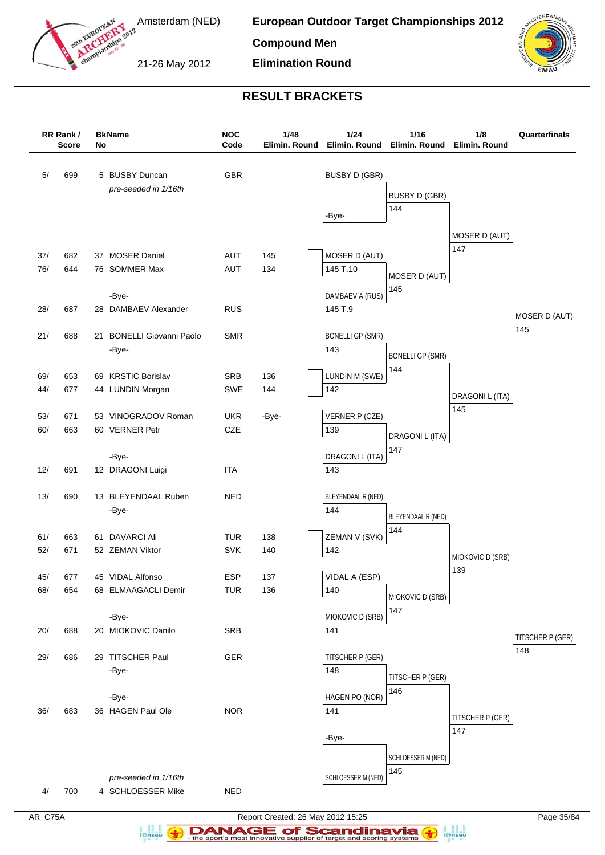

**Compound Men**

21-26 May 2012



# **RESULT BRACKETS**

**Elimination Round**

|            | RR Rank /<br><b>Score</b> | No | <b>BkName</b>                             | <b>NOC</b><br>Code       | 1/48<br>Elimin. Round | 1/24<br>Elimin. Round   | 1/16<br>Elimin. Round   | 1/8<br>Elimin. Round | Quarterfinals        |
|------------|---------------------------|----|-------------------------------------------|--------------------------|-----------------------|-------------------------|-------------------------|----------------------|----------------------|
| $5/$       | 699                       |    | 5 BUSBY Duncan                            | <b>GBR</b>               |                       | <b>BUSBY D (GBR)</b>    |                         |                      |                      |
|            |                           |    | pre-seeded in 1/16th                      |                          |                       |                         | <b>BUSBY D (GBR)</b>    |                      |                      |
|            |                           |    |                                           |                          |                       |                         | 144                     |                      |                      |
|            |                           |    |                                           |                          |                       | -Bye-                   |                         |                      |                      |
|            |                           |    |                                           |                          |                       |                         |                         | MOSER D (AUT)        |                      |
| 37/        | 682                       |    | 37 MOSER Daniel                           | <b>AUT</b>               | 145                   | MOSER D (AUT)           |                         | 147                  |                      |
| 76/        | 644                       |    | 76 SOMMER Max                             | AUT                      | 134                   | 145 T.10                |                         |                      |                      |
|            |                           |    |                                           |                          |                       |                         | MOSER D (AUT)           |                      |                      |
|            |                           |    | -Bye-                                     |                          |                       | DAMBAEV A (RUS)         | 145                     |                      |                      |
| 28/        | 687                       |    | 28 DAMBAEV Alexander                      | <b>RUS</b>               |                       | 145 T.9                 |                         |                      |                      |
|            |                           |    |                                           |                          |                       |                         |                         |                      | MOSER D (AUT)<br>145 |
| 21/        | 688                       | 21 | <b>BONELLI Giovanni Paolo</b>             | <b>SMR</b>               |                       | <b>BONELLI GP (SMR)</b> |                         |                      |                      |
|            |                           |    | -Bye-                                     |                          |                       | 143                     | <b>BONELLI GP (SMR)</b> |                      |                      |
|            |                           |    |                                           |                          |                       |                         | 144                     |                      |                      |
| 69/        | 653                       |    | 69 KRSTIC Borislav                        | <b>SRB</b>               | 136                   | LUNDIN M (SWE)          |                         |                      |                      |
| 44/        | 677                       |    | 44 LUNDIN Morgan                          | <b>SWE</b>               | 144                   | 142                     |                         | DRAGONI L (ITA)      |                      |
| 53/        | 671                       |    | 53 VINOGRADOV Roman                       | <b>UKR</b>               |                       | VERNER P (CZE)          |                         | 145                  |                      |
| 60/        | 663                       |    | 60 VERNER Petr                            | <b>CZE</b>               | -Bye-                 | 139                     |                         |                      |                      |
|            |                           |    |                                           |                          |                       |                         | DRAGONI L (ITA)         |                      |                      |
|            |                           |    | -Bye-                                     |                          |                       | DRAGONI L (ITA)         | 147                     |                      |                      |
| 12/        | 691                       |    | 12 DRAGONI Luigi                          | <b>ITA</b>               |                       | 143                     |                         |                      |                      |
|            |                           |    |                                           |                          |                       |                         |                         |                      |                      |
| 13/        | 690                       |    | 13 BLEYENDAAL Ruben                       | <b>NED</b>               |                       | BLEYENDAAL R (NED)      |                         |                      |                      |
|            |                           |    | -Bye-                                     |                          |                       | 144                     | BLEYENDAAL R (NED)      |                      |                      |
|            |                           |    |                                           |                          |                       |                         | 144                     |                      |                      |
| 61/        | 663                       | 61 | <b>DAVARCI Ali</b>                        | <b>TUR</b>               | 138                   | ZEMAN V (SVK)           |                         |                      |                      |
| 52/        | 671                       |    | 52 ZEMAN Viktor                           | <b>SVK</b>               | 140                   | 142                     |                         | MIOKOVIC D (SRB)     |                      |
|            |                           |    |                                           |                          |                       |                         |                         | 139                  |                      |
| 45/<br>68/ | 677<br>654                |    | 45 VIDAL Alfonso<br>68 ELMAAGACLI Demir   | <b>ESP</b><br><b>TUR</b> | 137<br>136            | VIDAL A (ESP)<br>140    |                         |                      |                      |
|            |                           |    |                                           |                          |                       |                         | MIOKOVIC D (SRB)        |                      |                      |
|            |                           |    | -Bye-                                     |                          |                       | MIOKOVIC D (SRB)        | 147                     |                      |                      |
| 20/        | 688                       |    | 20 MIOKOVIC Danilo                        | <b>SRB</b>               |                       | 141                     |                         |                      |                      |
|            |                           |    |                                           |                          |                       |                         |                         |                      | TITSCHER P (GER)     |
| 29/        | 686                       |    | 29 TITSCHER Paul                          | GER                      |                       | TITSCHER P (GER)        |                         |                      | 148                  |
|            |                           |    | -Bye-                                     |                          |                       | 148                     |                         |                      |                      |
|            |                           |    |                                           |                          |                       |                         | TITSCHER P (GER)<br>146 |                      |                      |
|            |                           |    | -Bye-                                     |                          |                       | HAGEN PO (NOR)          |                         |                      |                      |
| 36/        | 683                       |    | 36 HAGEN Paul Ole                         | <b>NOR</b>               |                       | 141                     |                         | TITSCHER P (GER)     |                      |
|            |                           |    |                                           |                          |                       |                         |                         | 147                  |                      |
|            |                           |    |                                           |                          |                       | -Bye-                   |                         |                      |                      |
|            |                           |    |                                           |                          |                       |                         | SCHLOESSER M (NED)      |                      |                      |
|            |                           |    |                                           |                          |                       | SCHLOESSER M (NED)      | 145                     |                      |                      |
| 4/         | 700                       |    | pre-seeded in 1/16th<br>4 SCHLOESSER Mike | <b>NED</b>               |                       |                         |                         |                      |                      |
|            |                           |    |                                           |                          |                       |                         |                         |                      |                      |

a analis<br>i@nseo

AR\_C75A Report Created: 26 May 2012 15:25 Page 35/84 **DANAGE of Scandinavia**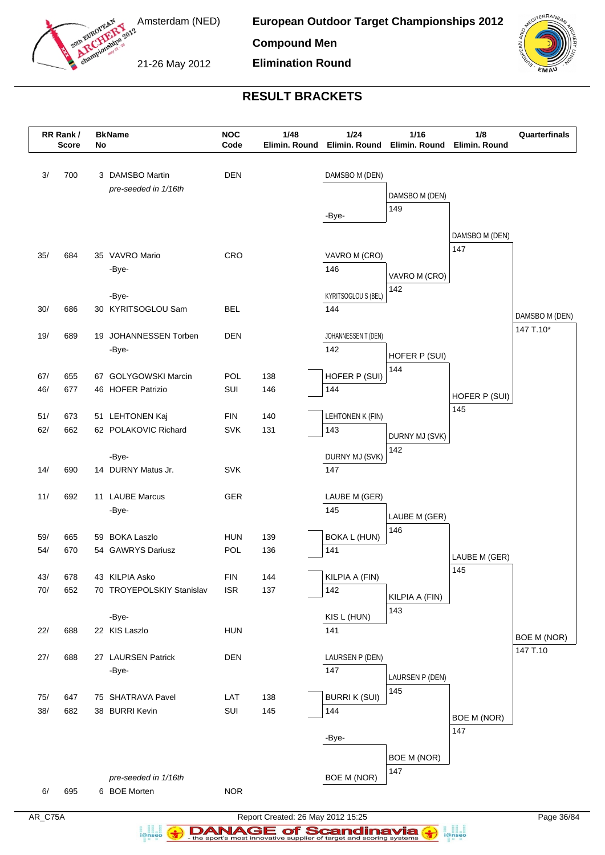

**European Outdoor Target Championships 2012**

**Compound Men**

21-26 May 2012

**Elimination Round**



# **RESULT BRACKETS**

|            | RR Rank /<br><b>Score</b> | No | <b>BkName</b>                           | <b>NOC</b><br>Code | 1/48<br>Elimin. Round | $1/24$                     | 1/16<br>Elimin. Round Elimin. Round | 1/8<br>Elimin. Round | Quarterfinals      |
|------------|---------------------------|----|-----------------------------------------|--------------------|-----------------------|----------------------------|-------------------------------------|----------------------|--------------------|
| 3/         | 700                       |    | 3 DAMSBO Martin<br>pre-seeded in 1/16th | <b>DEN</b>         |                       | DAMSBO M (DEN)             | DAMSBO M (DEN)<br>149               |                      |                    |
|            |                           |    |                                         |                    |                       | -Bye-                      |                                     | DAMSBO M (DEN)       |                    |
| 35/        | 684                       |    | 35 VAVRO Mario                          | CRO                |                       | VAVRO M (CRO)              |                                     | 147                  |                    |
|            |                           |    | -Bye-                                   |                    |                       | 146                        |                                     |                      |                    |
|            |                           |    |                                         |                    |                       |                            | VAVRO M (CRO)<br>142                |                      |                    |
|            |                           |    | -Bye-                                   |                    |                       | KYRITSOGLOU S (BEL)        |                                     |                      |                    |
| 30/        | 686                       |    | 30 KYRITSOGLOU Sam                      | <b>BEL</b>         |                       | 144                        |                                     |                      | DAMSBO M (DEN)     |
| 19/        | 689                       |    | 19 JOHANNESSEN Torben                   | <b>DEN</b>         |                       | JOHANNESSEN T (DEN)        |                                     |                      | 147 T.10*          |
|            |                           |    | -Bye-                                   |                    |                       | 142                        | HOFER P (SUI)                       |                      |                    |
|            |                           |    |                                         |                    |                       |                            | 144                                 |                      |                    |
| 67/        | 655                       |    | 67 GOLYGOWSKI Marcin                    | POL                | 138                   | HOFER P (SUI)<br>144       |                                     |                      |                    |
| 46/        | 677                       |    | 46 HOFER Patrizio                       | SUI                | 146                   |                            |                                     | HOFER P (SUI)        |                    |
| 51/        | 673                       |    | 51 LEHTONEN Kaj                         | <b>FIN</b>         | 140                   | LEHTONEN K (FIN)           |                                     | 145                  |                    |
| 62/        | 662                       |    | 62 POLAKOVIC Richard                    | <b>SVK</b>         | 131                   | 143                        | DURNY MJ (SVK)                      |                      |                    |
|            |                           |    |                                         |                    |                       |                            | 142                                 |                      |                    |
| 14/        | 690                       |    | -Bye-<br>14 DURNY Matus Jr.             | <b>SVK</b>         |                       | DURNY MJ (SVK)<br>147      |                                     |                      |                    |
|            |                           |    |                                         |                    |                       |                            |                                     |                      |                    |
| 11/        | 692                       |    | 11 LAUBE Marcus                         | GER                |                       | LAUBE M (GER)              |                                     |                      |                    |
|            |                           |    | -Bye-                                   |                    |                       | 145                        | LAUBE M (GER)                       |                      |                    |
|            |                           |    |                                         |                    |                       |                            | 146                                 |                      |                    |
| 59/<br>54/ | 665<br>670                |    | 59 BOKA Laszlo<br>54 GAWRYS Dariusz     | <b>HUN</b><br>POL  | 139<br>136            | <b>BOKA L (HUN)</b><br>141 |                                     |                      |                    |
|            |                           |    |                                         |                    |                       |                            |                                     | LAUBE M (GER)        |                    |
| 43/        | 678                       |    | 43 KILPIA Asko                          | <b>FIN</b>         | 144                   | KILPIA A (FIN)             |                                     | 145                  |                    |
| 70/        | 652                       |    | 70 TROYEPOLSKIY Stanislav               | <b>ISR</b>         | 137                   | 142                        | KILPIA A (FIN)                      |                      |                    |
|            |                           |    |                                         |                    |                       |                            | 143                                 |                      |                    |
| 22/        | 688                       |    | -Bye-<br>22 KIS Laszlo                  | <b>HUN</b>         |                       | KIS L (HUN)<br>141         |                                     |                      |                    |
|            |                           |    |                                         |                    |                       |                            |                                     |                      | <b>BOE M (NOR)</b> |
| $27/$      | 688                       |    | 27 LAURSEN Patrick                      | DEN                |                       | LAURSEN P (DEN)            |                                     |                      | 147 T.10           |
|            |                           |    | -Bye-                                   |                    |                       | 147                        | LAURSEN P (DEN)                     |                      |                    |
|            |                           |    |                                         |                    |                       |                            | 145                                 |                      |                    |
| 75/<br>38/ | 647<br>682                |    | 75 SHATRAVA Pavel<br>38 BURRI Kevin     | LAT<br>SUI         | 138<br>145            | <b>BURRIK (SUI)</b><br>144 |                                     |                      |                    |
|            |                           |    |                                         |                    |                       |                            |                                     | BOE M (NOR)          |                    |
|            |                           |    |                                         |                    |                       | -Bye-                      |                                     | 147                  |                    |
|            |                           |    |                                         |                    |                       |                            | BOE M (NOR)                         |                      |                    |
|            |                           |    | pre-seeded in 1/16th                    |                    |                       | <b>BOE M (NOR)</b>         | 147                                 |                      |                    |
| 6/         | 695                       |    | 6 BOE Morten                            | <b>NOR</b>         |                       |                            |                                     |                      |                    |
|            |                           |    |                                         |                    |                       |                            |                                     |                      |                    |

a analis<br>i@nseo

AR\_C75A Report Created: 26 May 2012 15:25 Page 36/84 **DANAGE of Scandinavia**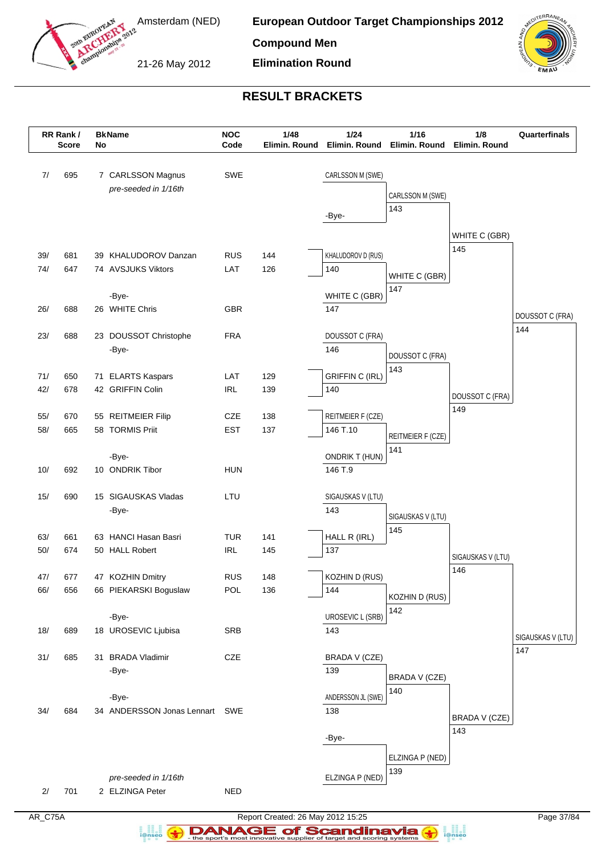

**European Outdoor Target Championships 2012**

**Compound Men**

21-26 May 2012

**Elimination Round**



## **RESULT BRACKETS**

|            | RR Rank /<br><b>Score</b> | No | <b>BkName</b>                          | <b>NOC</b><br>Code       | 1/48<br>Elimin. Round | 1/24<br>Elimin. Round            | 1/16<br>Elimin. Round | 1/8<br>Elimin. Round | Quarterfinals     |
|------------|---------------------------|----|----------------------------------------|--------------------------|-----------------------|----------------------------------|-----------------------|----------------------|-------------------|
| 7/         | 695                       |    | 7 CARLSSON Magnus                      | SWE                      |                       | CARLSSON M (SWE)                 |                       |                      |                   |
|            |                           |    | pre-seeded in 1/16th                   |                          |                       |                                  | CARLSSON M (SWE)      |                      |                   |
|            |                           |    |                                        |                          |                       | -Bye-                            | 143                   |                      |                   |
|            |                           |    |                                        |                          |                       |                                  |                       |                      |                   |
|            |                           |    |                                        |                          |                       |                                  |                       | WHITE C (GBR)<br>145 |                   |
| 39/        | 681                       |    | 39 KHALUDOROV Danzan                   | <b>RUS</b>               | 144                   | KHALUDOROV D (RUS)               |                       |                      |                   |
| 74/        | 647                       |    | 74 AVSJUKS Viktors                     | LAT                      | 126                   | 140                              | WHITE C (GBR)         |                      |                   |
|            |                           |    | -Bye-                                  |                          |                       | WHITE C (GBR)                    | 147                   |                      |                   |
| 26/        | 688                       |    | 26 WHITE Chris                         | <b>GBR</b>               |                       | 147                              |                       |                      |                   |
|            |                           |    |                                        |                          |                       |                                  |                       |                      | DOUSSOT C (FRA)   |
| 23/        | 688                       |    | 23 DOUSSOT Christophe                  | <b>FRA</b>               |                       | DOUSSOT C (FRA)                  |                       |                      | 144               |
|            |                           |    | -Bye-                                  |                          |                       | 146                              | DOUSSOT C (FRA)       |                      |                   |
| 71/        | 650                       |    | 71 ELARTS Kaspars                      | LAT                      | 129                   | <b>GRIFFIN C (IRL)</b>           | 143                   |                      |                   |
| 42/        | 678                       |    | 42 GRIFFIN Colin                       | <b>IRL</b>               | 139                   | 140                              |                       |                      |                   |
|            |                           |    |                                        |                          |                       |                                  |                       | DOUSSOT C (FRA)      |                   |
| 55/        | 670                       |    | 55 REITMEIER Filip                     | CZE                      | 138                   | REITMEIER F (CZE)                |                       | 149                  |                   |
| 58/        | 665                       |    | 58 TORMIS Priit                        | <b>EST</b>               | 137                   | 146 T.10                         | REITMEIER F (CZE)     |                      |                   |
|            |                           |    |                                        |                          |                       |                                  | 141                   |                      |                   |
| 10/        | 692                       |    | -Bye-<br>10 ONDRIK Tibor               | <b>HUN</b>               |                       | <b>ONDRIK T (HUN)</b><br>146 T.9 |                       |                      |                   |
|            |                           |    |                                        |                          |                       |                                  |                       |                      |                   |
| 15/        | 690                       |    | 15 SIGAUSKAS Vladas                    | LTU                      |                       | SIGAUSKAS V (LTU)                |                       |                      |                   |
|            |                           |    | -Bye-                                  |                          |                       | 143                              | SIGAUSKAS V (LTU)     |                      |                   |
|            |                           |    |                                        |                          |                       |                                  | 145                   |                      |                   |
| 63/<br>50/ | 661<br>674                |    | 63 HANCI Hasan Basri<br>50 HALL Robert | <b>TUR</b><br><b>IRL</b> | 141<br>145            | HALL R (IRL)<br>137              |                       |                      |                   |
|            |                           |    |                                        |                          |                       |                                  |                       | SIGAUSKAS V (LTU)    |                   |
| 47/        | 677                       |    | 47 KOZHIN Dmitry                       | <b>RUS</b>               | 148                   | KOZHIN D (RUS)                   |                       | 146                  |                   |
| 66/        | 656                       |    | 66 PIEKARSKI Boguslaw                  | POL                      | 136                   | 144                              | KOZHIN D (RUS)        |                      |                   |
|            |                           |    |                                        |                          |                       |                                  | 142                   |                      |                   |
| 18/        | 689                       |    | -Bye-<br>18 UROSEVIC Ljubisa           | <b>SRB</b>               |                       | UROSEVIC L (SRB)<br>143          |                       |                      |                   |
|            |                           |    |                                        |                          |                       |                                  |                       |                      | SIGAUSKAS V (LTU) |
| 31/        | 685                       |    | 31 BRADA Vladimir                      | CZE                      |                       | BRADA V (CZE)                    |                       |                      | 147               |
|            |                           |    | -Bye-                                  |                          |                       | 139                              | BRADA V (CZE)         |                      |                   |
|            |                           |    |                                        |                          |                       |                                  | 140                   |                      |                   |
|            |                           |    | -Bye-                                  |                          |                       | ANDERSSON JL (SWE)               |                       |                      |                   |
| 34/        | 684                       |    | 34 ANDERSSON Jonas Lennart SWE         |                          |                       | 138                              |                       | BRADA V (CZE)        |                   |
|            |                           |    |                                        |                          |                       | -Bye-                            |                       | 143                  |                   |
|            |                           |    |                                        |                          |                       |                                  |                       |                      |                   |
|            |                           |    |                                        |                          |                       |                                  | ELZINGA P (NED)       |                      |                   |
|            |                           |    | pre-seeded in 1/16th                   |                          |                       | ELZINGA P (NED)                  | 139                   |                      |                   |
| $2/$       | 701                       |    | 2 ELZINGA Peter                        | <b>NED</b>               |                       |                                  |                       |                      |                   |

a analis<br>i@nseo

AR\_C75A Report Created: 26 May 2012 15:25 Page 37/84 **DANAGE of Scandinavia**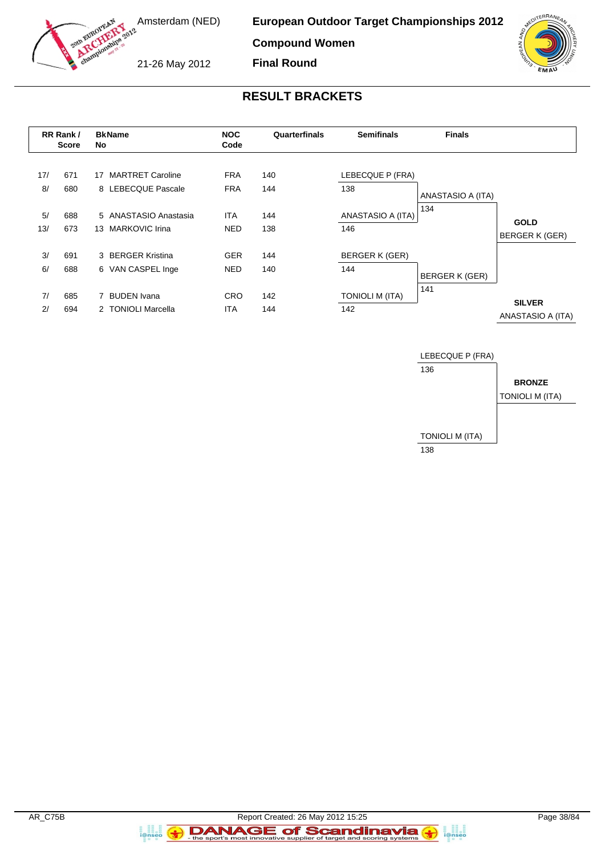

**Compound Women**

**Final Round**

21-26 May 2012

# **RESULT BRACKETS**

|           | RR Rank /<br><b>Score</b> | <b>BkName</b><br>No                                  |                          | Quarterfinals | <b>Semifinals</b>             | <b>Finals</b>     |                                      |
|-----------|---------------------------|------------------------------------------------------|--------------------------|---------------|-------------------------------|-------------------|--------------------------------------|
| 17/<br>8/ | 671<br>680                | <b>MARTRET Caroline</b><br>17<br>8 LEBECQUE Pascale  | <b>FRA</b><br><b>FRA</b> | 140<br>144    | LEBECQUE P (FRA)<br>138       | ANASTASIO A (ITA) |                                      |
| 5/<br>13/ | 688<br>673                | 5 ANASTASIO Anastasia<br><b>MARKOVIC Irina</b><br>13 | <b>ITA</b><br><b>NED</b> | 144<br>138    | ANASTASIO A (ITA)<br>146      | 134               | <b>GOLD</b><br><b>BERGER K (GER)</b> |
| 3/<br>6/  | 691<br>688                | 3 BERGER Kristina<br>6 VAN CASPEL Inge               | <b>GER</b><br><b>NED</b> | 144<br>140    | BERGER K (GER)<br>144         | BERGER K (GER)    |                                      |
| 7/<br>2/  | 685<br>694                | <b>BUDEN</b> Ivana<br>2 TONIOLI Marcella             | <b>CRO</b><br><b>ITA</b> | 142<br>144    | <b>TONIOLI M (ITA)</b><br>142 | 141               | <b>SILVER</b><br>ANASTASIO A (ITA)   |



a and<br>i@nseo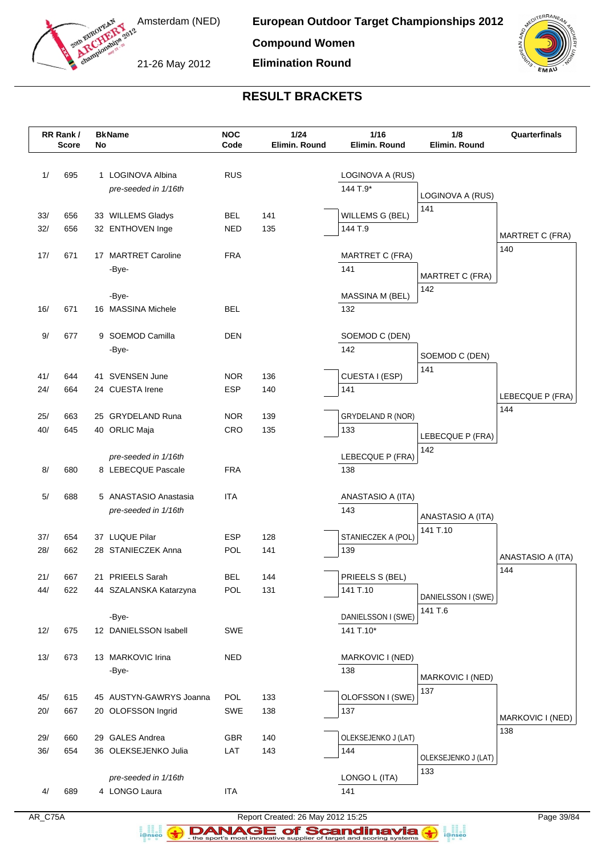

21-26 May 2012

**Elimination Round**



# **RESULT BRACKETS**

|            | RR Rank /<br><b>Score</b> | No | <b>BkName</b>                      | <b>NOC</b><br>Code | $1/24$<br>Elimin. Round | 1/16<br>Elimin. Round    | 1/8<br>Elimin. Round          | Quarterfinals          |
|------------|---------------------------|----|------------------------------------|--------------------|-------------------------|--------------------------|-------------------------------|------------------------|
|            |                           |    |                                    |                    |                         |                          |                               |                        |
| 1/         | 695                       |    | 1 LOGINOVA Albina                  | <b>RUS</b>         |                         | LOGINOVA A (RUS)         |                               |                        |
|            |                           |    | pre-seeded in 1/16th               |                    |                         | 144 T.9*                 |                               |                        |
|            |                           |    |                                    |                    |                         |                          | LOGINOVA A (RUS)              |                        |
| 33/        | 656                       |    | 33 WILLEMS Gladys                  | <b>BEL</b>         | 141                     | WILLEMS G (BEL)          | 141                           |                        |
| 32/        | 656                       |    | 32 ENTHOVEN Inge                   | NED                | 135                     | 144 T.9                  |                               | <b>MARTRET C (FRA)</b> |
|            |                           |    |                                    |                    |                         |                          |                               | 140                    |
| 17/        | 671                       |    | 17 MARTRET Caroline                | <b>FRA</b>         |                         | <b>MARTRET C (FRA)</b>   |                               |                        |
|            |                           |    | -Bye-                              |                    |                         | 141                      | <b>MARTRET C (FRA)</b>        |                        |
|            |                           |    |                                    |                    |                         |                          | 142                           |                        |
| 16/        | 671                       |    | -Bye-<br>16 MASSINA Michele        | <b>BEL</b>         |                         | MASSINA M (BEL)<br>132   |                               |                        |
|            |                           |    |                                    |                    |                         |                          |                               |                        |
| 9/         | 677                       |    | 9 SOEMOD Camilla                   | <b>DEN</b>         |                         | SOEMOD C (DEN)           |                               |                        |
|            |                           |    | -Bye-                              |                    |                         | 142                      |                               |                        |
|            |                           |    |                                    |                    |                         |                          | SOEMOD C (DEN)<br>141         |                        |
| 41/        | 644                       |    | 41 SVENSEN June                    | <b>NOR</b>         | 136                     | CUESTA I (ESP)           |                               |                        |
| 24/        | 664                       |    | 24 CUESTA Irene                    | <b>ESP</b>         | 140                     | 141                      |                               | LEBECQUE P (FRA)       |
|            |                           |    |                                    |                    |                         |                          |                               | 144                    |
| 25/<br>40/ | 663<br>645                |    | 25 GRYDELAND Runa<br>40 ORLIC Maja | <b>NOR</b><br>CRO  | 139<br>135              | GRYDELAND R (NOR)<br>133 |                               |                        |
|            |                           |    |                                    |                    |                         |                          | LEBECQUE P (FRA)              |                        |
|            |                           |    | pre-seeded in 1/16th               |                    |                         | LEBECQUE P (FRA)         | 142                           |                        |
| 8/         | 680                       |    | 8 LEBECQUE Pascale                 | <b>FRA</b>         |                         | 138                      |                               |                        |
|            |                           |    |                                    |                    |                         |                          |                               |                        |
| 5/         | 688                       |    | 5 ANASTASIO Anastasia              | <b>ITA</b>         |                         | ANASTASIO A (ITA)        |                               |                        |
|            |                           |    | pre-seeded in 1/16th               |                    |                         | 143                      | ANASTASIO A (ITA)             |                        |
|            |                           |    |                                    |                    |                         |                          | 141 T.10                      |                        |
| 37/        | 654                       |    | 37 LUQUE Pilar                     | ESP<br>POL         | 128                     | STANIECZEK A (POL)       |                               |                        |
| 28/        | 662                       |    | 28 STANIECZEK Anna                 |                    | 141                     | 139                      |                               | ANASTASIO A (ITA)      |
| 21/        | 667                       |    | 21 PRIEELS Sarah                   | <b>BEL</b>         | 144                     | PRIEELS S (BEL)          |                               | 144                    |
| 44/        | 622                       |    | 44 SZALANSKA Katarzyna             | POL                | 131                     | 141 T.10                 |                               |                        |
|            |                           |    |                                    |                    |                         |                          | DANIELSSON I (SWE)<br>141 T.6 |                        |
|            |                           |    | -Bye-                              |                    |                         | DANIELSSON I (SWE)       |                               |                        |
| 12/        | 675                       |    | 12 DANIELSSON Isabell              | SWE                |                         | 141 T.10*                |                               |                        |
|            |                           |    |                                    |                    |                         |                          |                               |                        |
| 13/        | 673                       |    | 13 MARKOVIC Irina                  | NED                |                         | MARKOVIC I (NED)         |                               |                        |
|            |                           |    | -Bye-                              |                    |                         | 138                      | MARKOVIC I (NED)              |                        |
| 45/        | 615                       |    | 45 AUSTYN-GAWRYS Joanna            | POL                | 133                     | OLOFSSON I (SWE)         | 137                           |                        |
| 20/        | 667                       |    | 20 OLOFSSON Ingrid                 | SWE                | 138                     | 137                      |                               |                        |
|            |                           |    |                                    |                    |                         |                          |                               | MARKOVIC I (NED)       |
| 29/        | 660                       |    | 29 GALES Andrea                    | <b>GBR</b>         | 140                     | OLEKSEJENKO J (LAT)      |                               | 138                    |
| 36/        | 654                       |    | 36 OLEKSEJENKO Julia               | LAT                | 143                     | 144                      | OLEKSEJENKO J (LAT)           |                        |
|            |                           |    |                                    |                    |                         |                          | 133                           |                        |
|            |                           |    | pre-seeded in 1/16th               |                    |                         | LONGO L (ITA)            |                               |                        |
| 4/         | 689                       |    | 4 LONGO Laura                      | <b>ITA</b>         |                         | 141                      |                               |                        |

a analis<br>i@nseo

AR\_C75A Report Created: 26 May 2012 15:25 Page 39/84 **DANAGE of Scandinavia**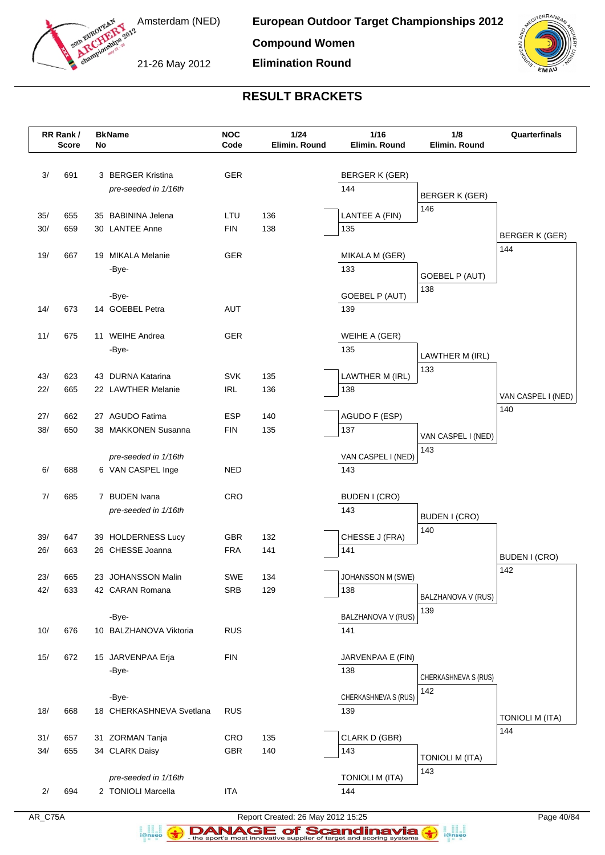



21-26 May 2012

# **RESULT BRACKETS**

**Elimination Round**

|            | RR Rank /<br><b>Score</b> | No | <b>BkName</b>                         | <b>NOC</b><br>Code | 1/24<br>Elimin. Round | 1/16<br>Elimin. Round    | 1/8<br>Elimin. Round   | Quarterfinals          |
|------------|---------------------------|----|---------------------------------------|--------------------|-----------------------|--------------------------|------------------------|------------------------|
|            |                           |    |                                       |                    |                       |                          |                        |                        |
| 3/         | 691                       |    | 3 BERGER Kristina                     | GER                |                       | BERGER K (GER)           |                        |                        |
|            |                           |    | pre-seeded in 1/16th                  |                    |                       | 144                      |                        |                        |
|            |                           |    |                                       |                    |                       |                          | BERGER K (GER)         |                        |
| 35/        | 655                       |    | 35 BABININA Jelena                    | LTU                | 136                   | LANTEE A (FIN)           | 146                    |                        |
| 30/        | 659                       |    | 30 LANTEE Anne                        | <b>FIN</b>         | 138                   | 135                      |                        | BERGER K (GER)         |
|            |                           |    |                                       |                    |                       |                          |                        | 144                    |
| 19/        | 667                       |    | 19 MIKALA Melanie                     | GER                |                       | MIKALA M (GER)           |                        |                        |
|            |                           |    | -Bye-                                 |                    |                       | 133                      | <b>GOEBEL P (AUT)</b>  |                        |
|            |                           |    |                                       |                    |                       |                          | 138                    |                        |
| 14/        | 673                       |    | -Bye-<br>14 GOEBEL Petra              | <b>AUT</b>         |                       | GOEBEL P (AUT)<br>139    |                        |                        |
|            |                           |    |                                       |                    |                       |                          |                        |                        |
| 11/        | 675                       |    | 11 WEIHE Andrea                       | <b>GER</b>         |                       | WEIHE A (GER)            |                        |                        |
|            |                           |    | -Bye-                                 |                    |                       | 135                      |                        |                        |
|            |                           |    |                                       |                    |                       |                          | LAWTHER M (IRL)<br>133 |                        |
| 43/        | 623                       |    | 43 DURNA Katarina                     | <b>SVK</b>         | 135                   | LAWTHER M (IRL)          |                        |                        |
| 22/        | 665                       |    | 22 LAWTHER Melanie                    | <b>IRL</b>         | 136                   | 138                      |                        | VAN CASPEL I (NED)     |
|            |                           |    |                                       |                    |                       |                          |                        | 140                    |
| 27/        | 662                       |    | 27 AGUDO Fatima                       | <b>ESP</b>         | 140                   | AGUDO F (ESP)            |                        |                        |
| 38/        | 650                       |    | 38 MAKKONEN Susanna                   | <b>FIN</b>         | 135                   | 137                      | VAN CASPEL I (NED)     |                        |
|            |                           |    | pre-seeded in 1/16th                  |                    |                       | VAN CASPEL I (NED)       | 143                    |                        |
| 6/         | 688                       |    | 6 VAN CASPEL Inge                     | <b>NED</b>         |                       | 143                      |                        |                        |
|            |                           |    |                                       |                    |                       |                          |                        |                        |
| 7/         | 685                       |    | 7 BUDEN Ivana                         | CRO                |                       | BUDEN I (CRO)            |                        |                        |
|            |                           |    | pre-seeded in 1/16th                  |                    |                       | 143                      | <b>BUDEN I (CRO)</b>   |                        |
|            |                           |    |                                       |                    |                       |                          | 140                    |                        |
| 39/        | 647                       |    | 39 HOLDERNESS Lucy                    | <b>GBR</b>         | 132                   | CHESSE J (FRA)           |                        |                        |
| 26/        | 663                       |    | 26 CHESSE Joanna                      | <b>FRA</b>         | 141                   | 141                      |                        | <b>BUDEN I (CRO)</b>   |
|            |                           |    |                                       |                    |                       |                          |                        | 142                    |
| 23/<br>42/ | 665<br>633                |    | 23 JOHANSSON Malin<br>42 CARAN Romana | SWE<br><b>SRB</b>  | 134<br>129            | JOHANSSON M (SWE)<br>138 |                        |                        |
|            |                           |    |                                       |                    |                       |                          | BALZHANOVA V (RUS)     |                        |
|            |                           |    | -Bye-                                 |                    |                       | BALZHANOVA V (RUS)       | 139                    |                        |
| 10/        | 676                       |    | 10 BALZHANOVA Viktoria                | <b>RUS</b>         |                       | 141                      |                        |                        |
|            |                           |    |                                       |                    |                       |                          |                        |                        |
| 15/        | 672                       |    | 15 JARVENPAA Erja                     | <b>FIN</b>         |                       | JARVENPAA E (FIN)        |                        |                        |
|            |                           |    | -Bye-                                 |                    |                       | 138                      | CHERKASHNEVA S (RUS)   |                        |
|            |                           |    |                                       |                    |                       |                          | 142                    |                        |
|            |                           |    | -Bye-                                 |                    |                       | CHERKASHNEVA S (RUS)     |                        |                        |
| 18/        | 668                       |    | 18 CHERKASHNEVA Svetlana              | <b>RUS</b>         |                       | 139                      |                        | <b>TONIOLI M (ITA)</b> |
| 31/        | 657                       |    | 31 ZORMAN Tanja                       | <b>CRO</b>         | 135                   | CLARK D (GBR)            |                        | 144                    |
| $34/$      | 655                       |    | 34 CLARK Daisy                        | <b>GBR</b>         | 140                   | 143                      |                        |                        |
|            |                           |    |                                       |                    |                       |                          | TONIOLI M (ITA)        |                        |
|            |                           |    | pre-seeded in 1/16th                  |                    |                       | <b>TONIOLI M (ITA)</b>   | 143                    |                        |
| 2/         | 694                       |    | 2 TONIOLI Marcella                    | <b>ITA</b>         |                       | 144                      |                        |                        |
|            |                           |    |                                       |                    |                       |                          |                        |                        |

a analis<br>i@nseo

AR\_C75A Report Created: 26 May 2012 15:25 Page 40/84 **DANAGE of Scandinavia**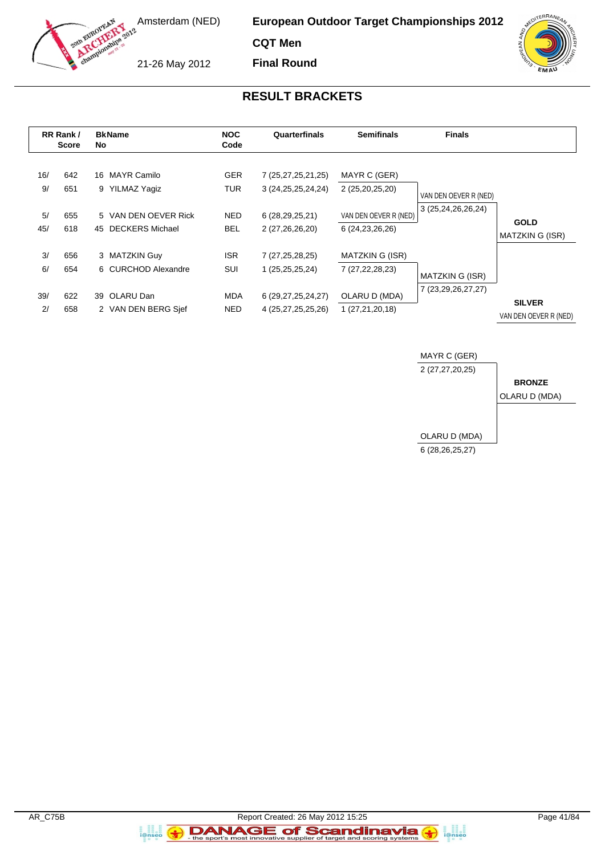

**CQT Men**

**Final Round**

21-26 May 2012

### **RESULT BRACKETS**

|           | RR Rank /<br><b>Score</b> |    | <b>BkName</b><br>No                            |                          | Quarterfinals                                    | <b>Semifinals</b>                           | <b>Finals</b>         |                                        |
|-----------|---------------------------|----|------------------------------------------------|--------------------------|--------------------------------------------------|---------------------------------------------|-----------------------|----------------------------------------|
| 16/<br>9/ | 642<br>651                | 16 | MAYR Camilo<br>9 YILMAZ Yagiz                  | <b>GER</b><br><b>TUR</b> | 7 (25, 27, 25, 21, 25)<br>3 (24, 25, 25, 24, 24) | MAYR C (GER)<br>2 (25,20,25,20)             | VAN DEN OEVER R (NED) |                                        |
| 5/<br>45/ | 655<br>618                | 45 | 5 VAN DEN OEVER Rick<br><b>DECKERS Michael</b> | <b>NED</b><br><b>BEL</b> | 6 (28,29,25,21)<br>2 (27,26,26,20)               | VAN DEN OEVER R (NED)<br>6 (24, 23, 26, 26) | 3 (25,24,26,26,24)    | <b>GOLD</b><br><b>MATZKIN G (ISR)</b>  |
| 3/<br>6/  | 656<br>654                |    | 3 MATZKIN Guy<br>6 CURCHOD Alexandre           | <b>ISR</b><br>SUI        | 7 (27, 25, 28, 25)<br>1 (25,25,25,24)            | MATZKIN G (ISR)<br>7 (27, 22, 28, 23)       | MATZKIN G (ISR)       |                                        |
| 39/<br>2/ | 622<br>658                | 39 | OLARU Dan<br>2 VAN DEN BERG Sief               | MDA<br><b>NED</b>        | 6 (29, 27, 25, 24, 27)<br>4 (25,27,25,25,26)     | OLARU D (MDA)<br>1 (27,21,20,18)            | 7 (23,29,26,27,27)    | <b>SILVER</b><br>VAN DEN OEVER R (NED) |



a<br>i@nseo

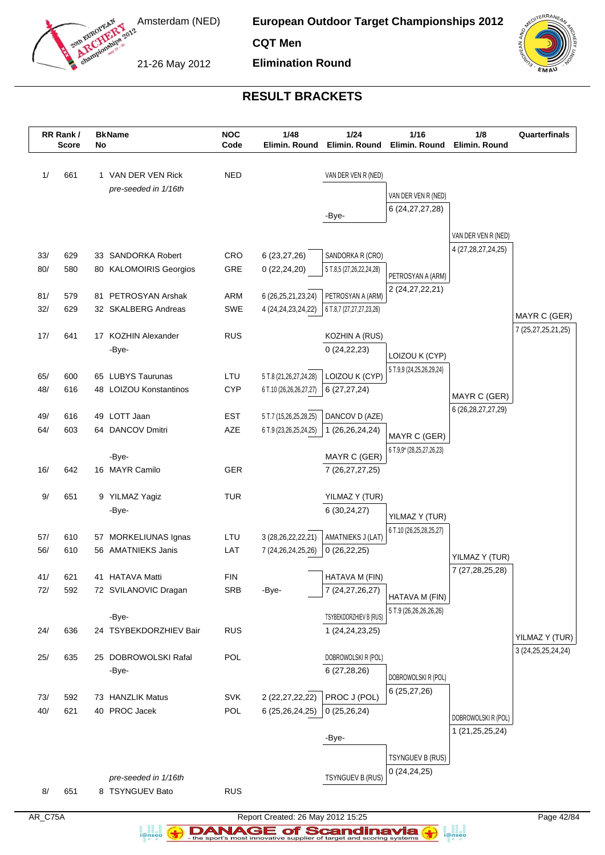

**CQT Men**

21-26 May 2012

**Elimination Round**



## **RESULT BRACKETS**

|            | RR Rank /<br><b>Score</b> | No | <b>BkName</b>                              | <b>NOC</b><br>Code | 1/48<br>Elimin. Round                        | 1/24<br>Elimin. Round              | 1/16<br>Elimin. Round                     | 1/8<br>Elimin. Round                          | Quarterfinals                            |
|------------|---------------------------|----|--------------------------------------------|--------------------|----------------------------------------------|------------------------------------|-------------------------------------------|-----------------------------------------------|------------------------------------------|
|            |                           |    |                                            |                    |                                              |                                    |                                           |                                               |                                          |
| 1/         | 661                       |    | 1 VAN DER VEN Rick                         | <b>NED</b>         |                                              | VAN DER VEN R (NED)                |                                           |                                               |                                          |
|            |                           |    | pre-seeded in 1/16th                       |                    |                                              |                                    | VAN DER VEN R (NED)                       |                                               |                                          |
|            |                           |    |                                            |                    |                                              | -Bye-                              | 6 (24, 27, 27, 28)                        |                                               |                                          |
|            |                           |    |                                            |                    |                                              |                                    |                                           |                                               |                                          |
|            |                           |    |                                            |                    |                                              |                                    |                                           | VAN DER VEN R (NED)<br>4 (27, 28, 27, 24, 25) |                                          |
| 33/        | 629                       |    | 33 SANDORKA Robert                         | CRO                | 6(23, 27, 26)                                | SANDORKA R (CRO)                   |                                           |                                               |                                          |
| 80/        | 580                       |    | 80 KALOMOIRIS Georgios                     | GRE                | 0(22, 24, 20)                                | 5 T.8,5 (27,26,22,24,28)           | PETROSYAN A (ARM)                         |                                               |                                          |
| 81/        | 579                       |    | 81 PETROSYAN Arshak                        | ARM                | 6 (26, 25, 21, 23, 24)                       | PETROSYAN A (ARM)                  | 2 (24, 27, 22, 21)                        |                                               |                                          |
| 32/        | 629                       |    | 32 SKALBERG Andreas                        | SWE                | 4 (24, 24, 23, 24, 22)                       | 6 T.8,7 (27,27,27,23,26)           |                                           |                                               | MAYR C (GER)                             |
|            |                           |    |                                            |                    |                                              |                                    |                                           |                                               | 7 (25,27,25,21,25)                       |
| 17/        | 641                       |    | 17 KOZHIN Alexander<br>-Bye-               | <b>RUS</b>         |                                              | KOZHIN A (RUS)<br>0(24,22,23)      |                                           |                                               |                                          |
|            |                           |    |                                            |                    |                                              |                                    | LOIZOU K (CYP)                            |                                               |                                          |
| 65/        | 600                       |    | 65 LUBYS Taurunas                          | LTU                | 5 T.8 (21,26,27,24,28)                       | LOIZOU K (CYP)                     | 5 T.9,9 (24,25,26,29,24)                  |                                               |                                          |
| 48/        | 616                       |    | 48 LOIZOU Konstantinos                     | <b>CYP</b>         | 6 T.10 (26,26,26,27,27)                      | 6(27, 27, 24)                      |                                           | MAYR C (GER)                                  |                                          |
| 49/        | 616                       |    | 49 LOTT Jaan                               | <b>EST</b>         | 5 T.7 (15,26,25,28,25)                       | DANCOV D (AZE)                     |                                           | 6 (26, 28, 27, 27, 29)                        |                                          |
| 64/        | 603                       |    | 64 DANCOV Dmitri                           | AZE                | 6 T.9 (23,26,25,24,25)                       | 1 (26,26,24,24)                    |                                           |                                               |                                          |
|            |                           |    |                                            |                    |                                              |                                    | MAYR C (GER)<br>6 T.9,9* (28,25,27,26,23) |                                               |                                          |
|            |                           |    | -Bye-                                      |                    |                                              | MAYR C (GER)                       |                                           |                                               |                                          |
| 16/        | 642                       |    | 16 MAYR Camilo                             | <b>GER</b>         |                                              | 7 (26, 27, 27, 25)                 |                                           |                                               |                                          |
| 9/         | 651                       |    | 9 YILMAZ Yagiz                             | <b>TUR</b>         |                                              | YILMAZ Y (TUR)                     |                                           |                                               |                                          |
|            |                           |    | -Bye-                                      |                    |                                              | 6(30, 24, 27)                      | YILMAZ Y (TUR)                            |                                               |                                          |
|            |                           |    |                                            |                    |                                              |                                    | 6 T.10 (26,25,28,25,27)                   |                                               |                                          |
| 57/<br>56/ | 610<br>610                |    | 57 MORKELIUNAS Ignas<br>56 AMATNIEKS Janis | LTU<br>LAT         | 3 (28, 26, 22, 22, 21)<br>7 (24,26,24,25,26) | AMATNIEKS J (LAT)<br>0(26, 22, 25) |                                           |                                               |                                          |
|            |                           |    |                                            |                    |                                              |                                    |                                           | YILMAZ Y (TUR)                                |                                          |
| 41/        | 621                       |    | 41 HATAVA Matti                            | <b>FIN</b>         |                                              | HATAVA M (FIN)                     |                                           | 7 (27,28,25,28)                               |                                          |
| 72/        | 592                       |    | 72 SVILANOVIC Dragan                       | <b>SRB</b>         | -Bye-                                        | 7 (24, 27, 26, 27)                 | HATAVA M (FIN)                            |                                               |                                          |
|            |                           |    | -Bye-                                      |                    |                                              | TSYBEKDORZHIEV B (RUS)             | 5 T.9 (26,26,26,26,26)                    |                                               |                                          |
| 24/        | 636                       |    | 24 TSYBEKDORZHIEV Bair                     | <b>RUS</b>         |                                              | 1 (24, 24, 23, 25)                 |                                           |                                               |                                          |
|            |                           |    |                                            |                    |                                              |                                    |                                           |                                               | YILMAZ Y (TUR)<br>3 (24, 25, 25, 24, 24) |
| 25/        | 635                       |    | 25 DOBROWOLSKI Rafal                       | POL                |                                              | DOBROWOLSKI R (POL)                |                                           |                                               |                                          |
|            |                           |    | -Bye-                                      |                    |                                              | 6(27, 28, 26)                      | DOBROWOLSKI R (POL)                       |                                               |                                          |
| 73/        | 592                       |    | 73 HANZLIK Matus                           | SVK                | 2 (22,27,22,22)                              | PROC J (POL)                       | 6 (25,27,26)                              |                                               |                                          |
| 40/        | 621                       |    | 40 PROC Jacek                              | POL                | 6 (25,26,24,25)                              | 0(25,26,24)                        |                                           | DOBROWOLSKI R (POL)                           |                                          |
|            |                           |    |                                            |                    |                                              |                                    |                                           | 1 (21,25,25,24)                               |                                          |
|            |                           |    |                                            |                    |                                              | -Bye-                              |                                           |                                               |                                          |
|            |                           |    |                                            |                    |                                              |                                    | TSYNGUEV B (RUS)                          |                                               |                                          |
|            |                           |    | pre-seeded in 1/16th                       |                    |                                              | TSYNGUEV B (RUS)                   | 0(24,24,25)                               |                                               |                                          |
| 8/         | 651                       |    | 8 TSYNGUEV Bato                            | <b>RUS</b>         |                                              |                                    |                                           |                                               |                                          |
|            |                           |    |                                            |                    |                                              |                                    |                                           |                                               |                                          |

a analis<br>i@nseo

AR\_C75A Report Created: 26 May 2012 15:25 Page 42/84 **DANAGE of Scandinavia**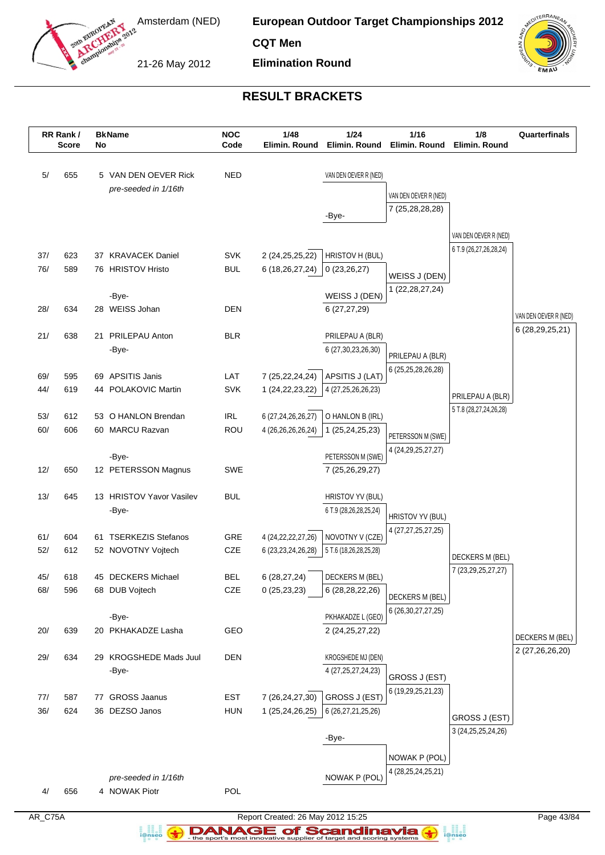

**CQT Men**

21-26 May 2012

**Elimination Round**



## **RESULT BRACKETS**

|            | RR Rank /<br><b>Score</b> | No | <b>BkName</b>                        | <b>NOC</b><br>Code | 1/48<br>Elimin. Round         | 1/24<br>Elimin. Round                        | 1/16<br>Elimin. Round                  | 1/8<br>Elimin. Round                    | Quarterfinals         |
|------------|---------------------------|----|--------------------------------------|--------------------|-------------------------------|----------------------------------------------|----------------------------------------|-----------------------------------------|-----------------------|
| 5/         | 655                       |    | 5 VAN DEN OEVER Rick                 | <b>NED</b>         |                               | VAN DEN OEVER R (NED)                        |                                        |                                         |                       |
|            |                           |    | pre-seeded in 1/16th                 |                    |                               |                                              | VAN DEN OEVER R (NED)                  |                                         |                       |
|            |                           |    |                                      |                    |                               |                                              | 7 (25,28,28,28)                        |                                         |                       |
|            |                           |    |                                      |                    |                               | -Bye-                                        |                                        |                                         |                       |
|            |                           |    |                                      |                    |                               |                                              |                                        | VAN DEN OEVER R (NED)                   |                       |
| 37/        | 623                       |    | 37 KRAVACEK Daniel                   | <b>SVK</b>         | 2 (24, 25, 25, 22)            | HRISTOV H (BUL)                              |                                        | 6 T.9 (26,27,26,28,24)                  |                       |
| 76/        | 589                       |    | 76 HRISTOV Hristo                    | <b>BUL</b>         | 6 (18,26,27,24)               | 0(23,26,27)                                  | WEISS J (DEN)                          |                                         |                       |
|            |                           |    |                                      |                    |                               |                                              | 1 (22, 28, 27, 24)                     |                                         |                       |
| 28/        | 634                       |    | -Bye-<br>28 WEISS Johan              | <b>DEN</b>         |                               | WEISS J (DEN)<br>6 (27,27,29)                |                                        |                                         |                       |
|            |                           |    |                                      |                    |                               |                                              |                                        |                                         | VAN DEN OEVER R (NED) |
| 21/        | 638                       |    | 21 PRILEPAU Anton                    | <b>BLR</b>         |                               | PRILEPAU A (BLR)                             |                                        |                                         | 6 (28, 29, 25, 21)    |
|            |                           |    | -Bye-                                |                    |                               | 6 (27, 30, 23, 26, 30)                       |                                        |                                         |                       |
|            |                           |    |                                      |                    |                               |                                              | PRILEPAU A (BLR)<br>6 (25,25,28,26,28) |                                         |                       |
| 69/        | 595                       |    | 69 APSITIS Janis                     | LAT                | 7 (25,22,24,24)               | APSITIS J (LAT)                              |                                        |                                         |                       |
| 44/        | 619                       |    | 44 POLAKOVIC Martin                  | <b>SVK</b>         | 1 (24, 22, 23, 22)            | 4 (27, 25, 26, 26, 23)                       |                                        | PRILEPAU A (BLR)                        |                       |
| 53/        | 612                       |    | 53 O HANLON Brendan                  | <b>IRL</b>         | 6 (27,24,26,26,27)            | O HANLON B (IRL)                             |                                        | 5 T.8 (28,27,24,26,28)                  |                       |
| 60/        | 606                       |    | 60 MARCU Razvan                      | ROU                | 4 (26,26,26,26,24)            | 1 (25,24,25,23)                              |                                        |                                         |                       |
|            |                           |    |                                      |                    |                               |                                              | PETERSSON M (SWE)                      |                                         |                       |
|            |                           |    | -Bye-                                |                    |                               | PETERSSON M (SWE)                            | 4 (24, 29, 25, 27, 27)                 |                                         |                       |
| 12/        | 650                       |    | 12 PETERSSON Magnus                  | <b>SWE</b>         |                               | 7 (25,26,29,27)                              |                                        |                                         |                       |
| 13/        | 645                       |    | 13 HRISTOV Yavor Vasilev             | <b>BUL</b>         |                               | HRISTOV YV (BUL)                             |                                        |                                         |                       |
|            |                           |    | -Bye-                                |                    |                               | 6 T.9 (28,26,28,25,24)                       |                                        |                                         |                       |
|            |                           |    |                                      |                    |                               |                                              | HRISTOV YV (BUL)                       |                                         |                       |
| 61/        | 604                       | 61 | <b>TSERKEZIS Stefanos</b>            | <b>GRE</b>         | 4 (24, 22, 22, 27, 26)        | NOVOTNY V (CZE)                              | 4 (27,27,25,27,25)                     |                                         |                       |
| 52/        | 612                       |    | 52 NOVOTNY Vojtech                   | CZE                | 6 (23, 23, 24, 26, 28)        | 5 T.6 (18,26,28,25,28)                       |                                        | DECKERS M (BEL)                         |                       |
|            |                           |    |                                      |                    |                               |                                              |                                        | 7 (23, 29, 25, 27, 27)                  |                       |
| 45/<br>68/ | 618<br>596                |    | 45 DECKERS Michael<br>68 DUB Vojtech | <b>BEL</b><br>CZE  | 6 (28,27,24)<br>0(25, 23, 23) | <b>DECKERS M (BEL)</b><br>6 (28, 28, 22, 26) |                                        |                                         |                       |
|            |                           |    |                                      |                    |                               |                                              | DECKERS M (BEL)                        |                                         |                       |
|            |                           |    | -Bye-                                |                    |                               | PKHAKADZE L (GEO)                            | 6 (26, 30, 27, 27, 25)                 |                                         |                       |
| 20/        | 639                       |    | 20 PKHAKADZE Lasha                   | GEO                |                               | 2 (24, 25, 27, 22)                           |                                        |                                         | DECKERS M (BEL)       |
|            |                           |    |                                      |                    |                               |                                              |                                        |                                         | 2 (27,26,26,20)       |
| 29/        | 634                       |    | 29 KROGSHEDE Mads Juul               | <b>DEN</b>         |                               | KROGSHEDE MJ (DEN)                           |                                        |                                         |                       |
|            |                           |    | -Bye-                                |                    |                               | 4 (27, 25, 27, 24, 23)                       | GROSS J (EST)                          |                                         |                       |
| 77/        | 587                       |    | 77 GROSS Jaanus                      | <b>EST</b>         | 7 (26,24,27,30)               | GROSS J (EST)                                | 6 (19,29,25,21,23)                     |                                         |                       |
| 36/        | 624                       |    | 36 DEZSO Janos                       | <b>HUN</b>         | 1 (25,24,26,25)               | 6 (26,27,21,25,26)                           |                                        |                                         |                       |
|            |                           |    |                                      |                    |                               |                                              |                                        | GROSS J (EST)<br>3 (24, 25, 25, 24, 26) |                       |
|            |                           |    |                                      |                    |                               | -Bye-                                        |                                        |                                         |                       |
|            |                           |    |                                      |                    |                               |                                              | NOWAK P (POL)                          |                                         |                       |
|            |                           |    | pre-seeded in 1/16th                 |                    |                               | NOWAK P (POL)                                | 4 (28, 25, 24, 25, 21)                 |                                         |                       |
| 4/         | 656                       |    | 4 NOWAK Piotr                        | <b>POL</b>         |                               |                                              |                                        |                                         |                       |
|            |                           |    |                                      |                    |                               |                                              |                                        |                                         |                       |

a analis<br>i@nseo

AR\_C75A Report Created: 26 May 2012 15:25 Page 43/84 **DANAGE of Scandinavia**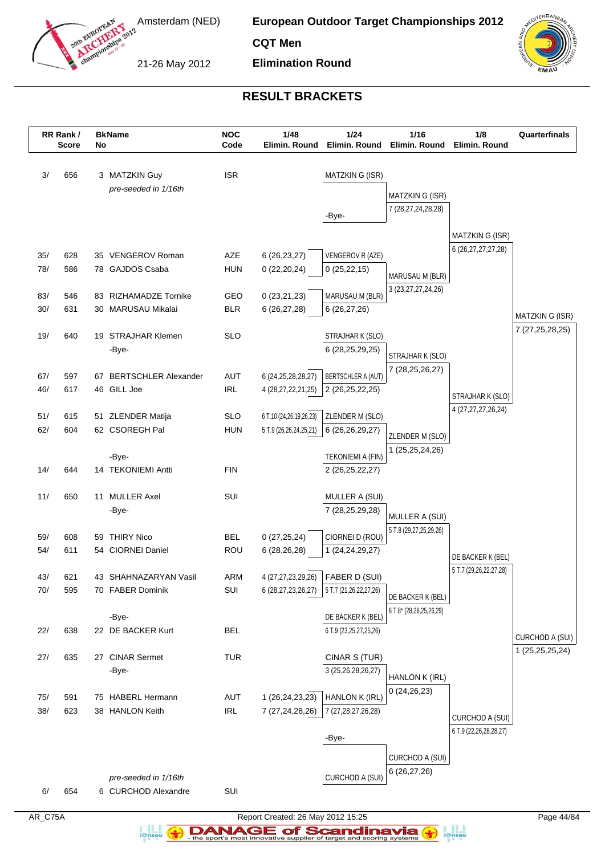

**CQT Men**

21-26 May 2012

**Elimination Round**



# **RESULT BRACKETS**

|            | RR Rank /<br><b>Score</b> | No | <b>BkName</b>                               | <b>NOC</b><br>Code       | 1/48<br>Elimin. Round                        | $1/24$<br>Elimin. Round                     | 1/16<br>Elimin. Round                        | 1/8<br>Elimin. Round       | Quarterfinals          |
|------------|---------------------------|----|---------------------------------------------|--------------------------|----------------------------------------------|---------------------------------------------|----------------------------------------------|----------------------------|------------------------|
| 3/         | 656                       |    | 3 MATZKIN Guy                               | <b>ISR</b>               |                                              | MATZKIN G (ISR)                             |                                              |                            |                        |
|            |                           |    | pre-seeded in 1/16th                        |                          |                                              |                                             | MATZKIN G (ISR)                              |                            |                        |
|            |                           |    |                                             |                          |                                              |                                             | 7 (28, 27, 24, 28, 28)                       |                            |                        |
|            |                           |    |                                             |                          |                                              | -Bye-                                       |                                              |                            |                        |
|            |                           |    |                                             |                          |                                              |                                             |                                              | MATZKIN G (ISR)            |                        |
| 35/        | 628                       |    | 35 VENGEROV Roman                           | AZE                      | 6(26, 23, 27)                                | VENGEROV R (AZE)                            |                                              | 6 (26, 27, 27, 27, 28)     |                        |
| 78/        | 586                       |    | 78 GAJDOS Csaba                             | <b>HUN</b>               | 0(22,20,24)                                  | 0(25, 22, 15)                               | MARUSAU M (BLR)                              |                            |                        |
|            |                           |    |                                             |                          |                                              |                                             | 3 (23, 27, 27, 24, 26)                       |                            |                        |
| 83/<br>30/ | 546<br>631                |    | 83 RIZHAMADZE Tornike<br>30 MARUSAU Mikalai | GEO<br><b>BLR</b>        | 0(23,21,23)<br>6 (26,27,28)                  | MARUSAU M (BLR)<br>6(26, 27, 26)            |                                              |                            |                        |
|            |                           |    |                                             |                          |                                              |                                             |                                              |                            | <b>MATZKIN G (ISR)</b> |
| 19/        | 640                       |    | 19 STRAJHAR Klemen                          | <b>SLO</b>               |                                              | STRAJHAR K (SLO)                            |                                              |                            | 7 (27,25,28,25)        |
|            |                           |    | -Bye-                                       |                          |                                              | 6 (28,25,29,25)                             | STRAJHAR K (SLO)                             |                            |                        |
|            |                           |    |                                             |                          |                                              |                                             | 7 (28, 25, 26, 27)                           |                            |                        |
| 67/<br>46/ | 597<br>617                |    | 67 BERTSCHLER Alexander<br>46 GILL Joe      | <b>AUT</b><br><b>IRL</b> | 6 (24, 25, 28, 28, 27)<br>4 (28,27,22,21,25) | BERTSCHLER A (AUT)<br>2 (26,25,22,25)       |                                              |                            |                        |
|            |                           |    |                                             |                          |                                              |                                             |                                              | STRAJHAR K (SLO)           |                        |
| 51/        | 615                       |    | 51 ZLENDER Matija                           | <b>SLO</b>               | 6 T.10 (24,26,19,26,23)                      | ZLENDER M (SLO)                             |                                              | 4 (27,27,27,26,24)         |                        |
| 62/        | 604                       |    | 62 CSOREGH Pal                              | <b>HUN</b>               | 5 T.9 (26,26,24,25,21)                       | 6 (26,26,29,27)                             | ZLENDER M (SLO)                              |                            |                        |
|            |                           |    |                                             |                          |                                              |                                             | 1 (25,25,24,26)                              |                            |                        |
|            |                           |    | -Bye-                                       | <b>FIN</b>               |                                              | TEKONIEMI A (FIN)                           |                                              |                            |                        |
| 14/        | 644                       |    | 14 TEKONIEMI Antti                          |                          |                                              | 2 (26,25,22,27)                             |                                              |                            |                        |
| 11/        | 650                       |    | 11 MULLER Axel                              | SUI                      |                                              | MULLER A (SUI)                              |                                              |                            |                        |
|            |                           |    | -Bye-                                       |                          |                                              | 7 (28,25,29,28)                             | MULLER A (SUI)                               |                            |                        |
|            |                           |    |                                             |                          |                                              |                                             | 5 T.8 (29,27,25,29,26)                       |                            |                        |
| 59/        | 608                       |    | 59 THIRY Nico                               | <b>BEL</b>               | 0(27, 25, 24)                                | CIORNEI D (ROU)                             |                                              |                            |                        |
| 54/        | 611                       |    | 54 CIORNEI Daniel                           | ROU                      | 6 (28,26,28)                                 | 1 (24, 24, 29, 27)                          |                                              | DE BACKER K (BEL)          |                        |
| 43/        | 621                       |    | 43 SHAHNAZARYAN Vasil                       | ARM                      | 4 (27,27,23,29,26)                           | FABER D (SUI)                               |                                              | 5 T.7 (29,26,22,27,28)     |                        |
| 70/        | 595                       |    | 70 FABER Dominik                            | SUI                      |                                              | 6 (28,27,23,26,27)   5 T.7 (21,26,22,27,26) |                                              |                            |                        |
|            |                           |    |                                             |                          |                                              |                                             | DE BACKER K (BEL)<br>6 T.8* (28,28,25,26,29) |                            |                        |
|            |                           |    | -Bye-                                       |                          |                                              | DE BACKER K (BEL)                           |                                              |                            |                        |
| 22/        | 638                       |    | 22 DE BACKER Kurt                           | <b>BEL</b>               |                                              | 6 T.9 (23,25,27,25,26)                      |                                              |                            | CURCHOD A (SUI)        |
| 27/        | 635                       |    | 27 CINAR Sermet                             | <b>TUR</b>               |                                              | CINAR S (TUR)                               |                                              |                            | 1 (25,25,25,24)        |
|            |                           |    | -Bye-                                       |                          |                                              | 3 (25,26,28,26,27)                          |                                              |                            |                        |
|            |                           |    |                                             |                          |                                              |                                             | HANLON K (IRL)<br>0(24, 26, 23)              |                            |                        |
| 75/        | 591                       |    | 75 HABERL Hermann                           | AUT                      | 1 (26,24,23,23)                              | HANLON K (IRL)                              |                                              |                            |                        |
| 38/        | 623                       |    | 38 HANLON Keith                             | <b>IRL</b>               | 7 (27,24,28,26)                              | 7 (27, 28, 27, 26, 28)                      |                                              | CURCHOD A (SUI)            |                        |
|            |                           |    |                                             |                          |                                              |                                             |                                              | 6 T.9 (22, 26, 28, 28, 27) |                        |
|            |                           |    |                                             |                          |                                              | -Bye-                                       |                                              |                            |                        |
|            |                           |    |                                             |                          |                                              |                                             | CURCHOD A (SUI)                              |                            |                        |
|            |                           |    | pre-seeded in 1/16th                        |                          |                                              | CURCHOD A (SUI)                             | 6(26, 27, 26)                                |                            |                        |
| 6/         | 654                       |    | 6 CURCHOD Alexandre                         | SUI                      |                                              |                                             |                                              |                            |                        |
|            |                           |    |                                             |                          |                                              |                                             |                                              |                            |                        |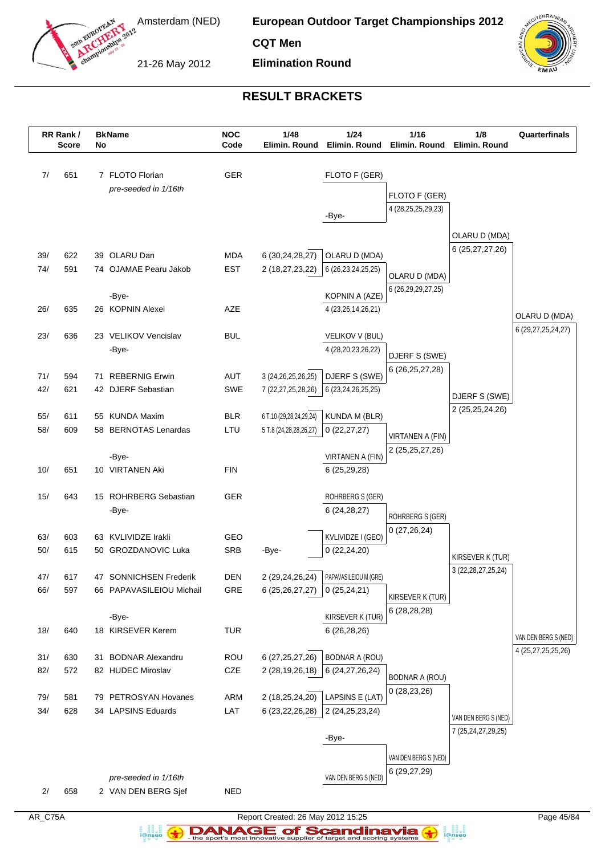

**CQT Men**

21-26 May 2012

**Elimination Round**



## **RESULT BRACKETS**

|            | RR Rank /<br><b>Score</b> | No | <b>BkName</b>            | <b>NOC</b><br>Code | 1/48<br>Elimin. Round                 | 1/24<br>Elimin. Round                       | 1/16<br>Elimin. Round             | 1/8<br>Elimin. Round   | Quarterfinals          |
|------------|---------------------------|----|--------------------------|--------------------|---------------------------------------|---------------------------------------------|-----------------------------------|------------------------|------------------------|
| 7/         | 651                       |    | 7 FLOTO Florian          | GER                |                                       | FLOTO F (GER)                               |                                   |                        |                        |
|            |                           |    | pre-seeded in 1/16th     |                    |                                       |                                             |                                   |                        |                        |
|            |                           |    |                          |                    |                                       |                                             | FLOTO F (GER)                     |                        |                        |
|            |                           |    |                          |                    |                                       | -Bye-                                       | 4 (28, 25, 25, 29, 23)            |                        |                        |
|            |                           |    |                          |                    |                                       |                                             |                                   | OLARU D (MDA)          |                        |
|            |                           |    |                          |                    |                                       |                                             |                                   | 6 (25,27,27,26)        |                        |
| 39/        | 622                       |    | 39 OLARU Dan             | <b>MDA</b>         | 6 (30,24,28,27)                       | OLARU D (MDA)                               |                                   |                        |                        |
| 74/        | 591                       |    | 74 OJAMAE Pearu Jakob    | <b>EST</b>         | 2 (18,27,23,22)                       | 6 (26, 23, 24, 25, 25)                      | OLARU D (MDA)                     |                        |                        |
|            |                           |    | -Bye-                    |                    |                                       | KOPNIN A (AZE)                              | 6 (26, 29, 29, 27, 25)            |                        |                        |
| 26/        | 635                       |    | 26 KOPNIN Alexei         | AZE                |                                       | 4 (23,26,14,26,21)                          |                                   |                        |                        |
|            |                           |    |                          |                    |                                       |                                             |                                   |                        | OLARU D (MDA)          |
| 23/        | 636                       |    | 23 VELIKOV Vencislav     | <b>BUL</b>         |                                       | VELIKOV V (BUL)                             |                                   |                        | 6 (29, 27, 25, 24, 27) |
|            |                           |    | -Bye-                    |                    |                                       | 4 (28,20,23,26,22)                          | DJERF S (SWE)                     |                        |                        |
|            |                           |    |                          |                    |                                       |                                             | 6 (26, 25, 27, 28)                |                        |                        |
| 71/        | 594                       |    | 71 REBERNIG Erwin        | <b>AUT</b>         | 3 (24, 26, 25, 26, 25)                | DJERF S (SWE)                               |                                   |                        |                        |
| 42/        | 621                       |    | 42 DJERF Sebastian       | SWE                | 7 (22, 27, 25, 28, 26)                | 6 (23,24,26,25,25)                          |                                   | DJERF S (SWE)          |                        |
| 55/        | 611                       |    | 55 KUNDA Maxim           | <b>BLR</b>         | 6 T.10 (29,28,24,29,24)               | KUNDA M (BLR)                               |                                   | 2 (25, 25, 24, 26)     |                        |
| 58/        | 609                       |    | 58 BERNOTAS Lenardas     | LTU                | 5 T.8 (24,28,28,26,27)                | 0(22, 27, 27)                               |                                   |                        |                        |
|            |                           |    |                          |                    |                                       |                                             | VIRTANEN A (FIN)                  |                        |                        |
|            |                           |    | -Bye-                    |                    |                                       | VIRTANEN A (FIN)                            | 2 (25,25,27,26)                   |                        |                        |
| 10/        | 651                       |    | 10 VIRTANEN Aki          | <b>FIN</b>         |                                       | 6(25,29,28)                                 |                                   |                        |                        |
|            |                           |    |                          |                    |                                       |                                             |                                   |                        |                        |
| 15/        | 643                       |    | 15 ROHRBERG Sebastian    | GER                |                                       | ROHRBERG S (GER)                            |                                   |                        |                        |
|            |                           |    | -Bye-                    |                    |                                       | 6 (24, 28, 27)                              | ROHRBERG S (GER)                  |                        |                        |
| 63/        | 603                       | 63 | KVLIVIDZE Irakli         | GEO                |                                       | KVLIVIDZE I (GEO)                           | 0(27,26,24)                       |                        |                        |
| 50/        | 615                       |    | 50 GROZDANOVIC Luka      | <b>SRB</b>         | -Bye-                                 | 0(22, 24, 20)                               |                                   |                        |                        |
|            |                           |    |                          |                    |                                       |                                             |                                   | KIRSEVER K (TUR)       |                        |
| 47/        | 617                       |    | 47 SONNICHSEN Frederik   | <b>DEN</b>         | 2 (29,24,26,24)                       | PAPAVASILEIOU M (GRE)                       |                                   | 3 (22, 28, 27, 25, 24) |                        |
| 66/        | 597                       |    | 66 PAPAVASILEIOU Michail | GRE                | 6(25,26,27,27)                        | 0(25, 24, 21)                               |                                   |                        |                        |
|            |                           |    |                          |                    |                                       |                                             | KIRSEVER K (TUR)<br>6(28, 28, 28) |                        |                        |
|            |                           |    | -Bye-                    |                    |                                       | KIRSEVER K (TUR)                            |                                   |                        |                        |
| 18/        | 640                       |    | 18 KIRSEVER Kerem        | <b>TUR</b>         |                                       | 6(26, 28, 26)                               |                                   |                        | VAN DEN BERG S (NED)   |
|            |                           |    | 31 BODNAR Alexandru      |                    |                                       |                                             |                                   |                        | 4 (25,27,25,25,26)     |
| 31/<br>82/ | 630<br>572                |    | 82 HUDEC Miroslav        | ROU<br>CZE         | 6 (27, 25, 27, 26)<br>2 (28,19,26,18) | <b>BODNAR A (ROU)</b><br>6 (24, 27, 26, 24) |                                   |                        |                        |
|            |                           |    |                          |                    |                                       |                                             | <b>BODNAR A (ROU)</b>             |                        |                        |
| 79/        | 581                       |    | 79 PETROSYAN Hovanes     | ARM                | 2 (18,25,24,20)                       | LAPSINS E (LAT)                             | 0(28, 23, 26)                     |                        |                        |
| 34/        | 628                       |    | 34 LAPSINS Eduards       | LAT                | 6 (23,22,26,28)                       | 2 (24, 25, 23, 24)                          |                                   |                        |                        |
|            |                           |    |                          |                    |                                       |                                             |                                   | VAN DEN BERG S (NED)   |                        |
|            |                           |    |                          |                    |                                       | -Bye-                                       |                                   | 7 (25,24,27,29,25)     |                        |
|            |                           |    |                          |                    |                                       |                                             | VAN DEN BERG S (NED)              |                        |                        |
|            |                           |    |                          |                    |                                       |                                             | 6 (29,27,29)                      |                        |                        |
|            |                           |    | pre-seeded in 1/16th     |                    |                                       | VAN DEN BERG S (NED)                        |                                   |                        |                        |
| 2/         | 658                       |    | 2 VAN DEN BERG Sjef      | <b>NED</b>         |                                       |                                             |                                   |                        |                        |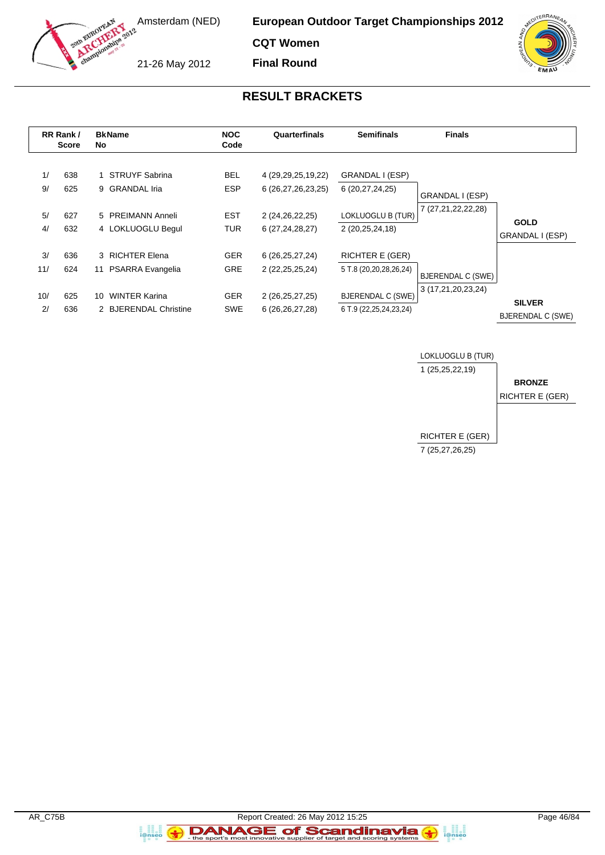

**CQT Women Final Round**

21-26 May 2012

## **RESULT BRACKETS**

|           | RR Rank /<br><b>Score</b> | <b>BkName</b><br><b>NOC</b><br>Quarterfinals<br><b>Semifinals</b><br>Code<br>No. |                          |                                              | <b>Finals</b>                                          |                          |                                           |
|-----------|---------------------------|----------------------------------------------------------------------------------|--------------------------|----------------------------------------------|--------------------------------------------------------|--------------------------|-------------------------------------------|
| 1/<br>9/  | 638<br>625                | <b>STRUYF Sabrina</b><br>9 GRANDAL Iria                                          | <b>BEL</b><br><b>ESP</b> | 4 (29, 29, 25, 19, 22)<br>6 (26,27,26,23,25) | GRANDAL I (ESP)<br>6 (20,27,24,25)                     | GRANDAL I (ESP)          |                                           |
| 5/<br>4/  | 627<br>632                | 5 PREIMANN Anneli<br>4 LOKLUOGLU Begul                                           | <b>EST</b><br><b>TUR</b> | 2 (24,26,22,25)<br>6 (27,24,28,27)           | LOKLUOGLU B (TUR)<br>2 (20,25,24,18)                   | 7 (27,21,22,22,28)       | <b>GOLD</b><br>GRANDAL I (ESP)            |
| 3/<br>11/ | 636<br>624                | 3 RICHTER Elena<br>PSARRA Evangelia<br>11                                        | <b>GER</b><br><b>GRE</b> | 6 (26, 25, 27, 24)<br>2 (22, 25, 25, 24)     | <b>RICHTER E (GER)</b><br>5 T.8 (20,20,28,26,24)       | <b>BJERENDAL C (SWE)</b> |                                           |
| 10/<br>2/ | 625<br>636                | <b>WINTER Karina</b><br>10<br>2 BJERENDAL Christine                              | <b>GER</b><br><b>SWE</b> | 2 (26,25,27,25)<br>6 (26, 26, 27, 28)        | <b>BJERENDAL C (SWE)</b><br>6 T.9 (22, 25, 24, 23, 24) | 3 (17,21,20,23,24)       | <b>SILVER</b><br><b>BJERENDAL C (SWE)</b> |



a<br>i@nseo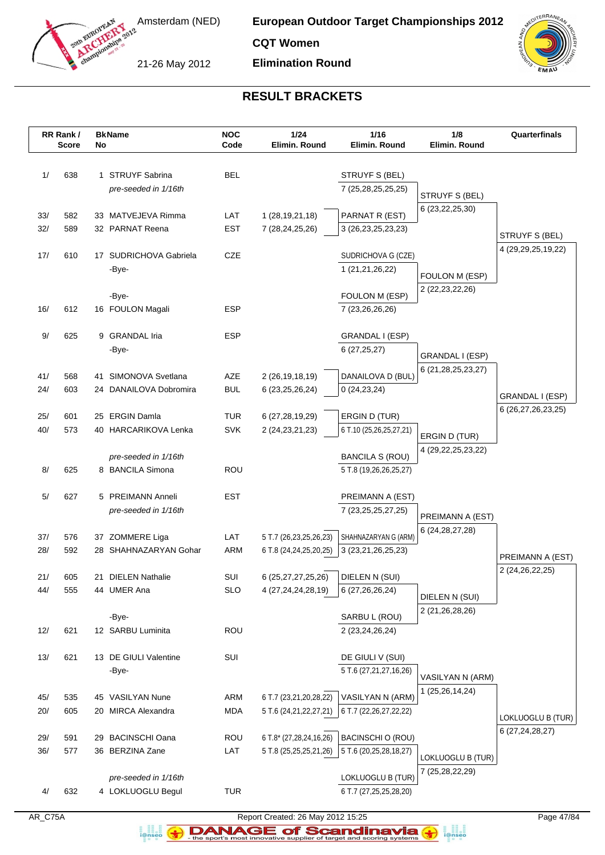

**CQT Women**

21-26 May 2012

**Elimination Round**



## **RESULT BRACKETS**

|     | RR Rank /<br><b>Score</b> | No | <b>BkName</b>          | <b>NOC</b><br>Code | 1/24<br>Elimin. Round   | 1/16<br>Elimin. Round                            | 1/8<br>Elimin. Round   | Quarterfinals      |
|-----|---------------------------|----|------------------------|--------------------|-------------------------|--------------------------------------------------|------------------------|--------------------|
|     |                           |    |                        |                    |                         |                                                  |                        |                    |
| 1/  | 638                       |    | 1 STRUYF Sabrina       | <b>BEL</b>         |                         | STRUYF S (BEL)                                   |                        |                    |
|     |                           |    | pre-seeded in 1/16th   |                    |                         | 7 (25,28,25,25,25)                               | STRUYF S (BEL)         |                    |
|     |                           |    |                        |                    |                         |                                                  | 6 (23, 22, 25, 30)     |                    |
| 33/ | 582                       |    | 33 MATVEJEVA Rimma     | LAT                | 1 (28, 19, 21, 18)      | PARNAT R (EST)                                   |                        |                    |
| 32/ | 589                       |    | 32 PARNAT Reena        | <b>EST</b>         | 7 (28, 24, 25, 26)      | 3 (26,23,25,23,23)                               |                        | STRUYF S (BEL)     |
| 17/ | 610                       |    | 17 SUDRICHOVA Gabriela | CZE                |                         | SUDRICHOVA G (CZE)                               |                        | 4 (29,29,25,19,22) |
|     |                           |    | -Bye-                  |                    |                         | 1 (21,21,26,22)                                  |                        |                    |
|     |                           |    |                        |                    |                         |                                                  | FOULON M (ESP)         |                    |
|     |                           |    | -Bye-                  |                    |                         | FOULON M (ESP)                                   | 2 (22, 23, 22, 26)     |                    |
| 16/ | 612                       |    | 16 FOULON Magali       | <b>ESP</b>         |                         | 7 (23,26,26,26)                                  |                        |                    |
|     |                           |    |                        |                    |                         |                                                  |                        |                    |
| 9/  | 625                       |    | 9 GRANDAL Iria         | <b>ESP</b>         |                         | GRANDAL I (ESP)                                  |                        |                    |
|     |                           |    | -Bye-                  |                    |                         | 6(27,25,27)                                      | GRANDAL I (ESP)        |                    |
|     |                           |    |                        |                    |                         |                                                  | 6 (21,28,25,23,27)     |                    |
| 41/ | 568                       |    | 41 SIMONOVA Svetlana   | AZE                | 2 (26, 19, 18, 19)      | DANAILOVA D (BUL)                                |                        |                    |
| 24/ | 603                       |    | 24 DANAILOVA Dobromira | <b>BUL</b>         | 6 (23, 25, 26, 24)      | 0(24, 23, 24)                                    |                        | GRANDAL I (ESP)    |
|     |                           |    |                        |                    |                         |                                                  |                        | 6 (26,27,26,23,25) |
| 25/ | 601                       | 25 | <b>ERGIN Damla</b>     | <b>TUR</b>         | 6 (27,28,19,29)         | ERGIN D (TUR)                                    |                        |                    |
| 40/ | 573                       |    | 40 HARCARIKOVA Lenka   | <b>SVK</b>         | 2 (24, 23, 21, 23)      | 6 T.10 (25,26,25,27,21)                          | ERGIN D (TUR)          |                    |
|     |                           |    | pre-seeded in 1/16th   |                    |                         |                                                  | 4 (29, 22, 25, 23, 22) |                    |
| 8/  | 625                       |    | 8 BANCILA Simona       | <b>ROU</b>         |                         | <b>BANCILA S (ROU)</b><br>5 T.8 (19,26,26,25,27) |                        |                    |
|     |                           |    |                        |                    |                         |                                                  |                        |                    |
| 5/  | 627                       |    | 5 PREIMANN Anneli      | EST                |                         | PREIMANN A (EST)                                 |                        |                    |
|     |                           |    | pre-seeded in 1/16th   |                    |                         | 7 (23, 25, 25, 27, 25)                           |                        |                    |
|     |                           |    |                        |                    |                         |                                                  | PREIMANN A (EST)       |                    |
| 37/ | 576                       |    | 37 ZOMMERE Liga        | LAT                | 5 T.7 (26,23,25,26,23)  | SHAHNAZARYAN G (ARM)                             | 6 (24, 28, 27, 28)     |                    |
| 28/ | 592                       |    | 28 SHAHNAZARYAN Gohar  | <b>ARM</b>         | 6 T.8 (24,24,25,20,25)  | 3 (23,21,26,25,23)                               |                        | PREIMANN A (EST)   |
|     |                           |    |                        |                    |                         |                                                  |                        | 2 (24,26,22,25)    |
| 21/ | 605                       | 21 | <b>DIELEN Nathalie</b> | SUI                | 6 (25, 27, 27, 25, 26)  | DIELEN N (SUI)                                   |                        |                    |
| 44/ | 555                       |    | 44 UMER Ana            | <b>SLO</b>         | 4 (27, 24, 24, 28, 19)  | 6 (27,26,26,24)                                  | DIELEN N (SUI)         |                    |
|     |                           |    |                        |                    |                         |                                                  | 2 (21,26,28,26)        |                    |
|     |                           |    | -Bye-                  |                    |                         | SARBU L (ROU)                                    |                        |                    |
| 12/ | 621                       |    | 12 SARBU Luminita      | ROU                |                         | 2 (23,24,26,24)                                  |                        |                    |
| 13/ | 621                       |    | 13 DE GIULI Valentine  | SUI                |                         | DE GIULI V (SUI)                                 |                        |                    |
|     |                           |    | -Bye-                  |                    |                         | 5 T.6 (27,21,27,16,26)                           |                        |                    |
|     |                           |    |                        |                    |                         |                                                  | VASILYAN N (ARM)       |                    |
| 45/ | 535                       |    | 45 VASILYAN Nune       | ARM                | 6 T.7 (23,21,20,28,22)  | VASILYAN N (ARM)                                 | 1 (25,26,14,24)        |                    |
| 20/ | 605                       |    | 20 MIRCA Alexandra     | <b>MDA</b>         | 5 T.6 (24,21,22,27,21)  | 6 T.7 (22, 26, 27, 22, 22)                       |                        |                    |
|     |                           |    |                        |                    |                         |                                                  |                        | LOKLUOGLU B (TUR)  |
| 29/ | 591                       |    | 29 BACINSCHI Oana      | ROU                | 6 T.8* (27,28,24,16,26) | <b>BACINSCHI O (ROU)</b>                         |                        | 6 (27, 24, 28, 27) |
| 36/ | 577                       |    | 36 BERZINA Zane        | LAT                | 5 T.8 (25,25,25,21,26)  | 5 T.6 (20,25,28,18,27)                           | LOKLUOGLU B (TUR)      |                    |
|     |                           |    |                        |                    |                         |                                                  | 7 (25,28,22,29)        |                    |
|     |                           |    | pre-seeded in 1/16th   |                    |                         | LOKLUOGLU B (TUR)                                |                        |                    |
| 4/  | 632                       |    | 4 LOKLUOGLU Begul      | <b>TUR</b>         |                         | 6 T.7 (27,25,25,28,20)                           |                        |                    |
|     |                           |    |                        |                    |                         |                                                  |                        |                    |



a analis<br>i@nseo

AR\_C75A Report Created: 26 May 2012 15:25 Page 47/84 **DANAGE of Scandinavia**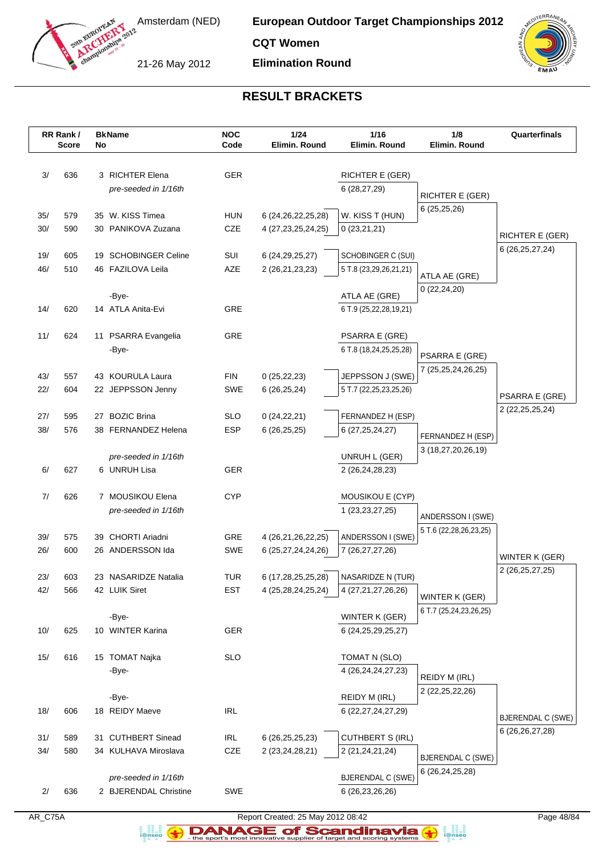

**CQT Women**

21-26 May 2012

**Elimination Round**



## **RESULT BRACKETS**

|            | RR Rank /<br><b>Score</b> | No | <b>BkName</b>           | <b>NOC</b><br>Code | 1/24<br>Elimin. Round                    | 1/16<br>Elimin. Round                   | 1/8<br>Elimin. Round                     | Quarterfinals                                  |
|------------|---------------------------|----|-------------------------|--------------------|------------------------------------------|-----------------------------------------|------------------------------------------|------------------------------------------------|
|            |                           |    |                         |                    |                                          |                                         |                                          |                                                |
| 3/         | 636                       |    | 3 RICHTER Elena         | <b>GER</b>         |                                          | RICHTER E (GER)                         |                                          |                                                |
|            |                           |    | pre-seeded in 1/16th    |                    |                                          | 6 (28,27,29)                            |                                          |                                                |
|            |                           |    |                         |                    |                                          |                                         | RICHTER E (GER)                          |                                                |
| 35/        | 579                       |    | 35 W. KISS Timea        | <b>HUN</b>         | 6 (24, 26, 22, 25, 28)                   | W. KISS T (HUN)                         | 6(25,25,26)                              |                                                |
| 30/        | 590                       |    | 30 PANIKOVA Zuzana      | CZE                | 4 (27, 23, 25, 24, 25)                   | 0(23,21,21)                             |                                          | <b>RICHTER E (GER)</b>                         |
|            |                           |    |                         |                    |                                          |                                         |                                          | 6 (26, 25, 27, 24)                             |
| 19/        | 605                       |    | 19 SCHOBINGER Celine    | SUI                | 6 (24, 29, 25, 27)                       | SCHOBINGER C (SUI)                      |                                          |                                                |
| 46/        | 510                       |    | 46 FAZILOVA Leila       | AZE                | 2 (26,21,23,23)                          | 5 T.8 (23,29,26,21,21)                  | ATLA AE (GRE)                            |                                                |
|            |                           |    | -Bye-                   |                    |                                          | ATLA AE (GRE)                           | 0(22, 24, 20)                            |                                                |
| 14/        | 620                       |    | 14 ATLA Anita-Evi       | <b>GRE</b>         |                                          | 6 T.9 (25,22,28,19,21)                  |                                          |                                                |
|            |                           |    |                         |                    |                                          |                                         |                                          |                                                |
| 11/        | 624                       |    | 11 PSARRA Evangelia     | GRE                |                                          | <b>PSARRA E (GRE)</b>                   |                                          |                                                |
|            |                           |    | -Bye-                   |                    |                                          | 6 T.8 (18,24,25,25,28)                  | PSARRA E (GRE)                           |                                                |
|            |                           |    |                         |                    |                                          |                                         | 7 (25,25,24,26,25)                       |                                                |
| 43/        | 557                       |    | 43 KOURULA Laura        | <b>FIN</b>         | 0(25, 22, 23)                            | JEPPSSON J (SWE)                        |                                          |                                                |
| 22/        | 604                       |    | 22 JEPPSSON Jenny       | SWE                | 6(26, 25, 24)                            | 5 T.7 (22,25,23,25,26)                  |                                          | PSARRA E (GRE)                                 |
| 27/        | 595                       |    | 27 BOZIC Brina          | <b>SLO</b>         |                                          | FERNANDEZ H (ESP)                       |                                          | 2 (22, 25, 25, 24)                             |
| 38/        | 576                       |    | 38 FERNANDEZ Helena     | ESP                | 0(24, 22, 21)<br>6(26, 25, 25)           | 6 (27, 25, 24, 27)                      |                                          |                                                |
|            |                           |    |                         |                    |                                          |                                         | FERNANDEZ H (ESP)                        |                                                |
|            |                           |    | pre-seeded in 1/16th    |                    |                                          | UNRUH L (GER)                           | 3 (18,27,20,26,19)                       |                                                |
| 6/         | 627                       |    | 6 UNRUH Lisa            | <b>GER</b>         |                                          | 2 (26,24,28,23)                         |                                          |                                                |
|            |                           |    |                         |                    |                                          |                                         |                                          |                                                |
| 7/         | 626                       |    | 7 MOUSIKOU Elena        | <b>CYP</b>         |                                          | MOUSIKOU E (CYP)                        |                                          |                                                |
|            |                           |    | pre-seeded in 1/16th    |                    |                                          | 1 (23, 23, 27, 25)                      | ANDERSSON I (SWE)                        |                                                |
|            |                           |    | 39 CHORTI Ariadni       |                    |                                          |                                         | 5 T.6 (22, 28, 26, 23, 25)               |                                                |
| 39/<br>26/ | 575<br>600                |    | 26 ANDERSSON Ida        | GRE<br>SWE         | 4 (26,21,26,22,25)<br>6 (25,27,24,24,26) | ANDERSSON I (SWE)<br>7 (26,27,27,26)    |                                          |                                                |
|            |                           |    |                         |                    |                                          |                                         |                                          | WINTER K (GER)                                 |
| 23/        | 603                       |    | 23 NASARIDZE Natalia    | <b>TUR</b>         | 6 (17,28,25,25,28)                       | NASARIDZE N (TUR)                       |                                          | 2 (26,25,27,25)                                |
| 42/        | 566                       |    | 42 LUIK Siret           | <b>EST</b>         | 4 (25,28,24,25,24)                       | 4 (27,21,27,26,26)                      |                                          |                                                |
|            |                           |    |                         |                    |                                          |                                         | WINTER K (GER)<br>6 T.7 (25,24,23,26,25) |                                                |
|            |                           |    | -Bye-                   |                    |                                          | WINTER K (GER)                          |                                          |                                                |
| 10/        | 625                       |    | 10 WINTER Karina        | GER                |                                          | 6 (24, 25, 29, 25, 27)                  |                                          |                                                |
|            |                           |    |                         |                    |                                          |                                         |                                          |                                                |
| 15/        | 616                       |    | 15 TOMAT Najka<br>-Bye- | <b>SLO</b>         |                                          | TOMAT N (SLO)<br>4 (26, 24, 24, 27, 23) |                                          |                                                |
|            |                           |    |                         |                    |                                          |                                         | REIDY M (IRL)                            |                                                |
|            |                           |    | -Bye-                   |                    |                                          | REIDY M (IRL)                           | 2 (22, 25, 22, 26)                       |                                                |
| 18/        | 606                       |    | 18 REIDY Maeve          | <b>IRL</b>         |                                          | 6 (22, 27, 24, 27, 29)                  |                                          |                                                |
|            |                           |    |                         |                    |                                          |                                         |                                          | <b>BJERENDAL C (SWE)</b><br>6 (26, 26, 27, 28) |
| 31/        | 589                       |    | 31 CUTHBERT Sinead      | <b>IRL</b>         | 6 (26, 25, 25, 23)                       | <b>CUTHBERT S (IRL)</b>                 |                                          |                                                |
| 34/        | 580                       |    | 34 KULHAVA Miroslava    | CZE                | 2 (23,24,28,21)                          | 2 (21, 24, 21, 24)                      | <b>BJERENDAL C (SWE)</b>                 |                                                |
|            |                           |    |                         |                    |                                          |                                         | 6 (26, 24, 25, 28)                       |                                                |
|            |                           |    | pre-seeded in 1/16th    |                    |                                          | <b>BJERENDAL C (SWE)</b>                |                                          |                                                |
| 2/         | 636                       |    | 2 BJERENDAL Christine   | <b>SWE</b>         |                                          | 6 (26, 23, 26, 26)                      |                                          |                                                |



a analis<br>i@nseo

AR\_C75A Report Created: 25 May 2012 08:42 Page 48/84 **DANAGE of Scandinavia**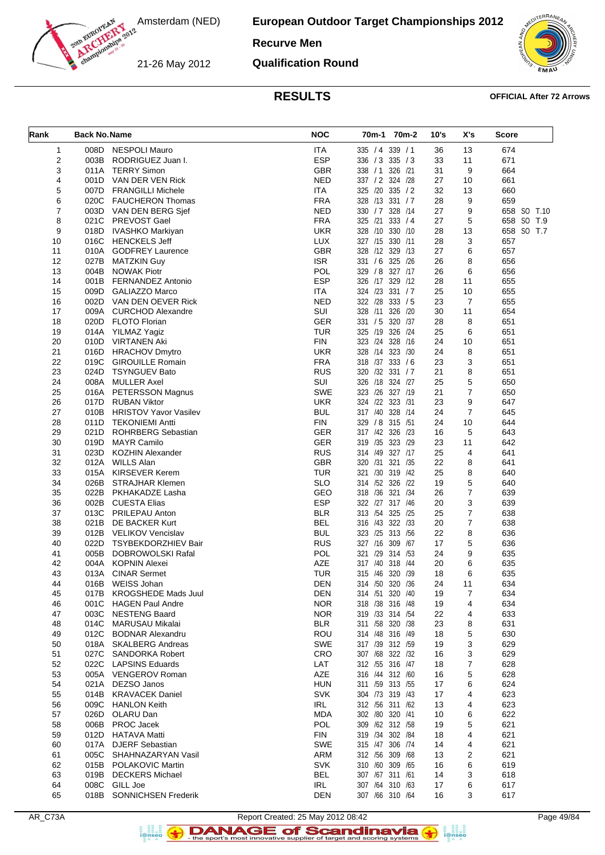**European Outdoor Target Championships 2012**

### **Recurve Men**

21-26 May 2012

**Qualification Round**



#### **RESULTS OFFICIAL After 72 Arrows**

| Rank           | <b>Back No. Name</b> |                                                      | <b>NOC</b>               | 70m-1 70m-2                         | 10's     | X's                  | <b>Score</b> |
|----------------|----------------------|------------------------------------------------------|--------------------------|-------------------------------------|----------|----------------------|--------------|
| $\mathbf{1}$   |                      | 008D NESPOLI Mauro                                   | <b>ITA</b>               | 335 / 4 339 / 1                     | 36       | 13                   | 674          |
| 2              |                      | 003B RODRIGUEZ Juan I.                               | <b>ESP</b>               | 336 / 3 335 / 3                     | 33       | 11                   | 671          |
| 3              |                      | 011A TERRY Simon                                     | <b>GBR</b>               | 338 / 1 326 / 21                    | 31       | 9                    | 664          |
| 4              |                      | 001D VAN DER VEN Rick                                | <b>NED</b>               | 337 / 2 324 / 28                    | 27       | 10                   | 661          |
| 5              |                      | 007D FRANGILLI Michele                               | <b>ITA</b>               | 325 /20 335 / 2                     | 32       | 13                   | 660          |
| 6              |                      | 020C FAUCHERON Thomas                                | <b>FRA</b>               | 328 /13 331 / 7                     | 28       | 9                    | 659          |
| $\overline{7}$ |                      | 003D VAN DEN BERG Sjef                               | <b>NED</b>               | 330 / 7 328 / 14                    | 27       | 9                    | 658 SO T.10  |
| 8              | 021C                 | PREVOST Gael                                         | <b>FRA</b>               | 325 /21 333 / 4                     | 27       | 5                    | 658 SO T.9   |
| 9              |                      | 018D IVASHKO Markiyan                                | <b>UKR</b>               | 328 /10 330 /10                     | 28       | 13                   | 658 SO T.7   |
| 10<br>11       |                      | 016C HENCKELS Jeff<br>010A GODFREY Laurence          | <b>LUX</b><br>GBR        | 327 /15 330 /11<br>328 /12 329 /13  | 28<br>27 | 3<br>6               | 657<br>657   |
| 12             | 027B                 | MATZKIN Guy                                          | <b>ISR</b>               | 331 / 6 325 / 26                    | 26       | 8                    | 656          |
| 13             |                      | 004B NOWAK Piotr                                     | POL                      | 329 / 8 327 /17                     | 26       | 6                    | 656          |
| 14             | 001B                 | <b>FERNANDEZ Antonio</b>                             | <b>ESP</b>               | 326 /17 329 /12                     | 28       | 11                   | 655          |
| 15             |                      | 009D GALIAZZO Marco                                  | <b>ITA</b>               | 324 /23 331 / 7                     | 25       | 10                   | 655          |
| 16             |                      | 002D VAN DEN OEVER Rick                              | <b>NED</b>               | 322 /28 333 / 5                     | 23       | $\overline{7}$       | 655          |
| 17             | 009A                 | CURCHOD Alexandre                                    | SUI                      | 328 /11 326 /20                     | 30       | 11                   | 654          |
| 18             |                      | 020D FLOTO Florian                                   | <b>GER</b>               | 331 / 5 320 / 37                    | 28       | 8                    | 651          |
| 19             |                      | 014A YILMAZ Yagiz                                    | <b>TUR</b>               | 325 /19 326 /24                     | 25       | 6                    | 651          |
| 20             | 010D                 | VIRTANEN Aki                                         | <b>FIN</b>               | 323 /24 328 /16                     | 24       | 10                   | 651          |
| 21             |                      | 016D HRACHOV Dmytro                                  | <b>UKR</b>               | 328 /14 323 /30                     | 24       | 8                    | 651          |
| 22             | 019C                 | <b>GIROUILLE Romain</b>                              | <b>FRA</b>               | 318 /37 333 / 6                     | 23       | 3                    | 651          |
| 23             | 024D                 | <b>TSYNGUEV Bato</b>                                 | <b>RUS</b>               | 320 /32 331 / 7                     | 21       | 8                    | 651          |
| 24             |                      | 008A MULLER Axel                                     | SUI                      | 326 /18 324 /27                     | 25       | 5                    | 650          |
| 25             |                      | 016A PETERSSON Magnus                                | <b>SWE</b>               | 323 /26 327 /19                     | 21       | 7                    | 650          |
| 26             |                      | 017D RUBAN Viktor                                    | <b>UKR</b>               | 324 /22 323 /31                     | 23       | 9                    | 647          |
| 27<br>28       | 011D                 | 010B HRISTOV Yavor Vasilev<br><b>TEKONIEMI Antti</b> | <b>BUL</b><br><b>FIN</b> | 317 /40 328 /14<br>329 / 8 315 / 51 | 24<br>24 | $\overline{7}$<br>10 | 645<br>644   |
| 29             |                      | 021D ROHRBERG Sebastian                              | <b>GER</b>               | 317 /42 326 /23                     | 16       | 5                    | 643          |
| 30             |                      | 019D MAYR Camilo                                     | <b>GER</b>               | 319 /35 323 /29                     | 23       | 11                   | 642          |
| 31             | 023D                 | KOZHIN Alexander                                     | <b>RUS</b>               | 314 /49 327 /17                     | 25       | 4                    | 641          |
| 32             |                      | 012A WILLS Alan                                      | <b>GBR</b>               | 320 /31 321 /35                     | 22       | 8                    | 641          |
| 33             | 015A                 | <b>KIRSEVER Kerem</b>                                | <b>TUR</b>               | 321 /30 319 /42                     | 25       | 8                    | 640          |
| 34             | 026B                 | <b>STRAJHAR Klemen</b>                               | <b>SLO</b>               | 314 /52 326 /22                     | 19       | 5                    | 640          |
| 35             |                      | 022B PKHAKADZE Lasha                                 | GEO                      | 318 /36 321 /34                     | 26       | 7                    | 639          |
| 36             |                      | 002B CUESTA Elias                                    | <b>ESP</b>               | 322 /27 317 /46                     | 20       | 3                    | 639          |
| 37             | 013C                 | <b>PRILEPAU Anton</b>                                | <b>BLR</b>               | 313 /54 325 /25                     | 25       | $\overline{7}$       | 638          |
| 38             |                      | 021B DE BACKER Kurt                                  | <b>BEL</b>               | 316 /43 322 /33                     | 20       | 7                    | 638          |
| 39             |                      | 012B VELIKOV Vencislav                               | <b>BUL</b>               | 323 /25 313 /56                     | 22       | 8                    | 636          |
| 40             | 022D                 | TSYBEKDORZHIEV Bair                                  | <b>RUS</b>               | 327 /16 309 /67                     | 17       | 5                    | 636          |
| 41             | 005B                 | DOBROWOLSKI Rafal                                    | POL                      | 321 /29 314 /53                     | 24       | 9                    | 635          |
| 42<br>43       |                      | 004A KOPNIN Alexei<br>013A CINAR Sermet              | AZE<br><b>TUR</b>        | 317 /40 318 /44<br>315 /46 320 /39  | 20<br>18 | 6<br>6               | 635<br>635   |
| 44             |                      | 016B WEISS Johan                                     | <b>DEN</b>               | 314 /50 320 /36                     | 24       | 11                   | 634          |
| 45             |                      | 017B KROGSHEDE Mads Juul                             | <b>DEN</b>               | 314 /51 320 /40                     | 19       | 7                    | 634          |
| 46             | 001C                 | <b>HAGEN Paul Andre</b>                              | <b>NOR</b>               | 318 /38 316 /48                     | 19       | 4                    | 634          |
| 47             | 003C                 | <b>NESTENG Baard</b>                                 | <b>NOR</b>               | 319 /33 314 /54                     | 22       | 4                    | 633          |
| 48             | 014C                 | MARUSAU Mikalai                                      | <b>BLR</b>               | 311 /58 320 /38                     | 23       | 8                    | 631          |
| 49             | 012C                 | <b>BODNAR Alexandru</b>                              | ROU                      | 314 /48 316 /49                     | 18       | 5                    | 630          |
| 50             |                      | 018A SKALBERG Andreas                                | <b>SWE</b>               | 317 /39 312 /59                     | 19       | 3                    | 629          |
| 51             | 027C                 | <b>SANDORKA Robert</b>                               | CRO                      | 307 /68 322 /32                     | 16       | 3                    | 629          |
| 52             | 022C                 | <b>LAPSINS Eduards</b>                               | LAT                      | 312 /55 316 /47                     | 18       | 7                    | 628          |
| 53             |                      | 005A VENGEROV Roman                                  | <b>AZE</b>               | 316 /44 312 /60                     | 16       | 5                    | 628          |
| 54             | 021A                 | DEZSO Janos                                          | <b>HUN</b>               | 311 /59 313 /55                     | 17       | 6                    | 624          |
| 55             | 014B                 | <b>KRAVACEK Daniel</b>                               | <b>SVK</b>               | 304 /73 319 /43                     | 17       | 4                    | 623          |
| 56             |                      | 009C HANLON Keith                                    | IRL                      | 312 /56 311 /62                     | 13       | 4                    | 623          |
| 57<br>58       |                      | 026D OLARU Dan<br>006B PROC Jacek                    | <b>MDA</b><br>POL        | 302 /80 320 /41<br>309 /62 312 /58  | 10<br>19 | 6<br>5               | 622<br>621   |
| 59             | 012D                 | <b>HATAVA Matti</b>                                  | <b>FIN</b>               | 319 /34 302 /84                     | 18       | 4                    | 621          |
| 60             | 017A                 | <b>DJERF Sebastian</b>                               | SWE                      | 315 /47 306 /74                     | 14       | 4                    | 621          |
| 61             | 005C                 | SHAHNAZARYAN Vasil                                   | <b>ARM</b>               | 312 /56 309 /68                     | 13       | 2                    | 621          |
| 62             |                      | 015B POLAKOVIC Martin                                | <b>SVK</b>               | 310 /60 309 /65                     | 16       | 6                    | 619          |
| 63             | 019B                 | <b>DECKERS Michael</b>                               | <b>BEL</b>               | 307 /67 311 /61                     | 14       | 3                    | 618          |
| 64             | 008C                 | GILL Joe                                             | IRL                      | 307 /64 310 /63                     | 17       | 6                    | 617          |
| 65             | 018B                 | SONNICHSEN Frederik                                  | <b>DEN</b>               | 307 /66 310 /64                     | 16       | 3                    | 617          |

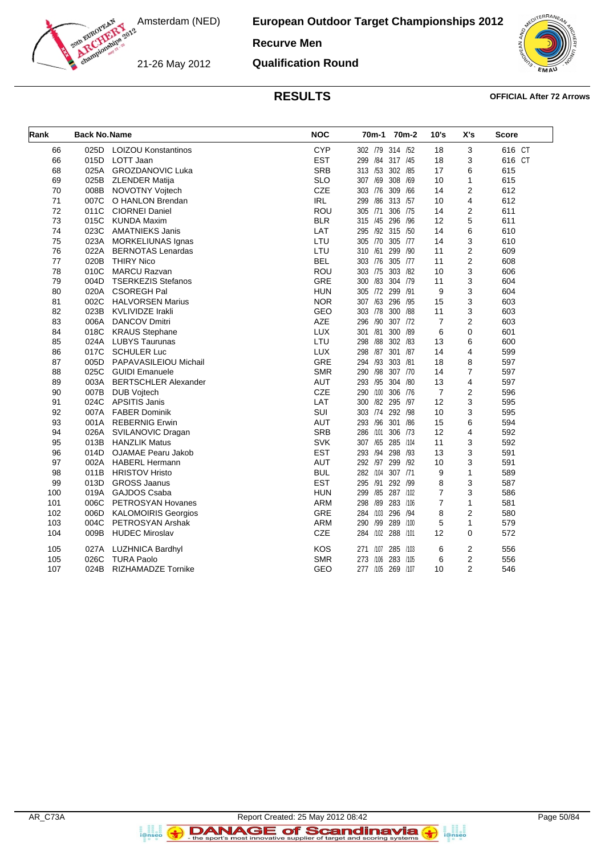**European Outdoor Target Championships 2012**

#### **Recurve Men**

21-26 May 2012

**Qualification Round**



#### **RESULTS OFFICIAL After 72 Arrows**

| Rank | <b>Back No. Name</b> |                             | <b>NOC</b> | 70m-1<br>70m-2             | 10's           | X's            | <b>Score</b> |
|------|----------------------|-----------------------------|------------|----------------------------|----------------|----------------|--------------|
| 66   | 025D                 | <b>LOIZOU Konstantinos</b>  | <b>CYP</b> | 302 /79 314 /52            | 18             | 3              | 616 CT       |
| 66   | 015D                 | LOTT Jaan                   | <b>EST</b> | 299 /84 317 /45            | 18             | 3              | 616 CT       |
| 68   | 025A                 | GROZDANOVIC Luka            | <b>SRB</b> | 313 /53<br>302<br>/85      | 17             | 6              | 615          |
| 69   | 025B                 | <b>ZLENDER Matija</b>       | <b>SLO</b> | 307 /69<br>308<br>/69      | 10             | 1              | 615          |
| 70   | 008B                 | <b>NOVOTNY Voitech</b>      | CZE        | 303 /76<br>309<br>/66      | 14             | $\overline{2}$ | 612          |
| 71   | 007C                 | O HANLON Brendan            | <b>IRL</b> | /86<br>313 /57<br>299      | 10             | 4              | 612          |
| 72   | 011C                 | <b>CIORNEI Daniel</b>       | ROU        | 305 /71<br>306<br>/75      | 14             | 2              | 611          |
| 73   | 015C                 | <b>KUNDA Maxim</b>          | <b>BLR</b> | 315 /45<br>296<br>/96      | 12             | 5              | 611          |
| 74   | 023C                 | <b>AMATNIEKS Janis</b>      | LAT        | 295 /92 315<br>/50         | 14             | 6              | 610          |
| 75   | 023A                 | MORKELIUNAS Ignas           | LTU        | 305 /70 305 /77            | 14             | 3              | 610          |
| 76   | 022A                 | <b>BERNOTAS Lenardas</b>    | LTU        | 310 /61<br>299<br>/90      | 11             | 2              | 609          |
| 77   | 020B                 | <b>THIRY Nico</b>           | <b>BEL</b> | 303 /76<br>305<br>/77      | 11             | $\overline{2}$ | 608          |
| 78   | 010C                 | <b>MARCU Razvan</b>         | ROU        | 303 /75 303 /82            | 10             | 3              | 606          |
| 79   | 004D                 | <b>TSERKEZIS Stefanos</b>   | GRE        | /83<br>304 /79<br>300      | 11             | 3              | 604          |
| 80   | 020A                 | <b>CSOREGH Pal</b>          | <b>HUN</b> | 305 /72 299<br>/91         | 9              | 3              | 604          |
| 81   | 002C                 | <b>HALVORSEN Marius</b>     | <b>NOR</b> | 307 /63 296<br>/95         | 15             | 3              | 603          |
| 82   | 023B                 | <b>KVLIVIDZE Irakli</b>     | GEO        | 300<br>/88<br>303 /78      | 11             | 3              | 603          |
| 83   | 006A                 | <b>DANCOV Dmitri</b>        | <b>AZE</b> | /90<br>307 /72<br>296      | 7              | 2              | 603          |
| 84   | 018C                 | <b>KRAUS Stephane</b>       | <b>LUX</b> | /81<br>300<br>/89<br>301   | 6              | 0              | 601          |
| 85   | 024A                 | <b>LUBYS Taurunas</b>       | LTU        | /88<br>302<br>/83<br>298   | 13             | 6              | 600          |
| 86   | 017C                 | <b>SCHULER Luc</b>          | <b>LUX</b> | 298 /87 301 /87            | 14             | 4              | 599          |
| 87   | 005D                 | PAPAVASILEIOU Michail       | GRE        | /93 303 /81<br>294         | 18             | 8              | 597          |
| 88   | 025C                 | <b>GUIDI Emanuele</b>       | <b>SMR</b> | /98<br>307 /70<br>290      | 14             | $\overline{7}$ | 597          |
| 89   | 003A                 | <b>BERTSCHLER Alexander</b> | <b>AUT</b> | 293 /95<br>304<br>/80      | 13             | 4              | 597          |
| 90   | 007B                 | <b>DUB Voitech</b>          | CZE        | /100 306<br>/76<br>290     | $\overline{7}$ | $\overline{2}$ | 596          |
| 91   | 024C                 | APSITIS Janis               | LAT        | /82 295<br>/97<br>300      | 12             | 3              | 595          |
| 92   |                      | 007A FABER Dominik          | <b>SUI</b> | 303 /74 292 /98            | 10             | 3              | 595          |
| 93   | 001A                 | <b>REBERNIG Erwin</b>       | <b>AUT</b> | 293 /96<br>301<br>/86      | 15             | 6              | 594          |
| 94   | 026A                 | SVILANOVIC Dragan           | <b>SRB</b> | /101<br>306<br>286<br>/73  | 12             | 4              | 592          |
| 95   | 013B                 | <b>HANZLIK Matus</b>        | <b>SVK</b> | 307 /65 285<br>/104        | 11             | 3              | 592          |
| 96   | 014D                 | <b>OJAMAE Pearu Jakob</b>   | <b>EST</b> | 293 /94<br>298<br>/93      | 13             | 3              | 591          |
| 97   | 002A                 | <b>HABERL Hermann</b>       | <b>AUT</b> | 292 /97 299<br>/92         | 10             | 3              | 591          |
| 98   | 011B                 | <b>HRISTOV Hristo</b>       | <b>BUL</b> | 282 /104 307 /71           | 9              | $\mathbf{1}$   | 589          |
| 99   | 013D                 | <b>GROSS Jaanus</b>         | <b>EST</b> | 295 /91<br>292<br>/99      | 8              | 3              | 587          |
| 100  | 019A                 | <b>GAJDOS Csaba</b>         | <b>HUN</b> | /85 287<br>/102<br>299     | 7              | 3              | 586          |
| 101  | 006C                 | PETROSYAN Hovanes           | <b>ARM</b> | /89<br>283<br>/106<br>298  | 7              | 1              | 581          |
| 102  | 006D                 | <b>KALOMOIRIS Georgios</b>  | GRE        | /94<br>284 /103<br>296     | 8              | $\overline{2}$ | 580          |
| 103  | 004C                 | PETROSYAN Arshak            | <b>ARM</b> | 290 /99<br>289<br>/100     | 5              | $\mathbf{1}$   | 579          |
| 104  | 009B                 | <b>HUDEC Miroslav</b>       | <b>CZE</b> | /102 288<br>/101<br>284    | 12             | 0              | 572          |
| 105  | 027A                 | LUZHNICA Bardhyl            | <b>KOS</b> | /107<br>285<br>/103<br>271 | 6              | 2              | 556          |
| 105  | 026C                 | <b>TURA Paolo</b>           | <b>SMR</b> | /106<br>283<br>/105<br>273 | 6              | 2              | 556          |
| 107  | 024B                 | <b>RIZHAMADZE Tornike</b>   | GEO        | 277 /105 269 /107          | 10             | $\overline{2}$ | 546          |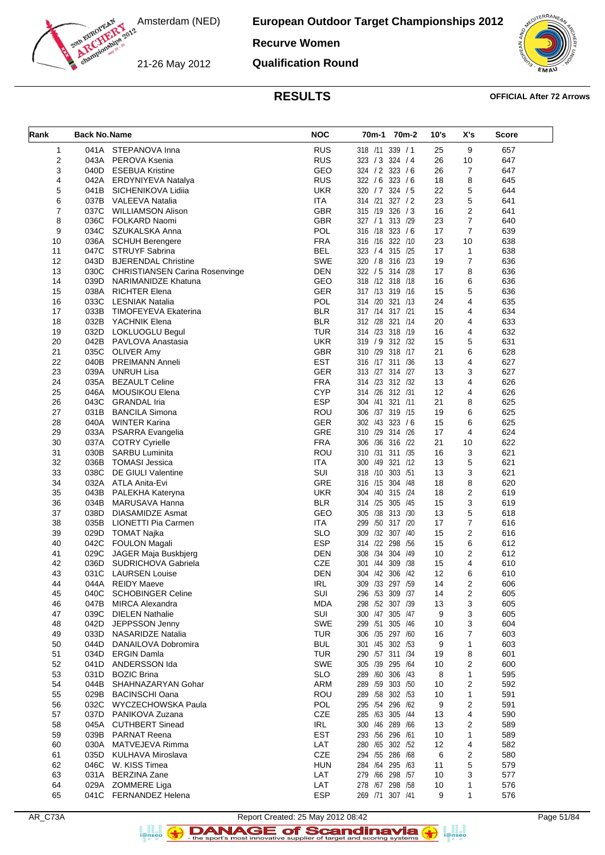

#### **Recurve Women**

21-26 May 2012

**Qualification Round**



#### **RESULTS OFFICIAL After 72 Arrows**

| Rank | <b>Back No. Name</b> |                                     | <b>NOC</b> | 70m-1 70m-2           | 10's | X's                     | <b>Score</b> |
|------|----------------------|-------------------------------------|------------|-----------------------|------|-------------------------|--------------|
| 1    |                      | 041A STEPANOVA Inna                 | <b>RUS</b> | 318 /11 339 / 1       | 25   | 9                       | 657          |
| 2    |                      | 043A PEROVA Ksenia                  | <b>RUS</b> | 323 / 3 324 / 4       | 26   | 10                      | 647          |
| 3    |                      | 040D ESEBUA Kristine                | GEO        | 324 / 2 323 / 6       | 26   | $\overline{7}$          | 647          |
| 4    |                      | 042A ERDYNIYEVA Natalya             | <b>RUS</b> | 322 / 6 323 / 6       | 18   | 8                       | 645          |
| 5    | 041B                 | SICHENIKOVA Lidiia                  | <b>UKR</b> | 320 / 7 324 / 5       | 22   | 5                       | 644          |
| 6    |                      | 037B VALEEVA Natalia                | <b>ITA</b> | 327 / 2<br>314 /21    | 23   | 5                       | 641          |
| 7    | 037C                 | <b>WILLIAMSON Alison</b>            | <b>GBR</b> | 315 /19 326 / 3       | 16   | $\overline{2}$          | 641          |
| 8    | 036C                 | FOLKARD Naomi                       | <b>GBR</b> | 327 / 1 313 / 29      | 23   | $\overline{7}$          | 640          |
| 9    |                      | 034C SZUKALSKA Anna                 | <b>POL</b> | 316 /18 323 / 6       | 17   | $\overline{7}$          | 639          |
| 10   |                      | 036A SCHUH Berengere                | <b>FRA</b> | 316 /16 322 /10       | 23   | 10                      | 638          |
| 11   | 047C                 | <b>STRUYF Sabrina</b>               | <b>BEL</b> | 323 / 4 315 / 25      | 17   | $\mathbf{1}$            | 638          |
| 12   | 043D                 | <b>BJERENDAL Christine</b>          | <b>SWE</b> | 320 / 8 316 /23       | 19   | $\overline{7}$          | 636          |
| 13   |                      | 030C CHRISTIANSEN Carina Rosenvinge | <b>DEN</b> | 322 / 5 314 /28       | 17   | 8                       | 636          |
| 14   | 039D                 | NARIMANIDZE Khatuna                 | GEO        | 318 /12 318 /18       | 16   | 6                       | 636          |
| 15   |                      | 038A RICHTER Elena                  | <b>GER</b> | 317 /13 319 /16       | 15   | 5                       | 636          |
| 16   | 033C                 | <b>LESNIAK Natalia</b>              | <b>POL</b> | 314 /20 321 /13       | 24   | 4                       | 635          |
| 17   | 033B                 | TIMOFEYEVA Ekaterina                | <b>BLR</b> | 317 /14 317 /21       | 15   | 4                       | 634          |
| 18   |                      | 032B YACHNIK Elena                  | <b>BLR</b> | 312 /28 321 /14       | 20   | 4                       | 633          |
| 19   |                      | 032D LOKLUOGLU Begul                | <b>TUR</b> | 314 /23 318 /19       | 16   | 4                       | 632          |
| 20   | 042B                 | PAVLOVA Anastasia                   | <b>UKR</b> | 319 / 9 312 /32       | 15   | 5                       | 631          |
| 21   | 035C                 | <b>OLIVER Amy</b>                   | <b>GBR</b> | 310 /29 318 /17       | 21   | 6                       | 628          |
| 22   | 040B                 | <b>PREIMANN Anneli</b>              | <b>EST</b> | 316 /17 311 /36       | 13   | 4                       | 627          |
| 23   | 039A                 | <b>UNRUH Lisa</b>                   | <b>GER</b> | 313 /27 314 /27       | 13   | 3                       | 627          |
|      |                      |                                     | <b>FRA</b> |                       | 13   | 4                       |              |
| 24   | 035A                 | <b>BEZAULT Celine</b>               |            | 314 /23 312 /32       |      |                         | 626          |
| 25   | 046A                 | <b>MOUSIKOU Elena</b>               | <b>CYP</b> | 314 /26 312 /31       | 12   | 4                       | 626          |
| 26   | 043C                 | <b>GRANDAL Iria</b>                 | <b>ESP</b> | 321 /11<br>304 /41    | 21   | 8                       | 625          |
| 27   | 031B                 | <b>BANCILA Simona</b>               | ROU        | 306 /37 319 /15       | 19   | 6                       | 625          |
| 28   | 040A                 | <b>WINTER Karina</b>                | GER        | 302 /43 323 /6        | 15   | 6                       | 625          |
| 29   |                      | 033A PSARRA Evangelia               | GRE        | 310 /29 314 /26       | 17   | 4                       | 624          |
| 30   | 037A                 | <b>COTRY Cyrielle</b>               | <b>FRA</b> | 306 /36 316 /22       | 21   | 10                      | 622          |
| 31   | 030B                 | <b>SARBU Luminita</b>               | ROU        | 310 /31 311 /35       | 16   | 3                       | 621          |
| 32   | 036B                 | TOMASI Jessica                      | <b>ITA</b> | 300 /49 321 /12       | 13   | 5                       | 621          |
| 33   | 038C                 | DE GIULI Valentine                  | SUI        | 318 /10 303 /51       | 13   | 3                       | 621          |
| 34   | 032A                 | ATLA Anita-Evi                      | GRE        | 316 /15 304 /48       | 18   | 8                       | 620          |
| 35   | 043B                 | PALEKHA Kateryna                    | <b>UKR</b> | 304 /40 315 /24       | 18   | $\mathbf 2$             | 619          |
| 36   | 034B                 | MARUSAVA Hanna                      | <b>BLR</b> | 314 /25 305 /45       | 15   | 3                       | 619          |
| 37   | 038D                 | DIASAMIDZE Asmat                    | GEO        | 305 /38 313 /30       | 13   | 5                       | 618          |
| 38   |                      | 035B LIONETTI Pia Carmen            | <b>ITA</b> | 299<br>/50<br>317 /20 | 17   | $\overline{7}$          | 616          |
| 39   |                      | 029D TOMAT Najka                    | <b>SLO</b> | 309 /32 307 /40       | 15   | 2                       | 616          |
| 40   | 042C                 | FOULON Magali                       | <b>ESP</b> | 314 /22 298 /56       | 15   | 6                       | 612          |
| 41   | 029C                 | JAGER Maja Buskbjerg                | DEN        | 308 /34 304 /49       | 10   | 2                       | 612          |
| 42   | 036D                 | SUDRICHOVA Gabriela                 | <b>CZE</b> | 301 /44 309 /38       | 15   | 4                       | 610          |
| 43   | 031C                 | <b>LAURSEN Louise</b>               | <b>DEN</b> | 304 /42 306 /42       | 12   | 6                       | 610          |
| 44   |                      | 044A REIDY Maeve                    | <b>IRL</b> | 309 /33 297 /59       | 14   | 2                       | 606          |
| 45   | 040C                 | <b>SCHOBINGER Celine</b>            | SUI        | 296 /53 309 /37       | 14   | 2                       | 605          |
| 46   | 047B                 | <b>MIRCA Alexandra</b>              | <b>MDA</b> | 298 /52 307 /39       | 13   | 3                       | 605          |
| 47   | 039C                 | <b>DIELEN Nathalie</b>              | SUI        | 300 /47 305 /47       | 9    | 3                       | 605          |
| 48   | 042D                 | JEPPSSON Jenny                      | <b>SWE</b> | 299 /51 305 /46       | 10   | 3                       | 604          |
| 49   | 033D                 | NASARIDZE Natalia                   | <b>TUR</b> | 306 /35 297 /60       | 16   | 7                       | 603          |
| 50   | 044D                 | DANAILOVA Dobromira                 | <b>BUL</b> | 301 /45 302 /53       | 9    | $\mathbf{1}$            | 603          |
| 51   | 034D                 | <b>ERGIN Damla</b>                  | <b>TUR</b> | 290 /57 311 /34       | 19   | 8                       | 601          |
| 52   |                      | 041D ANDERSSON Ida                  | <b>SWE</b> | 305 /39 295 /64       | 10   | $\overline{2}$          | 600          |
| 53   | 031D                 | <b>BOZIC Brina</b>                  | <b>SLO</b> | 289 /60 306 /43       | 8    | $\mathbf{1}$            | 595          |
| 54   | 044B                 | SHAHNAZARYAN Gohar                  | ARM        | 289 /59 303 /50       | 10   | $\overline{2}$          | 592          |
| 55   | 029B                 | <b>BACINSCHI Oana</b>               | ROU        | 289 /58 302 /53       | 10   | $\mathbf{1}$            | 591          |
| 56   |                      | 032C WYCZECHOWSKA Paula             | POL        | 295 /54 296 /62       | 9    | 2                       | 591          |
| 57   | 037D                 | PANIKOVA Zuzana                     | <b>CZE</b> | 285 /63 305 /44       | 13   | 4                       | 590          |
| 58   | 045A                 | <b>CUTHBERT Sinead</b>              | IRL        | 300 /46 289 /66       | 13   | $\overline{\mathbf{c}}$ | 589          |
| 59   | 039B                 | <b>PARNAT Reena</b>                 | <b>EST</b> | 293 /56 296 /61       | 10   | 1                       | 589          |
|      |                      |                                     |            |                       |      |                         |              |
| 60   | 030A                 | MATVEJEVA Rimma                     | LAT        | 280 /65 302 /52       | 12   | 4                       | 582          |
| 61   | 035D                 | KULHAVA Miroslava                   | CZE        | 294 /55 286 /68       | 6    | $\overline{\mathbf{c}}$ | 580          |
| 62   | 046C                 | W. KISS Timea                       | <b>HUN</b> | 284 /64 295 /63       | 11   | 5                       | 579          |
| 63   | 031A                 | <b>BERZINA Zane</b>                 | LAT        | 279 /66 298 /57       | 10   | 3                       | 577          |
| 64   |                      | 029A ZOMMERE Liga                   | LAT        | 278 /67 298 /58       | 10   | $\mathbf{1}$            | 576          |
| 65   |                      | 041C FERNANDEZ Helena               | <b>ESP</b> | 269 /71 307 /41       | 9    | 1                       | 576          |

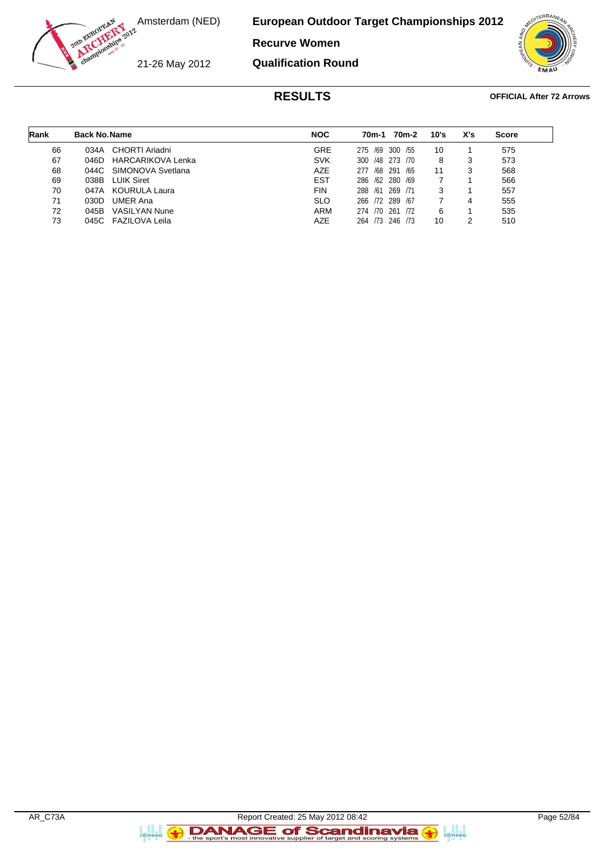

**Recurve Women**

21-26 May 2012

**Qualification Round**



#### **RESULTS OFFICIAL After 72 Arrows**

| Rank | <b>Back No. Name</b> |                          | <b>NOC</b> | 70m-1          | 70m-2          | 10's | X's | <b>Score</b> |
|------|----------------------|--------------------------|------------|----------------|----------------|------|-----|--------------|
| 66   | 034A                 | CHORTI Ariadni           | <b>GRE</b> | 275            | /69 300<br>/55 | 10   |     | 575          |
| 67   | 046D                 | <b>HARCARIKOVA Lenka</b> | <b>SVK</b> | 300            | /48 273 /70    | 8    | 3   | 573          |
| 68   |                      | 044C SIMONOVA Svetlana   | <b>AZE</b> | 277<br>/68     | 291<br>/65     | 11   | 3   | 568          |
| 69   | 038B                 | <b>LUIK Siret</b>        | <b>EST</b> | 286 /62 280    | /69            |      |     | 566          |
| 70   | 047A                 | KOURULA Laura            | <b>FIN</b> | 288<br>/61     | 269<br>/71     | 3    |     | 557          |
| 71   | 030D                 | <b>UMER Ana</b>          | <b>SLO</b> | 266 72 289 /67 |                |      | 4   | 555          |
| 72   | 045B                 | <b>VASILYAN Nune</b>     | <b>ARM</b> | 274 /70 261    | 172            | 6    |     | 535          |
| 73   |                      | 045C FAZILOVA Leila      | AZE        | 264 73 246     | /73            | 10   |     | 510          |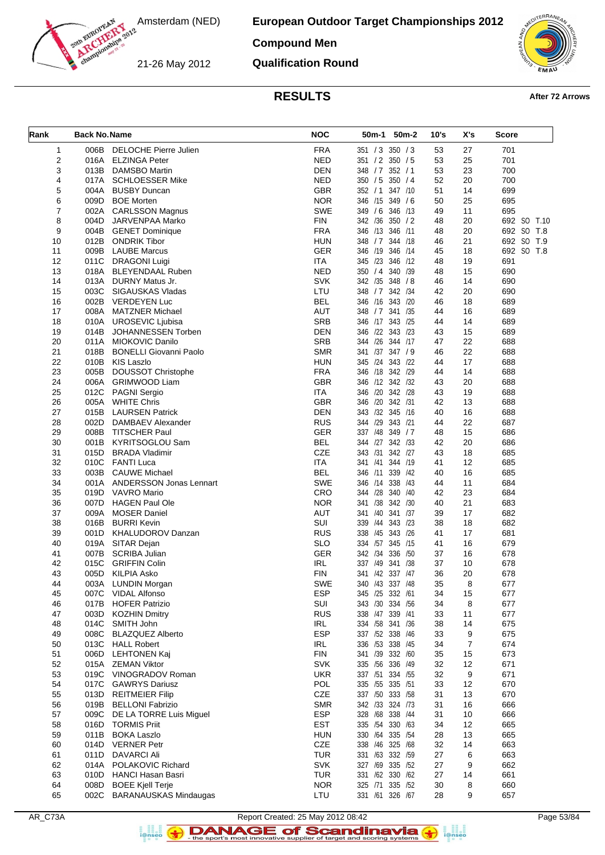

#### **Compound Men**

21-26 May 2012

**Qualification Round**



## **RESULTS After 72 Arrows**

| Rank     | <b>Back No. Name</b> |                                                      | <b>NOC</b>               | 50m-1 50m-2                           | 10's     | X's      | <b>Score</b>             |
|----------|----------------------|------------------------------------------------------|--------------------------|---------------------------------------|----------|----------|--------------------------|
| 1        |                      | 006B DELOCHE Pierre Julien                           | <b>FRA</b>               | 351 / 3 350 / 3                       | 53       | 27       | 701                      |
| 2        |                      | 016A ELZINGA Peter                                   | <b>NED</b>               | 351 / 2 350 / 5                       | 53       | 25       | 701                      |
| 3        | 013B                 | <b>DAMSBO Martin</b>                                 | <b>DEN</b>               | 348 / 7 352 / 1                       | 53       | 23       | 700                      |
| 4        |                      | 017A SCHLOESSER Mike                                 | <b>NED</b>               | 350 / 5 350 / 4                       | 52       | 20       | 700                      |
| 5        |                      | 004A BUSBY Duncan                                    | <b>GBR</b>               | 352 / 1 347 / 10                      | 51       | 14       | 699                      |
| 6        | 009D                 | <b>BOE Morten</b>                                    | <b>NOR</b>               | 346 /15 349 / 6                       | 50       | 25       | 695                      |
| 7        |                      | 002A CARLSSON Magnus                                 | <b>SWE</b>               | 349 / 6 346 / 13                      | 49       | 11       | 695                      |
| 8        | 004D                 | JARVENPAA Marko                                      | <b>FIN</b>               | 342 /36 350 / 2                       | 48       | 20       | 692 SO T.10              |
| 9        |                      | 004B GENET Dominique                                 | <b>FRA</b>               | 346 /13 346 /11                       | 48       | 20       | 692 SO T.8               |
| 10       | 012B                 | <b>ONDRIK Tibor</b><br><b>LAUBE Marcus</b>           | <b>HUN</b><br><b>GER</b> | 348 / 7 344 / 18<br>346 /19 346 /14   | 46       | 21       | 692 SO T.9<br>692 SO T.8 |
| 11<br>12 | 009B<br>011C         | DRAGONI Luigi                                        | ITA                      | 345 /23 346 /12                       | 45<br>48 | 18<br>19 | 691                      |
| 13       |                      | 018A BLEYENDAAL Ruben                                | <b>NED</b>               | 350 / 4 340 / 39                      | 48       | 15       | 690                      |
| 14       |                      | 013A DURNY Matus Jr.                                 | <b>SVK</b>               | 342 /35 348 / 8                       | 46       | 14       | 690                      |
| 15       | 003C                 | SIGAUSKAS Vladas                                     | LTU                      | 348 / 7 342 / 34                      | 42       | 20       | 690                      |
| 16       |                      | 002B VERDEYEN Luc                                    | <b>BEL</b>               | 346 /16 343 /20                       | 46       | 18       | 689                      |
| 17       |                      | 008A MATZNER Michael                                 | <b>AUT</b>               | 348 / 7 341 / 35                      | 44       | 16       | 689                      |
| 18       | 010A                 | <b>UROSEVIC Liubisa</b>                              | <b>SRB</b>               | 346 /17 343 /25                       | 44       | 14       | 689                      |
| 19       | 014B                 | JOHANNESSEN Torben                                   | <b>DEN</b>               | 346 /22 343 /23                       | 43       | 15       | 689                      |
| 20       |                      | 011A MIOKOVIC Danilo                                 | <b>SRB</b>               | 344 /26 344 /17                       | 47       | 22       | 688                      |
| 21       | 018B                 | <b>BONELLI Giovanni Paolo</b>                        | <b>SMR</b>               | 341 /37 347 / 9                       | 46       | 22       | 688                      |
| 22       |                      | 010B KIS Laszlo                                      | <b>HUN</b>               | 345 /24 343 /22                       | 44       | 17       | 688                      |
| 23       | 005B                 | <b>DOUSSOT Christophe</b>                            | <b>FRA</b>               | 346 /18 342 /29                       | 44       | 14       | 688                      |
| 24       | 006A                 | <b>GRIMWOOD Liam</b>                                 | <b>GBR</b>               | 346 /12 342 /32                       | 43       | 20       | 688                      |
| 25       | 012C                 | <b>PAGNI Sergio</b>                                  | <b>ITA</b>               | 346 /20 342 /28                       | 43       | 19       | 688                      |
| 26       |                      | 005A WHITE Chris                                     | <b>GBR</b>               | 346 /20 342 /31                       | 42       | 13       | 688                      |
| 27       | 015B                 | <b>LAURSEN Patrick</b>                               | <b>DEN</b>               | 343 /32 345 /16                       | 40       | 16       | 688                      |
| 28       | 002D                 | DAMBAEV Alexander                                    | <b>RUS</b>               | 344 /29 343 /21                       | 44       | 22       | 687                      |
| 29       | 008B                 | <b>TITSCHER Paul</b>                                 | <b>GER</b>               | 337 /48 349 / 7                       | 48       | 15       | 686                      |
| 30       | 001B                 | KYRITSOGLOU Sam                                      | <b>BEL</b>               | 344 /27 342 /33                       | 42       | 20       | 686                      |
| 31       | 015D                 | <b>BRADA Vladimir</b>                                | <b>CZE</b>               | 343 /31<br>342 /27                    | 43       | 18       | 685                      |
| 32       | 010C<br>003B         | FANTI Luca                                           | <b>ITA</b><br><b>BEL</b> | 341 /41 344 /19<br>346 /11<br>339 /42 | 41       | 12<br>16 | 685                      |
| 33<br>34 |                      | <b>CAUWE Michael</b><br>001A ANDERSSON Jonas Lennart | <b>SWE</b>               | 346 /14 338 /43                       | 40<br>44 | 11       | 685<br>684               |
| 35       | 019D                 | VAVRO Mario                                          | CRO                      | 344 /28 340 /40                       | 42       | 23       | 684                      |
| 36       |                      | 007D HAGEN Paul Ole                                  | <b>NOR</b>               | 341 /38 342 /30                       | 40       | 21       | 683                      |
| 37       | 009A                 | <b>MOSER Daniel</b>                                  | <b>AUT</b>               | 341 /40 341 /37                       | 39       | 17       | 682                      |
| 38       | 016B                 | <b>BURRI Kevin</b>                                   | SUI                      | 339 /44 343 /23                       | 38       | 18       | 682                      |
| 39       |                      | 001D KHALUDOROV Danzan                               | <b>RUS</b>               | 338 /45 343 /26                       | 41       | 17       | 681                      |
| 40       |                      | 019A SITAR Dejan                                     | <b>SLO</b>               | 334 /57 345 /15                       | 41       | 16       | 679                      |
| 41       | 007B                 | <b>SCRIBA Julian</b>                                 | <b>GER</b>               | 342 /34 336 /50                       | 37       | 16       | 678                      |
| 42       | 015C                 | <b>GRIFFIN Colin</b>                                 | <b>IRL</b>               | 337 /49 341 /38                       | 37       | 10       | 678                      |
| 43       | 005D                 | KILPIA Asko                                          | <b>FIN</b>               | 341 /42 337 /47                       | 36       | 20       | 678                      |
| 44       |                      | 003A LUNDIN Morgan                                   | <b>SWE</b>               | 340 /43 337 /48                       | 35       | 8        | 677                      |
| 45       |                      | 007C VIDAL Alfonso                                   | ESP                      | 345 /25 332 /61                       | 34       | 15       | 677                      |
| 46       |                      | 017B HOFER Patrizio                                  | SUI                      | 343 /30 334 /56                       | 34       | 8        | 677                      |
| 47       |                      | 003D KOZHIN Dmitry                                   | <b>RUS</b>               | 338 /47 339 /41                       | 33       | 11       | 677                      |
| 48       |                      | 014C SMITH John                                      | IRL                      | 334 /58 341 /36                       | 38       | 14       | 675                      |
| 49       |                      | 008C BLAZQUEZ Alberto                                | <b>ESP</b>               | 337 /52 338 /46                       | 33       | 9        | 675                      |
| 50       |                      | 013C HALL Robert                                     | IRL                      | 336 /53 338 /45                       | 34       | 7        | 674                      |
| 51       |                      | 006D LEHTONEN Kaj                                    | <b>FIN</b>               | 341 /39 332 /60                       | 35       | 15       | 673                      |
| 52       |                      | 015A ZEMAN Viktor                                    | <b>SVK</b>               | 335 /56 336 /49                       | 32       | 12       | 671                      |
| 53       |                      | 019C VINOGRADOV Roman                                | <b>UKR</b>               | 337 /51 334 /55<br>335 /55 335 /51    | 32       | 9        | 671                      |
| 54<br>55 |                      | 017C GAWRYS Dariusz<br>013D REITMEIER Filip          | POL<br>CZE               | 337 /50 333 /58                       | 33<br>31 | 12<br>13 | 670<br>670               |
| 56       |                      | 019B BELLONI Fabrizio                                | <b>SMR</b>               | 342 /33 324 /73                       | 31       | 16       | 666                      |
| 57       |                      | 009C DE LA TORRE Luis Miguel                         | <b>ESP</b>               | 328 /68 338 /44                       | 31       | 10       | 666                      |
| 58       |                      | 016D TORMIS Priit                                    | <b>EST</b>               | 335 /54 330 /63                       | 34       | 12       | 665                      |
| 59       |                      | 011B BOKA Laszlo                                     | <b>HUN</b>               | 330 /64 335 /54                       | 28       | 13       | 665                      |
| 60       |                      | 014D VERNER Petr                                     | CZE                      | 338 /46 325 /68                       | 32       | 14       | 663                      |
| 61       |                      | 011D DAVARCI Ali                                     | <b>TUR</b>               | 331 /63 332 /59                       | 27       | 6        | 663                      |
| 62       |                      | 014A POLAKOVIC Richard                               | <b>SVK</b>               | 327 /69 335 /52                       | 27       | 9        | 662                      |
| 63       |                      | 010D HANCI Hasan Basri                               | <b>TUR</b>               | 331 /62 330 /62                       | 27       | 14       | 661                      |
| 64       |                      | 008D BOEE Kjell Terje                                | <b>NOR</b>               | 325 /71 335 /52                       | 30       | 8        | 660                      |
| 65       |                      | 002C BARANAUSKAS Mindaugas                           | LTU                      | 331 /61 326 /67                       | 28       | 9        | 657                      |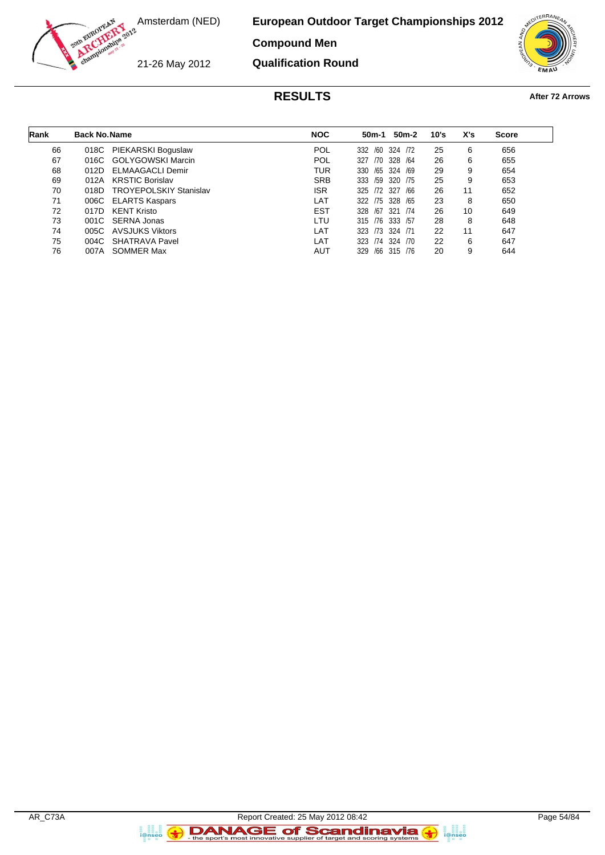

#### **Compound Men**

21-26 May 2012

**Qualification Round**



## **RESULTS After 72 Arrows**

| Rank | <b>Back No. Name</b> |                               | <b>NOC</b> | 50m-1           | 50m-2       | 10's | X's | <b>Score</b> |
|------|----------------------|-------------------------------|------------|-----------------|-------------|------|-----|--------------|
| 66   | 018C                 | PIEKARSKI Boguslaw            | <b>POL</b> | 332             | /60 324 /72 | 25   | 6   | 656          |
| 67   | 016C                 | GOLYGOWSKI Marcin             | <b>POL</b> | 327             | /70 328 /64 | 26   | 6   | 655          |
| 68   | 012D                 | ELMAAGACLI Demir              | TUR        | 330 /65 324 /69 |             | 29   | 9   | 654          |
| 69   | 012A                 | <b>KRSTIC Borislav</b>        | <b>SRB</b> | 333 /59 320 /75 |             | 25   | 9   | 653          |
| 70   | 018D                 | <b>TROYEPOLSKIY Stanislav</b> | <b>ISR</b> | 325 72 327      | /66         | 26   | 11  | 652          |
| 71   | 006C                 | <b>ELARTS Kaspars</b>         | LAT        | 322 /75 328 /65 |             | 23   | 8   | 650          |
| 72   | 017D                 | <b>KENT Kristo</b>            | <b>EST</b> | 328 /67 321     | /74         | 26   | 10  | 649          |
| 73   |                      | 001C SERNA Jonas              | LTU        | 315 /76 333 /57 |             | 28   | 8   | 648          |
| 74   | 005C                 | AVSJUKS Viktors               | LAT        | 323 73 324 71   |             | 22   | 11  | 647          |
| 75   |                      | 004C SHATRAVA Pavel           | LAT        | 323 /74 324 /70 |             | 22   | 6   | 647          |
| 76   | 007A                 | SOMMER Max                    | AUT        | 329             | /66 315 /76 | 20   | 9   | 644          |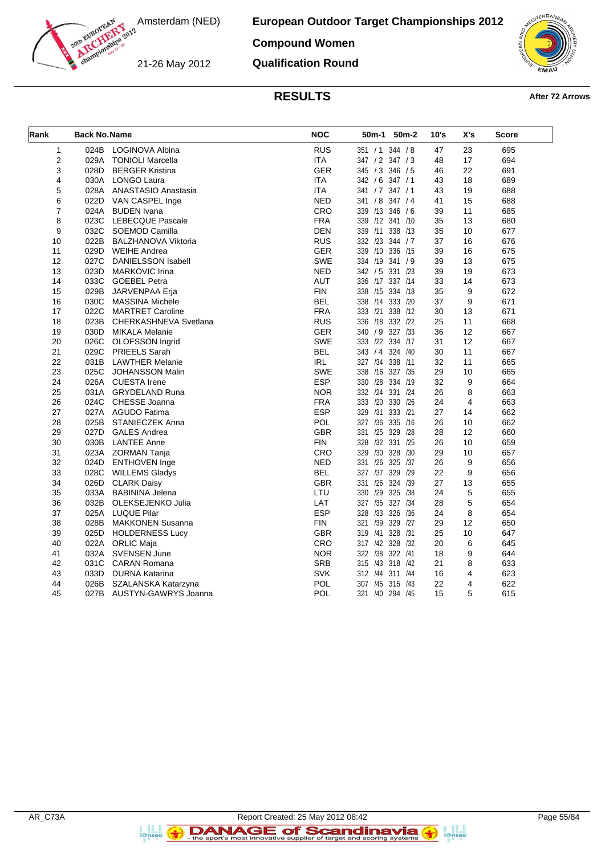**European Outdoor Target Championships 2012 Compound Women**

21-26 May 2012

**Qualification Round**



### **RESULTS After 72 Arrows**

| Rank           | <b>Back No. Name</b> |                            | <b>NOC</b> | 50 <sub>m</sub> -1<br>50 <sub>m</sub> -2 | 10's | X's | <b>Score</b> |
|----------------|----------------------|----------------------------|------------|------------------------------------------|------|-----|--------------|
| 1              | 024B                 | <b>LOGINOVA Albina</b>     | <b>RUS</b> | 351 / 1<br>344 / 8                       | 47   | 23  | 695          |
| $\overline{2}$ | 029A                 | <b>TONIOLI Marcella</b>    | <b>ITA</b> | 347 / 2 347 / 3                          | 48   | 17  | 694          |
| 3              | 028D                 | <b>BERGER Kristina</b>     | <b>GER</b> | 345 / 3<br>346 / 5                       | 46   | 22  | 691          |
| 4              | 030A                 | LONGO Laura                | <b>ITA</b> | 342 / 6 347 / 1                          | 43   | 18  | 689          |
| 5              | 028A                 | ANASTASIO Anastasia        | <b>ITA</b> | 347/1<br>341 / 7                         | 43   | 19  | 688          |
| 6              | 022D                 | VAN CASPEL Inge            | <b>NED</b> | 341 / 8 347 / 4                          | 41   | 15  | 688          |
| 7              | 024A                 | <b>BUDEN</b> Ivana         | <b>CRO</b> | 339 /13 346 / 6                          | 39   | 11  | 685          |
| 8              | 023C                 | <b>LEBECQUE Pascale</b>    | <b>FRA</b> | 339 /12 341 /10                          | 35   | 13  | 680          |
| 9              | 032C                 | SOEMOD Camilla             | <b>DEN</b> | 339 /11<br>338 /13                       | 35   | 10  | 677          |
| 10             | 022B                 | <b>BALZHANOVA Viktoria</b> | <b>RUS</b> | 332 /23 344 / 7                          | 37   | 16  | 676          |
| 11             | 029D                 | <b>WEIHE Andrea</b>        | <b>GER</b> | 339<br>/10 336 /15                       | 39   | 16  | 675          |
| 12             | 027C                 | <b>DANIELSSON Isabell</b>  | <b>SWE</b> | 334 /19<br>341 / 9                       | 39   | 13  | 675          |
| 13             | 023D                 | <b>MARKOVIC Irina</b>      | <b>NED</b> | 342 / 5<br>331 /23                       | 39   | 19  | 673          |
| 14             | 033C                 | <b>GOEBEL Petra</b>        | <b>AUT</b> | 336 /17 337 /14                          | 33   | 14  | 673          |
| 15             | 029B                 | JARVENPAA Erja             | <b>FIN</b> | 338 /15 334 /18                          | 35   | 9   | 672          |
| 16             | 030C                 | <b>MASSINA Michele</b>     | <b>BEL</b> | 338 /14 333 /20                          | 37   | 9   | 671          |
| 17             | 022C                 | <b>MARTRET Caroline</b>    | <b>FRA</b> | /21<br>338 /12<br>333                    | 30   | 13  | 671          |
| 18             | 023B                 | CHERKASHNEVA Svetlana      | <b>RUS</b> | 336 /18 332 /22                          | 25   | 11  | 668          |
| 19             | 030D                 | <b>MIKALA Melanie</b>      | <b>GER</b> | 327 /33<br>340<br>/9                     | 36   | 12  | 667          |
| 20             | 026C                 | OLOFSSON Ingrid            | <b>SWE</b> | 333 /22 334 /17                          | 31   | 12  | 667          |
| 21             | 029C                 | <b>PRIEELS Sarah</b>       | <b>BEL</b> | 324 /40<br>343 / 4                       | 30   | 11  | 667          |
| 22             | 031B                 | <b>LAWTHER Melanie</b>     | <b>IRL</b> | 327 /34 338 /11                          | 32   | 11  | 665          |
| 23             | 025C                 | <b>JOHANSSON Malin</b>     | <b>SWE</b> | /16 327 /35<br>338                       | 29   | 10  | 665          |
| 24             | 026A                 | <b>CUESTA Irene</b>        | <b>ESP</b> | 330 /28 334 /19                          | 32   | 9   | 664          |
| 25             | 031A                 | <b>GRYDELAND Runa</b>      | <b>NOR</b> | 332 /24 331 /24                          | 26   | 8   | 663          |
| 26             | 024C                 | CHESSE Joanna              | <b>FRA</b> | /20<br>330 /26<br>333                    | 24   | 4   | 663          |
| 27             | 027A                 | <b>AGUDO Fatima</b>        | <b>ESP</b> | 329<br>/31<br>333 /21                    | 27   | 14  | 662          |
| 28             | 025B                 | <b>STANIECZEK Anna</b>     | POL        | 335 /16<br>/36<br>327                    | 26   | 10  | 662          |
| 29             | 027D                 | <b>GALES Andrea</b>        | <b>GBR</b> | /25<br>329 /28<br>331                    | 28   | 12  | 660          |
| 30             | 030B                 | <b>LANTEE Anne</b>         | <b>FIN</b> | /32<br>331 /25<br>328                    | 26   | 10  | 659          |
| 31             | 023A                 | <b>ZORMAN Tanja</b>        | <b>CRO</b> | 328 /30<br>/30<br>329                    | 29   | 10  | 657          |
| 32             | 024D                 | <b>ENTHOVEN Inge</b>       | <b>NED</b> | /26<br>325 /37<br>331                    | 26   | 9   | 656          |
| 33             | 028C                 | <b>WILLEMS Gladys</b>      | <b>BEL</b> | 329 /29<br>327 /37                       | 22   | 9   | 656          |
| 34             | 026D                 | <b>CLARK Daisy</b>         | <b>GBR</b> | /26<br>324 /39<br>331                    | 27   | 13  | 655          |
| 35             | 033A                 | <b>BABININA Jelena</b>     | LTU        | /29<br>325 /38<br>330                    | 24   | 5   | 655          |
| 36             | 032B                 | OLEKSEJENKO Julia          | LAT        | 327 /35<br>327 /34                       | 28   | 5   | 654          |
| 37             | 025A                 | <b>LUQUE Pilar</b>         | <b>ESP</b> | 328<br>/33<br>326 /36                    | 24   | 8   | 654          |
| 38             | 028B                 | <b>MAKKONEN Susanna</b>    | <b>FIN</b> | /39<br>329 /27<br>321                    | 29   | 12  | 650          |
| 39             | 025D                 | <b>HOLDERNESS Lucy</b>     | <b>GBR</b> | 328 /31<br>319<br>/41                    | 25   | 10  | 647          |
| 40             | 022A                 | <b>ORLIC Maja</b>          | <b>CRO</b> | 317 /42 328 /32                          | 20   | 6   | 645          |
| 41             | 032A                 | <b>SVENSEN June</b>        | <b>NOR</b> | 322 /38<br>322 /41                       | 18   | 9   | 644          |
| 42             | 031C                 | <b>CARAN Romana</b>        | <b>SRB</b> | /43 318 /42<br>315                       | 21   | 8   | 633          |
| 43             | 033D                 | DURNA Katarina             | <b>SVK</b> | 312 /44 311 /44                          | 16   | 4   | 623          |
| 44             | 026B                 | SZALANSKA Katarzyna        | <b>POL</b> | 315 /43<br>/45<br>307                    | 22   | 4   | 622          |
| 45             | 027B                 | AUSTYN-GAWRYS Joanna       | POL        | 321 /40 294 /45                          | 15   | 5   | 615          |
|                |                      |                            |            |                                          |      |     |              |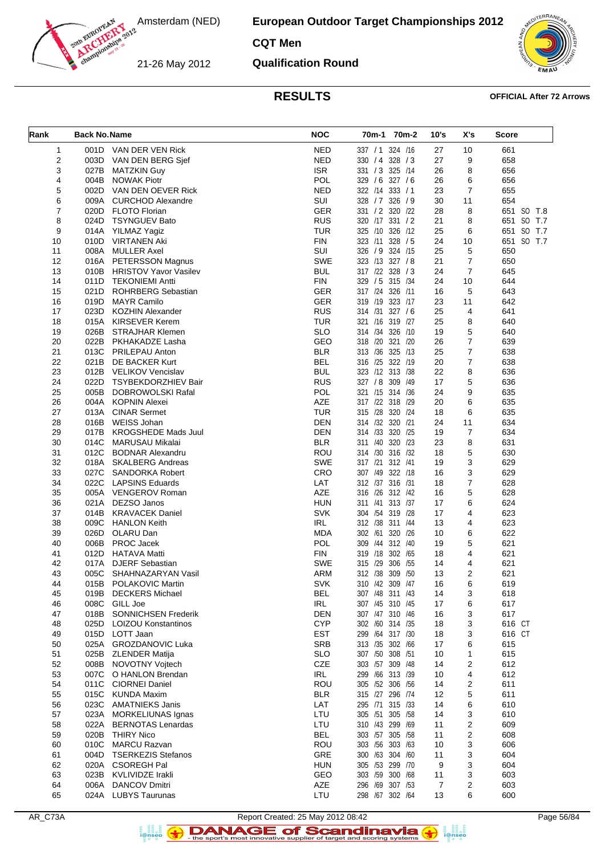**European Outdoor Target Championships 2012**

**CQT Men**

21-26 May 2012

**Qualification Round**



#### **RESULTS OFFICIAL After 72 Arrows**

| Rank     | <b>Back No. Name</b> |                                               | <b>NOC</b>               | 70m-1 70m-2                        | 10's           | X's            | <b>Score</b> |
|----------|----------------------|-----------------------------------------------|--------------------------|------------------------------------|----------------|----------------|--------------|
| 1        |                      | 001D VAN DER VEN Rick                         | <b>NED</b>               | 337 / 1 324 / 16                   | 27             | 10             | 661          |
| 2        | 003D                 | VAN DEN BERG Sjef                             | <b>NED</b>               | 330 / 4 328 / 3                    | 27             | 9              | 658          |
| 3        | 027B                 | <b>MATZKIN Guy</b>                            | <b>ISR</b>               | 331 / 3 325 / 14                   | 26             | 8              | 656          |
| 4        | 004B                 | <b>NOWAK Piotr</b>                            | POL                      | 329 / 6 327 / 6                    | 26             | 6              | 656          |
| 5        | 002D                 | VAN DEN OEVER Rick                            | <b>NED</b>               | 322 /14 333 / 1                    | 23             | $\overline{7}$ | 655          |
| 6        | 009A                 | <b>CURCHOD Alexandre</b>                      | SUI                      | 328 / 7 326 / 9                    | 30             | 11             | 654          |
| 7        | 020D                 | <b>FLOTO Florian</b>                          | GER                      | 331 / 2 320 / 22                   | 28             | 8              | 651 SO T.8   |
| 8        | 024D                 | <b>TSYNGUEV Bato</b>                          | <b>RUS</b>               | 320 /17 331 / 2                    | 21             | 8              | 651 SO T.7   |
| 9        | 014A                 | YILMAZ Yagiz                                  | <b>TUR</b>               | 325 /10 326 /12                    | 25             | 6              | 651 SO T.7   |
| 10       | 010D                 | <b>VIRTANEN Aki</b>                           | <b>FIN</b>               | 323 /11 328 / 5                    | 24             | 10             | 651 SO T.7   |
| 11       | 008A                 | <b>MULLER Axel</b>                            | SUI                      | 326 / 9 324 /15                    | 25             | 5              | 650          |
| 12       |                      | 016A PETERSSON Magnus                         | SWE                      | 323 /13 327 /8                     | 21             | $\overline{7}$ | 650          |
| 13       |                      | 010B HRISTOV Yavor Vasilev                    | <b>BUL</b>               | 317 /22 328 / 3                    | 24             | $\overline{7}$ | 645          |
| 14       | 011D                 | <b>TEKONIEMI Antti</b>                        | <b>FIN</b>               | 329 / 5 315 /34                    | 24             | 10             | 644          |
| 15       | 021D                 | ROHRBERG Sebastian                            | <b>GER</b>               | 317 /24 326 /11                    | 16             | 5              | 643          |
| 16<br>17 | 019D<br>023D         | <b>MAYR Camilo</b><br><b>KOZHIN Alexander</b> | <b>GER</b><br><b>RUS</b> | 319 /19 323 /17<br>314 /31 327 / 6 | 23<br>25       | 11<br>4        | 642<br>641   |
| 18       | 015A                 | KIRSEVER Kerem                                | <b>TUR</b>               | 321 /16 319 /27                    | 25             | 8              | 640          |
| 19       |                      | 026B STRAJHAR Klemen                          | <b>SLO</b>               | 314 /34 326 /10                    | 19             | 5              | 640          |
| 20       | 022B                 | PKHAKADZE Lasha                               | GEO                      | 318 /20 321 /20                    | 26             | $\overline{7}$ | 639          |
| 21       | 013C                 | <b>PRILEPAU Anton</b>                         | <b>BLR</b>               | 313 /36 325 /13                    | 25             | $\overline{7}$ | 638          |
| 22       | 021B                 | DE BACKER Kurt                                | <b>BEL</b>               | 316 /25 322 /19                    | 20             | $\overline{7}$ | 638          |
| 23       |                      | 012B VELIKOV Vencislav                        | <b>BUL</b>               | 323 /12 313 /38                    | 22             | 8              | 636          |
| 24       | 022D                 | TSYBEKDORZHIEV Bair                           | <b>RUS</b>               | 327 / 8 309 / 49                   | 17             | 5              | 636          |
| 25       | 005B                 | <b>DOBROWOLSKI Rafal</b>                      | POL                      | 321 /15 314 /36                    | 24             | 9              | 635          |
| 26       | 004A                 | KOPNIN Alexei                                 | AZE                      | 317 /22 318 /29                    | 20             | 6              | 635          |
| 27       | 013A                 | <b>CINAR Sermet</b>                           | <b>TUR</b>               | 315 /28 320 /24                    | 18             | 6              | 635          |
| 28       | 016B                 | WEISS Johan                                   | <b>DEN</b>               | 314 /32 320 /21                    | 24             | 11             | 634          |
| 29       | 017B                 | <b>KROGSHEDE Mads Juul</b>                    | <b>DEN</b>               | 314 /33 320 /25                    | 19             | $\overline{7}$ | 634          |
| 30       | 014C                 | MARUSAU Mikalai                               | BLR                      | 311 /40 320 /23                    | 23             | 8              | 631          |
| 31       | 012C                 | <b>BODNAR Alexandru</b>                       | ROU                      | 314 /30 316 /32                    | 18             | 5              | 630          |
| 32       |                      | 018A SKALBERG Andreas                         | <b>SWE</b>               | 317 /21 312 /41                    | 19             | 3              | 629          |
| 33       | 027C                 | SANDORKA Robert                               | CRO                      | 307 /49 322 /18                    | 16             | 3              | 629          |
| 34       | 022C                 | <b>LAPSINS Eduards</b>                        | LAT                      | 312 /37 316 /31                    | 18             | $\overline{7}$ | 628          |
| 35       |                      | 005A VENGEROV Roman                           | AZE                      | 316 /26 312 /42                    | 16             | 5              | 628          |
| 36       | 021A                 | DEZSO Janos                                   | <b>HUN</b>               | 311 /41 313 /37                    | 17             | 6              | 624          |
| 37       | 014B                 | <b>KRAVACEK Daniel</b>                        | <b>SVK</b><br><b>IRL</b> | 304 /54 319 /28<br>312 /38 311 /44 | 17             | 4<br>4         | 623          |
| 38<br>39 | 009C<br>026D         | <b>HANLON Keith</b><br>OLARU Dan              | <b>MDA</b>               | 302 /61 320 /26                    | 13<br>10       | 6              | 623<br>622   |
| 40       | 006B                 | PROC Jacek                                    | POL                      | 309 /44 312 /40                    | 19             | 5              | 621          |
| 41       | 012D                 | <b>HATAVA Matti</b>                           | <b>FIN</b>               | 319 /18 302 /65                    | 18             | 4              | 621          |
| 42       | 017A                 | <b>DJERF Sebastian</b>                        | <b>SWE</b>               | 315 /29 306 /55                    | 14             | 4              | 621          |
| 43       | 005C                 | SHAHNAZARYAN Vasil                            | <b>ARM</b>               | 312 /38 309 /50                    | 13             | $\overline{2}$ | 621          |
| 44       |                      | 015B POLAKOVIC Martin                         | <b>SVK</b>               | 310 /42 309 /47                    | 16             | 6              | 619          |
| 45       | 019B                 | <b>DECKERS Michael</b>                        | <b>BEL</b>               | 307 /48 311 /43                    | 14             | 3              | 618          |
| 46       | 008C                 | GILL Joe                                      | IRL                      | 307 /45 310 /45                    | 17             | 6              | 617          |
| 47       | 018B                 | SONNICHSEN Frederik                           | <b>DEN</b>               | 307 /47 310 /46                    | 16             | 3              | 617          |
| 48       | 025D                 | <b>LOIZOU Konstantinos</b>                    | <b>CYP</b>               | 302 /60 314 /35                    | 18             | 3              | 616 CT       |
| 49       | 015D                 | LOTT Jaan                                     | <b>EST</b>               | 299 /64 317 /30                    | 18             | 3              | 616 CT       |
| 50       |                      | 025A GROZDANOVIC Luka                         | <b>SRB</b>               | 313 /35 302 /66                    | 17             | 6              | 615          |
| 51       | 025B                 | <b>ZLENDER Matija</b>                         | <b>SLO</b>               | 307 /50 308 /51                    | 10             | 1              | 615          |
| 52       | 008B                 | NOVOTNY Voitech                               | CZE                      | 303 /57 309 /48                    | 14             | 2              | 612          |
| 53       | 007C                 | O HANLON Brendan                              | <b>IRL</b>               | 299 /66 313 /39                    | 10             | 4              | 612          |
| 54       | 011C                 | <b>CIORNEI Daniel</b>                         | ROU                      | 305 /52 306 /56                    | 14             | 2              | 611          |
| 55       | 015C<br>023C         | <b>KUNDA Maxim</b><br><b>AMATNIEKS Janis</b>  | <b>BLR</b><br>LAT        | 315 /27 296 /74<br>295 /71 315 /33 | 12<br>14       | 5              | 611<br>610   |
| 56<br>57 | 023A                 | <b>MORKELIUNAS Ignas</b>                      | LTU                      | 305 /51 305 /58                    | 14             | 6<br>3         | 610          |
| 58       | 022A                 | <b>BERNOTAS Lenardas</b>                      | LTU                      | 310 /43 299 /69                    | 11             | 2              | 609          |
| 59       | 020B                 | <b>THIRY Nico</b>                             | <b>BEL</b>               | 303 /57 305 /58                    | 11             | 2              | 608          |
| 60       | 010C                 | <b>MARCU Razvan</b>                           | <b>ROU</b>               | 303 /56 303 /63                    | 10             | 3              | 606          |
| 61       | 004D                 | <b>TSERKEZIS Stefanos</b>                     | GRE                      | 300 /63 304 /60                    | 11             | 3              | 604          |
| 62       | 020A                 | <b>CSOREGH Pal</b>                            | <b>HUN</b>               | 305 /53 299 /70                    | 9              | 3              | 604          |
| 63       | 023B                 | KVLIVIDZE Irakli                              | GEO                      | 303 /59 300 /68                    | 11             | 3              | 603          |
| 64       | 006A                 | <b>DANCOV Dmitri</b>                          | AZE                      | 296 /69 307 /53                    | $\overline{7}$ | 2              | 603          |
| 65       | 024A                 | <b>LUBYS Taurunas</b>                         | LTU                      | 298 /67 302 /64                    | 13             | 6              | 600          |
|          |                      |                                               |                          |                                    |                |                |              |

Report Created: 25 May 2012 08:42<br>Page 56/84<br>For the sport's most innovative supplier of target and scoring systems  $\bullet$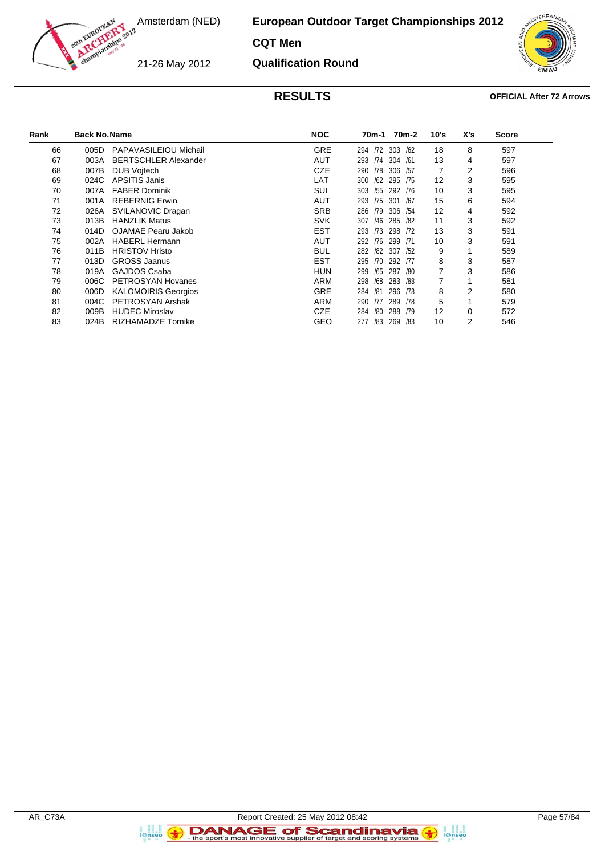**European Outdoor Target Championships 2012**

**CQT Men**

21-26 May 2012

**Qualification Round**



#### **RESULTS OFFICIAL After 72 Arrows**

| Rank | <b>Back No. Name</b> |                             | <b>NOC</b> | 70m-1 70m-2    |            |                | X's | <b>Score</b> |
|------|----------------------|-----------------------------|------------|----------------|------------|----------------|-----|--------------|
| 66   | 005D                 | PAPAVASILEIOU Michail       | <b>GRE</b> | /72<br>294     | 303<br>/62 | 18             | 8   | 597          |
| 67   | 003A                 | <b>BERTSCHLER Alexander</b> | AUT        | /74<br>293     | 304<br>/61 | 13             | 4   | 597          |
| 68   | 007B                 | <b>DUB Vojtech</b>          | <b>CZE</b> | /78<br>290     | 306<br>/57 | 7              | 2   | 596          |
| 69   | 024C                 | APSITIS Janis               | LAT        | /62<br>300     | 295<br>/75 | 12             | 3   | 595          |
| 70   | 007A                 | <b>FABER Dominik</b>        | SUI        | 303<br>/55     | 292<br>/76 | 10             | 3   | 595          |
| 71   | 001A                 | <b>REBERNIG Erwin</b>       | <b>AUT</b> | 293<br>/75     | 301<br>/67 | 15             | 6   | 594          |
| 72   | 026A                 | SVILANOVIC Dragan           | <b>SRB</b> | 286<br>/79     | 306<br>/54 | 12             | 4   | 592          |
| 73   | 013B                 | <b>HANZLIK Matus</b>        | <b>SVK</b> | /46<br>307     | 285<br>/82 | 11             | 3   | 592          |
| 74   | 014D                 | OJAMAE Pearu Jakob          | <b>EST</b> | 293<br>/73     | 298<br>172 | 13             | 3   | 591          |
| 75   | 002A                 | <b>HABERL Hermann</b>       | <b>AUT</b> | /76<br>292     | 299<br>/71 | 10             | 3   | 591          |
| 76   | 011B                 | <b>HRISTOV Hristo</b>       | <b>BUL</b> | 282<br>/82 307 | /52        | 9              |     | 589          |
| 77   | 013D                 | <b>GROSS Jaanus</b>         | <b>EST</b> | 295<br>/70     | 292<br>/77 | 8              | 3   | 587          |
| 78   | 019A                 | GAJDOS Csaba                | HUN        | 299<br>/65     | 287<br>/80 | $\overline{7}$ | 3   | 586          |
| 79   | 006C                 | PETROSYAN Hovanes           | ARM        | /68<br>298     | 283<br>/83 | 7              |     | 581          |
| 80   | 006D                 | <b>KALOMOIRIS Georgios</b>  | <b>GRE</b> | /81<br>284     | 296<br>/73 | 8              | 2   | 580          |
| 81   | 004C                 | PETROSYAN Arshak            | ARM        | 290<br>/77     | 289<br>/78 | 5              |     | 579          |
| 82   | 009B                 | <b>HUDEC Miroslav</b>       | CZE        | /80<br>284     | 288<br>/79 | 12             | 0   | 572          |
| 83   | 024B                 | <b>RIZHAMADZE Tornike</b>   | GEO        | 277<br>/83     | 269<br>/83 | 10             | 2   | 546          |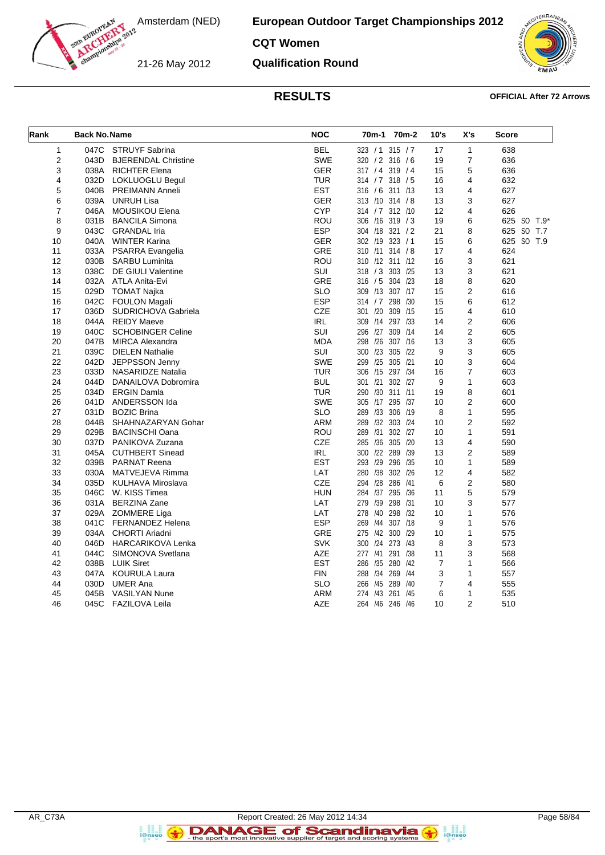**European Outdoor Target Championships 2012**

### **CQT Women**

21-26 May 2012

**Qualification Round**



#### **RESULTS OFFICIAL After 72 Arrows**

| Rank                    | <b>Back No. Name</b> |                            | <b>NOC</b> | 70 <sub>m</sub> -1<br>70 <sub>m</sub> -2 | 10's           | X's            | <b>Score</b> |
|-------------------------|----------------------|----------------------------|------------|------------------------------------------|----------------|----------------|--------------|
| $\mathbf 1$             | 047C                 | <b>STRUYF Sabrina</b>      | <b>BEL</b> | 323 / 1 315 / 7                          | 17             | 1              | 638          |
| $\overline{\mathbf{c}}$ | 043D                 | <b>BJERENDAL Christine</b> | <b>SWE</b> | 320 / 2 316 / 6                          | 19             | $\overline{7}$ | 636          |
| 3                       | 038A                 | <b>RICHTER Elena</b>       | <b>GER</b> | 317 / 4 319 / 4                          | 15             | 5              | 636          |
| 4                       | 032D                 | LOKLUOGLU Begul            | <b>TUR</b> | 314 / 7 318 / 5                          | 16             | 4              | 632          |
| 5                       | 040B                 | PREIMANN Anneli            | <b>EST</b> | 316 / 6 311 /13                          | 13             | 4              | 627          |
| 6                       | 039A                 | <b>UNRUH Lisa</b>          | <b>GER</b> | 313 /10 314 / 8                          | 13             | 3              | 627          |
| 7                       | 046A                 | MOUSIKOU Elena             | <b>CYP</b> | 314 / 7 312 / 10                         | 12             | 4              | 626          |
| 8                       | 031B                 | <b>BANCILA Simona</b>      | <b>ROU</b> | 306 /16 319 / 3                          | 19             | 6              | 625 SO T.9*  |
| 9                       | 043C                 | <b>GRANDAL Iria</b>        | <b>ESP</b> | 304 /18 321 / 2                          | 21             | 8              | 625 SO T.7   |
| 10                      | 040A                 | <b>WINTER Karina</b>       | <b>GER</b> | 302 /19 323 / 1                          | 15             | 6              | 625 SO T.9   |
| 11                      | 033A                 | PSARRA Evangelia           | <b>GRE</b> | 310 /11 314 / 8                          | 17             | 4              | 624          |
| 12                      | 030B                 | SARBU Luminita             | <b>ROU</b> | 310 /12 311 /12                          | 16             | 3              | 621          |
| 13                      | 038C                 | <b>DE GIULI Valentine</b>  | <b>SUI</b> | 318 / 3 303 / 25                         | 13             | 3              | 621          |
| 14                      | 032A                 | ATLA Anita-Evi             | <b>GRE</b> | 316 / 5<br>304 /23                       | 18             | 8              | 620          |
| 15                      | 029D                 | TOMAT Najka                | <b>SLO</b> | 309 /13 307 /17                          | 15             | 2              | 616          |
| 16                      | 042C                 | <b>FOULON Magali</b>       | <b>ESP</b> | 314 / 7 298 / 30                         | 15             | 6              | 612          |
| 17                      | 036D                 | SUDRICHOVA Gabriela        | <b>CZE</b> | 301 /20<br>309 /15                       | 15             | 4              | 610          |
| 18                      | 044A                 | <b>REIDY Maeve</b>         | <b>IRL</b> | 309 /14<br>297 /33                       | 14             | $\overline{2}$ | 606          |
| 19                      | 040C                 | <b>SCHOBINGER Celine</b>   | SUI        | 296 /27<br>309<br>/14                    | 14             | $\overline{2}$ | 605          |
| 20                      | 047B                 | <b>MIRCA Alexandra</b>     | <b>MDA</b> | 298 /26 307 /16                          | 13             | 3              | 605          |
| 21                      | 039C                 | <b>DIELEN Nathalie</b>     | SUI        | 300 /23<br>305 /22                       | 9              | 3              | 605          |
| 22                      | 042D                 | JEPPSSON Jenny             | <b>SWE</b> | 299 /25 305 /21                          | 10             | 3              | 604          |
| 23                      | 033D                 | <b>NASARIDZE Natalia</b>   | <b>TUR</b> | 306 /15 297 /34                          | 16             | $\overline{7}$ | 603          |
| 24                      | 044D                 | DANAILOVA Dobromira        | <b>BUL</b> | 301 /21<br>302 /27                       | 9              | 1              | 603          |
| 25                      | 034D                 | <b>ERGIN Damla</b>         | <b>TUR</b> | 290 /30 311 /11                          | 19             | 8              | 601          |
| 26                      | 041D                 | ANDERSSON Ida              | <b>SWE</b> | 305 /17 295 /37                          | 10             | $\overline{2}$ | 600          |
| 27                      | 031D                 | <b>BOZIC Brina</b>         | <b>SLO</b> | /33<br>306 /19<br>289                    | 8              | 1              | 595          |
| 28                      | 044B                 | SHAHNAZARYAN Gohar         | <b>ARM</b> | 289 /32 303 /24                          | 10             | 2              | 592          |
| 29                      | 029B                 | <b>BACINSCHI Oana</b>      | <b>ROU</b> | 302 /27<br>/31<br>289                    | 10             | 1              | 591          |
| 30                      | 037D                 | PANIKOVA Zuzana            | CZE        | 285 /36 305 /20                          | 13             | 4              | 590          |
| 31                      | 045A                 | <b>CUTHBERT Sinead</b>     | <b>IRL</b> | 300 /22 289<br>/39                       | 13             | 2              | 589          |
| 32                      | 039B                 | <b>PARNAT Reena</b>        | <b>EST</b> | 293 /29<br>296 /35                       | 10             | 1              | 589          |
| 33                      | 030A                 | MATVEJEVA Rimma            | LAT        | 280 /38<br>302 /26                       | 12             | 4              | 582          |
| 34                      | 035D                 | KULHAVA Miroslava          | CZE        | 294 /28<br>286 /41                       | 6              | $\overline{2}$ | 580          |
| 35                      | 046C                 | W. KISS Timea              | <b>HUN</b> | 284 /37<br>295 /36                       | 11             | 5              | 579          |
| 36                      |                      | 031A BERZINA Zane          | LAT        | 298<br>/31<br>279<br>/39                 | 10             | 3              | 577          |
| 37                      | 029A                 | ZOMMERE Liga               | LAT        | 298 /32<br>278 /40                       | 10             | 1              | 576          |
| 38                      | 041C                 | <b>FERNANDEZ Helena</b>    | <b>ESP</b> | 307 /18<br>269<br>/44                    | 9              | 1              | 576          |
| 39                      |                      | 034A CHORTI Ariadni        | GRE        | 275 /42 300<br>/29                       | 10             | 1              | 575          |
| 40                      | 046D                 | <b>HARCARIKOVA Lenka</b>   | <b>SVK</b> | 300 /24 273 /43                          | 8              | 3              | 573          |
| 41                      | 044C                 | SIMONOVA Svetlana          | <b>AZE</b> | 277 /41 291 /38                          | 11             | 3              | 568          |
| 42                      | 038B                 | <b>LUIK Siret</b>          | <b>EST</b> | 286 /35 280<br>/42                       | $\overline{7}$ | 1              | 566          |
| 43                      | 047A                 | KOURULA Laura              | <b>FIN</b> | 288 /34 269<br>/44                       | 3              | 1              | 557          |
| 44                      | 030D                 | <b>UMER Ana</b>            | <b>SLO</b> | 266 /45 289<br>/40                       | $\overline{7}$ | $\overline{4}$ | 555          |
| 45                      | 045B                 | <b>VASILYAN Nune</b>       | <b>ARM</b> | 274 /43 261<br>/45                       | 6              | 1              | 535          |
| 46                      | 045C                 | FAZILOVA Leila             | <b>AZE</b> | 264 /46 246 /46                          | 10             | $\overline{2}$ | 510          |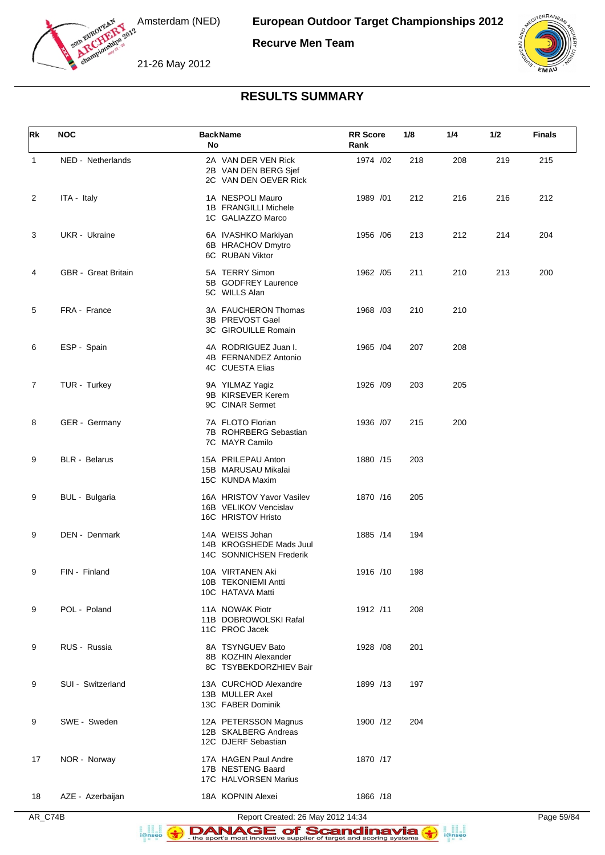

**Recurve Men Team**

21-26 May 2012



## **RESULTS SUMMARY**

| Rk             | <b>NOC</b>                 | <b>BackName</b><br>No                                                    | <b>RR Score</b><br>Rank | 1/8 | 1/4 | 1/2 | <b>Finals</b> |
|----------------|----------------------------|--------------------------------------------------------------------------|-------------------------|-----|-----|-----|---------------|
| $\mathbf{1}$   | NED - Netherlands          | 2A VAN DER VEN Rick<br>2B VAN DEN BERG Sjef<br>2C VAN DEN OEVER Rick     | 1974 /02                | 218 | 208 | 219 | 215           |
| $\overline{c}$ | ITA - Italy                | 1A NESPOLI Mauro<br>1B FRANGILLI Michele<br>1C GALIAZZO Marco            | 1989 /01                | 212 | 216 | 216 | 212           |
| 3              | UKR - Ukraine              | 6A IVASHKO Markiyan<br>6B HRACHOV Dmytro<br>6C RUBAN Viktor              | 1956 / 06               | 213 | 212 | 214 | 204           |
| 4              | <b>GBR</b> - Great Britain | 5A TERRY Simon<br>5B GODFREY Laurence<br>5C WILLS Alan                   | 1962 / 05               | 211 | 210 | 213 | 200           |
| 5              | FRA - France               | 3A FAUCHERON Thomas<br>3B PREVOST Gael<br>3C GIROUILLE Romain            | 1968 /03                | 210 | 210 |     |               |
| 6              | ESP - Spain                | 4A RODRIGUEZ Juan I.<br>4B FERNANDEZ Antonio<br>4C CUESTA Elias          | 1965 / 04               | 207 | 208 |     |               |
| 7              | TUR - Turkey               | 9A YILMAZ Yagiz<br>9B KIRSEVER Kerem<br>9C CINAR Sermet                  | 1926 /09                | 203 | 205 |     |               |
| 8              | GER - Germany              | 7A FLOTO Florian<br>7B ROHRBERG Sebastian<br>7C MAYR Camilo              | 1936 /07                | 215 | 200 |     |               |
| 9              | <b>BLR</b> - Belarus       | 15A PRILEPAU Anton<br>15B MARUSAU Mikalai<br>15C KUNDA Maxim             | 1880 /15                | 203 |     |     |               |
| 9              | BUL - Bulgaria             | 16A HRISTOV Yavor Vasilev<br>16B VELIKOV Vencislav<br>16C HRISTOV Hristo | 1870 /16                | 205 |     |     |               |
| 9              | DEN - Denmark              | 14A WEISS Johan<br>14B KROGSHEDE Mads Juul<br>14C SONNICHSEN Frederik    | 1885 /14                | 194 |     |     |               |
| 9              | FIN - Finland              | 10A VIRTANEN Aki<br>10B TEKONIEMI Antti<br>10C HATAVA Matti              | 1916 /10                | 198 |     |     |               |
| 9              | POL - Poland               | 11A NOWAK Piotr<br>11B DOBROWOLSKI Rafal<br>11C PROC Jacek               | 1912 /11                | 208 |     |     |               |
| 9              | RUS - Russia               | 8A TSYNGUEV Bato<br>8B KOZHIN Alexander<br>8C TSYBEKDORZHIEV Bair        | 1928 / 08               | 201 |     |     |               |
| 9              | SUI - Switzerland          | 13A CURCHOD Alexandre<br>13B MULLER Axel<br>13C FABER Dominik            | 1899 /13                | 197 |     |     |               |
| 9              | SWE - Sweden               | 12A PETERSSON Magnus<br>12B SKALBERG Andreas<br>12C DJERF Sebastian      | 1900 /12                | 204 |     |     |               |
| 17             | NOR - Norway               | 17A HAGEN Paul Andre<br>17B NESTENG Baard<br>17C HALVORSEN Marius        | 1870 /17                |     |     |     |               |
| 18             | AZE - Azerbaijan           | 18A KOPNIN Alexei                                                        | 1866 /18                |     |     |     |               |

AR\_C74B Report Created: 26 May 2012 14:34 Page 59/84

DANAGE of Scandinavia **B**<br>**i**@nseo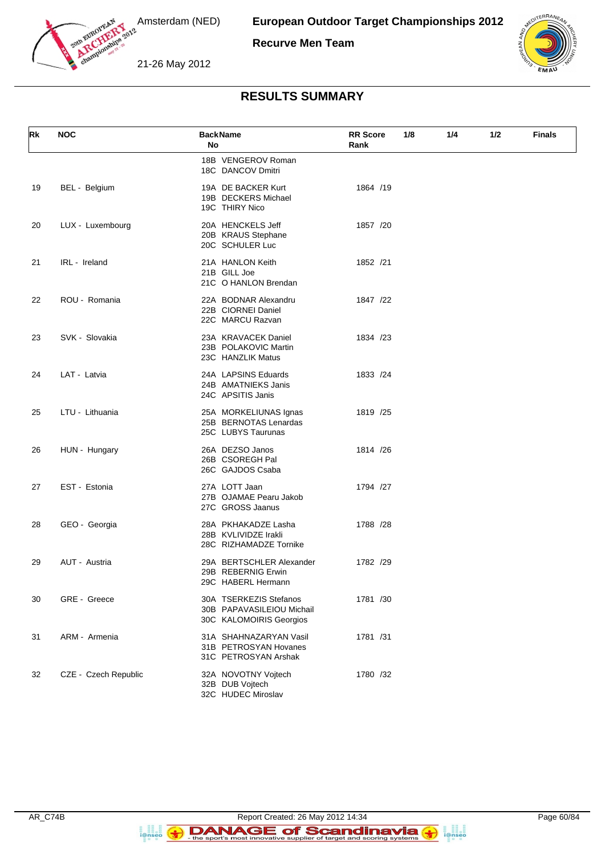

**European Outdoor Target Championships 2012**

**Recurve Men Team**

21-26 May 2012



## **RESULTS SUMMARY**

| Rk | <b>NOC</b>           | <b>BackName</b><br>No                                                          | <b>RR</b> Score<br>1/8<br>Rank | 1/4 | 1/2 | <b>Finals</b> |
|----|----------------------|--------------------------------------------------------------------------------|--------------------------------|-----|-----|---------------|
|    |                      | 18B VENGEROV Roman<br>18C DANCOV Dmitri                                        |                                |     |     |               |
| 19 | BEL - Belgium        | 19A DE BACKER Kurt<br>19B DECKERS Michael<br>19C THIRY Nico                    | 1864 /19                       |     |     |               |
| 20 | LUX - Luxembourg     | 20A HENCKELS Jeff<br>20B KRAUS Stephane<br>20C SCHULER Luc                     | 1857 /20                       |     |     |               |
| 21 | IRL - Ireland        | 21A HANLON Keith<br>21B GILL Joe<br>21C O HANLON Brendan                       | 1852 /21                       |     |     |               |
| 22 | ROU - Romania        | 22A BODNAR Alexandru<br>22B CIORNEI Daniel<br>22C MARCU Razvan                 | 1847 /22                       |     |     |               |
| 23 | SVK - Slovakia       | 23A KRAVACEK Daniel<br>23B POLAKOVIC Martin<br>23C HANZLIK Matus               | 1834 /23                       |     |     |               |
| 24 | LAT - Latvia         | 24A LAPSINS Eduards<br>24B AMATNIEKS Janis<br>24C APSITIS Janis                | 1833 /24                       |     |     |               |
| 25 | LTU - Lithuania      | 25A MORKELIUNAS Ignas<br>25B BERNOTAS Lenardas<br>25C LUBYS Taurunas           | 1819 /25                       |     |     |               |
| 26 | HUN - Hungary        | 26A DEZSO Janos<br>26B CSOREGH Pal<br>26C GAJDOS Csaba                         | 1814 /26                       |     |     |               |
| 27 | EST - Estonia        | 27A LOTT Jaan<br>27B OJAMAE Pearu Jakob<br>27C GROSS Jaanus                    | 1794 /27                       |     |     |               |
| 28 | GEO - Georgia        | 28A PKHAKADZE Lasha<br>28B KVLIVIDZE Irakli<br>28C RIZHAMADZE Tornike          | 1788 /28                       |     |     |               |
| 29 | AUT - Austria        | 29A BERTSCHLER Alexander<br>29B REBERNIG Erwin<br>29C HABERL Hermann           | 1782 /29                       |     |     |               |
| 30 | GRE - Greece         | 30A TSERKEZIS Stefanos<br>30B PAPAVASILEIOU Michail<br>30C KALOMOIRIS Georgios | 1781 /30                       |     |     |               |
| 31 | ARM - Armenia        | 31A SHAHNAZARYAN Vasil<br>31B PETROSYAN Hovanes<br>31C PETROSYAN Arshak        | 1781 /31                       |     |     |               |
| 32 | CZE - Czech Republic | 32A NOVOTNY Vojtech<br>32B DUB Vojtech<br>32C HUDEC Miroslav                   | 1780 /32                       |     |     |               |

a an<br>i@nseo

Report Created: 26 May 2012 14:34<br>Page 60/84<br>For the sport's most innovative supplier of target and scoring systems  $\bullet$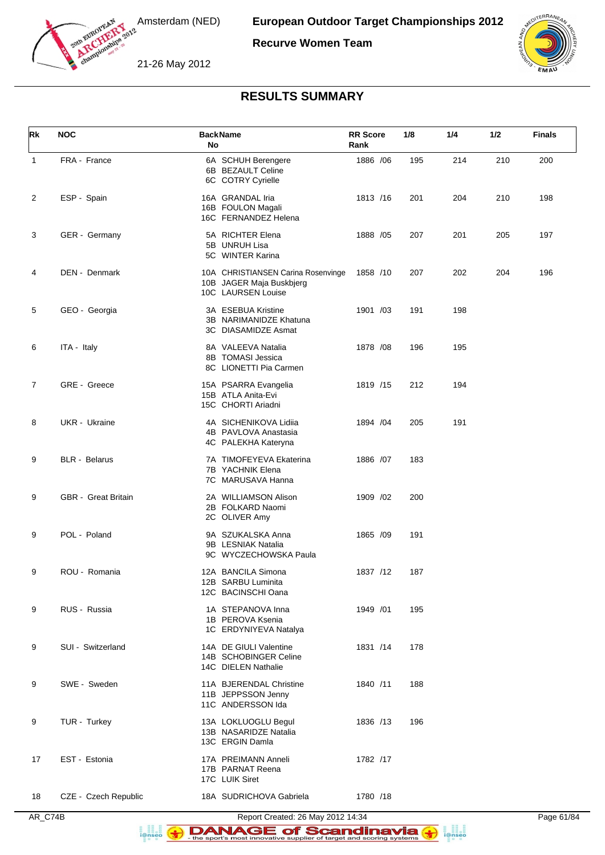

**Recurve Women Team**





## **RESULTS SUMMARY**

| <b>Rk</b>      | <b>NOC</b>                 | <b>BackName</b><br>No                                                                | <b>RR Score</b><br>Rank | 1/8 | 1/4 | 1/2 | <b>Finals</b> |
|----------------|----------------------------|--------------------------------------------------------------------------------------|-------------------------|-----|-----|-----|---------------|
| $\mathbf{1}$   | FRA - France               | 6A SCHUH Berengere<br>6B BEZAULT Celine<br>6C COTRY Cyrielle                         | 1886 / 06               | 195 | 214 | 210 | 200           |
| 2              | ESP - Spain                | 16A GRANDAL Iria<br>16B FOULON Magali<br>16C FERNANDEZ Helena                        | 1813 /16                | 201 | 204 | 210 | 198           |
| 3              | GER - Germany              | 5A RICHTER Elena<br>5B UNRUH Lisa<br>5C WINTER Karina                                | 1888 / 05               | 207 | 201 | 205 | 197           |
| 4              | DEN - Denmark              | 10A CHRISTIANSEN Carina Rosenvinge<br>10B JAGER Maja Buskbjerg<br>10C LAURSEN Louise | 1858 /10                | 207 | 202 | 204 | 196           |
| 5              | GEO - Georgia              | 3A ESEBUA Kristine<br>3B NARIMANIDZE Khatuna<br>3C DIASAMIDZE Asmat                  | 1901 /03                | 191 | 198 |     |               |
| 6              | ITA - Italy                | 8A VALEEVA Natalia<br>8B TOMASI Jessica<br>8C LIONETTI Pia Carmen                    | 1878 / 08               | 196 | 195 |     |               |
| $\overline{7}$ | GRE - Greece               | 15A PSARRA Evangelia<br>15B ATLA Anita-Evi<br>15C CHORTI Ariadni                     | 1819 /15                | 212 | 194 |     |               |
| 8              | UKR - Ukraine              | 4A SICHENIKOVA Lidiia<br>4B PAVLOVA Anastasia<br>4C PALEKHA Kateryna                 | 1894 / 04               | 205 | 191 |     |               |
| 9              | <b>BLR</b> - Belarus       | 7A TIMOFEYEVA Ekaterina<br>7B YACHNIK Elena<br>7C MARUSAVA Hanna                     | 1886 /07                | 183 |     |     |               |
| 9              | <b>GBR</b> - Great Britain | 2A WILLIAMSON Alison<br>2B FOLKARD Naomi<br>2C OLIVER Amy                            | 1909 /02                | 200 |     |     |               |
| 9              | POL - Poland               | 9A SZUKALSKA Anna<br>9B LESNIAK Natalia<br>9C WYCZECHOWSKA Paula                     | 1865 /09                | 191 |     |     |               |
| 9              | ROU - Romania              | 12A BANCILA Simona<br>12B SARBU Luminita<br>12C BACINSCHI Oana                       | 1837 /12                | 187 |     |     |               |
| 9              | RUS - Russia               | 1A STEPANOVA Inna<br>1B PEROVA Ksenia<br>1C ERDYNIYEVA Natalya                       | 1949 /01                | 195 |     |     |               |
| 9              | SUI - Switzerland          | 14A DE GIULI Valentine<br>14B SCHOBINGER Celine<br>14C DIELEN Nathalie               | 1831 /14                | 178 |     |     |               |
| 9              | SWE - Sweden               | 11A BJERENDAL Christine<br>11B JEPPSSON Jenny<br>11C ANDERSSON Ida                   | 1840 /11                | 188 |     |     |               |
| 9              | TUR - Turkey               | 13A LOKLUOGLU Begul<br>13B NASARIDZE Natalia<br>13C ERGIN Damla                      | 1836 /13                | 196 |     |     |               |
| 17             | EST - Estonia              | 17A PREIMANN Anneli<br>17B PARNAT Reena<br>17C LUIK Siret                            | 1782 /17                |     |     |     |               |
| 18             | CZE - Czech Republic       | 18A SUDRICHOVA Gabriela                                                              | 1780 /18                |     |     |     |               |

AR\_C74B Report Created: 26 May 2012 14:34 Page 61/84

DANAGE of Scandinavia a an<br>i@nseo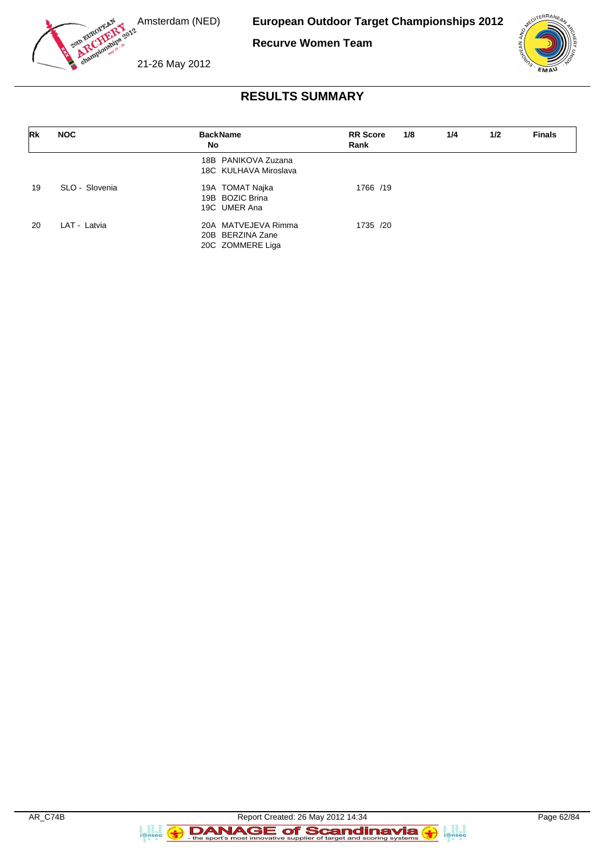

**European Outdoor Target Championships 2012**

**Recurve Women Team**



21-26 May 2012

# **RESULTS SUMMARY**

| <b>Rk</b> | <b>NOC</b>     | <b>BackName</b><br>No                                       | <b>RR</b> Score<br>Rank | 1/8 | 1/4 | 1/2 | <b>Finals</b> |
|-----------|----------------|-------------------------------------------------------------|-------------------------|-----|-----|-----|---------------|
|           |                | 18B PANIKOVA Zuzana<br>18C KULHAVA Miroslava                |                         |     |     |     |               |
| 19        | SLO - Slovenia | 19A TOMAT Najka<br>19B BOZIC Brina<br>19C UMER Ana          | 1766 /19                |     |     |     |               |
| 20        | LAT - Latvia   | 20A MATVEJEVA Rimma<br>20B BERZINA Zane<br>20C ZOMMERE Liga | 1735 /20                |     |     |     |               |

**B**<br>**i**@nseo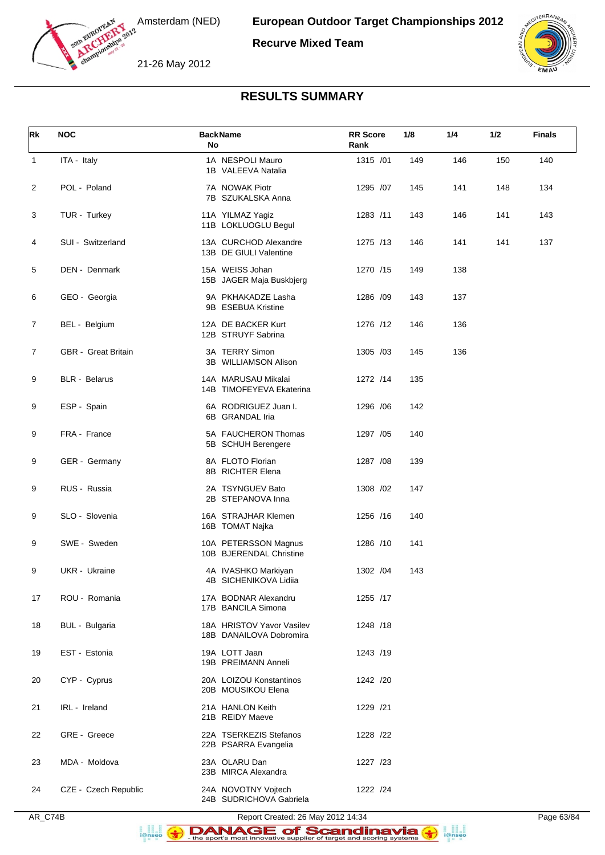

**Recurve Mixed Team**

21-26 May 2012



## **RESULTS SUMMARY**

| Rk             | <b>NOC</b>           | <b>BackName</b><br>No                                | <b>RR</b> Score<br>Rank | 1/8 | 1/4 | 1/2 | <b>Finals</b> |
|----------------|----------------------|------------------------------------------------------|-------------------------|-----|-----|-----|---------------|
| $\mathbf{1}$   | ITA - Italy          | 1A NESPOLI Mauro<br>1B VALEEVA Natalia               | 1315 /01                | 149 | 146 | 150 | 140           |
| 2              | POL - Poland         | 7A NOWAK Piotr<br>7B SZUKALSKA Anna                  | 1295 /07                | 145 | 141 | 148 | 134           |
| 3              | TUR - Turkey         | 11A YILMAZ Yagiz<br>11B LOKLUOGLU Begul              | 1283 /11                | 143 | 146 | 141 | 143           |
| 4              | SUI - Switzerland    | 13A CURCHOD Alexandre<br>13B DE GIULI Valentine      | 1275 /13                | 146 | 141 | 141 | 137           |
| 5              | DEN - Denmark        | 15A WEISS Johan<br>15B JAGER Maja Buskbjerg          | 1270 /15                | 149 | 138 |     |               |
| 6              | GEO - Georgia        | 9A PKHAKADZE Lasha<br>9B ESEBUA Kristine             | 1286 /09                | 143 | 137 |     |               |
| $\overline{7}$ | BEL - Belgium        | 12A DE BACKER Kurt<br>12B STRUYF Sabrina             | 1276 /12                | 146 | 136 |     |               |
| 7              | GBR - Great Britain  | 3A TERRY Simon<br>3B WILLIAMSON Alison               | 1305 /03                | 145 | 136 |     |               |
| 9              | <b>BLR</b> - Belarus | 14A MARUSAU Mikalai<br>14B TIMOFEYEVA Ekaterina      | 1272 /14                | 135 |     |     |               |
| 9              | ESP - Spain          | 6A RODRIGUEZ Juan I.<br>6B GRANDAL Iria              | 1296 / 06               | 142 |     |     |               |
| 9              | FRA - France         | 5A FAUCHERON Thomas<br>5B SCHUH Berengere            | 1297 / 05               | 140 |     |     |               |
| 9              | GER - Germany        | 8A FLOTO Florian<br>8B RICHTER Elena                 | 1287 / 08               | 139 |     |     |               |
| 9              | RUS - Russia         | 2A TSYNGUEV Bato<br>2B STEPANOVA Inna                | 1308 / 02               | 147 |     |     |               |
| 9              | SLO - Slovenia       | 16A STRAJHAR Klemen<br>16B TOMAT Najka               | 1256 /16                | 140 |     |     |               |
| 9              | SWE - Sweden         | 10A PETERSSON Magnus<br>10B BJERENDAL Christine      | 1286 /10                | 141 |     |     |               |
| 9              | <b>UKR</b> - Ukraine | 4A IVASHKO Markiyan<br>4B SICHENIKOVA Lidiia         | 1302 /04                | 143 |     |     |               |
| 17             | ROU - Romania        | 17A BODNAR Alexandru<br>17B BANCILA Simona           | 1255 /17                |     |     |     |               |
| 18             | BUL - Bulgaria       | 18A HRISTOV Yavor Vasilev<br>18B DANAILOVA Dobromira | 1248 /18                |     |     |     |               |
| 19             | EST - Estonia        | 19A LOTT Jaan<br>19B PREIMANN Anneli                 | 1243 /19                |     |     |     |               |
| 20             | CYP - Cyprus         | 20A LOIZOU Konstantinos<br>20B MOUSIKOU Elena        | 1242 /20                |     |     |     |               |
| 21             | IRL - Ireland        | 21A HANLON Keith<br>21B REIDY Maeve                  | 1229 /21                |     |     |     |               |
| 22             | GRE - Greece         | 22A TSERKEZIS Stefanos<br>22B PSARRA Evangelia       | 1228 /22                |     |     |     |               |
| 23             | MDA - Moldova        | 23A OLARU Dan<br>23B MIRCA Alexandra                 | 1227 /23                |     |     |     |               |
| 24             | CZE - Czech Republic | 24A NOVOTNY Vojtech<br>24B SUDRICHOVA Gabriela       | 1222 /24                |     |     |     |               |

a an<br>i@nseo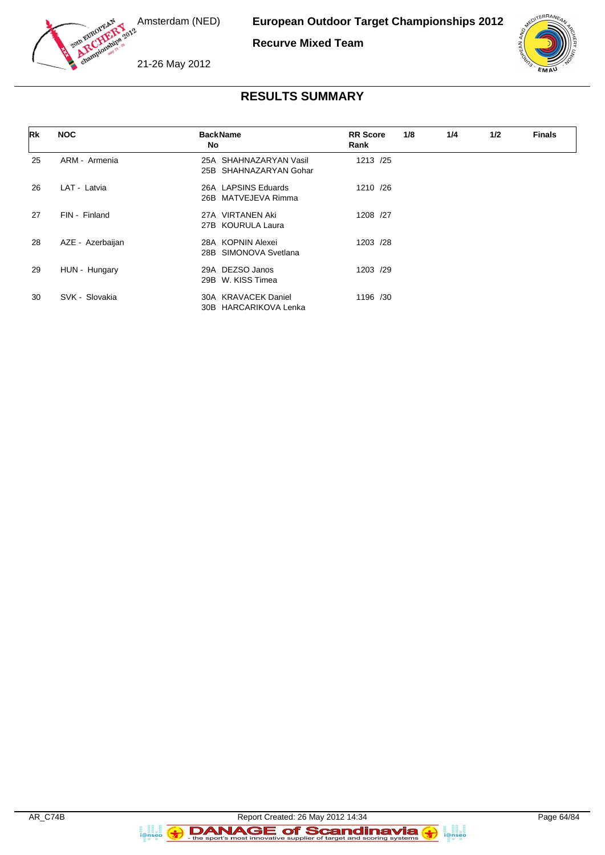

**Recurve Mixed Team**





### **RESULTS SUMMARY**

| Rk | <b>NOC</b>       | <b>BackName</b><br>No                               | <b>RR</b> Score<br>Rank | 1/8 | 1/4 | 1/2 | <b>Finals</b> |
|----|------------------|-----------------------------------------------------|-------------------------|-----|-----|-----|---------------|
| 25 | ARM - Armenia    | SHAHNAZARYAN Vasil<br>25A<br>25B SHAHNAZARYAN Gohar | 1213 /25                |     |     |     |               |
| 26 | LAT - Latvia     | 26A LAPSINS Eduards<br>26B MATVEJEVA Rimma          | 1210 /26                |     |     |     |               |
| 27 | FIN - Finland    | <b>VIRTANEN Aki</b><br>27A<br>27B KOURULA Laura     | 1208 /27                |     |     |     |               |
| 28 | AZE - Azerbaijan | 28A KOPNIN Alexei<br>28B SIMONOVA Svetlana          | 1203 /28                |     |     |     |               |
| 29 | HUN - Hungary    | DEZSO Janos<br>29A<br>W. KISS Timea<br>29B          | 1203 /29                |     |     |     |               |
| 30 | SVK - Slovakia   | 30A KRAVACEK Daniel<br>30B HARCARIKOVA Lenka        | 1196 /30                |     |     |     |               |

**B**<br>**i**@nseo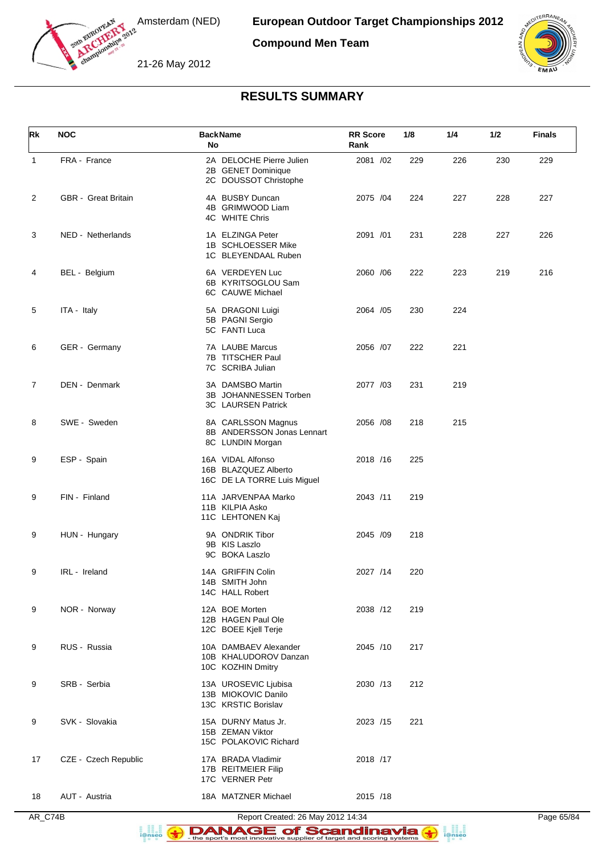

**Compound Men Team**





## **RESULTS SUMMARY**

| Rk           | <b>NOC</b>                 | <b>BackName</b><br>No                                                    | <b>RR Score</b><br>Rank | 1/8 | 1/4 | 1/2 | <b>Finals</b> |
|--------------|----------------------------|--------------------------------------------------------------------------|-------------------------|-----|-----|-----|---------------|
| $\mathbf{1}$ | FRA - France               | 2A DELOCHE Pierre Julien<br>2B GENET Dominique<br>2C DOUSSOT Christophe  | 2081 /02                | 229 | 226 | 230 | 229           |
| 2            | <b>GBR</b> - Great Britain | 4A BUSBY Duncan<br>4B GRIMWOOD Liam<br>4C WHITE Chris                    | 2075 /04                | 224 | 227 | 228 | 227           |
| 3            | NED - Netherlands          | 1A ELZINGA Peter<br>1B SCHLOESSER Mike<br>1C BLEYENDAAL Ruben            | 2091 /01                | 231 | 228 | 227 | 226           |
| 4            | BEL - Belgium              | 6A VERDEYEN Luc<br>6B KYRITSOGLOU Sam<br>6C CAUWE Michael                | 2060 / 06               | 222 | 223 | 219 | 216           |
| 5            | ITA - Italy                | 5A DRAGONI Luigi<br>5B PAGNI Sergio<br>5C FANTI Luca                     | 2064 / 05               | 230 | 224 |     |               |
| 6            | GER - Germany              | 7A LAUBE Marcus<br>7B TITSCHER Paul<br>7C SCRIBA Julian                  | 2056 /07                | 222 | 221 |     |               |
| 7            | DEN - Denmark              | 3A DAMSBO Martin<br>3B JOHANNESSEN Torben<br>3C LAURSEN Patrick          | 2077 /03                | 231 | 219 |     |               |
| 8            | SWE - Sweden               | 8A CARLSSON Magnus<br>8B ANDERSSON Jonas Lennart<br>8C LUNDIN Morgan     | 2056 /08                | 218 | 215 |     |               |
| 9            | ESP - Spain                | 16A VIDAL Alfonso<br>16B BLAZQUEZ Alberto<br>16C DE LA TORRE Luis Miguel | 2018 /16                | 225 |     |     |               |
| 9            | FIN - Finland              | 11A JARVENPAA Marko<br>11B KILPIA Asko<br>11C LEHTONEN Kaj               | 2043 /11                | 219 |     |     |               |
| 9            | HUN - Hungary              | 9A ONDRIK Tibor<br>9B KIS Laszlo<br>9C BOKA Laszlo                       | 2045 /09                | 218 |     |     |               |
| 9            | IRL - Ireland              | 14A GRIFFIN Colin<br>14B SMITH John<br>14C HALL Robert                   | 2027 /14                | 220 |     |     |               |
| 9            | NOR - Norway               | 12A BOE Morten<br>12B HAGEN Paul Ole<br>12C BOEE Kjell Terje             | 2038 /12                | 219 |     |     |               |
| 9            | RUS - Russia               | 10A DAMBAEV Alexander<br>10B KHALUDOROV Danzan<br>10C KOZHIN Dmitry      | 2045 /10                | 217 |     |     |               |
| 9            | SRB - Serbia               | 13A UROSEVIC Ljubisa<br>13B MIOKOVIC Danilo<br>13C KRSTIC Borislav       | 2030 /13                | 212 |     |     |               |
| 9            | SVK - Slovakia             | 15A DURNY Matus Jr.<br>15B ZEMAN Viktor<br>15C POLAKOVIC Richard         | 2023 /15                | 221 |     |     |               |
| 17           | CZE - Czech Republic       | 17A BRADA Vladimir<br>17B REITMEIER Filip<br>17C VERNER Petr             | 2018 /17                |     |     |     |               |
| 18           | AUT - Austria              | 18A MATZNER Michael                                                      | 2015 /18                |     |     |     |               |

AR\_C74B Report Created: 26 May 2012 14:34 Page 65/84

DANAGE of Scandinavia a ana an<br>i@nseo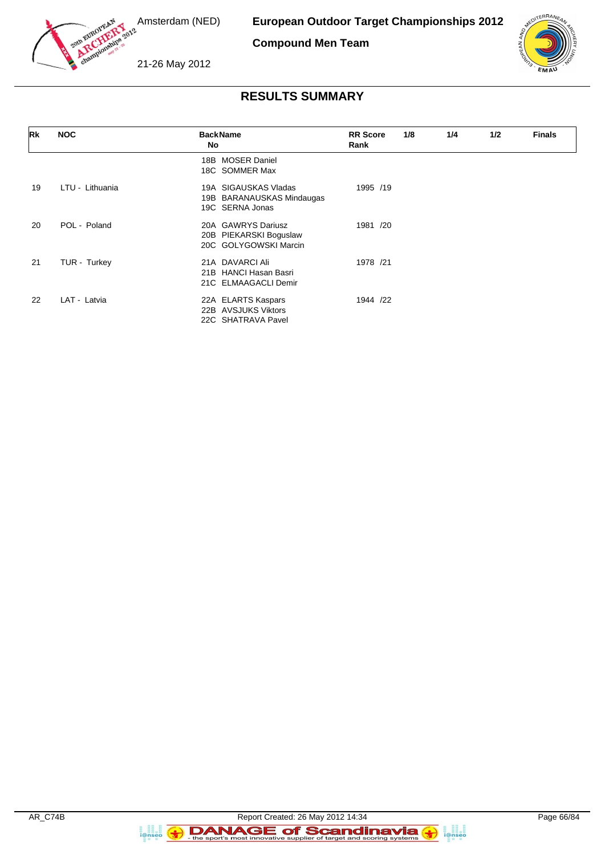

**European Outdoor Target Championships 2012**

**Compound Men Team**



21-26 May 2012

# **RESULTS SUMMARY**

| Rk | <b>NOC</b>      | <b>BackName</b><br>No                                                 | <b>RR</b> Score<br>Rank | 1/8 | 1/4 | 1/2 | <b>Finals</b> |
|----|-----------------|-----------------------------------------------------------------------|-------------------------|-----|-----|-----|---------------|
|    |                 | <b>MOSER Daniel</b><br>18B<br>18C SOMMER Max                          |                         |     |     |     |               |
| 19 | LTU - Lithuania | 19A SIGAUSKAS Vladas<br>19B BARANAUSKAS Mindaugas<br>19C SERNA Jonas  | 1995 /19                |     |     |     |               |
| 20 | POL - Poland    | 20A GAWRYS Dariusz<br>20B PIEKARSKI Boguslaw<br>20C GOLYGOWSKI Marcin | 1981 /20                |     |     |     |               |
| 21 | TUR - Turkey    | 21A DAVARCI Ali<br>21B HANCI Hasan Basri<br>21C ELMAAGACLI Demir      | 1978 /21                |     |     |     |               |
| 22 | LAT - Latvia    | 22A ELARTS Kaspars<br>22B AVSJUKS Viktors<br>22C SHATRAVA Pavel       | 1944 /22                |     |     |     |               |

a ana an<br>i@nseo

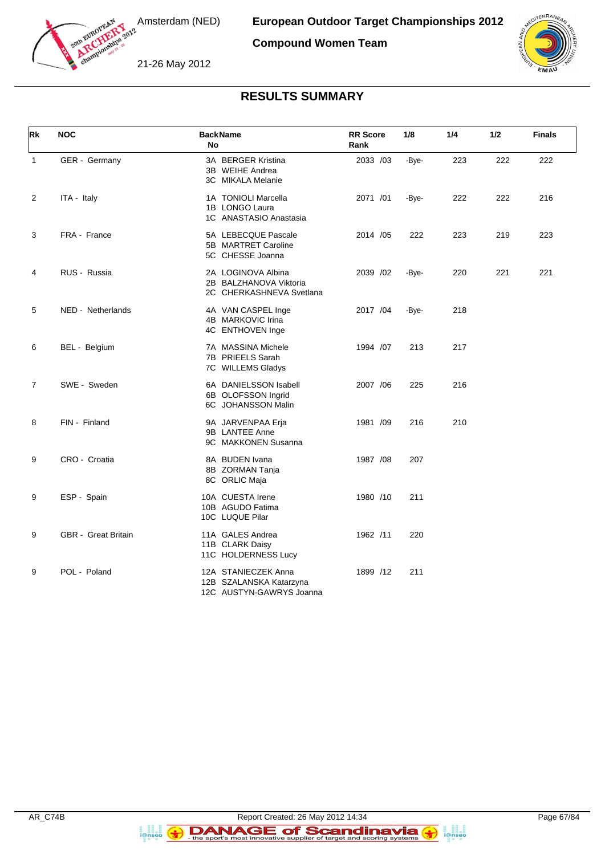

**Compound Women Team**





## **RESULTS SUMMARY**

| Rk             | <b>NOC</b>                 | <b>BackName</b><br>No                                                      | <b>RR</b> Score<br>Rank | 1/8   | 1/4 | 1/2 | <b>Finals</b> |
|----------------|----------------------------|----------------------------------------------------------------------------|-------------------------|-------|-----|-----|---------------|
| $\mathbf{1}$   | GER - Germany              | 3A BERGER Kristina<br>3B WEIHE Andrea<br>3C MIKALA Melanie                 | 2033 /03                | -Bye- | 223 | 222 | 222           |
| 2              | ITA - Italy                | 1A TONIOLI Marcella<br>1B LONGO Laura<br>1C ANASTASIO Anastasia            | 2071 /01                | -Bye- | 222 | 222 | 216           |
| 3              | FRA - France               | 5A LEBECQUE Pascale<br>5B MARTRET Caroline<br>5C CHESSE Joanna             | 2014 / 05               | 222   | 223 | 219 | 223           |
| 4              | RUS - Russia               | 2A LOGINOVA Albina<br>2B BALZHANOVA Viktoria<br>2C CHERKASHNEVA Svetlana   | 2039 /02                | -Bye- | 220 | 221 | 221           |
| 5              | NED - Netherlands          | 4A VAN CASPEL Inge<br>4B MARKOVIC Irina<br>4C ENTHOVEN Inge                | 2017 /04                | -Bye- | 218 |     |               |
| 6              | BEL - Belgium              | 7A MASSINA Michele<br>7B PRIEELS Sarah<br>7C WILLEMS Gladys                | 1994 /07                | 213   | 217 |     |               |
| $\overline{7}$ | SWE - Sweden               | 6A DANIELSSON Isabell<br>6B OLOFSSON Ingrid<br>6C JOHANSSON Malin          | 2007 / 06               | 225   | 216 |     |               |
| 8              | FIN - Finland              | 9A JARVENPAA Erja<br>9B LANTEE Anne<br>9C MAKKONEN Susanna                 | 1981 /09                | 216   | 210 |     |               |
| 9              | CRO - Croatia              | 8A BUDEN Ivana<br>8B ZORMAN Tanja<br>8C ORLIC Maja                         | 1987 /08                | 207   |     |     |               |
| 9              | ESP - Spain                | 10A CUESTA Irene<br>10B AGUDO Fatima<br>10C LUQUE Pilar                    | 1980 /10                | 211   |     |     |               |
| 9              | <b>GBR</b> - Great Britain | 11A GALES Andrea<br>11B CLARK Daisy<br>11C HOLDERNESS Lucy                 | 1962 /11                | 220   |     |     |               |
| 9              | POL - Poland               | 12A STANIECZEK Anna<br>12B SZALANSKA Katarzyna<br>12C AUSTYN-GAWRYS Joanna | 1899 /12                | 211   |     |     |               |

**B**<br>**i**@nseo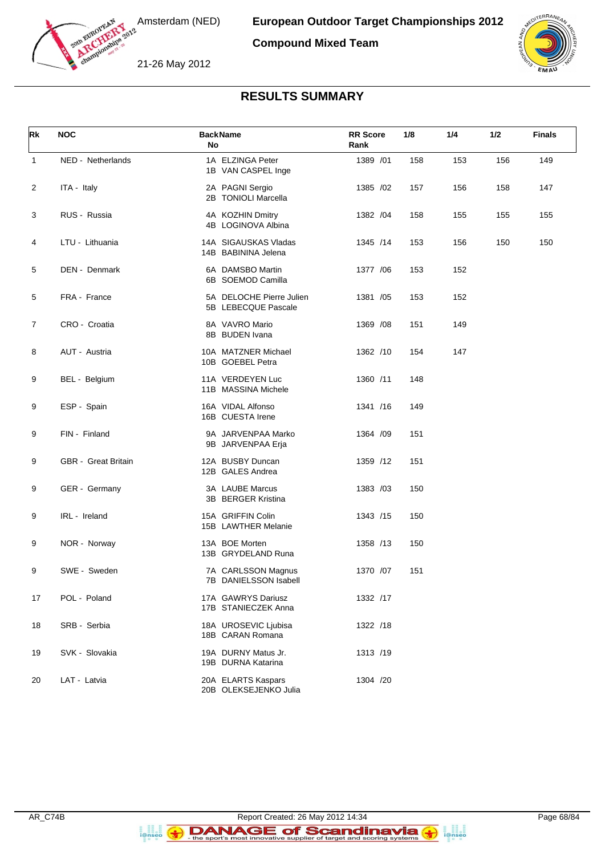

**Compound Mixed Team**





## **RESULTS SUMMARY**

| Rk             | <b>NOC</b>          | <b>BackName</b><br>No                           | <b>RR</b> Score<br>Rank | 1/8 | 1/4 | 1/2 | <b>Finals</b> |
|----------------|---------------------|-------------------------------------------------|-------------------------|-----|-----|-----|---------------|
| $\mathbf{1}$   | NED - Netherlands   | 1A ELZINGA Peter<br>1B VAN CASPEL Inge          | 1389 /01                | 158 | 153 | 156 | 149           |
| 2              | ITA - Italy         | 2A PAGNI Sergio<br>2B TONIOLI Marcella          | 1385 /02                | 157 | 156 | 158 | 147           |
| 3              | RUS - Russia        | 4A KOZHIN Dmitry<br>4B LOGINOVA Albina          | 1382 / 04               | 158 | 155 | 155 | 155           |
| 4              | LTU - Lithuania     | 14A SIGAUSKAS Vladas<br>14B BABININA Jelena     | 1345 /14                | 153 | 156 | 150 | 150           |
| 5              | DEN - Denmark       | 6A DAMSBO Martin<br>6B SOEMOD Camilla           | 1377 / 06               | 153 | 152 |     |               |
| 5              | FRA - France        | 5A DELOCHE Pierre Julien<br>5B LEBECQUE Pascale | 1381 /05                | 153 | 152 |     |               |
| $\overline{7}$ | CRO - Croatia       | 8A VAVRO Mario<br>8B BUDEN Ivana                | 1369 / 08               | 151 | 149 |     |               |
| 8              | AUT - Austria       | 10A MATZNER Michael<br>10B GOEBEL Petra         | 1362 /10                | 154 | 147 |     |               |
| 9              | BEL - Belgium       | 11A VERDEYEN Luc<br>11B MASSINA Michele         | 1360 /11                | 148 |     |     |               |
| 9              | ESP - Spain         | 16A VIDAL Alfonso<br>16B CUESTA Irene           | 1341 /16                | 149 |     |     |               |
| 9              | FIN - Finland       | 9A JARVENPAA Marko<br>9B JARVENPAA Erja         | 1364 / 09               | 151 |     |     |               |
| 9              | GBR - Great Britain | 12A BUSBY Duncan<br>12B GALES Andrea            | 1359 /12                | 151 |     |     |               |
| 9              | GER - Germany       | 3A LAUBE Marcus<br>3B BERGER Kristina           | 1383 /03                | 150 |     |     |               |
| 9              | IRL - Ireland       | 15A GRIFFIN Colin<br>15B LAWTHER Melanie        | 1343 /15                | 150 |     |     |               |
| 9              | NOR - Norway        | 13A BOE Morten<br>13B GRYDELAND Runa            | 1358 /13                | 150 |     |     |               |
| 9              | SWE - Sweden        | 7A CARLSSON Magnus<br>7B DANIELSSON Isabell     | 1370 /07                | 151 |     |     |               |
| 17             | POL - Poland        | 17A GAWRYS Dariusz<br>17B STANIECZEK Anna       | 1332 /17                |     |     |     |               |
| 18             | SRB - Serbia        | 18A UROSEVIC Ljubisa<br>18B CARAN Romana        | 1322 /18                |     |     |     |               |
| 19             | SVK - Slovakia      | 19A DURNY Matus Jr.<br>19B DURNA Katarina       | 1313 /19                |     |     |     |               |
| 20             | LAT - Latvia        | 20A ELARTS Kaspars<br>20B OLEKSEJENKO Julia     | 1304 /20                |     |     |     |               |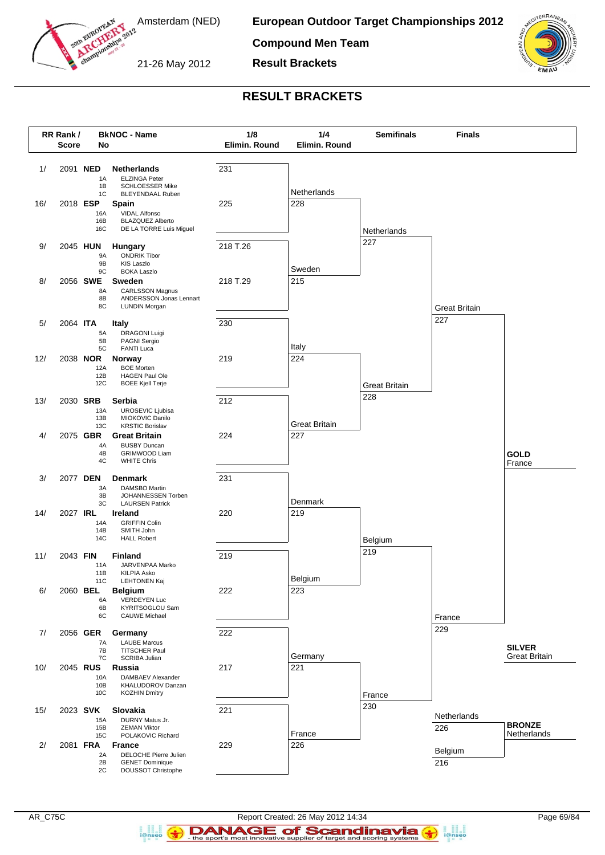

south European

**European Outdoor Target Championships 2012**

**Compound Men Team**

21-26 May 2012

**Result Brackets**



### **RESULT BRACKETS**



 $\left( \frac{1}{2} \right)$ 

**B**<br>i@nseo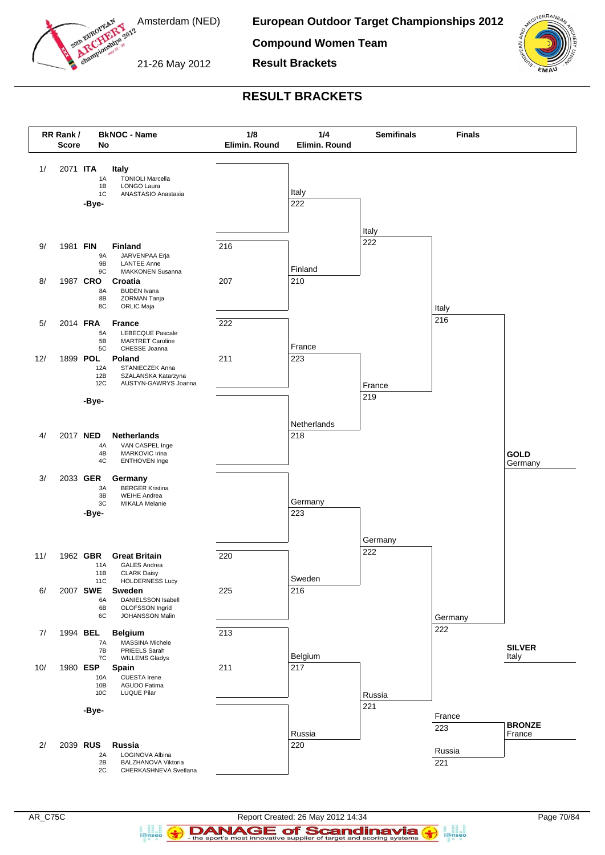

man European

**European Outdoor Target Championships 2012**

**Compound Women Team**



21-26 May 2012

**RESULT BRACKETS**

**Result Brackets**



 $\left( \frac{1}{2} \right)$ 

**B**<br>**i**@nseo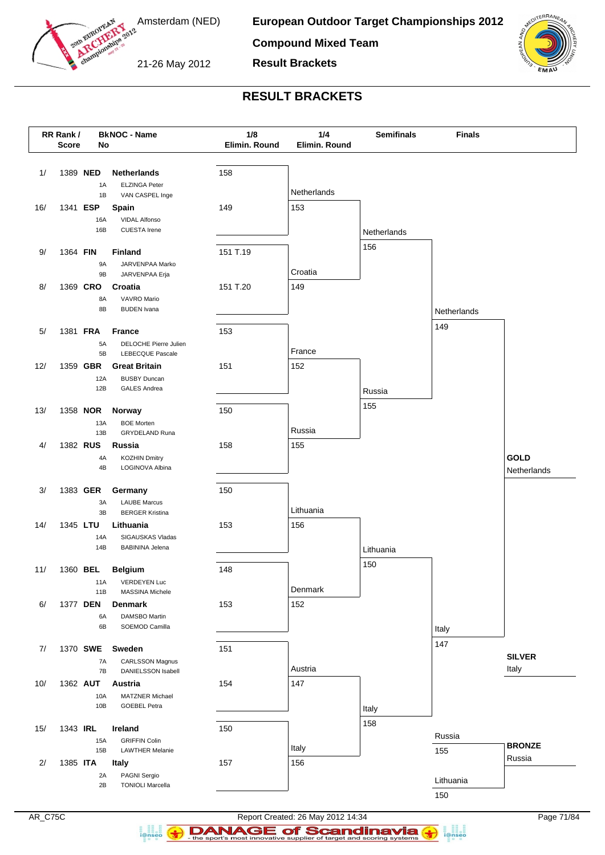

soun European

**European Outdoor Target Championships 2012**

**Compound Mixed Team**

21-26 May 2012

**Result Brackets**



#### **RESULT BRACKETS**



DANAGE of Scandinavia i@nsec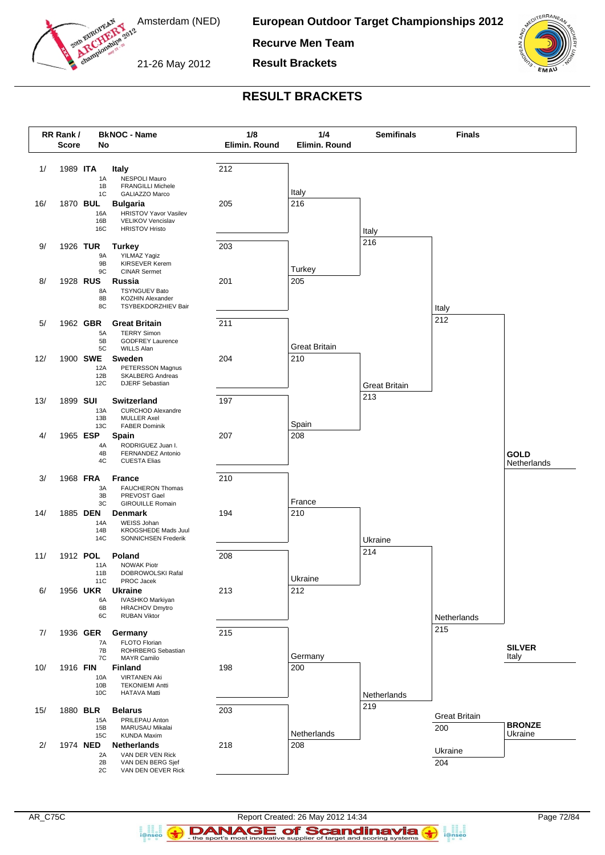

south European

**European Outdoor Target Championships 2012**

**Recurve Men Team**

21-26 May 2012

**Result Brackets**



#### **RESULT BRACKETS**



 $\left( \frac{1}{2} \right)$ 

i@nseo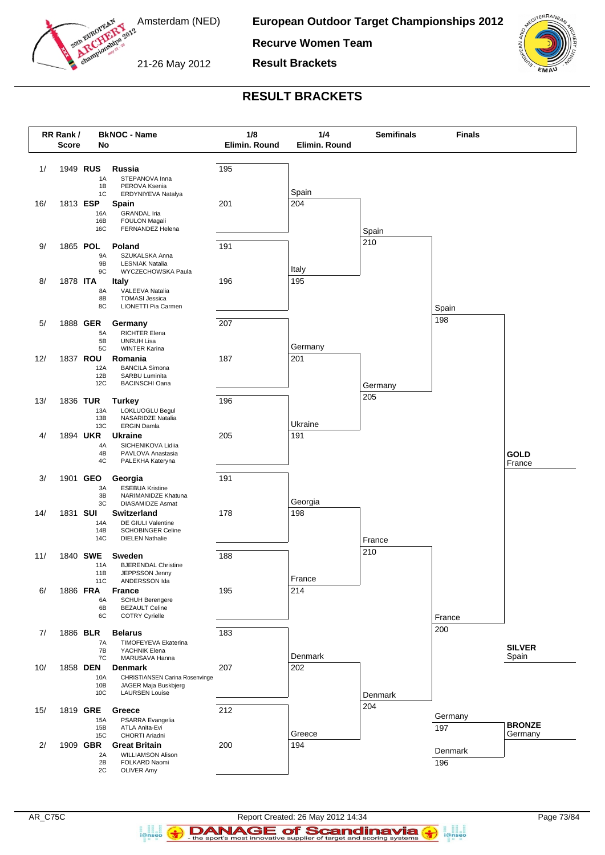

south European

**European Outdoor Target Championships 2012**

**Recurve Women Team**

21-26 May 2012

**Result Brackets**



## **RESULT BRACKETS**



 $\left( \frac{1}{2} \right)$ 

**B**<br>i@nseo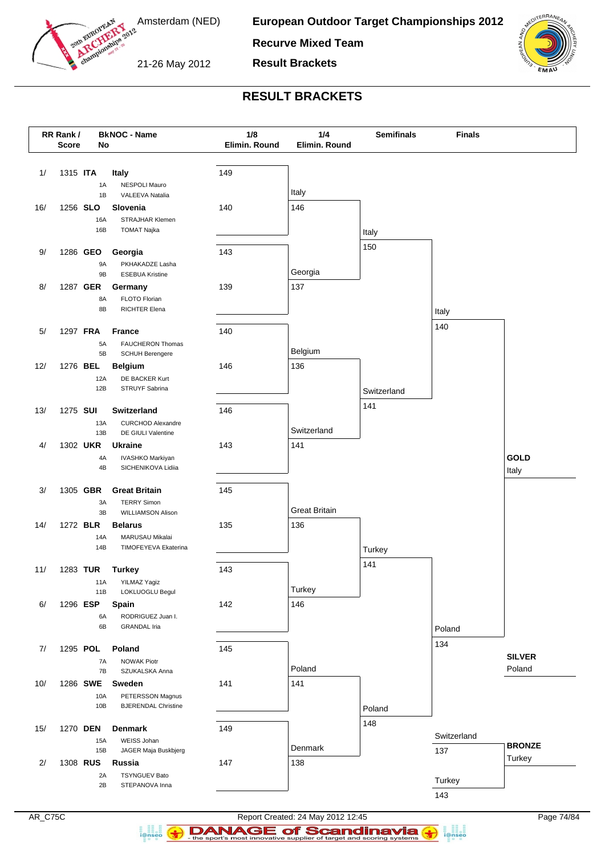

soun European

**European Outdoor Target Championships 2012**

**Recurve Mixed Team**

21-26 May 2012

**Result Brackets**



## **RESULT BRACKETS**



DANAGE of Scandinavia

i@nsec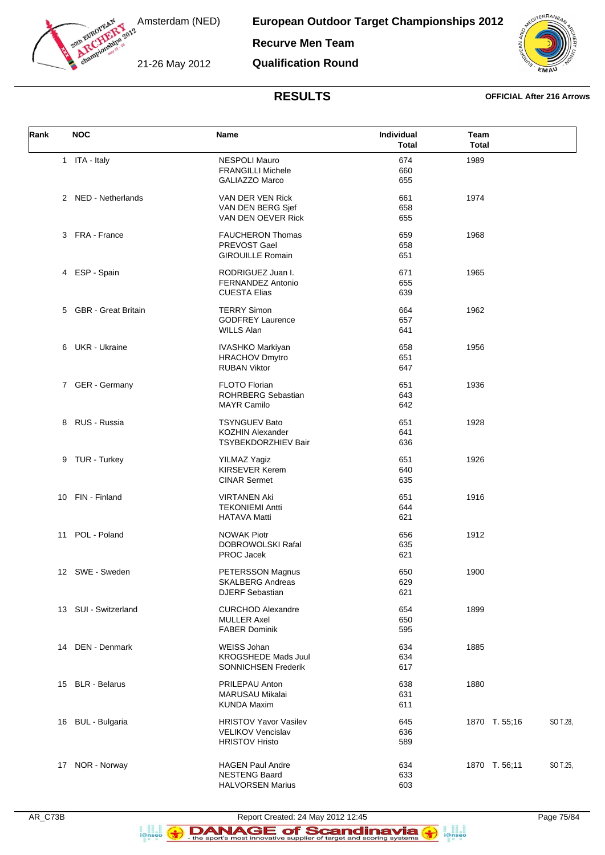

**European Outdoor Target Championships 2012**

**Recurve Men Team**

21-26 May 2012

**Qualification Round**



### **RESULTS OFFICIAL After 216 Arrows**

| Rank | <b>NOC</b>            | Name                                                                              | Individual<br><b>Total</b> | Team<br><b>Total</b> |          |
|------|-----------------------|-----------------------------------------------------------------------------------|----------------------------|----------------------|----------|
|      | 1 ITA - Italy         | <b>NESPOLI Mauro</b><br><b>FRANGILLI Michele</b><br><b>GALIAZZO Marco</b>         | 674<br>660<br>655          | 1989                 |          |
|      | 2 NED - Netherlands   | VAN DER VEN Rick<br>VAN DEN BERG Sjef<br>VAN DEN OEVER Rick                       | 661<br>658<br>655          | 1974                 |          |
|      | 3 FRA - France        | <b>FAUCHERON Thomas</b><br>PREVOST Gael<br><b>GIROUILLE Romain</b>                | 659<br>658<br>651          | 1968                 |          |
|      | 4 ESP - Spain         | RODRIGUEZ Juan I.<br>FERNANDEZ Antonio<br><b>CUESTA Elias</b>                     | 671<br>655<br>639          | 1965                 |          |
|      | 5 GBR - Great Britain | <b>TERRY Simon</b><br><b>GODFREY Laurence</b><br><b>WILLS Alan</b>                | 664<br>657<br>641          | 1962                 |          |
|      | 6 UKR - Ukraine       | <b>IVASHKO Markiyan</b><br><b>HRACHOV Dmytro</b><br><b>RUBAN Viktor</b>           | 658<br>651<br>647          | 1956                 |          |
|      | 7 GER - Germany       | <b>FLOTO Florian</b><br><b>ROHRBERG Sebastian</b><br><b>MAYR Camilo</b>           | 651<br>643<br>642          | 1936                 |          |
|      | 8 RUS - Russia        | <b>TSYNGUEV Bato</b><br><b>KOZHIN Alexander</b><br>TSYBEKDORZHIEV Bair            | 651<br>641<br>636          | 1928                 |          |
|      | 9 TUR - Turkey        | <b>YILMAZ Yagiz</b><br><b>KIRSEVER Kerem</b><br><b>CINAR Sermet</b>               | 651<br>640<br>635          | 1926                 |          |
|      | 10 FIN - Finland      | <b>VIRTANEN Aki</b><br><b>TEKONIEMI Antti</b><br><b>HATAVA Matti</b>              | 651<br>644<br>621          | 1916                 |          |
|      | 11 POL - Poland       | <b>NOWAK Piotr</b><br>DOBROWOLSKI Rafal<br>PROC Jacek                             | 656<br>635<br>621          | 1912                 |          |
|      | 12 SWE - Sweden       | PETERSSON Magnus<br><b>SKALBERG Andreas</b><br><b>DJERF Sebastian</b>             | 650<br>629<br>621          | 1900                 |          |
|      | 13 SUI - Switzerland  | <b>CURCHOD Alexandre</b><br><b>MULLER Axel</b><br><b>FABER Dominik</b>            | 654<br>650<br>595          | 1899                 |          |
|      | 14 DEN - Denmark      | WEISS Johan<br><b>KROGSHEDE Mads Juul</b><br><b>SONNICHSEN Frederik</b>           | 634<br>634<br>617          | 1885                 |          |
|      | 15 BLR - Belarus      | PRILEPAU Anton<br><b>MARUSAU Mikalai</b><br><b>KUNDA Maxim</b>                    | 638<br>631<br>611          | 1880                 |          |
|      | 16 BUL - Bulgaria     | <b>HRISTOV Yavor Vasilev</b><br><b>VELIKOV Vencislav</b><br><b>HRISTOV Hristo</b> | 645<br>636<br>589          | 1870 T. 55;16        | SO T.28, |
|      | 17 NOR - Norway       | <b>HAGEN Paul Andre</b><br><b>NESTENG Baard</b><br><b>HALVORSEN Marius</b>        | 634<br>633<br>603          | 1870 T. 56;11        | SO T.25, |

a ana an<br>i@nseo

 $\left( \rightarrow \right)$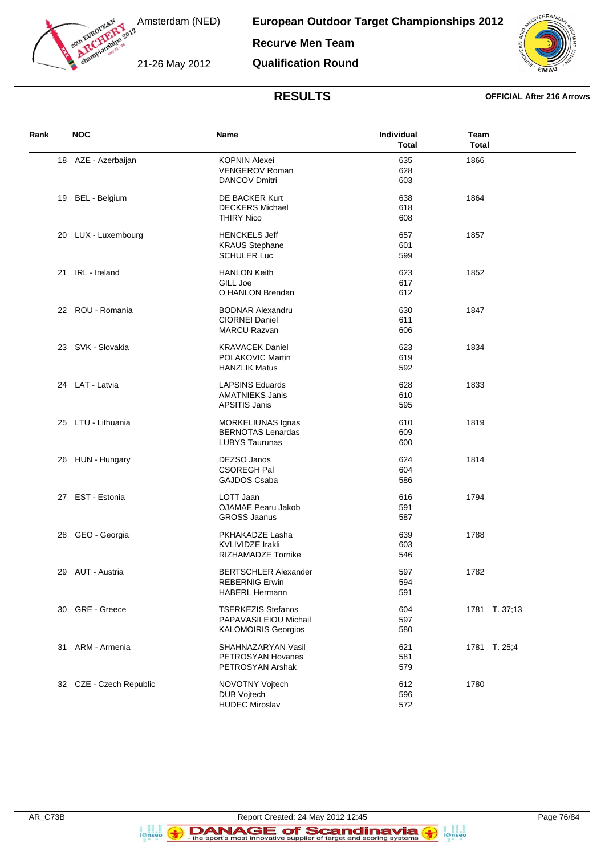

**European Outdoor Target Championships 2012**

**Recurve Men Team**

21-26 May 2012

**Qualification Round**



### **RESULTS OFFICIAL After 216 Arrows**

| Rank | <b>NOC</b>              | Name                        | Individual<br><b>Total</b> | Team<br><b>Total</b> |
|------|-------------------------|-----------------------------|----------------------------|----------------------|
|      | 18 AZE - Azerbaijan     | <b>KOPNIN Alexei</b>        | 635                        | 1866                 |
|      |                         | VENGEROV Roman              | 628                        |                      |
|      |                         | <b>DANCOV Dmitri</b>        | 603                        |                      |
|      |                         |                             |                            |                      |
|      | 19 BEL - Belgium        | DE BACKER Kurt              | 638                        | 1864                 |
|      |                         | <b>DECKERS Michael</b>      | 618                        |                      |
|      |                         | <b>THIRY Nico</b>           | 608                        |                      |
|      | 20 LUX - Luxembourg     | <b>HENCKELS Jeff</b>        | 657                        | 1857                 |
|      |                         | <b>KRAUS Stephane</b>       | 601                        |                      |
|      |                         | <b>SCHULER Luc</b>          | 599                        |                      |
|      |                         |                             |                            |                      |
|      | 21 IRL - Ireland        | <b>HANLON Keith</b>         | 623                        | 1852                 |
|      |                         | GILL Joe                    | 617                        |                      |
|      |                         | O HANLON Brendan            | 612                        |                      |
|      | 22 ROU - Romania        | <b>BODNAR Alexandru</b>     | 630                        | 1847                 |
|      |                         | <b>CIORNEI Daniel</b>       | 611                        |                      |
|      |                         | <b>MARCU Razvan</b>         | 606                        |                      |
|      |                         |                             |                            |                      |
|      | 23 SVK - Slovakia       | <b>KRAVACEK Daniel</b>      | 623                        | 1834                 |
|      |                         | POLAKOVIC Martin            | 619                        |                      |
|      |                         | <b>HANZLIK Matus</b>        | 592                        |                      |
|      | 24 LAT - Latvia         | <b>LAPSINS Eduards</b>      | 628                        | 1833                 |
|      |                         | <b>AMATNIEKS Janis</b>      | 610                        |                      |
|      |                         | <b>APSITIS Janis</b>        | 595                        |                      |
|      |                         |                             |                            |                      |
|      | 25 LTU - Lithuania      | MORKELIUNAS Ignas           | 610                        | 1819                 |
|      |                         | <b>BERNOTAS Lenardas</b>    | 609                        |                      |
|      |                         | <b>LUBYS Taurunas</b>       | 600                        |                      |
|      | 26 HUN - Hungary        | DEZSO Janos                 | 624                        | 1814                 |
|      |                         | CSOREGH Pal                 | 604                        |                      |
|      |                         | GAJDOS Csaba                | 586                        |                      |
|      |                         |                             |                            |                      |
|      | 27 EST - Estonia        | LOTT Jaan                   | 616                        | 1794                 |
|      |                         | <b>OJAMAE Pearu Jakob</b>   | 591                        |                      |
|      |                         | <b>GROSS Jaanus</b>         | 587                        |                      |
| 28   | GEO - Georgia           | PKHAKADZE Lasha             | 639                        | 1788                 |
|      |                         | <b>KVLIVIDZE Irakli</b>     | 603                        |                      |
|      |                         | <b>RIZHAMADZE Tornike</b>   | 546                        |                      |
|      |                         |                             |                            |                      |
|      | 29 AUT - Austria        | <b>BERTSCHLER Alexander</b> | 597                        | 1782                 |
|      |                         | <b>REBERNIG Erwin</b>       | 594                        |                      |
|      |                         | <b>HABERL Hermann</b>       | 591                        |                      |
| 30   | <b>GRE</b> - Greece     | <b>TSERKEZIS Stefanos</b>   | 604                        | 1781 T. 37;13        |
|      |                         | PAPAVASILEIOU Michail       | 597                        |                      |
|      |                         | <b>KALOMOIRIS Georgios</b>  | 580                        |                      |
|      |                         |                             |                            |                      |
|      | 31 ARM - Armenia        | SHAHNAZARYAN Vasil          | 621                        | 1781 T. 25;4         |
|      |                         | PETROSYAN Hovanes           | 581                        |                      |
|      |                         | PETROSYAN Arshak            | 579                        |                      |
|      | 32 CZE - Czech Republic | NOVOTNY Vojtech             | 612                        | 1780                 |
|      |                         | DUB Vojtech                 | 596                        |                      |
|      |                         | <b>HUDEC Miroslav</b>       | 572                        |                      |
|      |                         |                             |                            |                      |

a ana an<br>i@nseo

 $\left( \rightarrow \right)$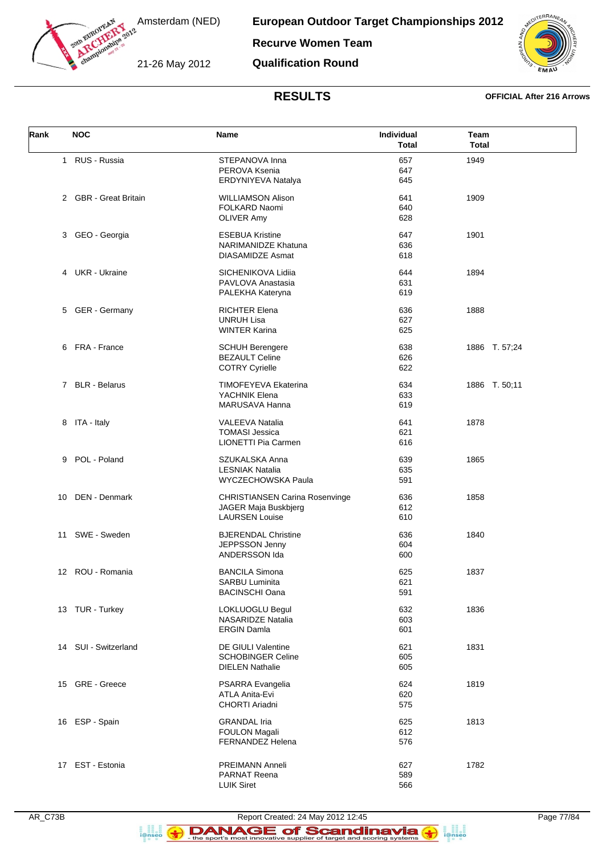

**European Outdoor Target Championships 2012**

**Recurve Women Team**

21-26 May 2012

**Qualification Round**



### **RESULTS OFFICIAL After 216 Arrows**

| Rank | <b>NOC</b>            | Name                                                                                   | Individual<br>Total | Team<br><b>Total</b> |
|------|-----------------------|----------------------------------------------------------------------------------------|---------------------|----------------------|
|      | 1 RUS - Russia        | STEPANOVA Inna<br>PEROVA Ksenia<br>ERDYNIYEVA Natalya                                  | 657<br>647<br>645   | 1949                 |
|      | 2 GBR - Great Britain | <b>WILLIAMSON Alison</b><br>FOLKARD Naomi<br><b>OLIVER Amy</b>                         | 641<br>640<br>628   | 1909                 |
|      | 3 GEO - Georgia       | <b>ESEBUA Kristine</b><br><b>NARIMANIDZE Khatuna</b><br><b>DIASAMIDZE Asmat</b>        | 647<br>636<br>618   | 1901                 |
|      | 4 UKR - Ukraine       | SICHENIKOVA Lidiia<br>PAVLOVA Anastasia<br>PALEKHA Kateryna                            | 644<br>631<br>619   | 1894                 |
| 5    | <b>GER</b> - Germany  | <b>RICHTER Elena</b><br><b>UNRUH Lisa</b><br><b>WINTER Karina</b>                      | 636<br>627<br>625   | 1888                 |
|      | 6 FRA - France        | <b>SCHUH Berengere</b><br><b>BEZAULT Celine</b><br><b>COTRY Cyrielle</b>               | 638<br>626<br>622   | 1886 T. 57;24        |
|      | 7 BLR - Belarus       | <b>TIMOFEYEVA Ekaterina</b><br>YACHNIK Elena<br>MARUSAVA Hanna                         | 634<br>633<br>619   | 1886 T. 50;11        |
|      | 8 ITA - Italy         | VALEEVA Natalia<br><b>TOMASI Jessica</b><br>LIONETTI Pia Carmen                        | 641<br>621<br>616   | 1878                 |
|      | 9 POL - Poland        | SZUKALSKA Anna<br><b>LESNIAK Natalia</b><br>WYCZECHOWSKA Paula                         | 639<br>635<br>591   | 1865                 |
| 10   | DEN - Denmark         | <b>CHRISTIANSEN Carina Rosenvinge</b><br>JAGER Maja Buskbjerg<br><b>LAURSEN Louise</b> | 636<br>612<br>610   | 1858                 |
|      | 11 SWE - Sweden       | <b>BJERENDAL Christine</b><br>JEPPSSON Jenny<br>ANDERSSON Ida                          | 636<br>604<br>600   | 1840                 |
|      | 12 ROU - Romania      | <b>BANCILA Simona</b><br>SARBU Luminita<br><b>BACINSCHI Oana</b>                       | 625<br>621<br>591   | 1837                 |
|      | 13 TUR - Turkey       | LOKLUOGLU Begul<br>NASARIDZE Natalia<br><b>ERGIN Damla</b>                             | 632<br>603<br>601   | 1836                 |
|      | 14 SUI - Switzerland  | <b>DE GIULI Valentine</b><br><b>SCHOBINGER Celine</b><br><b>DIELEN Nathalie</b>        | 621<br>605<br>605   | 1831                 |
|      | 15 GRE - Greece       | PSARRA Evangelia<br>ATLA Anita-Evi<br>CHORTI Ariadni                                   | 624<br>620<br>575   | 1819                 |
|      | 16 ESP - Spain        | <b>GRANDAL Iria</b><br><b>FOULON Magali</b><br>FERNANDEZ Helena                        | 625<br>612<br>576   | 1813                 |
|      | 17 EST - Estonia      | PREIMANN Anneli<br><b>PARNAT Reena</b><br><b>LUIK Siret</b>                            | 627<br>589<br>566   | 1782                 |



a an<br>i@nseo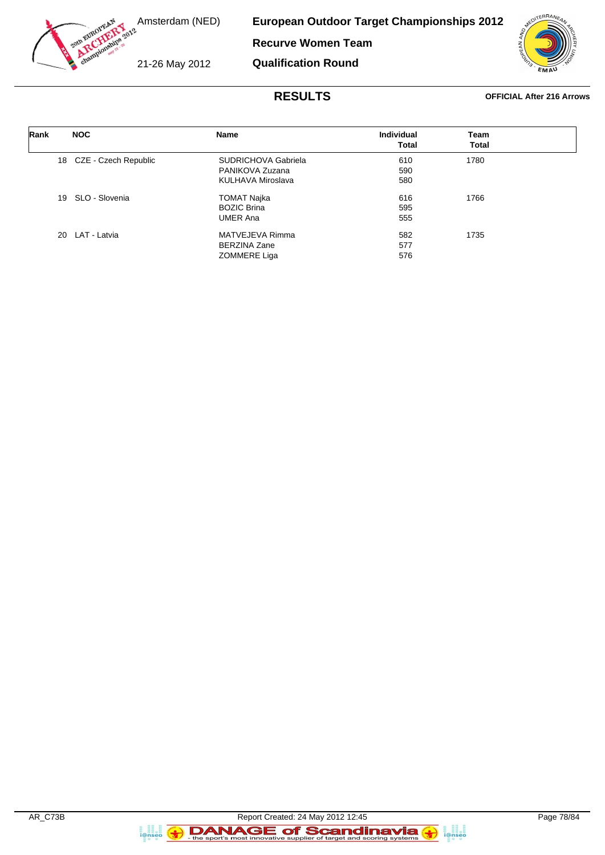

**European Outdoor Target Championships 2012**

**Recurve Women Team**

21-26 May 2012

**Qualification Round**



### **RESULTS OFFICIAL After 216 Arrows**

| Rank | <b>NOC</b>              | Name                | Individual | Team         |  |
|------|-------------------------|---------------------|------------|--------------|--|
|      |                         |                     | Total      | <b>Total</b> |  |
|      | 18 CZE - Czech Republic | SUDRICHOVA Gabriela | 610        | 1780         |  |
|      |                         | PANIKOVA Zuzana     | 590        |              |  |
|      |                         | KULHAVA Miroslava   | 580        |              |  |
|      | SLO - Slovenia<br>19    | TOMAT Najka         | 616        | 1766         |  |
|      |                         | <b>BOZIC Brina</b>  | 595        |              |  |
|      |                         | <b>UMER Ana</b>     | 555        |              |  |
|      | 20 LAT - Latvia         | MATVEJEVA Rimma     | 582        | 1735         |  |
|      |                         | BERZINA Zane        | 577        |              |  |
|      |                         | ZOMMERE Liga        | 576        |              |  |

a an<br>i@nseo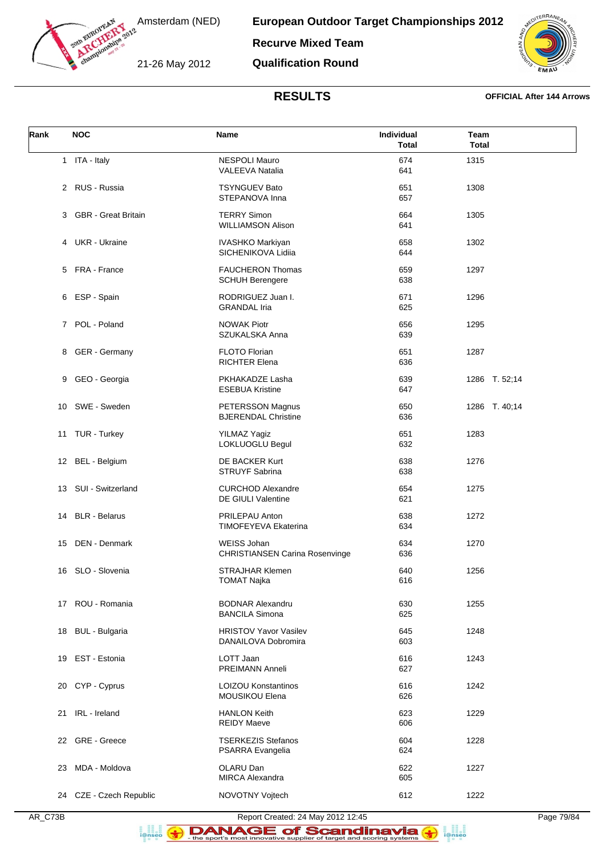

**European Outdoor Target Championships 2012 Recurve Mixed Team**

21-26 May 2012

**Qualification Round**



### **RESULTS OFFICIAL After 144 Arrows**

| Rank | <b>NOC</b>              | Name                                                        | Individual<br><b>Total</b> | Team<br><b>Total</b> |
|------|-------------------------|-------------------------------------------------------------|----------------------------|----------------------|
|      | 1 ITA - Italy           | NESPOLI Mauro<br><b>VALEEVA Natalia</b>                     | 674<br>641                 | 1315                 |
|      | 2 RUS - Russia          | <b>TSYNGUEV Bato</b><br>STEPANOVA Inna                      | 651<br>657                 | 1308                 |
|      | 3 GBR - Great Britain   | <b>TERRY Simon</b><br><b>WILLIAMSON Alison</b>              | 664<br>641                 | 1305                 |
|      | 4 UKR - Ukraine         | <b>IVASHKO Markiyan</b><br>SICHENIKOVA Lidiia               | 658<br>644                 | 1302                 |
|      | 5 FRA - France          | <b>FAUCHERON Thomas</b><br><b>SCHUH Berengere</b>           | 659<br>638                 | 1297                 |
| 6    | ESP - Spain             | RODRIGUEZ Juan I.<br><b>GRANDAL Iria</b>                    | 671<br>625                 | 1296                 |
|      | 7 POL - Poland          | <b>NOWAK Piotr</b><br>SZUKALSKA Anna                        | 656<br>639                 | 1295                 |
| 8    | GER - Germany           | FLOTO Florian<br><b>RICHTER Elena</b>                       | 651<br>636                 | 1287                 |
|      | 9 GEO - Georgia         | PKHAKADZE Lasha<br><b>ESEBUA Kristine</b>                   | 639<br>647                 | 1286 T. 52;14        |
|      | 10 SWE - Sweden         | PETERSSON Magnus<br><b>BJERENDAL Christine</b>              | 650<br>636                 | 1286 T. 40;14        |
|      | 11 TUR - Turkey         | YILMAZ Yagiz<br>LOKLUOGLU Begul                             | 651<br>632                 | 1283                 |
|      | 12 BEL - Belgium        | DE BACKER Kurt<br><b>STRUYF Sabrina</b>                     | 638<br>638                 | 1276                 |
|      | 13 SUI - Switzerland    | <b>CURCHOD Alexandre</b><br>DE GIULI Valentine              | 654<br>621                 | 1275                 |
|      | 14 BLR - Belarus        | PRILEPAU Anton<br><b>TIMOFEYEVA Ekaterina</b>               | 638<br>634                 | 1272                 |
|      | 15 DEN - Denmark        | <b>WEISS Johan</b><br><b>CHRISTIANSEN Carina Rosenvinge</b> | 634<br>636                 | 1270                 |
|      | 16 SLO - Slovenia       | <b>STRAJHAR Klemen</b><br><b>TOMAT Najka</b>                | 640<br>616                 | 1256                 |
|      | 17 ROU - Romania        | <b>BODNAR Alexandru</b><br><b>BANCILA Simona</b>            | 630<br>625                 | 1255                 |
| 18   | <b>BUL</b> - Bulgaria   | <b>HRISTOV Yavor Vasilev</b><br>DANAILOVA Dobromira         | 645<br>603                 | 1248                 |
| 19   | EST - Estonia           | LOTT Jaan<br>PREIMANN Anneli                                | 616<br>627                 | 1243                 |
|      | 20 CYP - Cyprus         | <b>LOIZOU Konstantinos</b><br>MOUSIKOU Elena                | 616<br>626                 | 1242                 |
| 21   | IRL - Ireland           | <b>HANLON Keith</b><br><b>REIDY Maeve</b>                   | 623<br>606                 | 1229                 |
| 22   | GRE - Greece            | <b>TSERKEZIS Stefanos</b><br>PSARRA Evangelia               | 604<br>624                 | 1228                 |
| 23   | MDA - Moldova           | OLARU Dan<br><b>MIRCA Alexandra</b>                         | 622<br>605                 | 1227                 |
|      | 24 CZE - Czech Republic | NOVOTNY Vojtech                                             | 612                        | 1222                 |

a an<br>i@nseo

 $\left( \bigodot$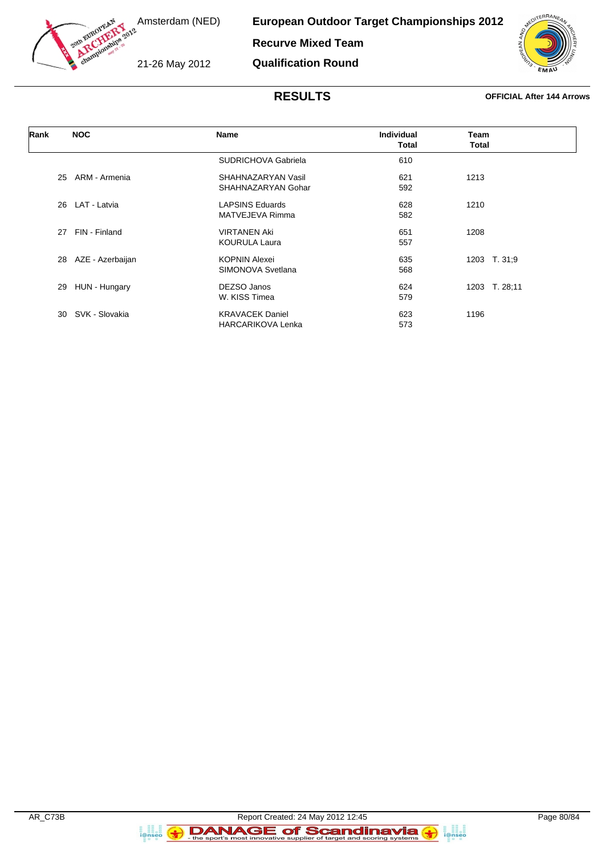

**European Outdoor Target Championships 2012 Recurve Mixed Team**

21-26 May 2012

**Qualification Round**



### **RESULTS OFFICIAL After 144 Arrows**

| Rank | <b>NOC</b>             | <b>Name</b>              | <b>Individual</b> | Team          |
|------|------------------------|--------------------------|-------------------|---------------|
|      |                        |                          | <b>Total</b>      | Total         |
|      |                        | SUDRICHOVA Gabriela      | 610               |               |
|      | ARM - Armenia<br>25    | SHAHNAZARYAN Vasil       | 621               | 1213          |
|      |                        | SHAHNAZARYAN Gohar       | 592               |               |
|      | LAT - Latvia<br>26     | <b>LAPSINS Eduards</b>   | 628               | 1210          |
|      |                        | MATVEJEVA Rimma          | 582               |               |
|      | FIN - Finland<br>27    | <b>VIRTANEN Aki</b>      | 651               | 1208          |
|      |                        | <b>KOURULA Laura</b>     | 557               |               |
|      | AZE - Azerbaijan<br>28 | <b>KOPNIN Alexei</b>     | 635               | 1203 T. 31;9  |
|      |                        | SIMONOVA Svetlana        | 568               |               |
|      | 29<br>HUN - Hungary    | DEZSO Janos              | 624               | 1203 T. 28:11 |
|      |                        | W. KISS Timea            | 579               |               |
|      | SVK - Slovakia<br>30   | <b>KRAVACEK Daniel</b>   | 623               | 1196          |
|      |                        | <b>HARCARIKOVA Lenka</b> | 573               |               |

a an<br>i@nseo

 $\left( \bigodot$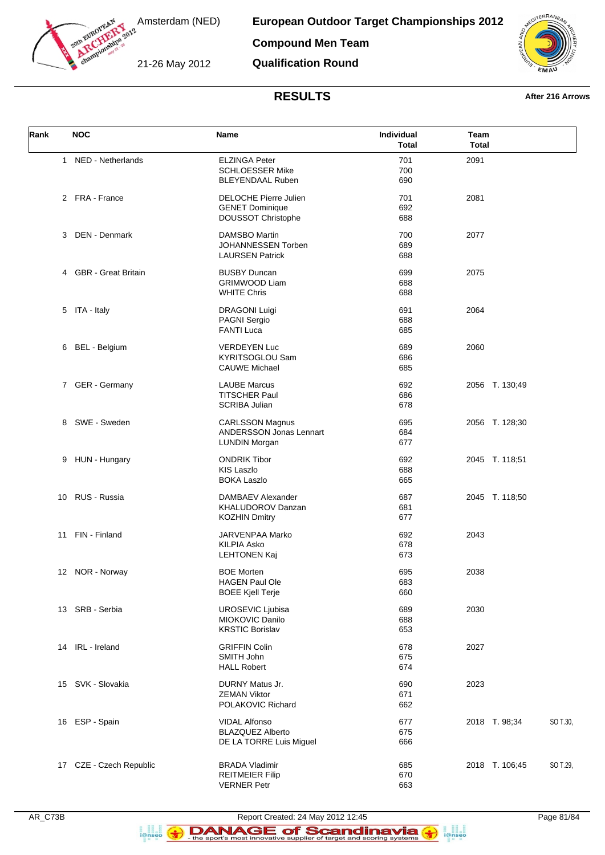

**European Outdoor Target Championships 2012**

**Compound Men Team**

21-26 May 2012

**Qualification Round**



## **RESULTS After 216 Arrows**

| Rank | <b>NOC</b>              | Name                                                                         | Individual<br><b>Total</b> | Team<br><b>Total</b>       |
|------|-------------------------|------------------------------------------------------------------------------|----------------------------|----------------------------|
|      | 1 NED - Netherlands     | <b>ELZINGA Peter</b><br><b>SCHLOESSER Mike</b><br><b>BLEYENDAAL Ruben</b>    | 701<br>700<br>690          | 2091                       |
|      | 2 FRA - France          | <b>DELOCHE Pierre Julien</b><br><b>GENET Dominique</b><br>DOUSSOT Christophe | 701<br>692<br>688          | 2081                       |
| 3    | DEN - Denmark           | <b>DAMSBO Martin</b><br>JOHANNESSEN Torben<br><b>LAURSEN Patrick</b>         | 700<br>689<br>688          | 2077                       |
|      | 4 GBR - Great Britain   | <b>BUSBY Duncan</b><br><b>GRIMWOOD Liam</b><br><b>WHITE Chris</b>            | 699<br>688<br>688          | 2075                       |
|      | 5 ITA - Italy           | <b>DRAGONI Luigi</b><br>PAGNI Sergio<br><b>FANTI Luca</b>                    | 691<br>688<br>685          | 2064                       |
|      | 6 BEL - Belgium         | <b>VERDEYEN Luc</b><br><b>KYRITSOGLOU Sam</b><br><b>CAUWE Michael</b>        | 689<br>686<br>685          | 2060                       |
|      | 7 GER - Germany         | <b>LAUBE Marcus</b><br><b>TITSCHER Paul</b><br><b>SCRIBA Julian</b>          | 692<br>686<br>678          | 2056 T. 130;49             |
|      | 8 SWE - Sweden          | <b>CARLSSON Magnus</b><br>ANDERSSON Jonas Lennart<br><b>LUNDIN Morgan</b>    | 695<br>684<br>677          | 2056 T. 128;30             |
| 9    | HUN - Hungary           | <b>ONDRIK Tibor</b><br><b>KIS Laszlo</b><br><b>BOKA Laszlo</b>               | 692<br>688<br>665          | 2045 T. 118;51             |
| 10   | RUS - Russia            | DAMBAEV Alexander<br><b>KHALUDOROV Danzan</b><br><b>KOZHIN Dmitry</b>        | 687<br>681<br>677          | 2045 T. 118;50             |
|      | 11 FIN - Finland        | <b>JARVENPAA Marko</b><br><b>KILPIA Asko</b><br><b>LEHTONEN Kaj</b>          | 692<br>678<br>673          | 2043                       |
|      | 12 NOR - Norway         | <b>BOE Morten</b><br><b>HAGEN Paul Ole</b><br><b>BOEE Kjell Terje</b>        | 695<br>683<br>660          | 2038                       |
|      | 13 SRB - Serbia         | UROSEVIC Ljubisa<br>MIOKOVIC Danilo<br><b>KRSTIC Borislav</b>                | 689<br>688<br>653          | 2030                       |
|      | 14 IRL - Ireland        | <b>GRIFFIN Colin</b><br>SMITH John<br><b>HALL Robert</b>                     | 678<br>675<br>674          | 2027                       |
|      | 15 SVK - Slovakia       | <b>DURNY Matus Jr.</b><br><b>ZEMAN Viktor</b><br>POLAKOVIC Richard           | 690<br>671<br>662          | 2023                       |
|      | 16 ESP - Spain          | <b>VIDAL Alfonso</b><br><b>BLAZQUEZ Alberto</b><br>DE LA TORRE Luis Miguel   | 677<br>675<br>666          | 2018 T. 98;34<br>SO T.30,  |
|      | 17 CZE - Czech Republic | <b>BRADA Vladimir</b><br><b>REITMEIER Filip</b><br><b>VERNER Petr</b>        | 685<br>670<br>663          | 2018 T. 106;45<br>SO T.29, |

a ann an<br>i@nseo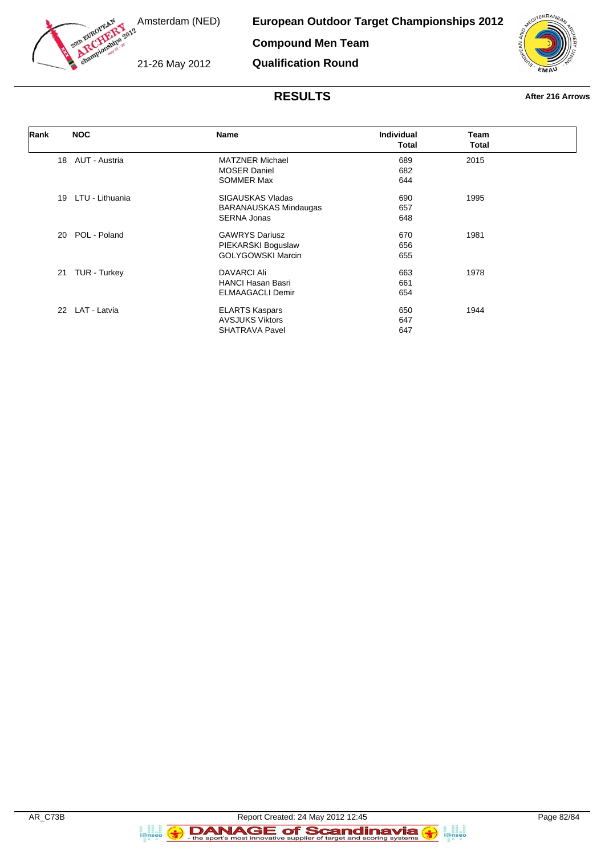

**European Outdoor Target Championships 2012**

**Compound Men Team**

21-26 May 2012

**Qualification Round**



# **RESULTS After 216 Arrows**

| Rank | <b>NOC</b>       | Name                         | <b>Individual</b> | Team  |  |
|------|------------------|------------------------------|-------------------|-------|--|
|      |                  |                              | <b>Total</b>      | Total |  |
|      | 18 AUT - Austria | <b>MATZNER Michael</b>       | 689               | 2015  |  |
|      |                  | <b>MOSER Daniel</b>          | 682               |       |  |
|      |                  | <b>SOMMER Max</b>            | 644               |       |  |
| 19   | LTU - Lithuania  | SIGAUSKAS Vladas             | 690               | 1995  |  |
|      |                  | <b>BARANAUSKAS Mindaugas</b> | 657               |       |  |
|      |                  | <b>SERNA Jonas</b>           | 648               |       |  |
| 20   | POL - Poland     | <b>GAWRYS Dariusz</b>        | 670               | 1981  |  |
|      |                  | PIEKARSKI Boguslaw           | 656               |       |  |
|      |                  | <b>GOLYGOWSKI Marcin</b>     | 655               |       |  |
| 21   | TUR - Turkey     | DAVARCI Ali                  | 663               | 1978  |  |
|      |                  | <b>HANCI Hasan Basri</b>     | 661               |       |  |
|      |                  | <b>ELMAAGACLI Demir</b>      | 654               |       |  |
|      | 22 LAT - Latvia  | <b>ELARTS Kaspars</b>        | 650               | 1944  |  |
|      |                  | <b>AVSJUKS Viktors</b>       | 647               |       |  |
|      |                  | <b>SHATRAVA Pavel</b>        | 647               |       |  |

a ana an<br>i@nseo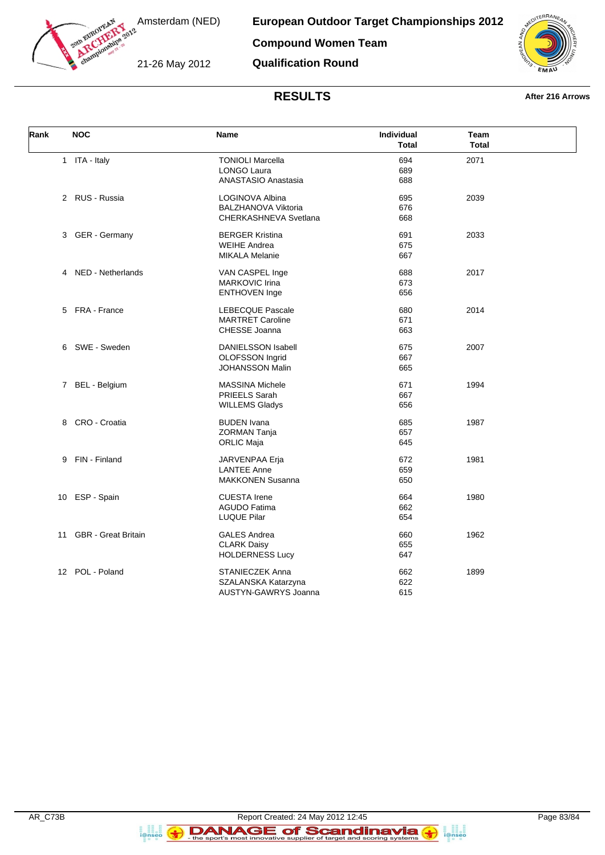

**European Outdoor Target Championships 2012**

**Compound Women Team**

21-26 May 2012

**Qualification Round**



## **RESULTS After 216 Arrows**

| Rank | <b>NOC</b>                 | <b>Name</b>                | Individual<br><b>Total</b> | Team<br><b>Total</b> |  |
|------|----------------------------|----------------------------|----------------------------|----------------------|--|
|      | 1 ITA - Italy              | <b>TONIOLI Marcella</b>    | 694                        | 2071                 |  |
|      |                            | <b>LONGO Laura</b>         | 689                        |                      |  |
|      |                            | ANASTASIO Anastasia        | 688                        |                      |  |
|      | 2 RUS - Russia             | LOGINOVA Albina            | 695                        | 2039                 |  |
|      |                            | <b>BALZHANOVA Viktoria</b> | 676                        |                      |  |
|      |                            | CHERKASHNEVA Svetlana      | 668                        |                      |  |
|      | 3 GER - Germany            | <b>BERGER Kristina</b>     | 691                        | 2033                 |  |
|      |                            | <b>WEIHE Andrea</b>        | 675                        |                      |  |
|      |                            | <b>MIKALA Melanie</b>      | 667                        |                      |  |
|      | 4 NED - Netherlands        | VAN CASPEL Inge            | 688                        | 2017                 |  |
|      |                            | MARKOVIC Irina             | 673                        |                      |  |
|      |                            | <b>ENTHOVEN Inge</b>       | 656                        |                      |  |
|      |                            |                            |                            |                      |  |
|      | 5 FRA - France             | <b>LEBECQUE Pascale</b>    | 680                        | 2014                 |  |
|      |                            | <b>MARTRET Caroline</b>    | 671                        |                      |  |
|      |                            | CHESSE Joanna              | 663                        |                      |  |
|      | 6 SWE - Sweden             | <b>DANIELSSON Isabell</b>  | 675                        | 2007                 |  |
|      |                            | OLOFSSON Ingrid            | 667                        |                      |  |
|      |                            | <b>JOHANSSON Malin</b>     | 665                        |                      |  |
|      | 7 BEL - Belgium            | <b>MASSINA Michele</b>     | 671                        | 1994                 |  |
|      |                            | PRIEELS Sarah              | 667                        |                      |  |
|      |                            | <b>WILLEMS Gladys</b>      | 656                        |                      |  |
|      |                            |                            |                            |                      |  |
|      | 8 CRO - Croatia            | <b>BUDEN</b> Ivana         | 685                        | 1987                 |  |
|      |                            | <b>ZORMAN Tanja</b>        | 657                        |                      |  |
|      |                            | <b>ORLIC Maja</b>          | 645                        |                      |  |
|      | 9 FIN - Finland            | JARVENPAA Erja             | 672                        | 1981                 |  |
|      |                            | <b>LANTEE Anne</b>         | 659                        |                      |  |
|      |                            | <b>MAKKONEN Susanna</b>    | 650                        |                      |  |
| 10   | ESP - Spain                | <b>CUESTA Irene</b>        | 664                        | 1980                 |  |
|      |                            | <b>AGUDO Fatima</b>        | 662                        |                      |  |
|      |                            | <b>LUQUE Pilar</b>         | 654                        |                      |  |
|      |                            |                            |                            |                      |  |
| 11   | <b>GBR</b> - Great Britain | <b>GALES Andrea</b>        | 660                        | 1962                 |  |
|      |                            | <b>CLARK Daisy</b>         | 655                        |                      |  |
|      |                            | <b>HOLDERNESS Lucy</b>     | 647                        |                      |  |
|      | 12 POL - Poland            | <b>STANIECZEK Anna</b>     | 662                        | 1899                 |  |
|      |                            | SZALANSKA Katarzyna        | 622                        |                      |  |
|      |                            | AUSTYN-GAWRYS Joanna       | 615                        |                      |  |
|      |                            |                            |                            |                      |  |

a<br>i@nseo

 $\left( \bigodot$